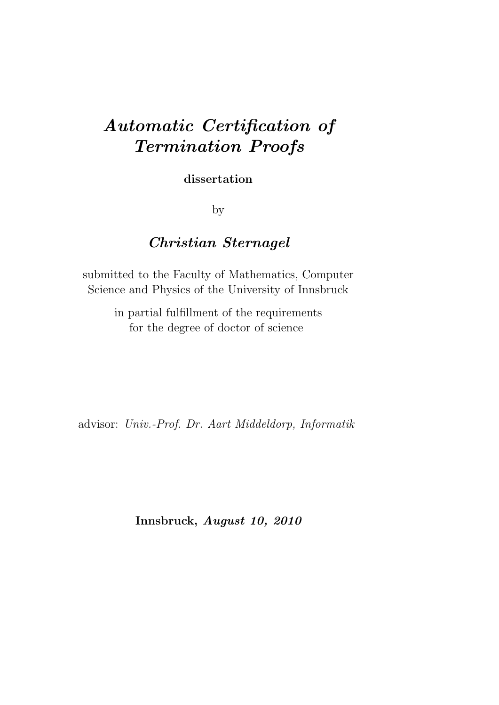# Automatic Certification of Termination Proofs

dissertation

by

# Christian Sternagel

submitted to the Faculty of Mathematics, Computer Science and Physics of the University of Innsbruck

> in partial fulfillment of the requirements for the degree of doctor of science

advisor: Univ.-Prof. Dr. Aart Middeldorp, Informatik

Innsbruck, August 10, 2010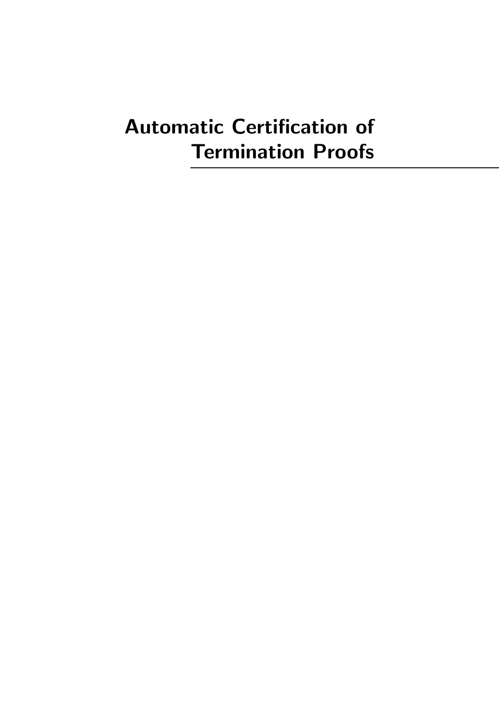# Automatic Certification of Termination Proofs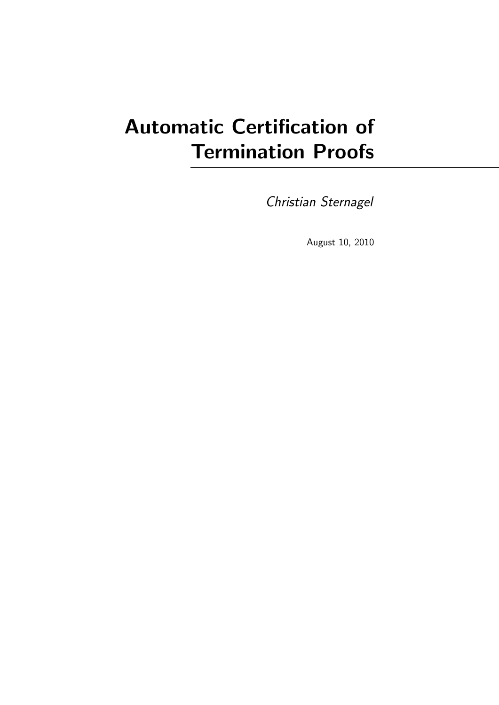# Automatic Certification of Termination Proofs

Christian Sternagel

August 10, 2010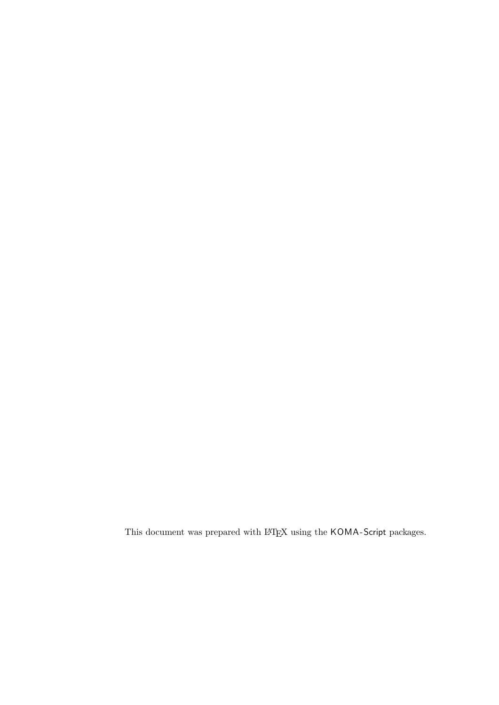This document was prepared with  $\rm \emph{LATEX}$  using the  $\rm KOMA\mbox{-}Script$  packages.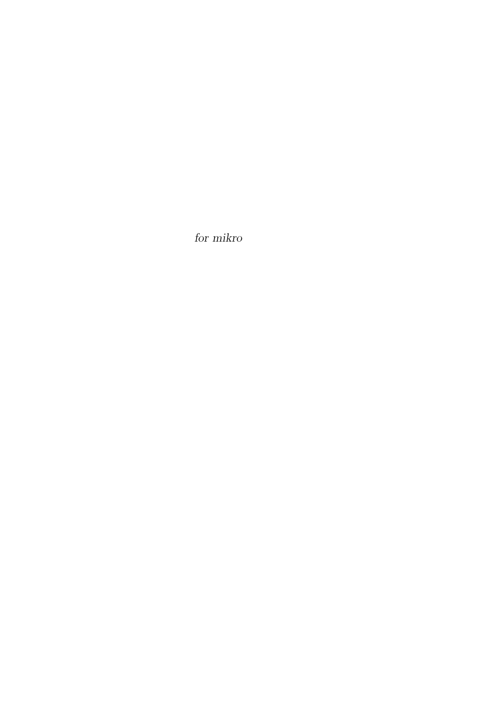for mikro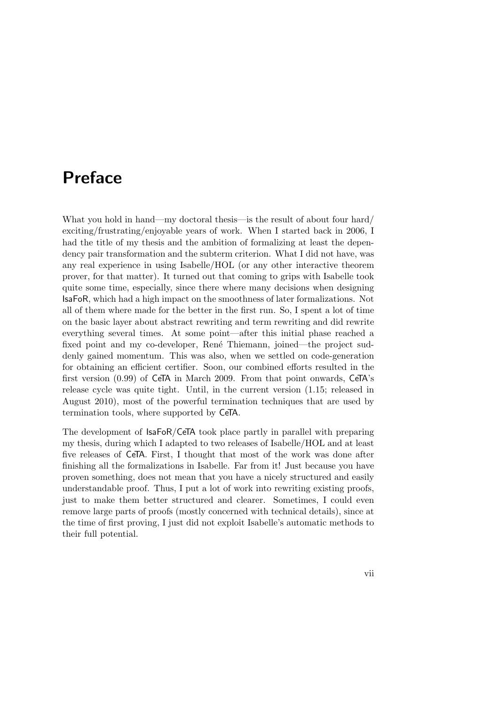# <span id="page-8-0"></span>Preface

What you hold in hand—my doctoral thesis—is the result of about four hard/ exciting/frustrating/enjoyable years of work. When I started back in 2006, I had the title of my thesis and the ambition of formalizing at least the dependency pair transformation and the subterm criterion. What I did not have, was any real experience in using Isabelle/HOL (or any other interactive theorem prover, for that matter). It turned out that coming to grips with Isabelle took quite some time, especially, since there where many decisions when designing IsaFoR, which had a high impact on the smoothness of later formalizations. Not all of them where made for the better in the first run. So, I spent a lot of time on the basic layer about abstract rewriting and term rewriting and did rewrite everything several times. At some point—after this initial phase reached a fixed point and my co-developer, René Thiemann, joined—the project suddenly gained momentum. This was also, when we settled on code-generation for obtaining an efficient certifier. Soon, our combined efforts resulted in the first version (0.99) of CeTA in March 2009. From that point onwards, CeTA's release cycle was quite tight. Until, in the current version (1.15; released in August 2010), most of the powerful termination techniques that are used by termination tools, where supported by CeTA.

The development of IsaFoR/CeTA took place partly in parallel with preparing my thesis, during which I adapted to two releases of Isabelle/HOL and at least five releases of CeTA. First, I thought that most of the work was done after finishing all the formalizations in Isabelle. Far from it! Just because you have proven something, does not mean that you have a nicely structured and easily understandable proof. Thus, I put a lot of work into rewriting existing proofs, just to make them better structured and clearer. Sometimes, I could even remove large parts of proofs (mostly concerned with technical details), since at the time of first proving, I just did not exploit Isabelle's automatic methods to their full potential.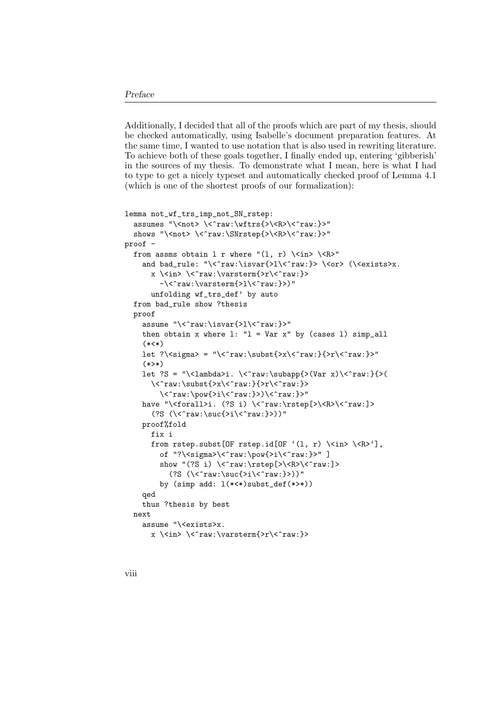#### Preface

Additionally, I decided that all of the proofs which are part of my thesis, should be checked automatically, using Isabelle's document preparation features. At the same time, I wanted to use notation that is also used in rewriting literature. To achieve both of these goals together, I finally ended up, entering 'gibberish' in the sources of my thesis. To demonstrate what I mean, here is what I had to type to get a nicely typeset and automatically checked proof of Lemma [4.1](#page-43-0) (which is one of the shortest proofs of our formalization):

```
lemma not_wf_trs_imp_not_SN_rstep:
  assumes "\<not> \<^raw:\wftrs{>\<R>\<^raw:}>"
  shows "\<not> \<^raw:\SNrstep{>\<R>\<^raw:}>"
proof -
  from assms obtain 1 r where "(1, r) \langle \cdot \rangle \and bad_rule: "\<^raw:\isvar{>l\<^raw:}> \<or> (\<exists>x.
      x \<in> \<^raw:\varsterm{>r\<^raw:}>
        -\<^raw:\varsterm{>l\<^raw:}>)"
      unfolding wf_trs_def' by auto
  from bad_rule show ?thesis
  proof
    assume "\<^raw:\isvar{>l\<^raw:}>"
    then obtain x where l: "l = Var x" by (cases 1) simp_all
    (*<*)let ?\ <sigma> = "\ < ^raw:\subst{>x\ < ^raw:}{>r\ < ^raw: }>"
    (**>*)let ?S = "\<lambda>i. \<^raw:\subapp{>(Var x)\<^raw:}{>(
      \<^raw:\subst{>x\<^raw:}{>r\<^raw:}>
        \langle\{pow{>i\&raw:}>\rangle
    have "\<forall>i. (?S i) \<^raw:\rstep[>\<R>\<^raw:]>
      (?S (\<^*raw:\suc\>i\<^*raw:})')"
    proof%fold
      fix i
      from rstep.subst[OF rstep.id[OF '(1, r) \<in> \<R>> \<R>),
        of "?\<sigma>\<^raw:\pow{>i\<^raw:}>" ]
        show "(?S i) \<^raw:\rstep[>\<R>\<^raw:]>
          (?S (\langle \text{suc}\rangle\text{suc}\langle \text{su}\rangle)"
        by (simp add: l(*<*)subst_def(*>*))
    qed
    thus ?thesis by best
  next
    assume "\<exists>x.
      x \<in> \<^raw:\varsterm{>r\<^raw:}>
```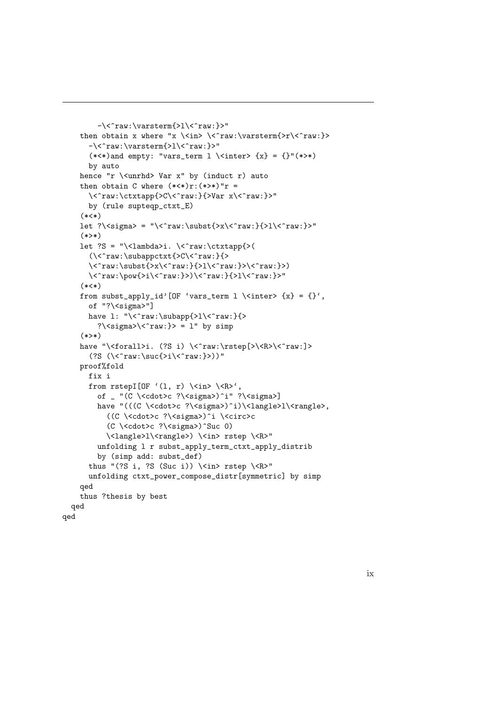```
-\langle\raw:\varsigma\then obtain x where "x \<in> \<^raw:\varsterm{>r\<^raw:}>
       -\<^raw:\varsterm{>l\<^raw:}>"
       (**) and empty: "vars_term l \ <inter> {x} = {}"(*>*)
       by auto
    hence "r \<unrhd> Var x" by (induct r) auto
    then obtain C where (***)r:(**)*"r =
       \<^raw:\ctxtapp{>C\<^raw:}{>Var x\<^raw:}>"
       by (rule supteqp_ctxt_E)
     (*<*)let ?\ \sigma = "\ \tau \, \cdots\, \cdots\, \cdots\, \cdots\, \cdots\, \cdots\, \cdots\, \cdots\, \cdots\, \cdots\, \cdots\, \cdots\, \cdots\, \cdots\, \cdots\, \cdots\, \cdots\, \cdots\, \cdots\, \cdots\, \cdots\, \cdots\
     (*>*)let ?S = "\<lambda>i. \<^raw:\ctxtapp{>(
       (\langle \cdot \rangle_{\text{subappctxt}})\verb|<^raw:\substit>x\\<^raw:\verb|<^raw:\subgt;\\\langle\raw:\pow{>i\<^raw:}>)\<^raw:}{>l\<^raw:}>"
     (*<*)
    from subst_apply_id'[OF 'vars_term l \ <inter> {x} = {}',
       of "?\<sigma>"]
       have l: "\<^raw:\subapp{>l\<^raw:}{>
         ?\\langlesigma>\\langle\hat{r}aw:}> = l" by simp
     (*>*)have "\<forall>i. (?S i) \<^raw:\rstep[>\<R>\<^raw:]>
       (?S (\langle \text{raw:}\succeq\{\text{}>i\}\langle \text{raw:}\} \rangle)"
    proof%fold
       fix i
       from rstepI[OF '(1, r) \langlein> \langleR>',
         of _ "(C \<cdot>c ?\<sigma>)^i" ?\<sigma>]
         have "(((C \<cdot>c ?\<sigma>)^i)\<langle>l\<rangle>,
            ((C \<cdot>c ?\<sigma>)^i \<circ>c
            (C \<cdot>c ?\<sigma>)^Suc 0)
            \<langle>l\<rangle>) \<in> rstep \<R>"
         unfolding l r subst_apply_term_ctxt_apply_distrib
         by (simp add: subst_def)
       thus "(?S i, ?S (Suc i)) \langlein> rstep \langle<R>"
       unfolding ctxt_power_compose_distr[symmetric] by simp
    qed
    thus ?thesis by best
  qed
qed
```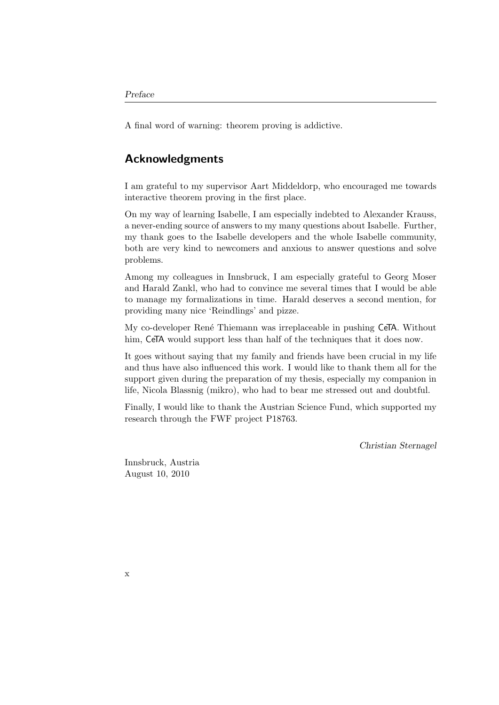A final word of warning: theorem proving is addictive.

# Acknowledgments

I am grateful to my supervisor Aart Middeldorp, who encouraged me towards interactive theorem proving in the first place.

On my way of learning Isabelle, I am especially indebted to Alexander Krauss, a never-ending source of answers to my many questions about Isabelle. Further, my thank goes to the Isabelle developers and the whole Isabelle community, both are very kind to newcomers and anxious to answer questions and solve problems.

Among my colleagues in Innsbruck, I am especially grateful to Georg Moser and Harald Zankl, who had to convince me several times that I would be able to manage my formalizations in time. Harald deserves a second mention, for providing many nice ['Reindlings'](http://bar.wikipedia.org/wiki/Reindling) and pizze.

My co-developer René Thiemann was irreplaceable in pushing CeTA. Without him, CeTA would support less than half of the techniques that it does now.

It goes without saying that my family and friends have been crucial in my life and thus have also influenced this work. I would like to thank them all for the support given during the preparation of my thesis, especially my companion in life, Nicola Blassnig (mikro), who had to bear me stressed out and doubtful.

Finally, I would like to thank the Austrian Science Fund, which supported my research through the FWF project [P18763.](http://www.fwf.ac.at/de/abstracts/abstract.asp?L=D&PROJ=P18763)

Christian Sternagel

Innsbruck, Austria August 10, 2010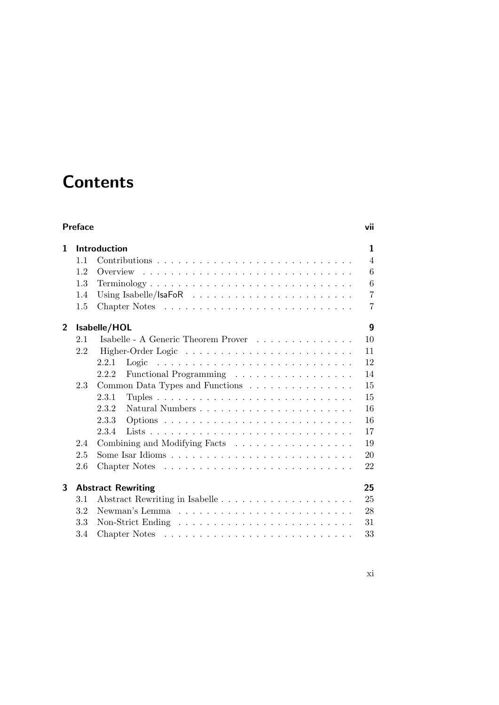# **Contents**

| <b>Preface</b> |     |                                                                                     |                |  |
|----------------|-----|-------------------------------------------------------------------------------------|----------------|--|
| 1              |     | <b>Introduction</b>                                                                 | 1              |  |
|                | 1.1 |                                                                                     | $\overline{4}$ |  |
|                | 1.2 | Overview                                                                            | 6              |  |
|                | 1.3 | $Terminology \ldots \ldots \ldots \ldots \ldots \ldots \ldots \ldots \ldots \ldots$ | 6              |  |
|                | 1.4 | Using Isabelle/IsaFoR $\ldots \ldots \ldots \ldots \ldots \ldots \ldots$            | 7              |  |
|                | 1.5 |                                                                                     | 7              |  |
| $\overline{2}$ |     | Isabelle/HOL                                                                        | 9              |  |
|                | 2.1 | Isabelle - A Generic Theorem Prover                                                 | 10             |  |
|                | 2.2 |                                                                                     | 11             |  |
|                |     | 2.2.1<br>Logic                                                                      | 12             |  |
|                |     | Functional Programming<br>2.2.2                                                     | 14             |  |
|                | 2.3 | Common Data Types and Functions                                                     | 15             |  |
|                |     | 2.3.1                                                                               | 15             |  |
|                |     | 2.3.2                                                                               | 16             |  |
|                |     | 2.3.3                                                                               | 16             |  |
|                |     | 2.3.4                                                                               | 17             |  |
|                | 2.4 | Combining and Modifying Facts                                                       | 19             |  |
|                | 2.5 |                                                                                     | 20             |  |
|                | 2.6 |                                                                                     | 22             |  |
| 3              |     | <b>Abstract Rewriting</b>                                                           | 25             |  |
|                | 3.1 |                                                                                     | 25             |  |
|                | 3.2 |                                                                                     | 28             |  |
|                | 3.3 | Non-Strict Ending $\dots \dots \dots \dots \dots \dots \dots \dots \dots \dots$     | 31             |  |
|                | 3.4 |                                                                                     | 33             |  |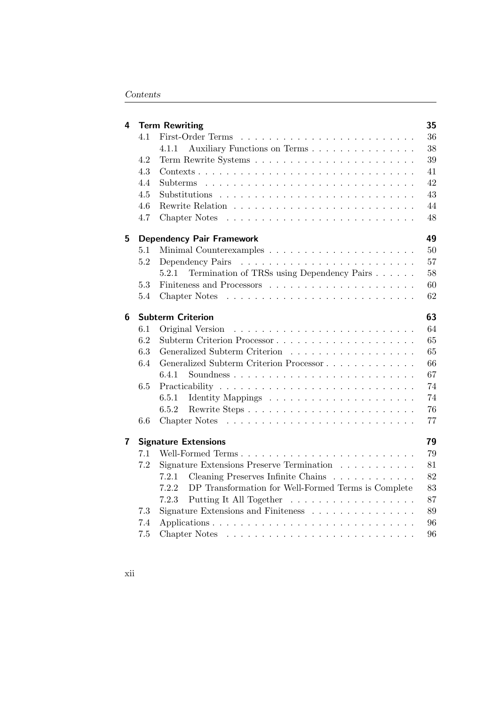| First-Order Terms<br>4.1<br>Auxiliary Functions on Terms<br>4.1.1<br>4.2<br>4.3<br>$Contexts \ldots \ldots \ldots \ldots \ldots \ldots \ldots \ldots \ldots \ldots \ldots$<br>4.4<br>4.5<br>4.6<br>4.7 |  | 36 |
|--------------------------------------------------------------------------------------------------------------------------------------------------------------------------------------------------------|--|----|
|                                                                                                                                                                                                        |  | 38 |
|                                                                                                                                                                                                        |  |    |
|                                                                                                                                                                                                        |  | 39 |
|                                                                                                                                                                                                        |  | 41 |
|                                                                                                                                                                                                        |  | 42 |
|                                                                                                                                                                                                        |  | 43 |
|                                                                                                                                                                                                        |  | 44 |
|                                                                                                                                                                                                        |  | 48 |
| 5<br><b>Dependency Pair Framework</b>                                                                                                                                                                  |  | 49 |
| 5.1                                                                                                                                                                                                    |  | 50 |
| 5.2                                                                                                                                                                                                    |  | 57 |
| Termination of TRSs using Dependency Pairs<br>5.2.1                                                                                                                                                    |  | 58 |
| 5.3                                                                                                                                                                                                    |  | 60 |
| Chapter Notes<br>5.4                                                                                                                                                                                   |  | 62 |
| <b>Subterm Criterion</b><br>6                                                                                                                                                                          |  | 63 |
| Original Version<br>$6.1\,$                                                                                                                                                                            |  | 64 |
| 6.2                                                                                                                                                                                                    |  | 65 |
| 6.3<br>Generalized Subterm Criterion                                                                                                                                                                   |  | 65 |
| Generalized Subterm Criterion Processor<br>6.4                                                                                                                                                         |  | 66 |
| 6.4.1                                                                                                                                                                                                  |  | 67 |
| 6.5                                                                                                                                                                                                    |  | 74 |
| 6.5.1                                                                                                                                                                                                  |  | 74 |
| 6.5.2<br>Rewrite Steps                                                                                                                                                                                 |  | 76 |
| 6.6                                                                                                                                                                                                    |  | 77 |
| 7<br><b>Signature Extensions</b>                                                                                                                                                                       |  | 79 |
| 7.1<br>Well-Formed Terms                                                                                                                                                                               |  | 79 |
| 7.2<br>Signature Extensions Preserve Termination                                                                                                                                                       |  | 81 |
| 7.2.1<br>Cleaning Preserves Infinite Chains                                                                                                                                                            |  | 82 |
| 7.2.2<br>DP Transformation for Well-Formed Terms is Complete                                                                                                                                           |  | 83 |
| 7.2.3<br>Putting It All Together                                                                                                                                                                       |  | 87 |
| Signature Extensions and Finiteness $\ldots \ldots \ldots \ldots \ldots$<br>7.3                                                                                                                        |  | 89 |
| 7.4                                                                                                                                                                                                    |  | 96 |
| $7.5\,$                                                                                                                                                                                                |  | 96 |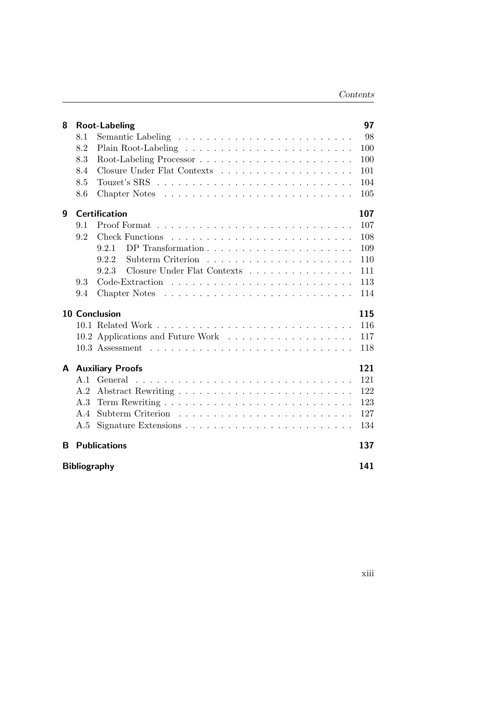| 8                   | <b>Root-Labeling</b> |                                                                                |     |  |  |  |
|---------------------|----------------------|--------------------------------------------------------------------------------|-----|--|--|--|
|                     | 8.1                  |                                                                                | 98  |  |  |  |
|                     | 8.2                  |                                                                                | 100 |  |  |  |
|                     | 8.3                  |                                                                                | 100 |  |  |  |
|                     | 8.4                  |                                                                                | 101 |  |  |  |
|                     | 8.5                  |                                                                                | 104 |  |  |  |
|                     | 8.6                  |                                                                                | 105 |  |  |  |
| 9                   |                      | <b>Certification</b>                                                           | 107 |  |  |  |
|                     | 9.1                  |                                                                                | 107 |  |  |  |
|                     | 9.2                  | <b>Check Functions</b>                                                         | 108 |  |  |  |
|                     |                      | DP Transformation $\ldots \ldots \ldots \ldots \ldots \ldots \ldots$<br>9.2.1  | 109 |  |  |  |
|                     |                      | 9.2.2<br>Subterm Criterion                                                     | 110 |  |  |  |
|                     |                      | Closure Under Flat Contexts<br>9.2.3                                           | 111 |  |  |  |
|                     | 9.3                  |                                                                                | 113 |  |  |  |
|                     | 9.4                  |                                                                                | 114 |  |  |  |
|                     |                      | <b>10 Conclusion</b>                                                           | 115 |  |  |  |
|                     |                      |                                                                                | 116 |  |  |  |
|                     |                      |                                                                                | 117 |  |  |  |
|                     |                      | 10.3 Assessment                                                                | 118 |  |  |  |
| A                   |                      | <b>Auxiliary Proofs</b>                                                        | 121 |  |  |  |
|                     | A.1                  | General                                                                        | 121 |  |  |  |
|                     | A.2                  |                                                                                | 122 |  |  |  |
|                     | A.3                  |                                                                                | 123 |  |  |  |
|                     | A.4                  |                                                                                | 127 |  |  |  |
|                     | A.5                  | Signature Extensions $\ldots \ldots \ldots \ldots \ldots \ldots \ldots \ldots$ | 134 |  |  |  |
| B                   |                      | <b>Publications</b>                                                            | 137 |  |  |  |
| <b>Bibliography</b> |                      |                                                                                |     |  |  |  |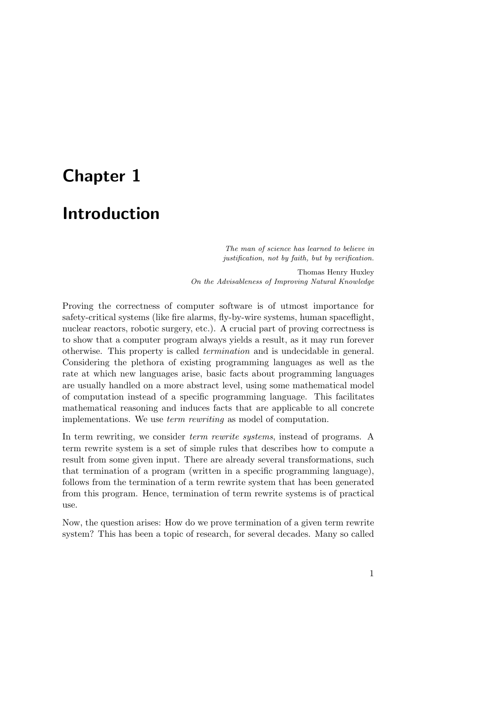# <span id="page-16-0"></span>Chapter 1

# Introduction

The man of science has learned to believe in justification, not by faith, but by verification.

Thomas Henry Huxley On the Advisableness of Improving Natural Knowledge

Proving the correctness of computer software is of utmost importance for safety-critical systems (like fire alarms, fly-by-wire systems, human spaceflight, nuclear reactors, robotic surgery, etc.). A crucial part of proving correctness is to show that a computer program always yields a result, as it may run forever otherwise. This property is called termination and is undecidable in general. Considering the plethora of existing programming languages as well as the rate at which new languages arise, basic facts about programming languages are usually handled on a more abstract level, using some mathematical model of computation instead of a specific programming language. This facilitates mathematical reasoning and induces facts that are applicable to all concrete implementations. We use term rewriting as model of computation.

In term rewriting, we consider term rewrite systems, instead of programs. A term rewrite system is a set of simple rules that describes how to compute a result from some given input. There are already several transformations, such that termination of a program (written in a specific programming language), follows from the termination of a term rewrite system that has been generated from this program. Hence, termination of term rewrite systems is of practical use.

Now, the question arises: How do we prove termination of a given term rewrite system? This has been a topic of research, for several decades. Many so called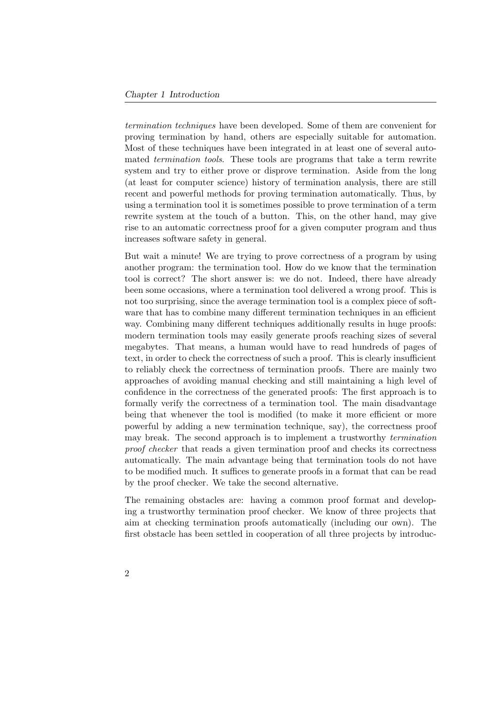termination techniques have been developed. Some of them are convenient for proving termination by hand, others are especially suitable for automation. Most of these techniques have been integrated in at least one of several automated termination tools. These tools are programs that take a term rewrite system and try to either prove or disprove termination. Aside from the long (at least for computer science) history of termination analysis, there are still recent and powerful methods for proving termination automatically. Thus, by using a termination tool it is sometimes possible to prove termination of a term rewrite system at the touch of a button. This, on the other hand, may give rise to an automatic correctness proof for a given computer program and thus increases software safety in general.

But wait a minute! We are trying to prove correctness of a program by using another program: the termination tool. How do we know that the termination tool is correct? The short answer is: we do not. Indeed, there have already been some occasions, where a termination tool delivered a wrong proof. This is not too surprising, since the average termination tool is a complex piece of software that has to combine many different termination techniques in an efficient way. Combining many different techniques additionally results in huge proofs: modern termination tools may easily generate proofs reaching sizes of several megabytes. That means, a human would have to read hundreds of pages of text, in order to check the correctness of such a proof. This is clearly insufficient to reliably check the correctness of termination proofs. There are mainly two approaches of avoiding manual checking and still maintaining a high level of confidence in the correctness of the generated proofs: The first approach is to formally verify the correctness of a termination tool. The main disadvantage being that whenever the tool is modified (to make it more efficient or more powerful by adding a new termination technique, say), the correctness proof may break. The second approach is to implement a trustworthy termination proof checker that reads a given termination proof and checks its correctness automatically. The main advantage being that termination tools do not have to be modified much. It suffices to generate proofs in a format that can be read by the proof checker. We take the second alternative.

The remaining obstacles are: having a common proof format and developing a trustworthy termination proof checker. We know of three projects that aim at checking termination proofs automatically (including our own). The first obstacle has been settled in cooperation of all three projects by introduc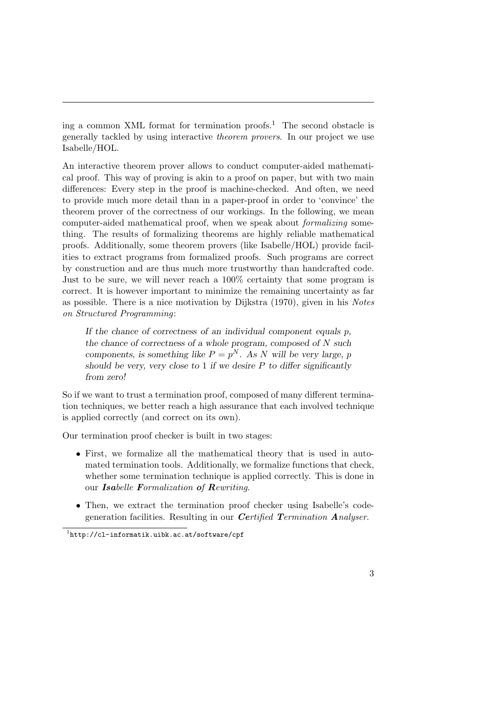ing a common XML format for termination proofs.[1](#page-18-0) The second obstacle is generally tackled by using interactive theorem provers. In our project we use Isabelle/HOL.

An interactive theorem prover allows to conduct computer-aided mathematical proof. This way of proving is akin to a proof on paper, but with two main differences: Every step in the proof is machine-checked. And often, we need to provide much more detail than in a paper-proof in order to 'convince' the theorem prover of the correctness of our workings. In the following, we mean computer-aided mathematical proof, when we speak about formalizing something. The results of formalizing theorems are highly reliable mathematical proofs. Additionally, some theorem provers (like Isabelle/HOL) provide facilities to extract programs from formalized proofs. Such programs are correct by construction and are thus much more trustworthy than handcrafted code. Just to be sure, we will never reach a 100% certainty that some program is correct. It is however important to minimize the remaining uncertainty as far as possible. There is a nice motivation by Dijkstra (1970), given in his Notes on Structured Programming:

If the chance of correctness of an individual component equals  $p$ , the chance of correctness of a whole program, composed of N such components, is something like  $P = p^N$ . As N will be very large, p should be very, very close to 1 if we desire  $P$  to differ significantly from zero!

So if we want to trust a termination proof, composed of many different termination techniques, we better reach a high assurance that each involved technique is applied correctly (and correct on its own).

Our termination proof checker is built in two stages:

- First, we formalize all the mathematical theory that is used in automated termination tools. Additionally, we formalize functions that check, whether some termination technique is applied correctly. This is done in our Isabelle Formalization of Rewriting.
- Then, we extract the termination proof checker using Isabelle's codegeneration facilities. Resulting in our Certified Termination Analyser.

<span id="page-18-0"></span><sup>1</sup> <http://cl-informatik.uibk.ac.at/software/cpf>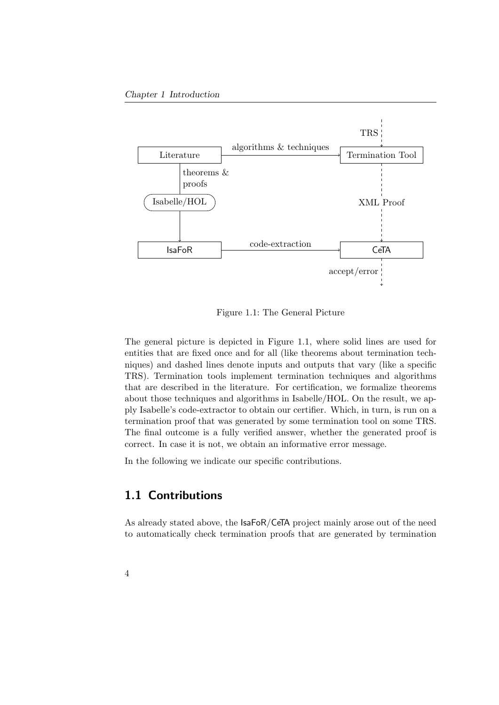#### Chapter 1 Introduction



<span id="page-19-1"></span>Figure 1.1: The General Picture

The general picture is depicted in Figure [1.1,](#page-19-1) where solid lines are used for entities that are fixed once and for all (like theorems about termination techniques) and dashed lines denote inputs and outputs that vary (like a specific TRS). Termination tools implement termination techniques and algorithms that are described in the literature. For certification, we formalize theorems about those techniques and algorithms in Isabelle/HOL. On the result, we apply Isabelle's code-extractor to obtain our certifier. Which, in turn, is run on a termination proof that was generated by some termination tool on some TRS. The final outcome is a fully verified answer, whether the generated proof is correct. In case it is not, we obtain an informative error message.

In the following we indicate our specific contributions.

### <span id="page-19-0"></span>1.1 Contributions

As already stated above, the IsaFoR/CeTA project mainly arose out of the need to automatically check termination proofs that are generated by termination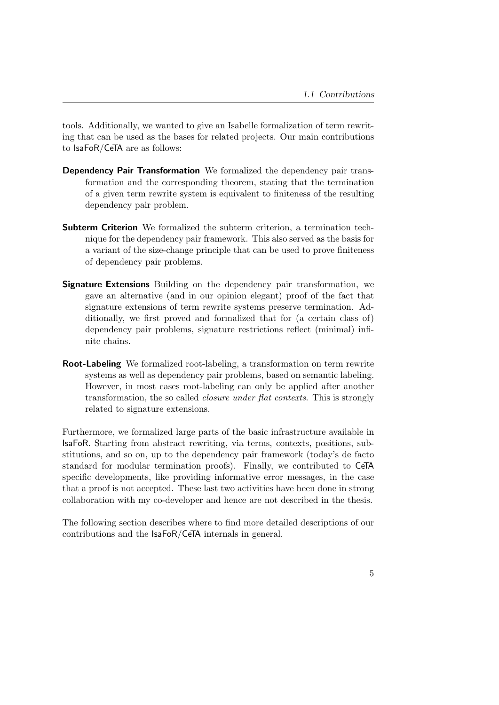tools. Additionally, we wanted to give an Isabelle formalization of term rewriting that can be used as the bases for related projects. Our main contributions to IsaFoR/CeTA are as follows:

- Dependency Pair Transformation We formalized the dependency pair transformation and the corresponding theorem, stating that the termination of a given term rewrite system is equivalent to finiteness of the resulting dependency pair problem.
- Subterm Criterion We formalized the subterm criterion, a termination technique for the dependency pair framework. This also served as the basis for a variant of the size-change principle that can be used to prove finiteness of dependency pair problems.
- Signature Extensions Building on the dependency pair transformation, we gave an alternative (and in our opinion elegant) proof of the fact that signature extensions of term rewrite systems preserve termination. Additionally, we first proved and formalized that for (a certain class of) dependency pair problems, signature restrictions reflect (minimal) infinite chains.
- Root-Labeling We formalized root-labeling, a transformation on term rewrite systems as well as dependency pair problems, based on semantic labeling. However, in most cases root-labeling can only be applied after another transformation, the so called closure under flat contexts. This is strongly related to signature extensions.

Furthermore, we formalized large parts of the basic infrastructure available in IsaFoR. Starting from abstract rewriting, via terms, contexts, positions, substitutions, and so on, up to the dependency pair framework (today's de facto standard for modular termination proofs). Finally, we contributed to CeTA specific developments, like providing informative error messages, in the case that a proof is not accepted. These last two activities have been done in strong collaboration with my co-developer and hence are not described in the thesis.

The following section describes where to find more detailed descriptions of our contributions and the IsaFoR/CeTA internals in general.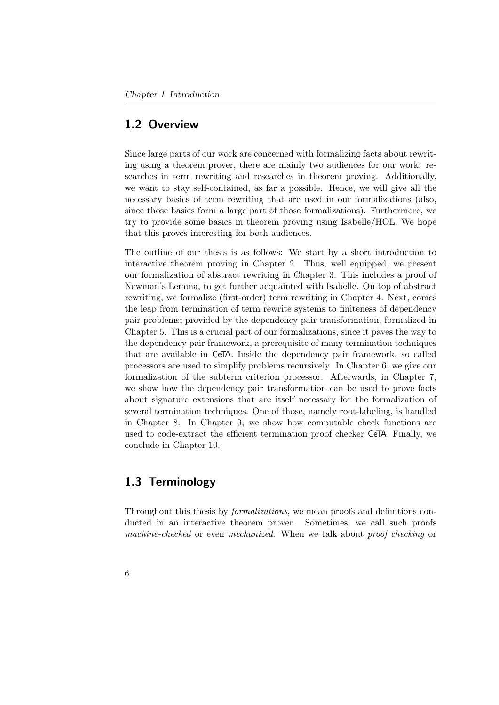### <span id="page-21-0"></span>1.2 Overview

Since large parts of our work are concerned with formalizing facts about rewriting using a theorem prover, there are mainly two audiences for our work: researches in term rewriting and researches in theorem proving. Additionally, we want to stay self-contained, as far a possible. Hence, we will give all the necessary basics of term rewriting that are used in our formalizations (also, since those basics form a large part of those formalizations). Furthermore, we try to provide some basics in theorem proving using Isabelle/HOL. We hope that this proves interesting for both audiences.

The outline of our thesis is as follows: We start by a short introduction to interactive theorem proving in Chapter [2.](#page-24-0) Thus, well equipped, we present our formalization of abstract rewriting in Chapter [3.](#page-40-0) This includes a proof of Newman's Lemma, to get further acquainted with Isabelle. On top of abstract rewriting, we formalize (first-order) term rewriting in Chapter [4.](#page-50-0) Next, comes the leap from termination of term rewrite systems to finiteness of dependency pair problems; provided by the dependency pair transformation, formalized in Chapter [5.](#page-64-0) This is a crucial part of our formalizations, since it paves the way to the dependency pair framework, a prerequisite of many termination techniques that are available in CeTA. Inside the dependency pair framework, so called processors are used to simplify problems recursively. In Chapter [6,](#page-78-0) we give our formalization of the subterm criterion processor. Afterwards, in Chapter [7,](#page-94-0) we show how the dependency pair transformation can be used to prove facts about signature extensions that are itself necessary for the formalization of several termination techniques. One of those, namely root-labeling, is handled in Chapter [8.](#page-112-0) In Chapter [9,](#page-122-0) we show how computable check functions are used to code-extract the efficient termination proof checker CeTA. Finally, we conclude in Chapter [10.](#page-130-0)

# <span id="page-21-1"></span>1.3 Terminology

Throughout this thesis by formalizations, we mean proofs and definitions conducted in an interactive theorem prover. Sometimes, we call such proofs machine-checked or even mechanized. When we talk about proof checking or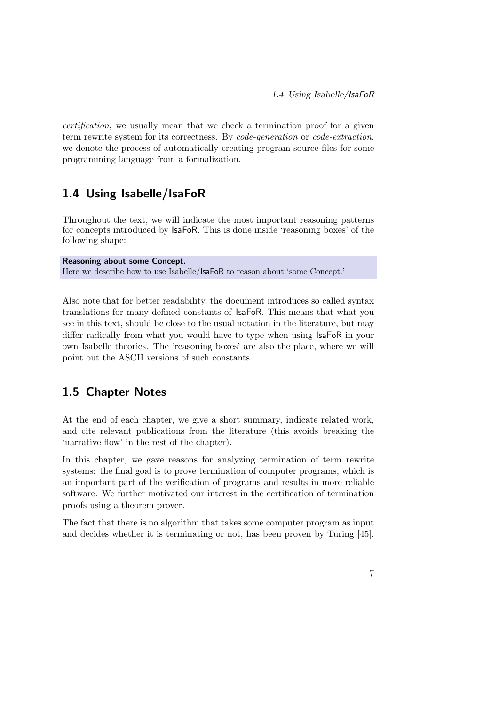certification, we usually mean that we check a termination proof for a given term rewrite system for its correctness. By code-generation or code-extraction, we denote the process of automatically creating program source files for some programming language from a formalization.

# <span id="page-22-0"></span>1.4 Using Isabelle/IsaFoR

Throughout the text, we will indicate the most important reasoning patterns for concepts introduced by IsaFoR. This is done inside 'reasoning boxes' of the following shape:

Reasoning about some Concept. Here we describe how to use Isabelle/IsaFoR to reason about 'some Concept.'

Also note that for better readability, the document introduces so called syntax translations for many defined constants of IsaFoR. This means that what you see in this text, should be close to the usual notation in the literature, but may differ radically from what you would have to type when using IsaFoR in your own Isabelle theories. The 'reasoning boxes' are also the place, where we will point out the ASCII versions of such constants.

### <span id="page-22-1"></span>1.5 Chapter Notes

At the end of each chapter, we give a short summary, indicate related work, and cite relevant publications from the literature (this avoids breaking the 'narrative flow' in the rest of the chapter).

In this chapter, we gave reasons for analyzing termination of term rewrite systems: the final goal is to prove termination of computer programs, which is an important part of the verification of programs and results in more reliable software. We further motivated our interest in the certification of termination proofs using a theorem prover.

The fact that there is no algorithm that takes some computer program as input and decides whether it is terminating or not, has been proven by Turing [\[45\]](#page-161-0).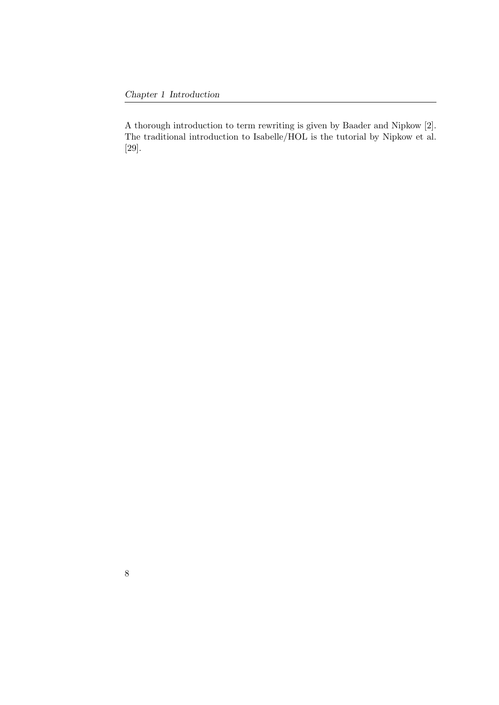A thorough introduction to term rewriting is given by Baader and Nipkow [\[2\]](#page-156-1). The traditional introduction to Isabelle/HOL is the tutorial by Nipkow et al. [\[29\]](#page-159-0).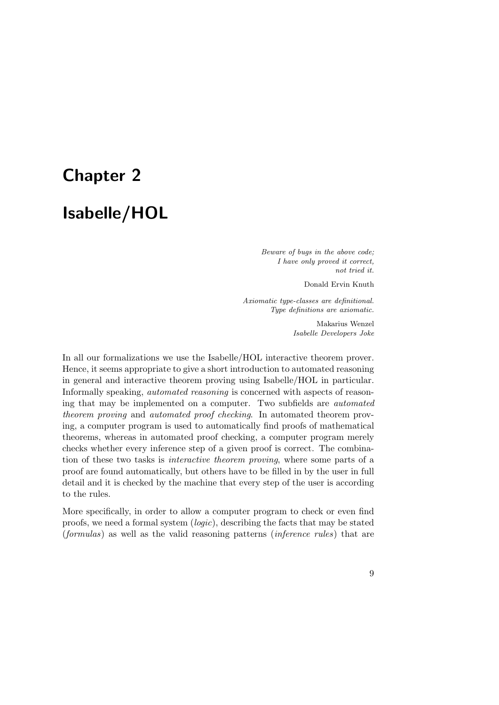# <span id="page-24-0"></span>Chapter 2

# Isabelle/HOL

Beware of bugs in the above code; I have only proved it correct, not tried it.

Donald Ervin Knuth

Axiomatic type-classes are definitional. Type definitions are axiomatic.

> Makarius Wenzel Isabelle Developers Joke

In all our formalizations we use the Isabelle/HOL interactive theorem prover. Hence, it seems appropriate to give a short introduction to automated reasoning in general and interactive theorem proving using Isabelle/HOL in particular. Informally speaking, automated reasoning is concerned with aspects of reasoning that may be implemented on a computer. Two subfields are automated theorem proving and automated proof checking. In automated theorem proving, a computer program is used to automatically find proofs of mathematical theorems, whereas in automated proof checking, a computer program merely checks whether every inference step of a given proof is correct. The combination of these two tasks is interactive theorem proving, where some parts of a proof are found automatically, but others have to be filled in by the user in full detail and it is checked by the machine that every step of the user is according to the rules.

More specifically, in order to allow a computer program to check or even find proofs, we need a formal system (logic), describing the facts that may be stated (formulas) as well as the valid reasoning patterns (inference rules) that are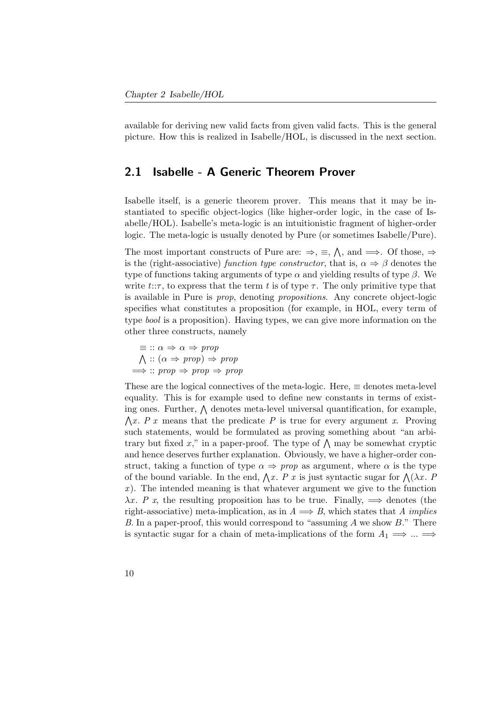available for deriving new valid facts from given valid facts. This is the general picture. How this is realized in Isabelle/HOL, is discussed in the next section.

### <span id="page-25-0"></span>2.1 Isabelle - A Generic Theorem Prover

Isabelle itself, is a generic theorem prover. This means that it may be instantiated to specific object-logics (like higher-order logic, in the case of Isabelle/HOL). Isabelle's meta-logic is an intuitionistic fragment of higher-order logic. The meta-logic is usually denoted by Pure (or sometimes Isabelle/Pure).

The most important constructs of Pure are:  $\Rightarrow$ ,  $\equiv$ ,  $\wedge$ , and  $\Longrightarrow$ . Of those,  $\Rightarrow$ is the (right-associative) function type constructor, that is,  $\alpha \Rightarrow \beta$  denotes the type of functions taking arguments of type  $\alpha$  and yielding results of type  $\beta$ . We write  $t:\tau$ , to express that the term t is of type  $\tau$ . The only primitive type that is available in Pure is prop, denoting propositions. Any concrete object-logic specifies what constitutes a proposition (for example, in HOL, every term of type bool is a proposition). Having types, we can give more information on the other three constructs, namely

$$
\equiv :: \alpha \Rightarrow \alpha \Rightarrow prop
$$
  

$$
\bigwedge :: (\alpha \Rightarrow prop) \Rightarrow prop
$$
  

$$
\implies :: prop \Rightarrow prop \Rightarrow prop
$$

These are the logical connectives of the meta-logic. Here,  $\equiv$  denotes meta-level equality. This is for example used to define new constants in terms of existing ones. Further,  $\bigwedge$  denotes meta-level universal quantification, for example,  $\bigwedge x$ . P x means that the predicate P is true for every argument x. Proving such statements, would be formulated as proving something about "an arbitrary but fixed x," in a paper-proof. The type of  $\Lambda$  may be somewhat cryptic and hence deserves further explanation. Obviously, we have a higher-order construct, taking a function of type  $\alpha \Rightarrow prop$  as argument, where  $\alpha$  is the type of the bound variable. In the end,  $\bigwedge x$ . P x is just syntactic sugar for  $\bigwedge (\lambda x$ . P  $x$ ). The intended meaning is that whatever argument we give to the function  $\lambda x$ . P x, the resulting proposition has to be true. Finally,  $\implies$  denotes (the right-associative) meta-implication, as in  $A \implies B$ , which states that A *implies* B. In a paper-proof, this would correspond to "assuming A we show  $B$ ." There is syntactic sugar for a chain of meta-implications of the form  $A_1 \Longrightarrow ... \Longrightarrow$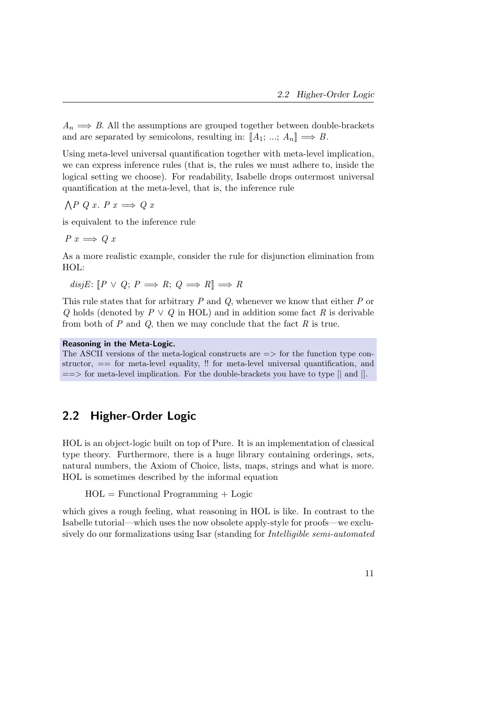$A_n \Longrightarrow B$ . All the assumptions are grouped together between double-brackets and are separated by semicolons, resulting in:  $[[A_1; \dots; A_n]] \Longrightarrow B$ .

Using meta-level universal quantification together with meta-level implication, we can express inference rules (that is, the rules we must adhere to, inside the logical setting we choose). For readability, Isabelle drops outermost universal quantification at the meta-level, that is, the inference rule

 $\bigwedge P$  Q x. P  $x \Longrightarrow Q$  x

is equivalent to the inference rule

 $P x \Longrightarrow Q x$ 

As a more realistic example, consider the rule for disjunction elimination from HOL:

disjE:  $[P \vee Q; P \Longrightarrow R; Q \Longrightarrow R] \Longrightarrow R$ 

This rule states that for arbitrary  $P$  and  $Q$ , whenever we know that either  $P$  or Q holds (denoted by  $P \vee Q$  in HOL) and in addition some fact R is derivable from both of  $P$  and  $Q$ , then we may conclude that the fact  $R$  is true.

#### Reasoning in the Meta-Logic.

The ASCII versions of the meta-logical constructs are  $\Rightarrow$  for the function type constructor,  $=$  for meta-level equality,  $\mu$  for meta-level universal quantification, and  $=$ > for meta-level implication. For the double-brackets you have to type  $[|$  and  $|]$ .

### <span id="page-26-0"></span>2.2 Higher-Order Logic

HOL is an object-logic built on top of Pure. It is an implementation of classical type theory. Furthermore, there is a huge library containing orderings, sets, natural numbers, the Axiom of Choice, lists, maps, strings and what is more. HOL is sometimes described by the informal equation

 $HOL = Functional Programming + Logic$ 

which gives a rough feeling, what reasoning in HOL is like. In contrast to the Isabelle tutorial—which uses the now obsolete apply-style for proofs—we exclusively do our formalizations using Isar (standing for Intelligible semi-automated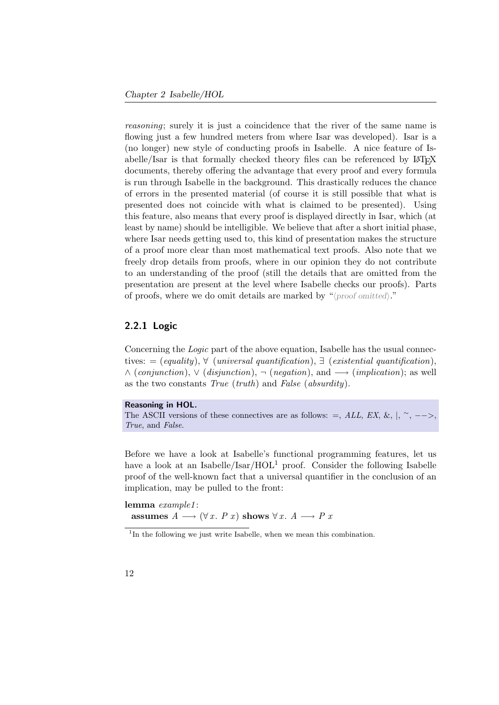reasoning; surely it is just a coincidence that the river of the same name is flowing just a few hundred meters from where Isar was developed). Isar is a (no longer) new style of conducting proofs in Isabelle. A nice feature of Isabelle/Isar is that formally checked theory files can be referenced by LATEX documents, thereby offering the advantage that every proof and every formula is run through Isabelle in the background. This drastically reduces the chance of errors in the presented material (of course it is still possible that what is presented does not coincide with what is claimed to be presented). Using this feature, also means that every proof is displayed directly in Isar, which (at least by name) should be intelligible. We believe that after a short initial phase, where Isar needs getting used to, this kind of presentation makes the structure of a proof more clear than most mathematical text proofs. Also note that we freely drop details from proofs, where in our opinion they do not contribute to an understanding of the proof (still the details that are omitted from the presentation are present at the level where Isabelle checks our proofs). Parts of proofs, where we do omit details are marked by " $\langle proof omitted \rangle$ ."

#### <span id="page-27-0"></span>2.2.1 Logic

Concerning the Logic part of the above equation, Isabelle has the usual connectives: = (equality),  $\forall$  (universal quantification),  $\exists$  (existential quantification),  $\wedge$  (conjunction),  $\vee$  (disjunction),  $\neg$  (negation), and  $\longrightarrow$  (implication); as well as the two constants True (truth) and False (absurdity).

```
Reasoning in HOL.
The ASCII versions of these connectives are as follows: =, ALL, EX, \&, |, ~, -->,
True, and False.
```
Before we have a look at Isabelle's functional programming features, let us have a look at an Isabelle/Isar/ $HOL<sup>1</sup>$  $HOL<sup>1</sup>$  $HOL<sup>1</sup>$  proof. Consider the following Isabelle proof of the well-known fact that a universal quantifier in the conclusion of an implication, may be pulled to the front:

lemma example1: assumes  $A \longrightarrow (\forall x \in P \ x)$  shows  $\forall x \in A \longrightarrow P \ x$ 

<span id="page-27-1"></span><sup>&</sup>lt;sup>1</sup>In the following we just write Isabelle, when we mean this combination.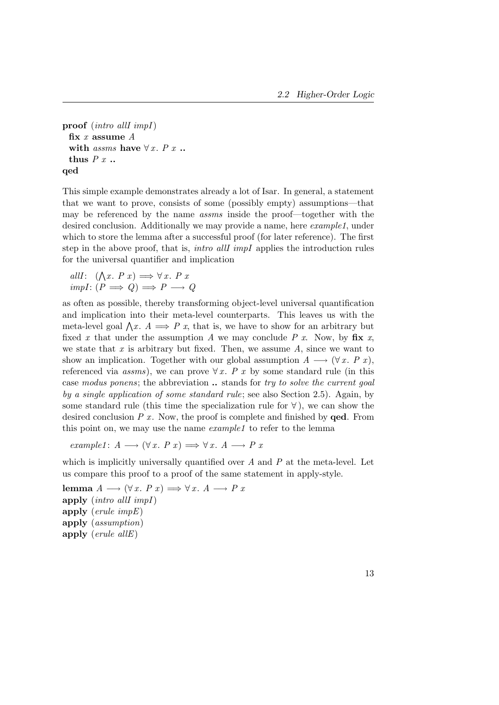proof (intro allI impI) fix  $x$  assume  $A$ with *assms* have  $\forall x. P x$ .. thus  $P x$ ... qed

This simple example demonstrates already a lot of Isar. In general, a statement that we want to prove, consists of some (possibly empty) assumptions—that may be referenced by the name assms inside the proof—together with the desired conclusion. Additionally we may provide a name, here *example1*, under which to store the lemma after a successful proof (for later reference). The first step in the above proof, that is, intro allI impI applies the introduction rules for the universal quantifier and implication

allI:  $(\bigwedge x. P x) \Longrightarrow \forall x. P x$  $impl: (P \implies Q) \implies P \longrightarrow Q$ 

as often as possible, thereby transforming object-level universal quantification and implication into their meta-level counterparts. This leaves us with the meta-level goal  $\bigwedge x$ .  $A \Longrightarrow P x$ , that is, we have to show for an arbitrary but fixed x that under the assumption A we may conclude P x. Now, by  $\mathbf{fix}$  x, we state that  $x$  is arbitrary but fixed. Then, we assume  $A$ , since we want to show an implication. Together with our global assumption  $A \longrightarrow (\forall x \cdot P x)$ , referenced via assms), we can prove  $\forall x$ . P x by some standard rule (in this case modus ponens; the abbreviation .. stands for try to solve the current goal by a single application of some standard rule; see also Section [2.5\)](#page-35-0). Again, by some standard rule (this time the specialization rule for  $\forall$ ), we can show the desired conclusion  $P x$ . Now, the proof is complete and finished by **qed**. From this point on, we may use the name example1 to refer to the lemma

example1:  $A \longrightarrow (\forall x. P x) \Longrightarrow \forall x. A \longrightarrow P x$ 

which is implicitly universally quantified over  $A$  and  $P$  at the meta-level. Let us compare this proof to a proof of the same statement in apply-style.

lemma  $A \longrightarrow (\forall x. P x) \Longrightarrow \forall x. A \longrightarrow P x$ apply (intro allI impI) apply (erule impE) apply (assumption) apply (erule allE)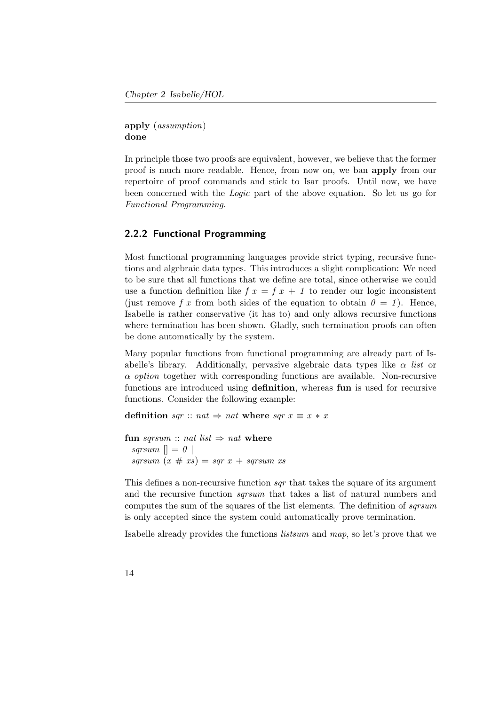apply (assumption) done

In principle those two proofs are equivalent, however, we believe that the former proof is much more readable. Hence, from now on, we ban apply from our repertoire of proof commands and stick to Isar proofs. Until now, we have been concerned with the Logic part of the above equation. So let us go for Functional Programming.

### <span id="page-29-0"></span>2.2.2 Functional Programming

Most functional programming languages provide strict typing, recursive functions and algebraic data types. This introduces a slight complication: We need to be sure that all functions that we define are total, since otherwise we could use a function definition like  $f(x) = f(x) + 1$  to render our logic inconsistent (just remove f x from both sides of the equation to obtain  $\theta = 1$ ). Hence, Isabelle is rather conservative (it has to) and only allows recursive functions where termination has been shown. Gladly, such termination proofs can often be done automatically by the system.

Many popular functions from functional programming are already part of Isabelle's library. Additionally, pervasive algebraic data types like  $\alpha$  list or  $\alpha$  *option* together with corresponding functions are available. Non-recursive functions are introduced using definition, whereas fun is used for recursive functions. Consider the following example:

definition sqr :: nat  $\Rightarrow$  nat where sqr  $x \equiv x * x$ 

fun sqrsum :: nat list  $\Rightarrow$  nat where sqrsum  $\vert\vert = 0 \vert\vert$ sqrsum  $(x \# xs) = sqr x + sqrsum xs$ 

This defines a non-recursive function *sar* that takes the square of its argument and the recursive function *sqrsum* that takes a list of natural numbers and computes the sum of the squares of the list elements. The definition of *sqrsum* is only accepted since the system could automatically prove termination.

Isabelle already provides the functions listsum and map, so let's prove that we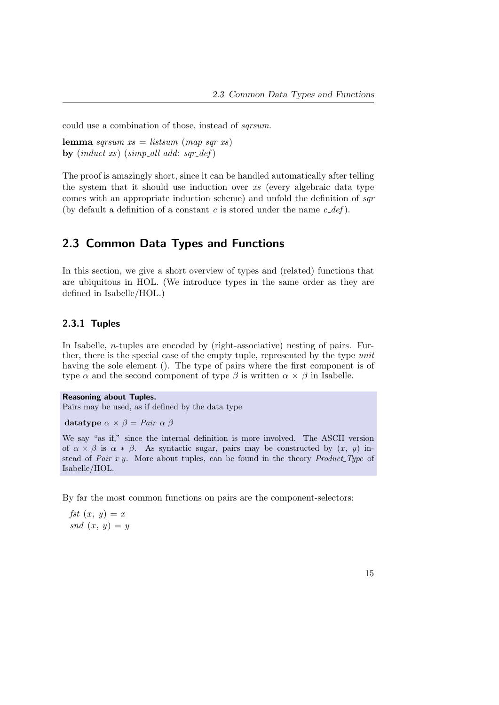could use a combination of those, instead of sqrsum.

lemma sqrsum  $xs = listsum (map sqr xs)$ by  $(\text{induct } xs)$   $(\text{simp}\_\text{all } add: \text{sar}\_\text{def})$ 

The proof is amazingly short, since it can be handled automatically after telling the system that it should use induction over xs (every algebraic data type comes with an appropriate induction scheme) and unfold the definition of sqr (by default a definition of a constant c is stored under the name  $c$ -def).

# <span id="page-30-0"></span>2.3 Common Data Types and Functions

In this section, we give a short overview of types and (related) functions that are ubiquitous in HOL. (We introduce types in the same order as they are defined in Isabelle/HOL.)

### <span id="page-30-1"></span>2.3.1 Tuples

In Isabelle, *n*-tuples are encoded by (right-associative) nesting of pairs. Further, there is the special case of the empty tuple, represented by the type unit having the sole element (). The type of pairs where the first component is of type  $\alpha$  and the second component of type  $\beta$  is written  $\alpha \times \beta$  in Isabelle.

Reasoning about Tuples. Pairs may be used, as if defined by the data type

datatype  $\alpha \times \beta =$  Pair  $\alpha \beta$ 

We say "as if," since the internal definition is more involved. The ASCII version of  $\alpha \times \beta$  is  $\alpha * \beta$ . As syntactic sugar, pairs may be constructed by  $(x, y)$  instead of Pair  $x y$ . More about tuples, can be found in the theory Product Type of Isabelle/HOL.

By far the most common functions on pairs are the component-selectors:

fst  $(x, y) = x$  $\mathbf{S}$ nd  $(x, y) = y$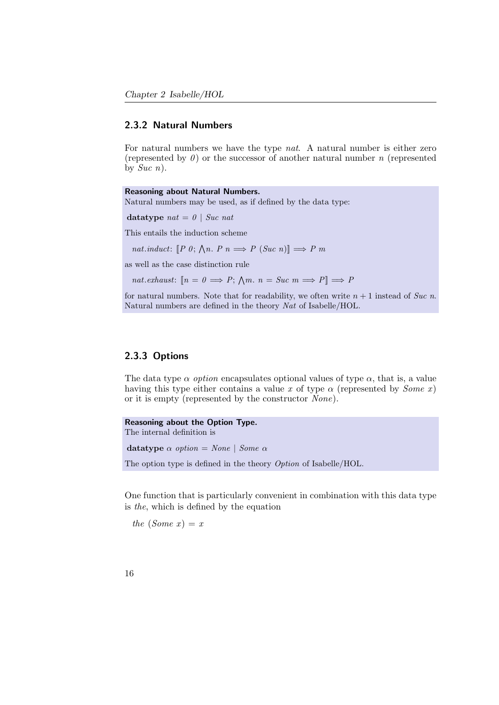#### <span id="page-31-0"></span>2.3.2 Natural Numbers

For natural numbers we have the type nat. A natural number is either zero (represented by  $\theta$ ) or the successor of another natural number n (represented by  $Suc$  n).

Reasoning about Natural Numbers. Natural numbers may be used, as if defined by the data type: datatype  $nat = 0$  | Suc nat This entails the induction scheme nat.induct:  $[P\;0; \bigwedge n. P\;n \Longrightarrow P\;(Suc\; n)] \Longrightarrow P\; m$ as well as the case distinction rule

nat.exhaust:  $[n = 0 \Longrightarrow P; \bigwedge m. n = Suc \ m \Longrightarrow P] \Longrightarrow P$ 

for natural numbers. Note that for readability, we often write  $n + 1$  instead of Suc n. Natural numbers are defined in the theory Nat of Isabelle/HOL.

### <span id="page-31-1"></span>2.3.3 Options

The data type  $\alpha$  *option* encapsulates optional values of type  $\alpha$ , that is, a value having this type either contains a value x of type  $\alpha$  (represented by *Some x*) or it is empty (represented by the constructor None).

```
Reasoning about the Option Type.
The internal definition is
datatype \alpha option = None | Some \alphaThe option type is defined in the theory Option of Isabelle/HOL.
```
One function that is particularly convenient in combination with this data type is the, which is defined by the equation

the  $(Some x) = x$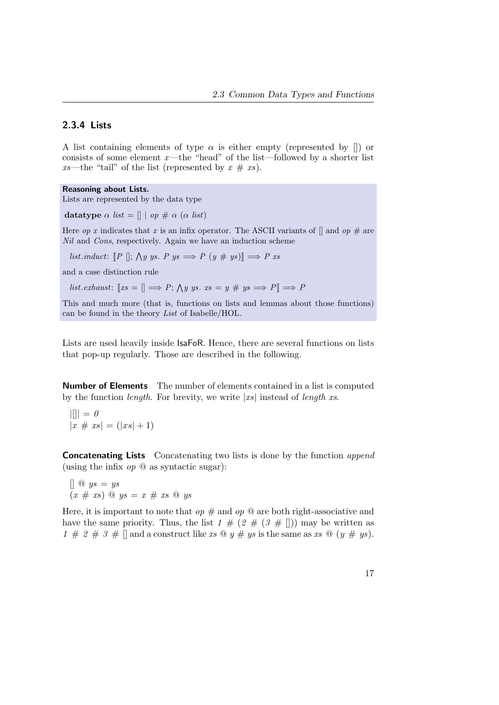### <span id="page-32-0"></span>2.3.4 Lists

A list containing elements of type  $\alpha$  is either empty (represented by  $\lceil \rceil$ ) or consists of some element  $x$ —the "head" of the list—followed by a shorter list xs—the "tail" of the list (represented by  $x \# xs$ ).

#### Reasoning about Lists.

Lists are represented by the data type

datatype  $\alpha$  list =  $\parallel$  | op #  $\alpha$  ( $\alpha$  list)

Here *op x* indicates that x is an infix operator. The ASCII variants of  $\parallel$  and *op*  $\#$  are Nil and Cons, respectively. Again we have an induction scheme

list.induct:  $[P \; ||; \; \wedge y \; ys. \; P \; ys \implies P \; (y \; \# \; ys) \equiv \; P \; xs$ 

and a case distinction rule

list.exhaust:  $[xs = [] \Longrightarrow P; \bigwedge y \; ys. \; xs = y \; \# \; ys \Longrightarrow P] \Longrightarrow P$ 

This and much more (that is, functions on lists and lemmas about those functions) can be found in the theory List of Isabelle/HOL.

Lists are used heavily inside IsaFoR. Hence, there are several functions on lists that pop-up regularly. Those are described in the following.

Number of Elements The number of elements contained in a list is computed by the function *length*. For brevity, we write  $|x_s|$  instead of *length* xs.

$$
||\| = 0
$$
  

$$
|x \# xs| = (|xs| + 1)
$$

**Concatenating Lists** Concatenating two lists is done by the function *append* (using the infix  $op \circledcirc$  as syntactic sugar):

[] @ ys = ys  $(x \# xs) \ @ \ ys = x \# xs \ @ \ ys$ 

Here, it is important to note that  $op \#$  and  $op \circledcirc$  are both right-associative and have the same priority. Thus, the list  $1 \# (2 \# (3 \# ||))$  may be written as 1 # 2 # 3 # [] and a construct like xs  $\mathcal{Q} y \# ys$  is the same as xs  $\mathcal{Q} (y \# ys)$ .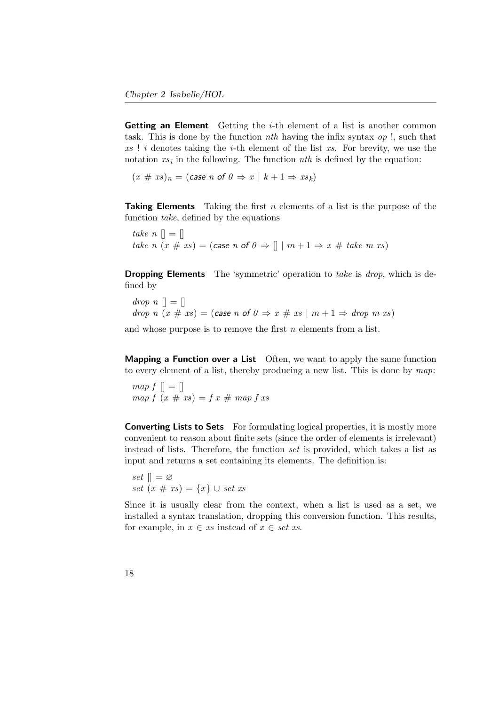**Getting an Element** Getting the *i*-th element of a list is another common task. This is done by the function *nth* having the infix syntax  $op$ !, such that  $xs$ ! i denotes taking the *i*-th element of the list  $xs$ . For brevity, we use the notation  $xs_i$  in the following. The function  $nth$  is defined by the equation:

 $(x \# xs)_n = (case \space n \space of \space 0 \Rightarrow x \mid k+1 \Rightarrow xs_k)$ 

**Taking Elements** Taking the first  $n$  elements of a list is the purpose of the function take, defined by the equations

take  $n \in \mathbb{R}$ take n  $(x \# xs) = (case \nvert n \nvert 0 \Rightarrow \nvert \mid m+1 \Rightarrow x \nvert 1 \neq 0$ 

**Dropping Elements** The 'symmetric' operation to take is drop, which is defined by

 $drop \space n \space [] = []$ drop n  $(x \# xs) = (case \n of \n 0 \Rightarrow x \# xs \mid m + 1 \Rightarrow drop \n m xs)$ 

and whose purpose is to remove the first  $n$  elements from a list.

**Mapping a Function over a List** Often, we want to apply the same function to every element of a list, thereby producing a new list. This is done by map:

 $map f \parallel = \parallel$ map  $f(x \# xs) = f(x \# map f xs)$ 

**Converting Lists to Sets** For formulating logical properties, it is mostly more convenient to reason about finite sets (since the order of elements is irrelevant) instead of lists. Therefore, the function set is provided, which takes a list as input and returns a set containing its elements. The definition is:

set  $\rVert = \varnothing$ set  $(x \# xs) = \{x\} \cup set xs$ 

Since it is usually clear from the context, when a list is used as a set, we installed a syntax translation, dropping this conversion function. This results, for example, in  $x \in xs$  instead of  $x \in set xs$ .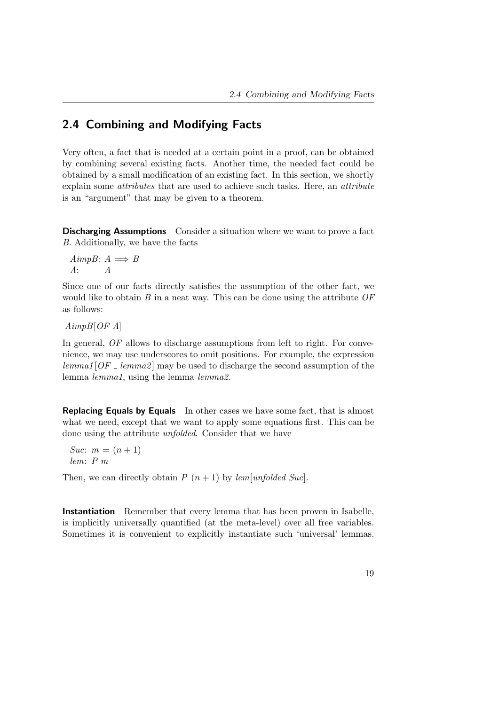# <span id="page-34-0"></span>2.4 Combining and Modifying Facts

Very often, a fact that is needed at a certain point in a proof, can be obtained by combining several existing facts. Another time, the needed fact could be obtained by a small modification of an existing fact. In this section, we shortly explain some attributes that are used to achieve such tasks. Here, an attribute is an "argument" that may be given to a theorem.

Discharging Assumptions Consider a situation where we want to prove a fact B. Additionally, we have the facts

AimpB:  $A \implies B$ A: A

Since one of our facts directly satisfies the assumption of the other fact, we would like to obtain  $B$  in a neat way. This can be done using the attribute  $OF$ as follows:

 $AimpB[OFA]$ 

In general, OF allows to discharge assumptions from left to right. For convenience, we may use underscores to omit positions. For example, the expression  $lemma[OF]$  lemma2 may be used to discharge the second assumption of the lemma lemma1, using the lemma lemma2.

**Replacing Equals by Equals** In other cases we have some fact, that is almost what we need, except that we want to apply some equations first. This can be done using the attribute unfolded. Consider that we have

Suc:  $m = (n + 1)$ lem: P m

Then, we can directly obtain  $P(n+1)$  by lem[unfolded Suc].

Instantiation Remember that every lemma that has been proven in Isabelle, is implicitly universally quantified (at the meta-level) over all free variables. Sometimes it is convenient to explicitly instantiate such 'universal' lemmas.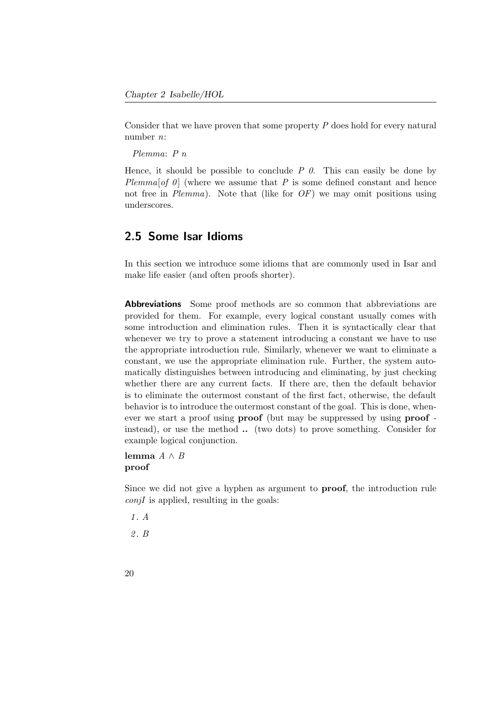Consider that we have proven that some property P does hold for every natural number n:

Plemma: P n

Hence, it should be possible to conclude  $P \theta$ . This can easily be done by Plemma[of  $\theta$ ] (where we assume that P is some defined constant and hence not free in  $Plamma$ ). Note that (like for  $OF$ ) we may omit positions using underscores.

# <span id="page-35-0"></span>2.5 Some Isar Idioms

In this section we introduce some idioms that are commonly used in Isar and make life easier (and often proofs shorter).

**Abbreviations** Some proof methods are so common that abbreviations are provided for them. For example, every logical constant usually comes with some introduction and elimination rules. Then it is syntactically clear that whenever we try to prove a statement introducing a constant we have to use the appropriate introduction rule. Similarly, whenever we want to eliminate a constant, we use the appropriate elimination rule. Further, the system automatically distinguishes between introducing and eliminating, by just checking whether there are any current facts. If there are, then the default behavior is to eliminate the outermost constant of the first fact, otherwise, the default behavior is to introduce the outermost constant of the goal. This is done, whenever we start a proof using **proof** (but may be suppressed by using **proof** instead), or use the method .. (two dots) to prove something. Consider for example logical conjunction.

### lemma  $A \wedge B$ proof

Since we did not give a hyphen as argument to proof, the introduction rule  $\text{conjI}$  is applied, resulting in the goals:

1 . A

2 . B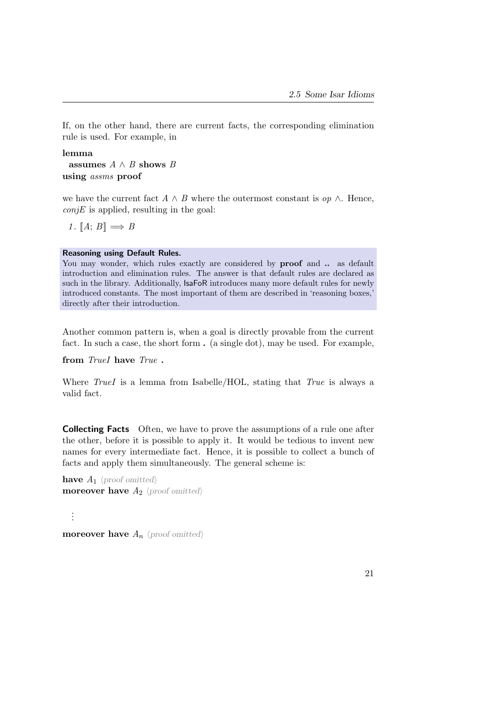If, on the other hand, there are current facts, the corresponding elimination rule is used. For example, in

lemma assumes  $A \wedge B$  shows  $B$ using assms proof

we have the current fact  $A \wedge B$  where the outermost constant is  $op \wedge$ . Hence,  $conjE$  is applied, resulting in the goal:

1.  $[A; B] \Longrightarrow B$ 

## Reasoning using Default Rules.

You may wonder, which rules exactly are considered by **proof** and  $\ldots$  as default introduction and elimination rules. The answer is that default rules are declared as such in the library. Additionally, IsaFoR introduces many more default rules for newly introduced constants. The most important of them are described in 'reasoning boxes,' directly after their introduction.

Another common pattern is, when a goal is directly provable from the current fact. In such a case, the short form . (a single dot), may be used. For example,

from TrueI have True.

Where  $TrueI$  is a lemma from Isabelle/HOL, stating that  $True$  is always a valid fact.

Collecting Facts Often, we have to prove the assumptions of a rule one after the other, before it is possible to apply it. It would be tedious to invent new names for every intermediate fact. Hence, it is possible to collect a bunch of facts and apply them simultaneously. The general scheme is:

have  $A_1$  (proof omitted) moreover have  $A_2$  (proof omitted)

**moreover have**  $A_n$   $\langle proof$  omitted)

. . .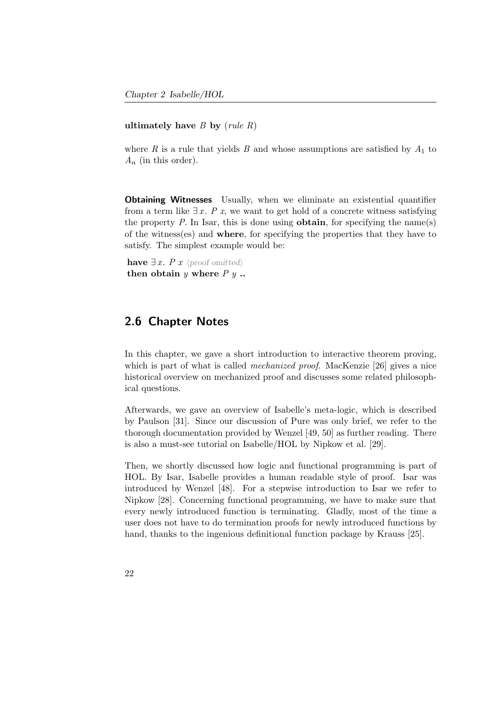### ultimately have  $B$  by (rule  $R$ )

where R is a rule that yields B and whose assumptions are satisfied by  $A_1$  to  $A_n$  (in this order).

Obtaining Witnesses Usually, when we eliminate an existential quantifier from a term like  $\exists x$ . P x, we want to get hold of a concrete witness satisfying the property  $P$ . In Isar, this is done using **obtain**, for specifying the name(s) of the witness(es) and where, for specifying the properties that they have to satisfy. The simplest example would be:

have  $\exists x.$  P x  $\langle proof$  omitted) then obtain  $y$  where  $P$   $y$ ...

## 2.6 Chapter Notes

In this chapter, we gave a short introduction to interactive theorem proving, which is part of what is called *mechanized proof.* MacKenzie [\[26\]](#page-159-0) gives a nice historical overview on mechanized proof and discusses some related philosophical questions.

Afterwards, we gave an overview of Isabelle's meta-logic, which is described by Paulson [\[31\]](#page-159-1). Since our discussion of Pure was only brief, we refer to the thorough documentation provided by Wenzel [\[49,](#page-162-0) [50\]](#page-162-1) as further reading. There is also a must-see tutorial on Isabelle/HOL by Nipkow et al. [\[29\]](#page-159-2).

Then, we shortly discussed how logic and functional programming is part of HOL. By Isar, Isabelle provides a human readable style of proof. Isar was introduced by Wenzel [\[48\]](#page-162-2). For a stepwise introduction to Isar we refer to Nipkow [\[28\]](#page-159-3). Concerning functional programming, we have to make sure that every newly introduced function is terminating. Gladly, most of the time a user does not have to do termination proofs for newly introduced functions by hand, thanks to the ingenious definitional function package by Krauss [\[25\]](#page-159-4).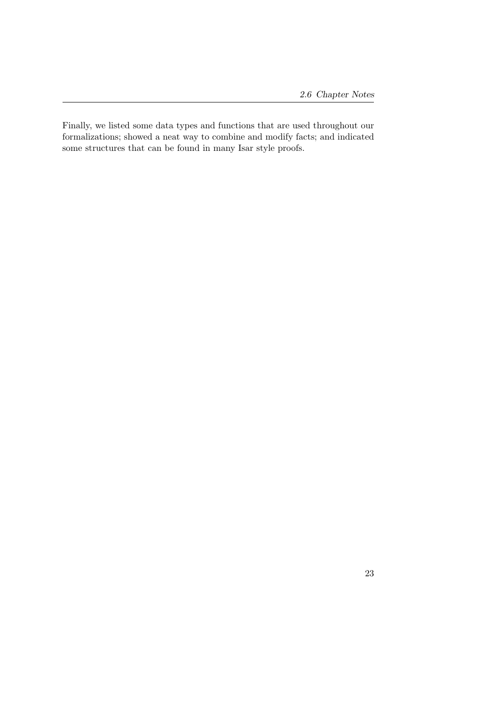Finally, we listed some data types and functions that are used throughout our formalizations; showed a neat way to combine and modify facts; and indicated some structures that can be found in many Isar style proofs.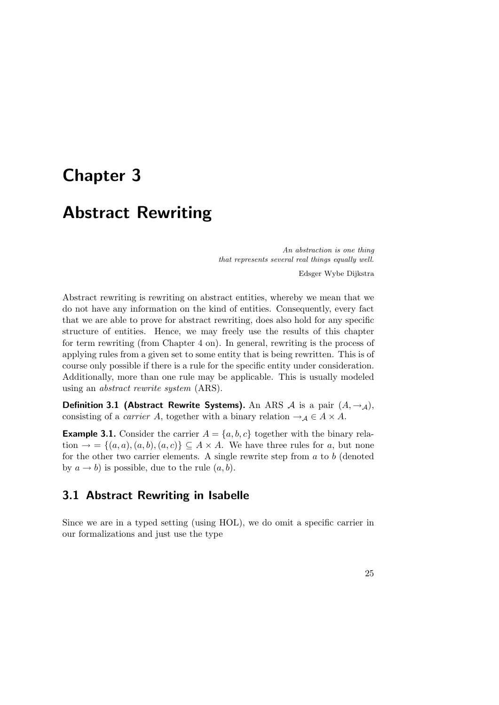# Chapter 3

# Abstract Rewriting

An abstraction is one thing that represents several real things equally well.

Edsger Wybe Dijkstra

Abstract rewriting is rewriting on abstract entities, whereby we mean that we do not have any information on the kind of entities. Consequently, every fact that we are able to prove for abstract rewriting, does also hold for any specific structure of entities. Hence, we may freely use the results of this chapter for term rewriting (from Chapter [4](#page-50-0) on). In general, rewriting is the process of applying rules from a given set to some entity that is being rewritten. This is of course only possible if there is a rule for the specific entity under consideration. Additionally, more than one rule may be applicable. This is usually modeled using an abstract rewrite system (ARS).

<span id="page-40-1"></span>**Definition 3.1 (Abstract Rewrite Systems).** An ARS  $\mathcal A$  is a pair  $(A, \rightarrow_{\mathcal A})$ , consisting of a *carrier* A, together with a binary relation  $\rightarrow_A \in A \times A$ .

<span id="page-40-0"></span>**Example 3.1.** Consider the carrier  $A = \{a, b, c\}$  together with the binary relation  $\rightarrow$  = { $(a, a)$ ,  $(a, b)$ ,  $(a, c)$ }  $\subseteq$  A × A. We have three rules for a, but none for the other two carrier elements. A single rewrite step from  $a$  to  $b$  (denoted by  $a \rightarrow b$ ) is possible, due to the rule  $(a, b)$ .

## 3.1 Abstract Rewriting in Isabelle

Since we are in a typed setting (using HOL), we do omit a specific carrier in our formalizations and just use the type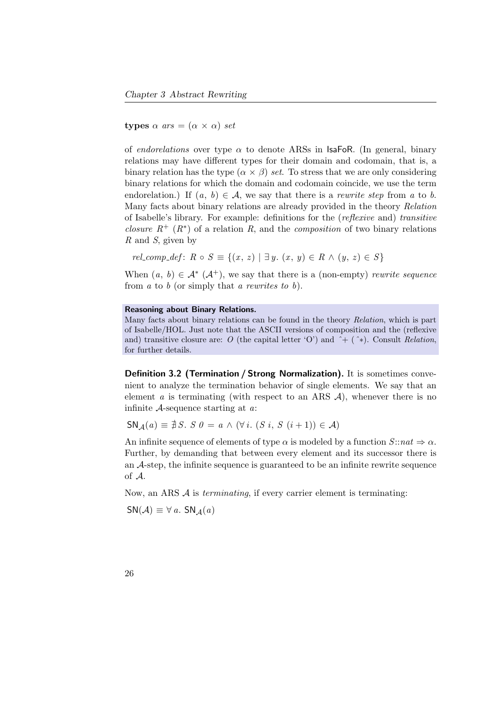types  $\alpha$  ars =  $(\alpha \times \alpha)$  set

of *endorelations* over type  $\alpha$  to denote ARSs in IsaFoR. (In general, binary relations may have different types for their domain and codomain, that is, a binary relation has the type  $(\alpha \times \beta)$  set. To stress that we are only considering binary relations for which the domain and codomain coincide, we use the term endorelation.) If  $(a, b) \in \mathcal{A}$ , we say that there is a *rewrite step* from a to b. Many facts about binary relations are already provided in the theory Relation of Isabelle's library. For example: definitions for the (reflexive and) transitive *closure*  $R^+$  ( $R^*$ ) of a relation R, and the *composition* of two binary relations  $R$  and  $S$ , given by

rel comp  $def: R \circ S \equiv \{(x, z) \mid \exists y \ldotp (x, y) \in R \land (y, z) \in S\}$ 

When  $(a, b) \in \mathcal{A}^*$   $(\mathcal{A}^+)$ , we say that there is a (non-empty) rewrite sequence from  $a$  to  $b$  (or simply that  $a$  rewrites to  $b$ ).

### Reasoning about Binary Relations.

Many facts about binary relations can be found in the theory Relation, which is part of Isabelle/HOL. Just note that the ASCII versions of composition and the (reflexive and) transitive closure are: O (the capital letter 'O') and  $\hat{ }$  + ( $\hat{ }$ \*). Consult Relation, for further details.

Definition 3.2 (Termination / Strong Normalization). It is sometimes convenient to analyze the termination behavior of single elements. We say that an element a is terminating (with respect to an ARS  $A$ ), whenever there is no infinite  $A$ -sequence starting at  $a$ .

$$
SN_{\mathcal{A}}(a) \equiv \nexists S. S \; 0 = a \land (\forall i. (S i, S (i+1)) \in \mathcal{A})
$$

An infinite sequence of elements of type  $\alpha$  is modeled by a function  $S:nat \Rightarrow \alpha$ . Further, by demanding that between every element and its successor there is an A-step, the infinite sequence is guaranteed to be an infinite rewrite sequence of A.

Now, an ARS  $\mathcal A$  is *terminating*, if every carrier element is terminating:

 $SN(\mathcal{A}) \equiv \forall a$ . SN<sub>A</sub>(a)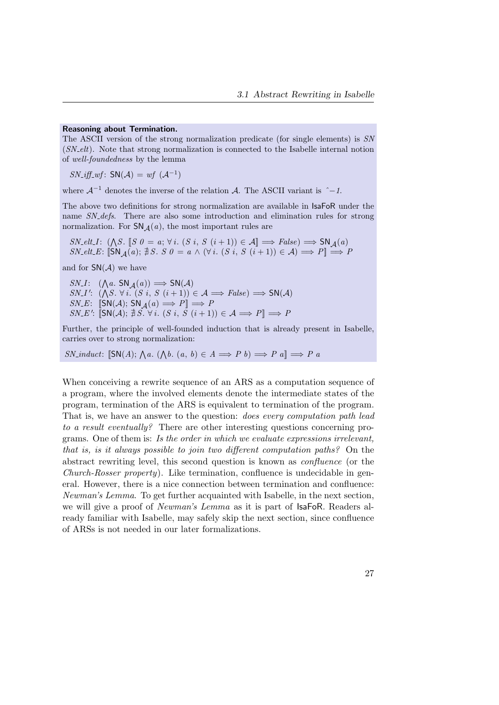### Reasoning about Termination.

The ASCII version of the strong normalization predicate (for single elements) is SN  $(SN$ -elt). Note that strong normalization is connected to the Isabelle internal notion of well-foundedness by the lemma

 $SN_{\mathcal{A}}iff_{\mathcal{A}}^{\mathcal{A}}$ :  $SN(\mathcal{A}) = wf(\mathcal{A}^{-1})$ 

where  $\mathcal{A}^{-1}$  denotes the inverse of the relation  $\mathcal{A}$ . The ASCII variant is  $\hat{i}$  -1.

The above two definitions for strong normalization are available in IsaFoR under the name SN defs. There are also some introduction and elimination rules for strong normalization. For  $SN_{\mathcal{A}}(a)$ , the most important rules are

 $SN\_elt\_I: (\bigwedge S. \ [S \ 0 = a; \forall i. (S \ i, S \ (i+1)) \in \mathcal{A}] \Longrightarrow False) \Longrightarrow SN_{\mathcal{A}}(a)$  $SN_{\mathcal{L}} \in \mathcal{L}$ :  $\|\textsf{SN}_A(a); \nexists S. S \theta = a \wedge (\forall i. (S i, S (i+1)) \in \mathcal{A}) \Longrightarrow P\| \Longrightarrow P$ 

and for  $SN(\mathcal{A})$  we have

 $SN\_I:$   $(\bigwedge a. SN_{\mathcal{A}}(a)) \Longrightarrow SN(\mathcal{A})$  $SN_I': (\bigwedge S. \forall i. (S i, S (i+1)) \in \mathcal{A} \Longrightarrow False) \Longrightarrow SN(\mathcal{A})$  $SN.E: \ \llbracket \mathsf{SN}(\mathcal{A}); \, \mathsf{SN}_{\mathcal{A}}(a) \Longrightarrow P \rrbracket \Longrightarrow P$  $SN\_E'$ :  $\overline{[SN(A); \nexists S. \forall i. (S i, S (i+1)) \in A \Longrightarrow P]} \Longrightarrow P$ 

Further, the principle of well-founded induction that is already present in Isabelle, carries over to strong normalization:

SN\_induct:  $[\textsf{SN}(A); \textsf{A}a. (\textsf{A}b. (a, b) \in A \Longrightarrow P b) \Longrightarrow P a] \Longrightarrow P a$ 

When conceiving a rewrite sequence of an ARS as a computation sequence of a program, where the involved elements denote the intermediate states of the program, termination of the ARS is equivalent to termination of the program. That is, we have an answer to the question: does every computation path lead to a result eventually? There are other interesting questions concerning programs. One of them is: Is the order in which we evaluate expressions irrelevant, that is, is it always possible to join two different computation paths? On the abstract rewriting level, this second question is known as confluence (or the Church-Rosser property). Like termination, confluence is undecidable in general. However, there is a nice connection between termination and confluence: Newman's Lemma. To get further acquainted with Isabelle, in the next section, we will give a proof of *Newman's Lemma* as it is part of **IsaFoR**. Readers already familiar with Isabelle, may safely skip the next section, since confluence of ARSs is not needed in our later formalizations.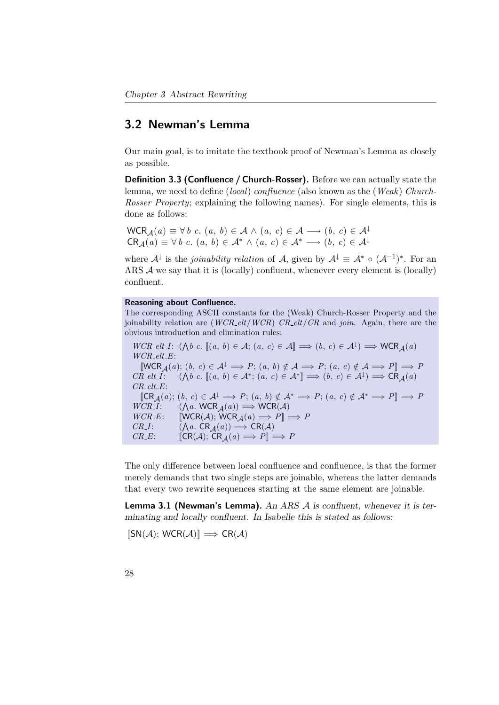# 3.2 Newman's Lemma

Our main goal, is to imitate the textbook proof of Newman's Lemma as closely as possible.

Definition 3.3 (Confluence / Church-Rosser). Before we can actually state the lemma, we need to define (local) confluence (also known as the (Weak) Church-Rosser Property; explaining the following names). For single elements, this is done as follows:

 $WCR_{\mathcal{A}}(a) \equiv \forall b \ c. (a, b) \in \mathcal{A} \wedge (a, c) \in \mathcal{A} \longrightarrow (b, c) \in \mathcal{A}^{\downarrow}$  $CR_A(a) \equiv \forall b \ c. \ (a, b) \in \mathcal{A}^* \wedge (a, c) \in \mathcal{A}^* \longrightarrow (b, c) \in \mathcal{A}^{\downarrow}$ 

where  $\mathcal{A}^{\downarrow}$  is the *joinability relation* of A, given by  $\mathcal{A}^{\downarrow} \equiv \mathcal{A}^* \circ (\mathcal{A}^{-1})^*$ . For an ARS A we say that it is (locally) confluent, whenever every element is (locally) confluent.

#### Reasoning about Confluence.

The corresponding ASCII constants for the (Weak) Church-Rosser Property and the joinability relation are  $(WCR\_elt/WCR)$   $CR\_elt/CR$  and join. Again, there are the obvious introduction and elimination rules:

 $WCR\_elt\_I: (\bigwedge b \ c. \ \llbracket (a, b) \in \mathcal{A}; (a, c) \in \mathcal{A} \rrbracket \Longrightarrow (b, c) \in \mathcal{A}^{\perp}) \Longrightarrow \text{WCR}_{\mathcal{A}}(a)$  $WCR$ <sub>-elt- $E$ :</sub>  $\llbracket \mathsf{WCR}_{\mathcal{A}}(a); (b, c) \in \mathcal{A}^{\downarrow} \implies P; (a, b) \notin \mathcal{A} \implies P; (a, c) \notin \mathcal{A} \implies P \rrbracket \implies P$  $CR\_elt\_I:$  ( $\bigwedge b \ c. \ \llbracket (a, b) \in \mathcal{A}^*; \ (a, c) \in \mathcal{A}^* \rrbracket \Longrightarrow (b, c) \in \mathcal{A}^{\downarrow} \Longrightarrow \mathsf{CR}_{\mathcal{A}}(a)$  $CR_{\text{-}elt\text{-}E:}$  $\llbracket \mathsf{CR}_{\mathcal{A}}(a); (b, c) \in \mathcal{A}^{\downarrow} \Longrightarrow P; (a, b) \notin \mathcal{A}^* \Longrightarrow P; (a, c) \notin \mathcal{A}^* \Longrightarrow P \rrbracket \Longrightarrow P$  $WCR_I$ :  $(\bigwedge a. \text{ WCR}_A(a)) \Longrightarrow \text{WCR}(A)$  $WCR.E: \quad [WCR(\mathcal{A}); WCR_{\mathcal{A}}(a) \Longrightarrow P] \Longrightarrow P$  $CR_I$ :  $(\Lambda a. \, \text{CR}_A(a)) \Longrightarrow \text{CR}(A)$  $CR.E: \qquad [\mathsf{CR}(\mathcal{A}); \mathsf{CR}_\mathcal{A}(a) \Longrightarrow P] \Longrightarrow P$ 

The only difference between local confluence and confluence, is that the former merely demands that two single steps are joinable, whereas the latter demands that every two rewrite sequences starting at the same element are joinable.

<span id="page-43-0"></span>Lemma 3.1 (Newman's Lemma). An ARS  $A$  is confluent, whenever it is terminating and locally confluent. In Isabelle this is stated as follows:

 $\mathbb{ISN}(\mathcal{A})$ ; WCR $(\mathcal{A})\mathbb{I} \implies \mathbb{CR}(\mathcal{A})$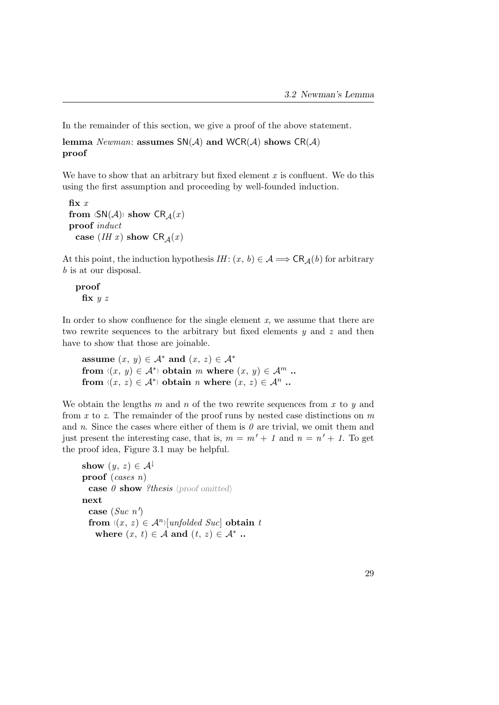In the remainder of this section, we give a proof of the above statement.

```
lemma Newman: assumes SN(A) and WCR(A) shows CR(A)proof
```
We have to show that an arbitrary but fixed element  $x$  is confluent. We do this using the first assumption and proceeding by well-founded induction.

```
fix xfrom \langle SN(A) \rangle show CR_A(x)proof induct
 case (IH x) show CR_A(x)
```
At this point, the induction hypothesis  $IH: (x, b) \in \mathcal{A} \Longrightarrow \mathsf{CR}_{\mathcal{A}}(b)$  for arbitrary b is at our disposal.

proof fix  $y z$ 

In order to show confluence for the single element  $x$ , we assume that there are two rewrite sequences to the arbitrary but fixed elements y and z and then have to show that those are joinable.

```
assume (x, y) \in A^* and (x, z) \in A^*from \langle (x , y) \in A^* \rangle obtain m where (x , y) \in A^m..
from \langle (x, z) \in \mathcal{A}^* \rangle obtain n where (x, z) \in \mathcal{A}^n.
```
We obtain the lengths m and n of the two rewrite sequences from x to  $y$  and from  $x$  to  $z$ . The remainder of the proof runs by nested case distinctions on  $m$ and n. Since the cases where either of them is  $\theta$  are trivial, we omit them and just present the interesting case, that is,  $m = m' + 1$  and  $n = n' + 1$ . To get the proof idea, Figure [3.1](#page-45-0) may be helpful.

```
show (y, z) \in \mathcal{A}^{\downarrow}proof (cases n)
  case \theta show ?thesis (proof omitted)
next
  case (Suc \; n')from \langle (x , z) \in \mathcal{A}^n \rangle[unfolded Suc] obtain t
    where (x, t) \in A and (t, z) \in A^*.
```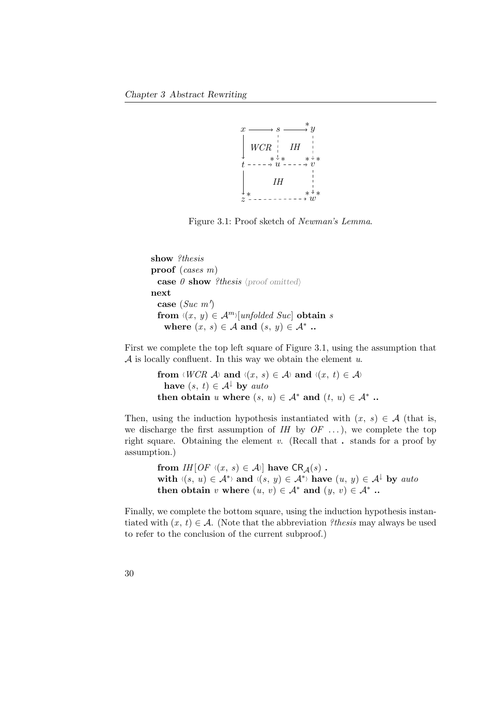

<span id="page-45-0"></span>Figure 3.1: Proof sketch of Newman's Lemma.

```
show ?thesis
proof (cases m)
  case \theta show ?thesis (proof omitted)
next
  case (Suc \ m')from \langle (x , y) \in \mathcal{A}^m \rangle[unfolded Suc] obtain s
    where (x, s) \in A and (s, y) \in A^*.
```
First we complete the top left square of Figure [3.1,](#page-45-0) using the assumption that  $A$  is locally confluent. In this way we obtain the element u.

```
from \langle WCR \nightharpoondown \langle x , s \rangle \in \mathcal{A} \rangle and \langle (x , t) \in \mathcal{A} \ranglehave (s, t) \in \mathcal{A}^{\downarrow} by auto
then obtain u where (s, u) \in A^* and (t, u) \in A^*.
```
Then, using the induction hypothesis instantiated with  $(x, s) \in A$  (that is, we discharge the first assumption of  $I$ H by  $OF$  ...), we complete the top right square. Obtaining the element  $v$ . (Recall that  $\cdot$  stands for a proof by assumption.)

> from  $IH[OF \langle (x , s) \in A \rangle]$  have  $CR_A(s)$ . with  $\langle (s, u) \in \mathcal{A}^* \rangle$  and  $\langle (s, y) \in \mathcal{A}^* \rangle$  have  $(u, y) \in \mathcal{A}^{\downarrow}$  by auto then obtain v where  $(u, v) \in A^*$  and  $(y, v) \in A^*$ .

Finally, we complete the bottom square, using the induction hypothesis instantiated with  $(x, t) \in \mathcal{A}$ . (Note that the abbreviation ?thesis may always be used to refer to the conclusion of the current subproof.)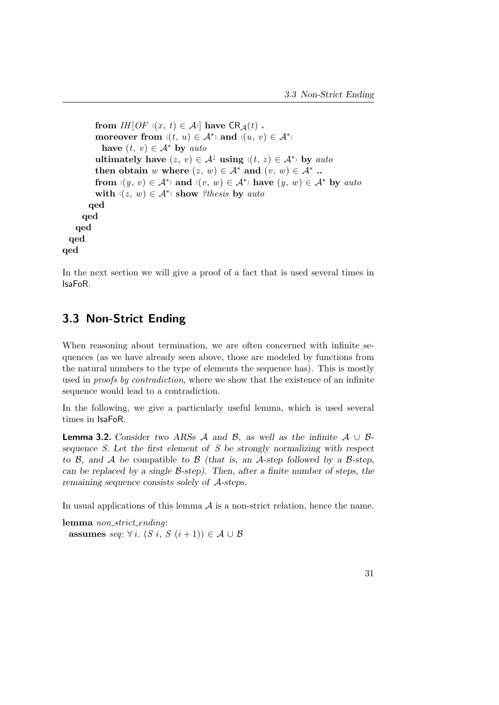```
from IH[OF \ (x, t) \in A] have CR_A(t).
           moreover from \langle (t, u) \in \mathcal{A}^* \rangle and \langle (u, v) \in \mathcal{A}^* \ranglehave (t, v) \in A^* by auto
           ultimately have (z, v) \in \mathcal{A}^{\downarrow} using \langle (t, z) \in \mathcal{A}^* \rangle by auto
           then obtain w where (z, w) \in A^* and (v, w) \in A^*.
           from \langle (y, v) \in A^* \rangle and \langle (v, w) \in A^* \rangle have (y, w) \in A^* by auto
           with \langle (z, w) \in \mathcal{A}^* \rangle show ?thesis by auto
         qed
      qed
    qed
  qed
qed
```
In the next section we will give a proof of a fact that is used several times in IsaFoR.

# 3.3 Non-Strict Ending

When reasoning about termination, we are often concerned with infinite sequences (as we have already seen above, those are modeled by functions from the natural numbers to the type of elements the sequence has). This is mostly used in *proofs by contradiction*, where we show that the existence of an infinite sequence would lead to a contradiction.

In the following, we give a particularly useful lemma, which is used several times in IsaFoR.

**Lemma 3.2.** Consider two ARSs A and B, as well as the infinite  $A \cup B$ sequence S. Let the first element of S be strongly normalizing with respect to B, and A be compatible to B (that is, an A-step followed by a B-step, can be replaced by a single  $\beta$ -step). Then, after a finite number of steps, the remaining sequence consists solely of A-steps.

In usual applications of this lemma  $A$  is a non-strict relation, hence the name.

lemma non\_strict\_ending: assumes seq:  $\forall i. (S \ i, S \ (i+1)) \in \mathcal{A} \cup \mathcal{B}$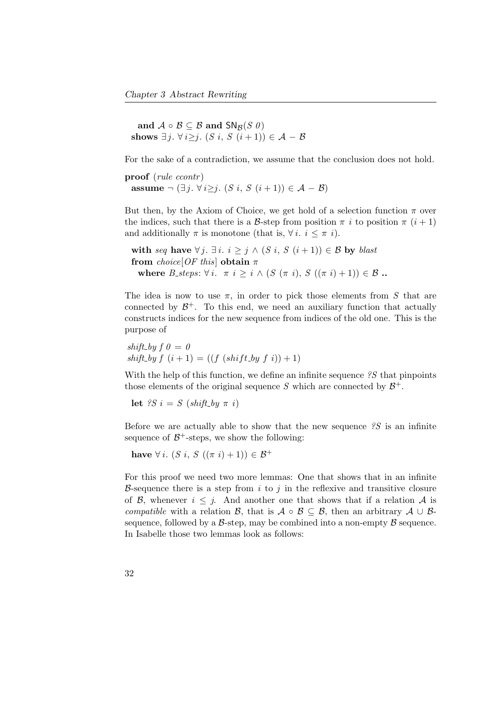and  $A \circ B \subseteq B$  and  $SN_B(S \theta)$ shows  $\exists j. \forall i \geq j.$   $(S i, S (i+1)) \in \mathcal{A} - \mathcal{B}$ 

For the sake of a contradiction, we assume that the conclusion does not hold.

proof (*rule ccontr*) assume  $\neg (\exists j. \forall i \geq j. (S \, i, S \, (i+1)) \in \mathcal{A} - \mathcal{B})$ 

But then, by the Axiom of Choice, we get hold of a selection function  $\pi$  over the indices, such that there is a B-step from position  $\pi i$  to position  $\pi (i + 1)$ and additionally  $\pi$  is monotone (that is,  $\forall i. i \leq \pi i$ ).

with seq have  $\forall j. \exists i. i \geq j \land (S i, S (i + 1)) \in \mathcal{B}$  by blast from choice [OF this] obtain  $\pi$ where B\_steps:  $\forall i$ .  $\pi i \geq i \wedge (S (\pi i), S ((\pi i) + 1)) \in \mathcal{B}$ .

The idea is now to use  $\pi$ , in order to pick those elements from S that are connected by  $\mathcal{B}^+$ . To this end, we need an auxiliary function that actually constructs indices for the new sequence from indices of the old one. This is the purpose of

shift\_by  $f \theta = 0$  $shift\_by f (i + 1) = ((f (shift\_by f i)) + 1)$ 

With the help of this function, we define an infinite sequence  $\mathscr{E}S$  that pinpoints those elements of the original sequence S which are connected by  $\mathcal{B}^+$ .

let ?S i = S (shift\_by  $\pi$  i)

Before we are actually able to show that the new sequence  $\mathscr{S}$  is an infinite sequence of  $\mathcal{B}^+$ -steps, we show the following:

have  $\forall i. (S \, i, S \, ((\pi \, i) + 1)) \in \mathcal{B}^+$ 

For this proof we need two more lemmas: One that shows that in an infinite B-sequence there is a step from i to j in the reflexive and transitive closure of B, whenever  $i \leq j$ . And another one that shows that if a relation A is compatible with a relation B, that is  $A \circ B \subseteq B$ , then an arbitrary  $A \cup B$ sequence, followed by a  $\beta$ -step, may be combined into a non-empty  $\beta$  sequence. In Isabelle those two lemmas look as follows: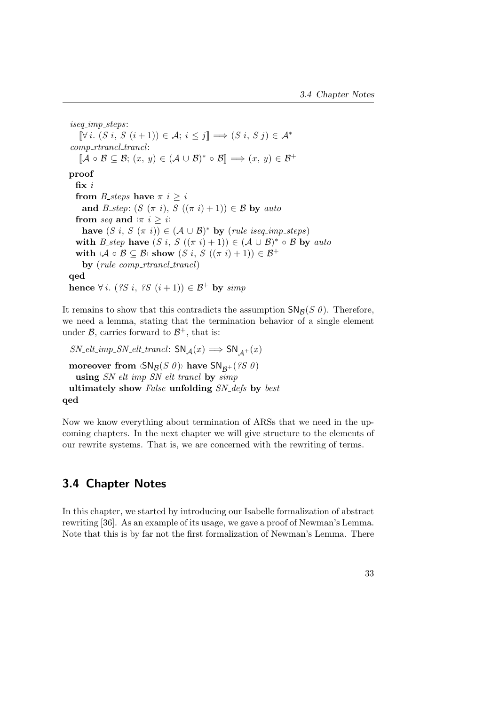iseq imp steps:  $[\nabla i. (S i, S (i+1)) \in \mathcal{A}; i \leq j] \Longrightarrow (S i, S j) \in \mathcal{A}^*$  $comp\_rtrancl\_trancl$ :  $[\mathcal{A} \circ \mathcal{B} \subseteq \mathcal{B}; (x, y) \in (\mathcal{A} \cup \mathcal{B})^* \circ \mathcal{B}] \Longrightarrow (x, y) \in \mathcal{B}^+$ proof fix  $i$ from *B\_steps* have  $\pi$  *i*  $\geq$  *i* and B\_step:  $(S (\pi i), S ((\pi i) + 1)) \in \mathcal{B}$  by auto from seq and  $\langle \pi | i \geq i \rangle$ have  $(S i, S (\pi i)) \in (A \cup B)^*$  by (rule iseq\_imp\_steps) with B\_step have  $(S_i, S_i(\pi_i)+1) \in (\mathcal{A} \cup \mathcal{B})^* \circ \mathcal{B}$  by auto with  $\langle A \circ B \subseteq B \rangle$  show  $(S i, S ((\pi i) + 1)) \in B^+$ by  $(\text{rule} \text{computation})$ qed hence  $\forall i.$  (?S i, ?S  $(i+1)$ )  $\in$   $\mathcal{B}^+$  by simp

It remains to show that this contradicts the assumption  $\mathsf{SN}_\mathcal{B}(S \theta)$ . Therefore, we need a lemma, stating that the termination behavior of a single element under  $\mathcal{B}$ , carries forward to  $\mathcal{B}^+$ , that is:

 $SN\_elt\_imp\_SN\_elt\_trancl$ :  $SN_{\mathcal{A}}(x) \Longrightarrow SN_{\mathcal{A}^+}(x)$ moreover from  $\langle \mathsf{SN}_{\mathcal{B}}(S|\theta) \rangle$  have  $\mathsf{SN}_{\mathcal{B}^+}(\mathscr{C} S|\theta)$ using  $SN\_elt\_imp\_SN\_elt\_trancl$  by simp ultimately show False unfolding SN\_defs by best qed

Now we know everything about termination of ARSs that we need in the upcoming chapters. In the next chapter we will give structure to the elements of our rewrite systems. That is, we are concerned with the rewriting of terms.

# 3.4 Chapter Notes

In this chapter, we started by introducing our Isabelle formalization of abstract rewriting [\[36\]](#page-160-0). As an example of its usage, we gave a proof of Newman's Lemma. Note that this is by far not the first formalization of Newman's Lemma. There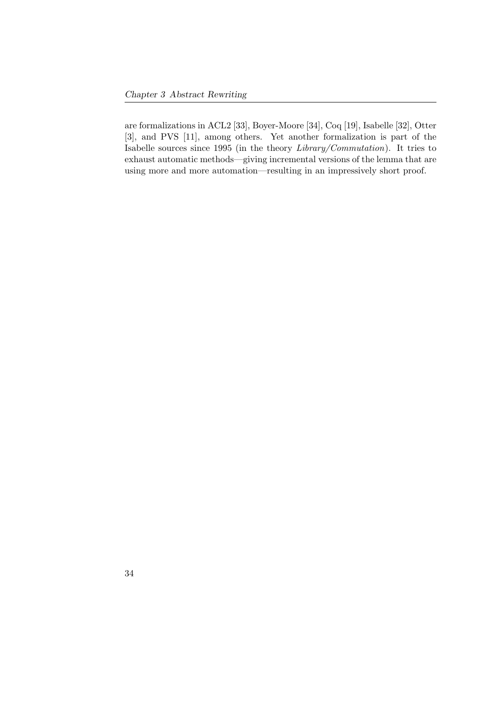are formalizations in ACL2 [\[33\]](#page-160-1), Boyer-Moore [\[34\]](#page-160-2), Coq [\[19\]](#page-158-0), Isabelle [\[32\]](#page-160-3), Otter [\[3\]](#page-156-0), and PVS [\[11\]](#page-157-0), among others. Yet another formalization is part of the Isabelle sources since 1995 (in the theory Library/Commutation). It tries to exhaust automatic methods—giving incremental versions of the lemma that are using more and more automation—resulting in an impressively short proof.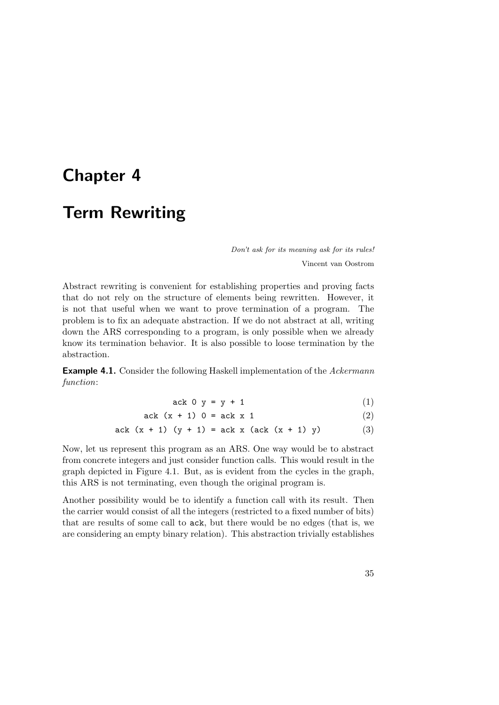# <span id="page-50-0"></span>Chapter 4

# Term Rewriting

<span id="page-50-1"></span>Don't ask for its meaning ask for its rules! Vincent van Oostrom

Abstract rewriting is convenient for establishing properties and proving facts that do not rely on the structure of elements being rewritten. However, it is not that useful when we want to prove termination of a program. The problem is to fix an adequate abstraction. If we do not abstract at all, writing down the ARS corresponding to a program, is only possible when we already know its termination behavior. It is also possible to loose termination by the abstraction.

**Example 4.1.** Consider the following Haskell implementation of the Ackermann function:

<span id="page-50-3"></span><span id="page-50-2"></span>
$$
ack 0 y = y + 1 \tag{1}
$$

ack 
$$
(x + 1) 0 = ack x 1
$$
 (2)

ack 
$$
(x + 1) (y + 1) =
$$
ack x  $(ack (x + 1) y)$  (3)

Now, let us represent this program as an ARS. One way would be to abstract from concrete integers and just consider function calls. This would result in the graph depicted in Figure [4.1.](#page-51-0) But, as is evident from the cycles in the graph, this ARS is not terminating, even though the original program is.

Another possibility would be to identify a function call with its result. Then the carrier would consist of all the integers (restricted to a fixed number of bits) that are results of some call to ack, but there would be no edges (that is, we are considering an empty binary relation). This abstraction trivially establishes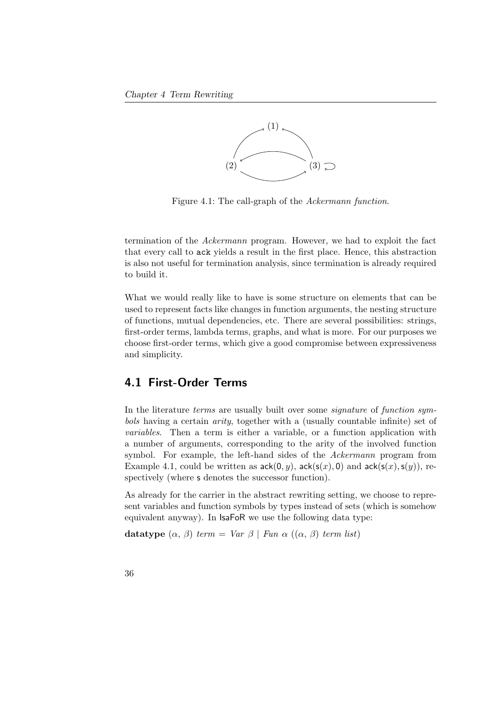

<span id="page-51-0"></span>Figure 4.1: The call-graph of the Ackermann function.

termination of the Ackermann program. However, we had to exploit the fact that every call to ack yields a result in the first place. Hence, this abstraction is also not useful for termination analysis, since termination is already required to build it.

What we would really like to have is some structure on elements that can be used to represent facts like changes in function arguments, the nesting structure of functions, mutual dependencies, etc. There are several possibilities: strings, first-order terms, lambda terms, graphs, and what is more. For our purposes we choose first-order terms, which give a good compromise between expressiveness and simplicity.

## 4.1 First-Order Terms

In the literature *terms* are usually built over some *signature* of *function sym*bols having a certain arity, together with a (usually countable infinite) set of variables. Then a term is either a variable, or a function application with a number of arguments, corresponding to the arity of the involved function symbol. For example, the left-hand sides of the Ackermann program from Example [4.1,](#page-40-0) could be written as  $ack(0, y)$ ,  $ack(s(x), 0)$  and  $ack(s(x), s(y))$ , respectively (where s denotes the successor function).

As already for the carrier in the abstract rewriting setting, we choose to represent variables and function symbols by types instead of sets (which is somehow equivalent anyway). In IsaFoR we use the following data type:

datatype  $(\alpha, \beta)$  term = Var  $\beta$  | Fun  $\alpha$   $((\alpha, \beta)$  term list)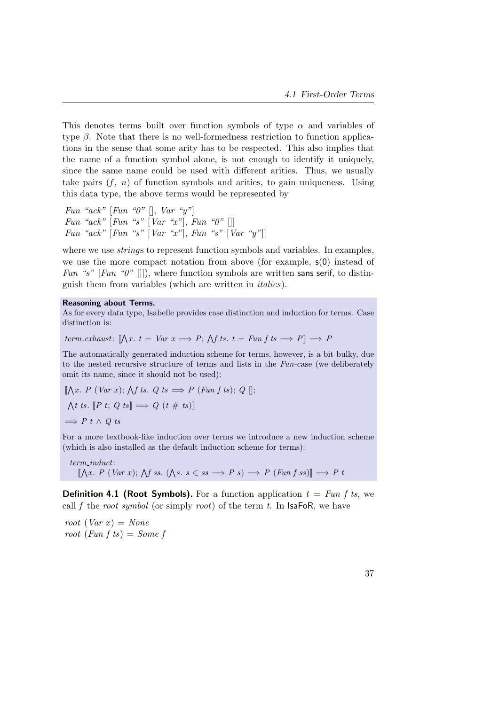This denotes terms built over function symbols of type  $\alpha$  and variables of type  $\beta$ . Note that there is no well-formedness restriction to function applications in the sense that some arity has to be respected. This also implies that the name of a function symbol alone, is not enough to identify it uniquely, since the same name could be used with different arities. Thus, we usually take pairs  $(f, n)$  of function symbols and arities, to gain uniqueness. Using this data type, the above terms would be represented by

Fun "ack"  $[Fun$  "0"  $], Var$  "y" Fun "ack"  $[Fun$  "s"  $[Var$  "x" $], Fun$  " $0"$   $[]]$ Fun "ack"  $[Fun$  "s"  $[Var$  "x" $],$  Fun "s"  $[Var$  "y" $]]$ 

where we use *strings* to represent function symbols and variables. In examples, we use the more compact notation from above (for example, s(0) instead of Fun "s" [Fun "0" []]), where function symbols are written sans serif, to distinguish them from variables (which are written in italics).

#### Reasoning about Terms.

As for every data type, Isabelle provides case distinction and induction for terms. Case distinction is:

term.exhaust:  $[\![\bigwedge x. t = Var x \Longrightarrow P; \bigwedge f \text{ts. } t = Fun f \text{ts} \Longrightarrow P]\!] \Longrightarrow P$ 

The automatically generated induction scheme for terms, however, is a bit bulky, due to the nested recursive structure of terms and lists in the Fun-case (we deliberately omit its name, since it should not be used):

$$
\llbracket \bigwedge x. P \ (Var \ x); \ \bigwedge f \ t s. \ Q \ t s \Longrightarrow P \ (Fun \ f \ t s); \ Q \ [];
$$
  

$$
\bigwedge t \ t s. \ [P \ t; \ Q \ t s] \Longrightarrow Q \ (t \ \# \ t s) \rrbracket
$$
  

$$
\Longrightarrow P \ t \ \wedge \ Q \ t s
$$

For a more textbook-like induction over terms we introduce a new induction scheme (which is also installed as the default induction scheme for terms):

term induct:  $[\![\bigwedge x. P \mid (Var \ x); \bigwedge f \ ss. \ (\bigwedge s. s \in ss \Longrightarrow P \ s) \Longrightarrow P \ (Fun \ f \ ss) \rrbracket \Longrightarrow P \ t$ 

**Definition 4.1 (Root Symbols).** For a function application  $t = Fun f ts$ , we call f the root symbol (or simply root) of the term t. In  $IsaFoR$ , we have

root (Var x) = None root (Fun f ts) = Some f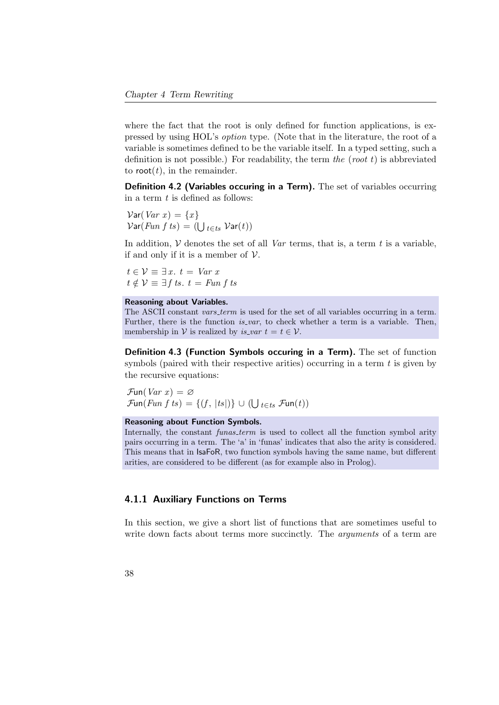where the fact that the root is only defined for function applications, is expressed by using HOL's option type. (Note that in the literature, the root of a variable is sometimes defined to be the variable itself. In a typed setting, such a definition is not possible.) For readability, the term the (root  $t$ ) is abbreviated to root(*t*), in the remainder.

Definition 4.2 (Variables occuring in a Term). The set of variables occurring in a term  $t$  is defined as follows:

 $Var(Var x) = \{x\}$  $\mathcal{V}\text{\sf ar}(Fun \: f \: ts) = (\bigcup_{t \in ts} \: \mathcal{V}\text{\sf ar}(t))$ 

In addition,  $\mathcal V$  denotes the set of all *Var* terms, that is, a term t is a variable, if and only if it is a member of  $V$ .

 $t \in \mathcal{V} \equiv \exists x. t = Var x$  $t \notin \mathcal{V} \equiv \exists f \, \text{ts. } t = \text{Fun } f \, \text{ts.}$ 

#### Reasoning about Variables.

The ASCII constant *vars\_term* is used for the set of all variables occurring in a term. Further, there is the function  $is\_var$ , to check whether a term is a variable. Then, membership in V is realized by *is\_var*  $t = t \in V$ .

Definition 4.3 (Function Symbols occuring in a Term). The set of function symbols (paired with their respective arities) occurring in a term  $t$  is given by the recursive equations:

 $\mathcal{F}$ un(*Var x*) =  $\varnothing$  $\mathcal{F}\mathsf{un}(\mathit{Fun}\;f\;ts)=\{(f,\,|ts|)\}\,\cup\,(\bigcup_{t\in ts}\,\mathcal{F}\mathsf{un}(t))$ 

#### Reasoning about Function Symbols.

Internally, the constant *funas\_term* is used to collect all the function symbol arity pairs occurring in a term. The 'a' in 'funas' indicates that also the arity is considered. This means that in IsaFoR, two function symbols having the same name, but different arities, are considered to be different (as for example also in Prolog).

## 4.1.1 Auxiliary Functions on Terms

In this section, we give a short list of functions that are sometimes useful to write down facts about terms more succinctly. The *arguments* of a term are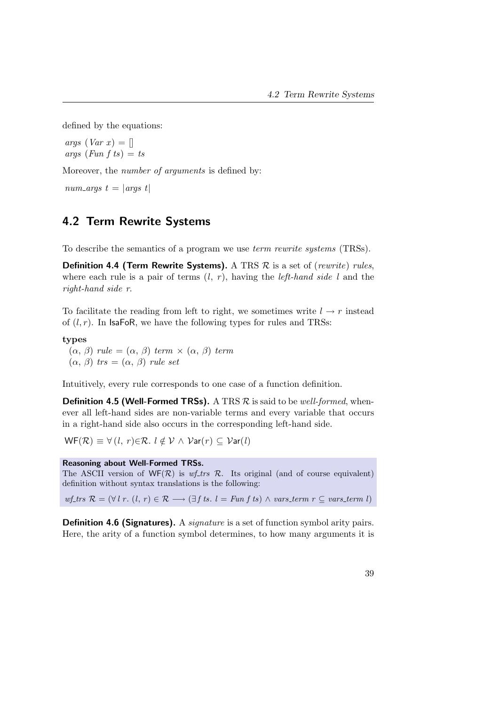defined by the equations:

args  $(Var x) = []$ args (Fun f ts)  $=$  ts

Moreover, the *number of arguments* is defined by:

num\_args  $t = |args t|$ 

# 4.2 Term Rewrite Systems

To describe the semantics of a program we use term rewrite systems (TRSs).

**Definition 4.4 (Term Rewrite Systems).** A TRS  $\mathcal{R}$  is a set of (rewrite) rules, where each rule is a pair of terms  $(l, r)$ , having the *left-hand side l* and the right-hand side r.

To facilitate the reading from left to right, we sometimes write  $l \rightarrow r$  instead of  $(l, r)$ . In IsaFoR, we have the following types for rules and TRSs:

### types

 $(\alpha, \beta)$  rule =  $(\alpha, \beta)$  term  $\times$   $(\alpha, \beta)$  term  $(\alpha, \beta)$  trs =  $(\alpha, \beta)$  rule set

Intuitively, every rule corresponds to one case of a function definition.

**Definition 4.5 (Well-Formed TRSs).** A TRS  $\mathcal{R}$  is said to be *well-formed*, whenever all left-hand sides are non-variable terms and every variable that occurs in a right-hand side also occurs in the corresponding left-hand side.

 $WF(R) \equiv \forall (l, r) \in \mathcal{R}$ .  $l \notin V \wedge Var(r) \subseteq Var(l)$ 

## Reasoning about Well-Formed TRSs.

The ASCII version of  $WF(\mathcal{R})$  is wf-trs  $\mathcal{R}$ . Its original (and of course equivalent) definition without syntax translations is the following:

wf\_trs  $\mathcal{R} = (\forall l \ r. \ (l, r) \in \mathcal{R} \longrightarrow (\exists f \ ts. \ l = Fun \ f \ ts) \land vars\_t \ (r \ \leq vars\_t term \ l)$ 

Definition 4.6 (Signatures). A *signature* is a set of function symbol arity pairs. Here, the arity of a function symbol determines, to how many arguments it is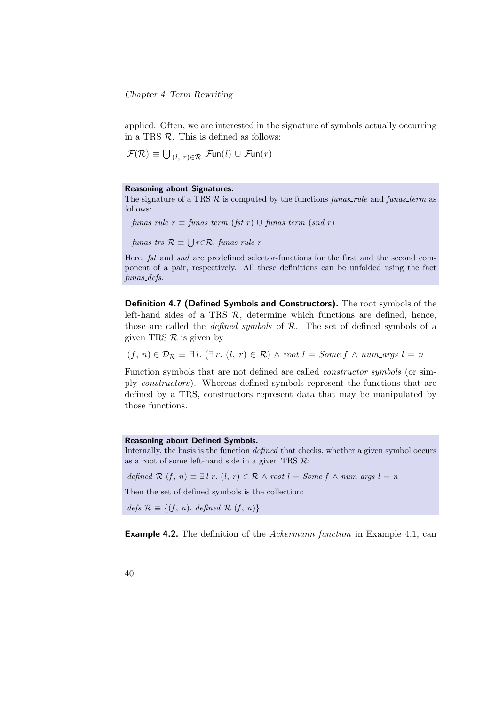applied. Often, we are interested in the signature of symbols actually occurring in a TRS  $\mathcal R$ . This is defined as follows:

$$
\mathcal{F}(\mathcal{R}) \equiv \bigcup_{(l, r) \in \mathcal{R}} \mathcal{F}\text{un}(l) \cup \mathcal{F}\text{un}(r)
$$

### Reasoning about Signatures.

The signature of a TRS  $R$  is computed by the functions *funas\_rule* and *funas\_term* as follows:

funas\_rule  $r \equiv$  funas\_term (fst r)  $\cup$  funas\_term (snd r)

 ${\text{fun}} as_{\text{-}trs} \mathcal{R} \equiv \bigcup r \in \mathcal{R}$ . funas\_rule r

Here, fst and snd are predefined selector-functions for the first and the second component of a pair, respectively. All these definitions can be unfolded using the fact funas defs.

Definition 4.7 (Defined Symbols and Constructors). The root symbols of the left-hand sides of a TRS  $R$ , determine which functions are defined, hence, those are called the *defined symbols* of  $R$ . The set of defined symbols of a given TRS  $\mathcal R$  is given by

 $(f, n) \in \mathcal{D}_{\mathcal{R}} \equiv \exists l. (\exists r. (l, r) \in \mathcal{R}) \land root l = Some f \land num\text{args } l = n$ 

Function symbols that are not defined are called constructor symbols (or simply constructors). Whereas defined symbols represent the functions that are defined by a TRS, constructors represent data that may be manipulated by those functions.

#### Reasoning about Defined Symbols.

Internally, the basis is the function defined that checks, whether a given symbol occurs as a root of some left-hand side in a given TRS  $\mathcal{R}$ :

defined R  $(f, n) \equiv \exists l \ r \ (l, r) \in \mathcal{R} \land root l = Some f \land num\_{args} l = n$ 

Then the set of defined symbols is the collection:

 $defs \mathcal{R} \equiv \{(f, n). \ defined \mathcal{R} (f, n)\}\$ 

**Example 4.2.** The definition of the *Ackermann function* in Example [4.1,](#page-40-0) can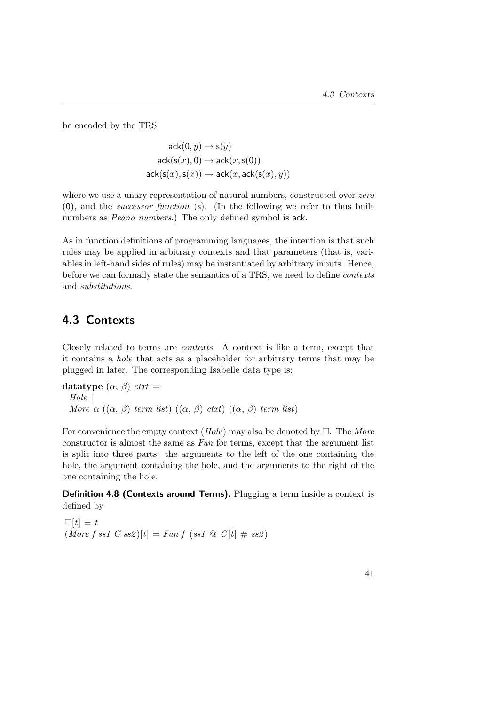be encoded by the TRS

 $ack(0, y) \rightarrow s(y)$  $ack(s(x), 0) \rightarrow ack(x, s(0))$  $ack(s(x),s(x)) \rightarrow \text{ack}(x,\text{ack}(s(x),y))$ 

where we use a unary representation of natural numbers, constructed over zero (0), and the successor function (s). (In the following we refer to thus built numbers as *Peano numbers*.) The only defined symbol is ack.

As in function definitions of programming languages, the intention is that such rules may be applied in arbitrary contexts and that parameters (that is, variables in left-hand sides of rules) may be instantiated by arbitrary inputs. Hence, before we can formally state the semantics of a TRS, we need to define contexts and substitutions.

# 4.3 Contexts

Closely related to terms are contexts. A context is like a term, except that it contains a hole that acts as a placeholder for arbitrary terms that may be plugged in later. The corresponding Isabelle data type is:

datatype  $(\alpha, \beta)$  ctxt = Hole | More  $\alpha$  (( $\alpha$ ,  $\beta$ ) term list) (( $\alpha$ ,  $\beta$ ) ctxt) (( $\alpha$ ,  $\beta$ ) term list)

For convenience the empty context  $(Hole)$  may also be denoted by  $\Box$ . The More constructor is almost the same as Fun for terms, except that the argument list is split into three parts: the arguments to the left of the one containing the hole, the argument containing the hole, and the arguments to the right of the one containing the hole.

Definition 4.8 (Contexts around Terms). Plugging a term inside a context is defined by

```
\Box[t] = t(More f ss1 C ss2)[t] = Fun f (ss1 @ C[t] # ss2)
```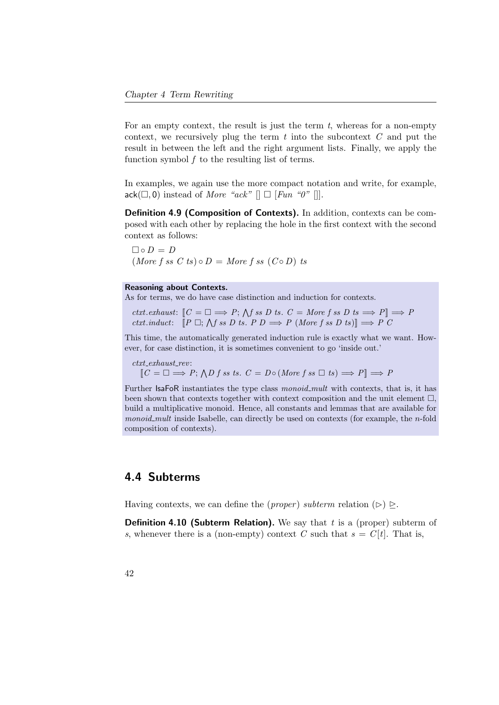For an empty context, the result is just the term  $t$ , whereas for a non-empty context, we recursively plug the term  $t$  into the subcontext  $C$  and put the result in between the left and the right argument lists. Finally, we apply the function symbol  $f$  to the resulting list of terms.

In examples, we again use the more compact notation and write, for example,  $ack(\square, 0)$  instead of *More "ack"*  $[] \square$  [Fun "0" []].

Definition 4.9 (Composition of Contexts). In addition, contexts can be composed with each other by replacing the hole in the first context with the second context as follows:

 $\Box \circ D = D$  $(More f s s C t s) \circ D = More f s s (Co D) t s$ 

#### Reasoning about Contexts.

As for terms, we do have case distinction and induction for contexts.

ctxt.exhaust:  $[C = \Box \Longrightarrow P; \text{ and } s \in D \text{ is } C = \text{More } f \text{ as } D \text{ is } \Longrightarrow P] \Longrightarrow P$ ctxt.induct:  $[P \Box; \bigwedge f \text{ss } D \text{ts. } P D \Longrightarrow P \text{ (More } f \text{ss } D \text{ts}] \Longrightarrow P \text{C}$ 

This time, the automatically generated induction rule is exactly what we want. However, for case distinction, it is sometimes convenient to go 'inside out.'

 $ctxt\_exhaust\_rev$ :

 $\llbracket C = \Box \Longrightarrow P; \bigwedge D f \text{ss } t \text{s. } C = D \circ (More \ f \text{ss } \Box \text{ts}) \Longrightarrow P \rrbracket \Longrightarrow P$ 

Further IsaFoR instantiates the type class monoid\_mult with contexts, that is, it has been shown that contexts together with context composition and the unit element  $\Box$ , build a multiplicative monoid. Hence, all constants and lemmas that are available for monoid mult inside Isabelle, can directly be used on contexts (for example, the n-fold composition of contexts).

# 4.4 Subterms

Having contexts, we can define the (*proper*) subterm relation  $(\triangleright) \triangleright$ .

**Definition 4.10 (Subterm Relation).** We say that  $t$  is a (proper) subterm of s, whenever there is a (non-empty) context C such that  $s = C[t]$ . That is,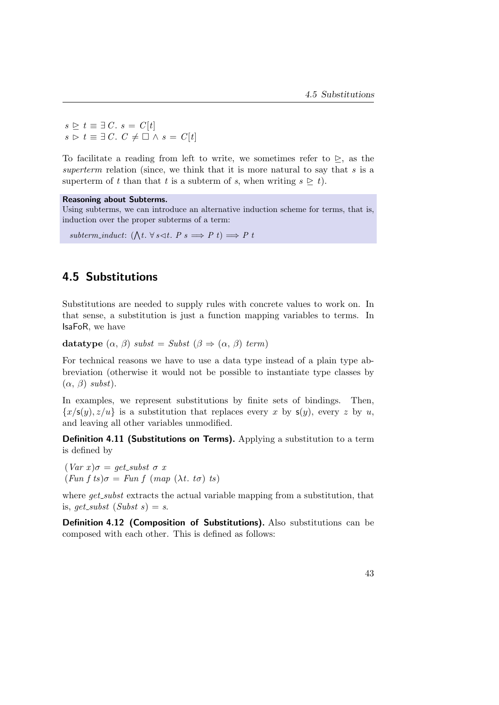$s \geq t \equiv \exists C. s = C[t]$  $s \triangleright t \equiv \exists C. \; C \neq \Box \wedge s = C[t]$ 

To facilitate a reading from left to write, we sometimes refer to  $\geq$ , as the superterm relation (since, we think that it is more natural to say that  $s$  is a superterm of t than that t is a subterm of s, when writing  $s \geq t$ .

## Reasoning about Subterms.

Using subterms, we can introduce an alternative induction scheme for terms, that is, induction over the proper subterms of a term:

subterm\_induct:  $(\bigwedge t. \forall s \triangleleft t. P s \Longrightarrow P t) \Longrightarrow P t$ 

# 4.5 Substitutions

Substitutions are needed to supply rules with concrete values to work on. In that sense, a substitution is just a function mapping variables to terms. In IsaFoR, we have

```
datatype (\alpha, \beta) subst = Subst (\beta \Rightarrow (\alpha, \beta) term)
```
For technical reasons we have to use a data type instead of a plain type abbreviation (otherwise it would not be possible to instantiate type classes by  $(\alpha, \beta)$  subst).

In examples, we represent substitutions by finite sets of bindings. Then,  ${x/s(y), z/u}$  is a substitution that replaces every x by  $s(y)$ , every z by u, and leaving all other variables unmodified.

Definition 4.11 (Substitutions on Terms). Applying a substitution to a term is defined by

 $(Var x)\sigma = get\_subset \sigma x$  $(Fun f ts) \sigma = Fun f (map (\lambda t. t \sigma) ts)$ 

where  $qet\_subst$  extracts the actual variable mapping from a substitution, that is, get\_subst  $(Subst s) = s$ .

Definition 4.12 (Composition of Substitutions). Also substitutions can be composed with each other. This is defined as follows: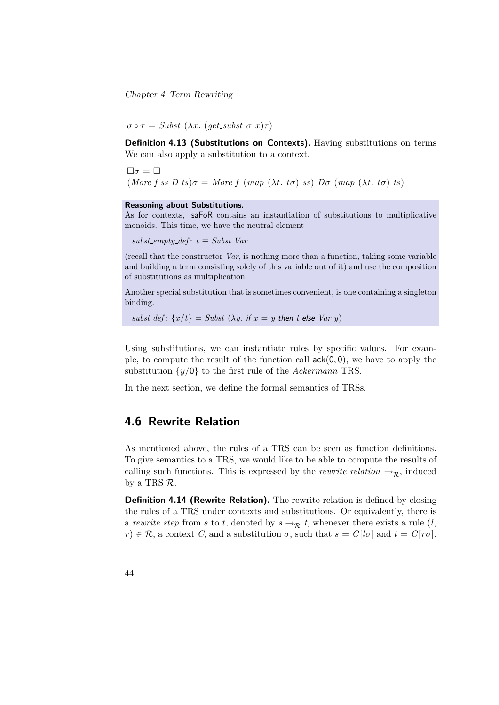$\sigma \circ \tau = Subst \; (\lambda x. \; (get\_subset \; \sigma \; x) \tau)$ 

Definition 4.13 (Substitutions on Contexts). Having substitutions on terms We can also apply a substitution to a context.

 $\Box \sigma = \Box$ (More f ss D ts) $\sigma = More f$  (map (λt. t $\sigma$ ) ss) D $\sigma$  (map (λt. t $\sigma$ ) ts)

### Reasoning about Substitutions.

As for contexts, IsaFoR contains an instantiation of substitutions to multiplicative monoids. This time, we have the neutral element

subst\_empty\_def:  $\iota \equiv Subst$  Var

(recall that the constructor Var, is nothing more than a function, taking some variable and building a term consisting solely of this variable out of it) and use the composition of substitutions as multiplication.

Another special substitution that is sometimes convenient, is one containing a singleton binding.

 $subst\_def$ :  $\{x/t\}$  = Subst  $(\lambda y.$  if  $x = y$  then t else Var y)

Using substitutions, we can instantiate rules by specific values. For example, to compute the result of the function call  $ack(0, 0)$ , we have to apply the substitution  $\{y/\mathbf{0}\}\)$  to the first rule of the Ackermann TRS.

In the next section, we define the formal semantics of TRSs.

## 4.6 Rewrite Relation

As mentioned above, the rules of a TRS can be seen as function definitions. To give semantics to a TRS, we would like to be able to compute the results of calling such functions. This is expressed by the *rewrite relation*  $\rightarrow_{\mathcal{R}}$ , induced by a TRS R.

Definition 4.14 (Rewrite Relation). The rewrite relation is defined by closing the rules of a TRS under contexts and substitutions. Or equivalently, there is a rewrite step from s to t, denoted by  $s \rightarrow_R t$ , whenever there exists a rule  $(l,$  $r \in \mathcal{R}$ , a context C, and a substitution  $\sigma$ , such that  $s = C[1\sigma]$  and  $t = C[r\sigma]$ .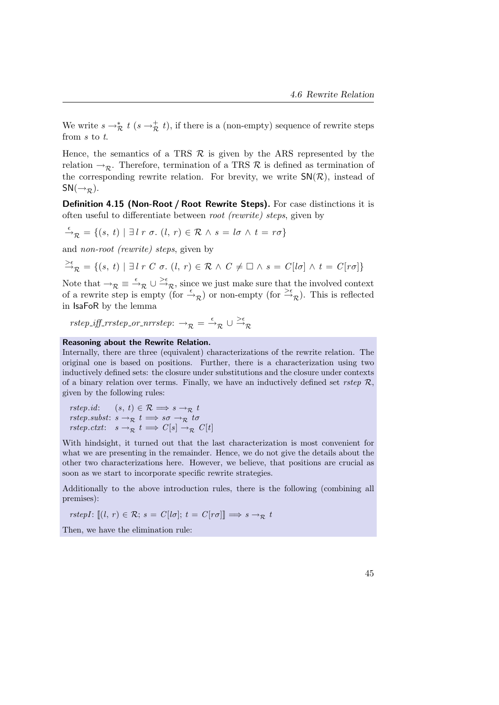We write  $s \to_{\mathcal{R}}^* t$   $(s \to_{\mathcal{R}}^* t)$ , if there is a (non-empty) sequence of rewrite steps from s to t.

Hence, the semantics of a TRS  $\mathcal R$  is given by the ARS represented by the relation  $\rightarrow_{\mathcal{R}}$ . Therefore, termination of a TRS  $\mathcal{R}$  is defined as termination of the corresponding rewrite relation. For brevity, we write  $\mathsf{SN}(\mathcal{R})$ , instead of  $SN(\rightarrow_{\mathcal{R}}).$ 

<span id="page-60-0"></span>Definition 4.15 (Non-Root / Root Rewrite Steps). For case distinctions it is often useful to differentiate between root (rewrite) steps, given by

$$
\xrightarrow{\epsilon} \mathcal{R} = \{ (s, t) \mid \exists l \; r \; \sigma \ldotp (l, r) \in \mathcal{R} \land s = l \sigma \land t = r \sigma \}
$$

and non-root (rewrite) steps, given by

$$
\stackrel{\geq \epsilon}{\rightarrow}_{\mathcal{R}} = \{ (s, t) \mid \exists l \; r \; C \; \sigma. \; (l, r) \in \mathcal{R} \; \land \; C \neq \Box \; \land \; s = C[l\sigma] \; \land \; t = C[r\sigma] \}
$$

Note that  $\rightarrow_{\mathcal{R}} \equiv \stackrel{\epsilon}{\rightarrow}_{\mathcal{R}} \cup \stackrel{\geq \epsilon}{\rightarrow}_{\mathcal{R}}$ , since we just make sure that the involved context of a rewrite step is empty (for  $\stackrel{\epsilon}{\rightarrow}_{\mathcal{R}}$ ) or non-empty (for  $\stackrel{\geq \epsilon}{\rightarrow}_{\mathcal{R}}$ ). This is reflected in IsaFoR by the lemma

 $rstep\_iff\_rrstep\_or\_nrrstep: \rightarrow_{\mathcal{R}} \cup \frac{>\epsilon}{\rightarrow_{\mathcal{R}}}$ 

### Reasoning about the Rewrite Relation.

Internally, there are three (equivalent) characterizations of the rewrite relation. The original one is based on positions. Further, there is a characterization using two inductively defined sets: the closure under substitutions and the closure under contexts of a binary relation over terms. Finally, we have an inductively defined set rstep  $\mathcal{R}$ , given by the following rules:

rstep.id:  $(s, t) \in \mathcal{R} \Longrightarrow s \rightarrow_{\mathcal{R}} t$ rstep.subst:  $s \rightarrow_{\mathcal{R}} t \implies s\sigma \rightarrow_{\mathcal{R}} t\sigma$ rstep.ctxt:  $s \to_{\mathcal{R}} t \implies C[s] \to_{\mathcal{R}} C[t]$ 

With hindsight, it turned out that the last characterization is most convenient for what we are presenting in the remainder. Hence, we do not give the details about the other two characterizations here. However, we believe, that positions are crucial as soon as we start to incorporate specific rewrite strategies.

Additionally to the above introduction rules, there is the following (combining all premises):

rstepI:  $[(l, r) \in \mathcal{R}; s = C[l\sigma]; t = C[r\sigma]] \Longrightarrow s \to_{\mathcal{R}} t$ 

Then, we have the elimination rule: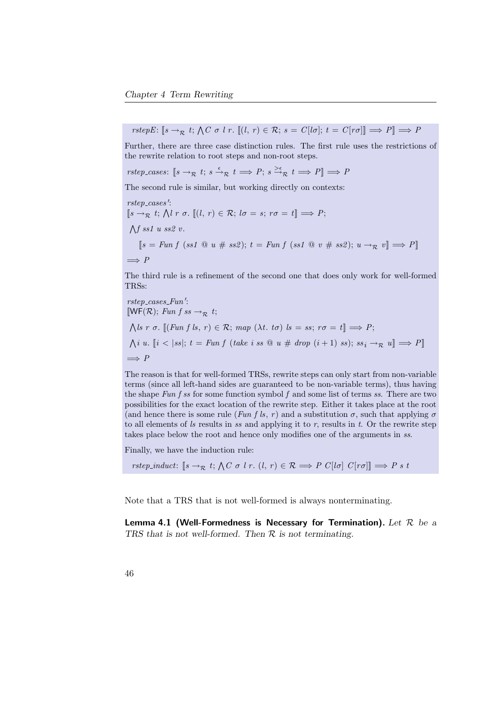$rstepE: \llbracket s \rightarrow_R t; \bigwedge C \sigma \ l \ r. \ \llbracket (l, r) \in \mathcal{R}; \ s = C[ l \sigma]; \ t = C[r \sigma] \rrbracket \Longrightarrow P \rrbracket \Longrightarrow P$ 

Further, there are three case distinction rules. The first rule uses the restrictions of the rewrite relation to root steps and non-root steps.

rstep\_cases:  $[s \to_R t; s \stackrel{\epsilon}{\to_R} t \Longrightarrow P; s \stackrel{\gt_e}{\to_R} t \Longrightarrow P] \Longrightarrow P$ 

The second rule is similar, but working directly on contexts:

rstep\_cases':  $[s \rightarrow_{\mathcal{R}} t; \bigwedge l \ r \ \sigma. \ [(l, r) \in \mathcal{R}; l \sigma = s; r \sigma = t] \Longrightarrow P;$  $\bigwedge f$  ss1 u ss2 v.  $[s = Fun f (ss1 @ u # ss2); t = Fun f (ss1 @ v # ss2); u \rightarrow_R v] \Longrightarrow P$  $\implies P$ 

The third rule is a refinement of the second one that does only work for well-formed TRSs:

rstep\_cases\_Fun':  $[WF(R); Fun f s s \rightarrow_{\mathcal{R}} t;$  $\bigwedge \{s \; r \; \sigma. \; \llbracket (\text{Fun } f \; \text{$ls$}, \; r) \in \mathcal{R}; \; \text{map } (\lambda t. \; t\sigma) \; \text{$ls = ss$}; \; r\sigma = t \rrbracket \Longrightarrow P;$  $\bigwedge i$  u.  $[i \lt |ss|; t = Fun f$  (take i ss  $@ u \# drop (i+1)$  ss);  $ss_i \rightarrow_{\mathcal{R}} u] \Longrightarrow P$ ]  $\implies P$ 

The reason is that for well-formed TRSs, rewrite steps can only start from non-variable terms (since all left-hand sides are guaranteed to be non-variable terms), thus having the shape Fun f ss for some function symbol f and some list of terms ss. There are two possibilities for the exact location of the rewrite step. Either it takes place at the root (and hence there is some rule (Fun f ls, r) and a substitution  $\sigma$ , such that applying  $\sigma$ to all elements of  $ls$  results in ss and applying it to r, results in t. Or the rewrite step takes place below the root and hence only modifies one of the arguments in ss.

Finally, we have the induction rule:

rstep\_induct:  $[s \rightarrow_{\mathcal{R}} t; \bigwedge C \sigma \ l \ r. \ (l, r) \in \mathcal{R} \Longrightarrow P \ C[l \sigma] \ C[r \sigma]] \Longrightarrow P \ s \ t$ 

Note that a TRS that is not well-formed is always nonterminating.

Lemma 4.1 (Well-Formedness is Necessary for Termination). Let  $\mathcal R$  be a TRS that is not well-formed. Then  $R$  is not terminating.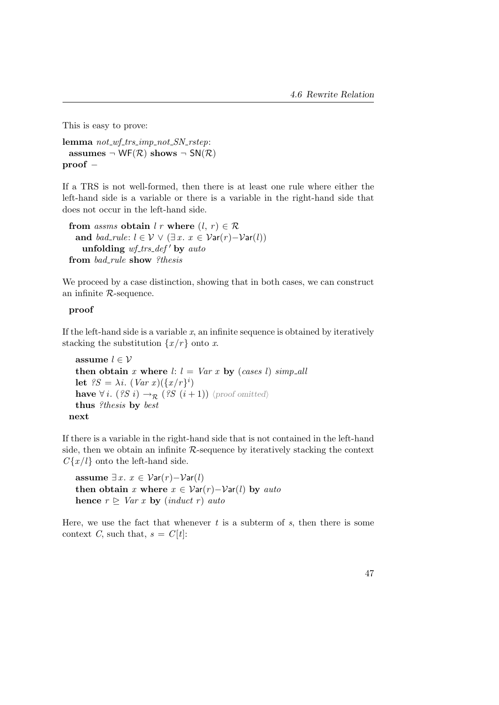This is easy to prove:

```
lemma not\_wf\_trs\_imp\_not\_SN\_rstep:
 assumes \neg WF(\mathcal{R}) shows \neg SN(\mathcal{R})
proof −
```
If a TRS is not well-formed, then there is at least one rule where either the left-hand side is a variable or there is a variable in the right-hand side that does not occur in the left-hand side.

```
from assms obtain l r where (l, r) \in \mathcal{R}and bad_rule: l \in \mathcal{V} \vee (\exists x. x \in \mathcal{V}ar(r) - \mathcal{V}ar(l))unfolding wf\_trs\_def' by auto
from bad_rule show ?thesis
```
We proceed by a case distinction, showing that in both cases, we can construct an infinite R-sequence.

## proof

If the left-hand side is a variable  $x$ , an infinite sequence is obtained by iteratively stacking the substitution  $\{x/r\}$  onto x.

```
assume l \in \mathcal{V}then obtain x where l: l = Var x by (cases l) simp_all
  let {}^{2}S = \lambda i. (Var x)(\lbrace x/r \rbrace^{i})have \forall i. (?S i) \rightarrow_{\mathcal{R}} (?S (i+1)) \proof omitted\
  thus ?thesis by best
next
```
If there is a variable in the right-hand side that is not contained in the left-hand side, then we obtain an infinite R-sequence by iteratively stacking the context  $C\{x/l\}$  onto the left-hand side.

assume  $∃x$ .  $x ∈ \mathcal{V}ar(r) - \mathcal{V}ar(l)$ then obtain x where  $x \in \mathcal{V}ar(r) - \mathcal{V}ar(l)$  by auto hence  $r \triangleright \text{Var } x$  by (induct r) auto

Here, we use the fact that whenever  $t$  is a subterm of  $s$ , then there is some context C, such that,  $s = C[t]$ :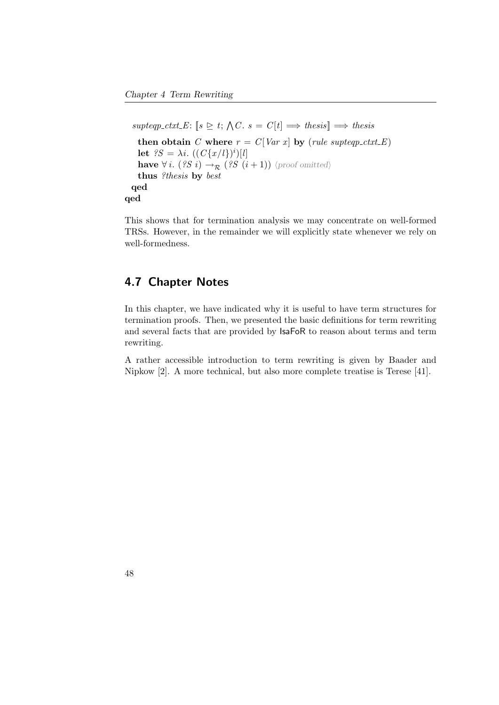```
suptep\_ctxt\_E: [s \trianglerighteq t; \bigwedge C. s = C[t] \Longrightarrow \text{thesis} \Longrightarrow \text{thesis}then obtain C where r = C[Var x] by (rule supteqp_ctxt_E)
     let {}^{8}S = \lambda i. ((C{x/l})^i)[l]have \forall i. (?S i) \rightarrow_{\mathcal{R}} (?S (i + 1)) \langleproof omitted\ranglethus ?thesis by best
  qed
qed
```
This shows that for termination analysis we may concentrate on well-formed TRSs. However, in the remainder we will explicitly state whenever we rely on well-formedness.

# 4.7 Chapter Notes

In this chapter, we have indicated why it is useful to have term structures for termination proofs. Then, we presented the basic definitions for term rewriting and several facts that are provided by IsaFoR to reason about terms and term rewriting.

A rather accessible introduction to term rewriting is given by Baader and Nipkow [\[2\]](#page-156-1). A more technical, but also more complete treatise is Terese [\[41\]](#page-161-0).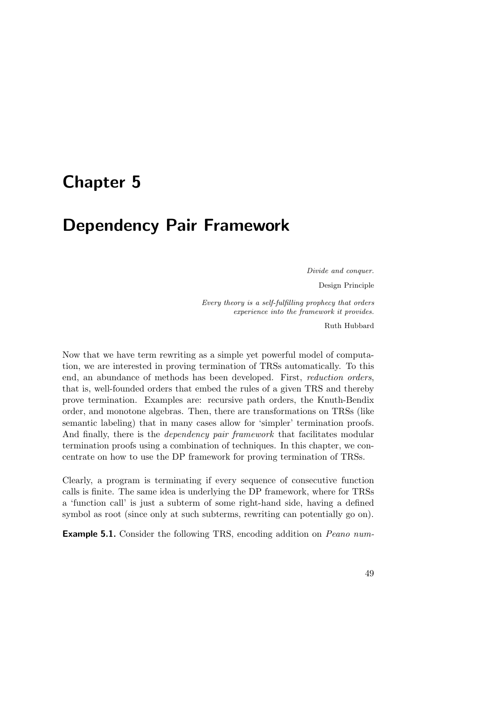# Chapter 5

# Dependency Pair Framework

Divide and conquer. Design Principle

Every theory is a self-fulfilling prophecy that orders experience into the framework it provides.

Ruth Hubbard

Now that we have term rewriting as a simple yet powerful model of computation, we are interested in proving termination of TRSs automatically. To this end, an abundance of methods has been developed. First, reduction orders, that is, well-founded orders that embed the rules of a given TRS and thereby prove termination. Examples are: recursive path orders, the Knuth-Bendix order, and monotone algebras. Then, there are transformations on TRSs (like semantic labeling) that in many cases allow for 'simpler' termination proofs. And finally, there is the *dependency pair framework* that facilitates modular termination proofs using a combination of techniques. In this chapter, we concentrate on how to use the DP framework for proving termination of TRSs.

Clearly, a program is terminating if every sequence of consecutive function calls is finite. The same idea is underlying the DP framework, where for TRSs a 'function call' is just a subterm of some right-hand side, having a defined symbol as root (since only at such subterms, rewriting can potentially go on).

Example 5.1. Consider the following TRS, encoding addition on Peano num-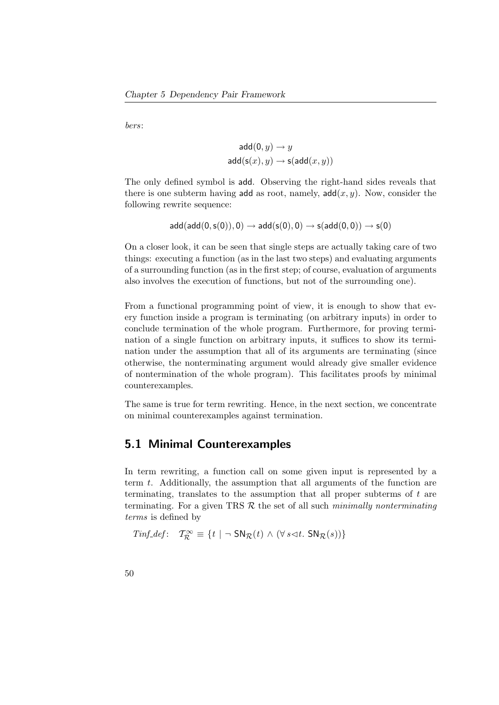bers:

$$
\mathsf{add}(0, y) \to y
$$

$$
\mathsf{add}(\mathsf{s}(x), y) \to \mathsf{s}(\mathsf{add}(x, y))
$$

The only defined symbol is add. Observing the right-hand sides reveals that there is one subterm having add as root, namely,  $add(x, y)$ . Now, consider the following rewrite sequence:

$$
\mathsf{add}(\mathsf{add}(0,\mathsf{s}(0)),0) \to \mathsf{add}(\mathsf{s}(0),0) \to \mathsf{s}(\mathsf{add}(0,0)) \to \mathsf{s}(0)
$$

On a closer look, it can be seen that single steps are actually taking care of two things: executing a function (as in the last two steps) and evaluating arguments of a surrounding function (as in the first step; of course, evaluation of arguments also involves the execution of functions, but not of the surrounding one).

From a functional programming point of view, it is enough to show that every function inside a program is terminating (on arbitrary inputs) in order to conclude termination of the whole program. Furthermore, for proving termination of a single function on arbitrary inputs, it suffices to show its termination under the assumption that all of its arguments are terminating (since otherwise, the nonterminating argument would already give smaller evidence of nontermination of the whole program). This facilitates proofs by minimal counterexamples.

The same is true for term rewriting. Hence, in the next section, we concentrate on minimal counterexamples against termination.

## 5.1 Minimal Counterexamples

In term rewriting, a function call on some given input is represented by a term t. Additionally, the assumption that all arguments of the function are terminating, translates to the assumption that all proper subterms of t are terminating. For a given TRS  $R$  the set of all such minimally nonterminating terms is defined by

 $\mathit{Timf\_def} \colon \quad \mathcal{T}^\infty_\mathcal{R} \equiv \{ t \mid \neg \; \mathsf{SN}_\mathcal{R}(t) \, \wedge \, (\forall \, s \lhd t. \, \mathsf{SN}_\mathcal{R}(s)) \}$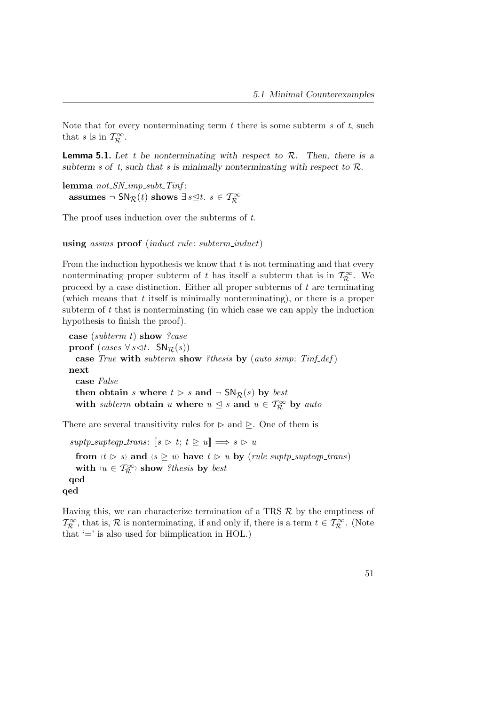Note that for every nonterminating term  $t$  there is some subterm  $s$  of  $t$ , such that s is in  $\mathcal{T}^{\infty}_{\mathcal{R}}$ .

**Lemma 5.1.** Let t be nonterminating with respect to  $\mathcal{R}$ . Then, there is a subterm s of t, such that s is minimally nonterminating with respect to  $\mathcal{R}$ .

lemma  $not\_SN\_imp\_subt\_Tinf$ : assumes  $\neg \text{ SN}_{\mathcal{R}}(t)$  shows  $\exists s \leq t. \ s \in \mathcal{T}^{\infty}_{\mathcal{R}}$ 

The proof uses induction over the subterms of t.

using assms proof (*induct rule: subterm\_induct*)

From the induction hypothesis we know that  $t$  is not terminating and that every nonterminating proper subterm of t has itself a subterm that is in  $\mathcal{T}_{\mathcal{R}}^{\infty}$ . We proceed by a case distinction. Either all proper subterms of  $t$  are terminating (which means that  $t$  itself is minimally nonterminating), or there is a proper subterm of  $t$  that is nonterminating (in which case we can apply the induction hypothesis to finish the proof).

case (subterm t) show ?case proof (cases  $\forall s \triangleleft t$ .  $SN_{\mathcal{R}}(s)$ ) case True with subterm show ?thesis by (auto simp: Tinf\_def) next case False then obtain s where  $t > s$  and  $\neg SN_{\mathcal{R}}(s)$  by best with subterm obtain u where  $u \leq s$  and  $u \in T_{\mathcal{R}}^{\infty}$  by auto

There are several transitivity rules for  $\triangleright$  and  $\triangleright$ . One of them is

 $suptp\_supteqp\_trans:$   $[s \triangleright t; t \triangleright u] \Longrightarrow s \triangleright u$ 

from  $\langle t \rangle$  s and  $\langle s \rangle$  w have  $t \rangle u$  by (rule suptp supteqp trans) with  $\langle u \in T_R^{\infty} \rangle$  show ?thesis by best qed qed

Having this, we can characterize termination of a TRS  $\mathcal{R}$  by the emptiness of  $\mathcal{T}_{\mathcal{R}}^{\infty}$ , that is,  $\mathcal{R}$  is nonterminating, if and only if, there is a term  $t \in \mathcal{T}_{\mathcal{R}}^{\infty}$ . (Note that  $\prime$  = is also used for biimplication in HOL.)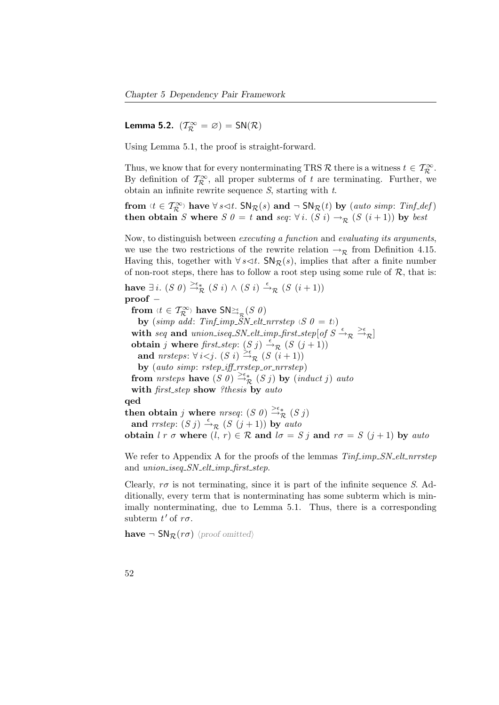**Lemma 5.2.**  $(\mathcal{T}^{\infty}_{\mathcal{R}} = \varnothing) = \mathsf{SN}(\mathcal{R})$ 

Using Lemma [5.1,](#page-43-0) the proof is straight-forward.

Thus, we know that for every nonterminating TRS R there is a witness  $t \in \mathcal{T}_{\mathcal{R}}^{\infty}$ . By definition of  $\mathcal{T}_{\mathcal{R}}^{\infty}$ , all proper subterms of t are terminating. Further, we obtain an infinite rewrite sequence  $S$ , starting with  $t$ .

from  $\forall t \in \mathcal{T}_{\mathcal{R}}^{\infty}$  have  $\forall s \triangleleft t$ . SN $_{\mathcal{R}}(s)$  and  $\neg$  SN $_{\mathcal{R}}(t)$  by (auto simp: Tinf-def) then obtain S where S  $0 = t$  and seq:  $\forall i$ . (S i)  $\rightarrow_R$  (S  $(i + 1)$ ) by best

Now, to distinguish between executing a function and evaluating its arguments, we use the two restrictions of the rewrite relation  $\rightarrow_{\mathcal{R}}$  from Definition [4.15.](#page-60-0) Having this, together with  $\forall s \leq t$ . SN<sub>R</sub>(s), implies that after a finite number of non-root steps, there has to follow a root step using some rule of  $\mathcal{R}$ , that is:

have  $\exists i.$   $(S \theta) \stackrel{\geq \epsilon_*}{\rightarrow} (S i) \wedge (S i) \stackrel{\epsilon}{\rightarrow}_{\mathcal{R}} (S (i+1))$ proof – from  $\langle t \in T_{\mathcal{R}}^{\infty} \rangle$  have  $\mathsf{SN}_{\mathbb{H}_{\mathcal{R}}}^{\leq \epsilon}(S|\theta)$ by (simp add: Tinf\_imp\_SN\_elt\_nrrstep  $\langle S \; 0 = t \rangle$ ) with seq and union iseq. SN elt imp first step [of  $S \xrightarrow{\epsilon} \mathbb{R}$ ] obtain j where first step:  $(S j) \stackrel{\epsilon}{\rightarrow}_{\mathcal{R}} (S (j + 1))$ and nrsteps:  $\forall i < j$ .  $(S_i) \stackrel{\geq \epsilon}{\rightarrow} (S_i + 1)$ by (auto simp: rstep\_iff\_rrstep\_or\_nrrstep) from *nrsteps* have  $(S \, \overset{\sim}{0}) \stackrel{\geq \epsilon_{*}}{\rightarrow} (S \, j)$  by  $(\text{induct } j)$  auto with first\_step show ?thesis by auto qed then obtain j where nrseq:  $(S \theta) \stackrel{\geq \epsilon_*}{\rightarrow} (S j)$ and  $rrstep: (S j) \stackrel{\epsilon}{\rightarrow}_{\mathcal{R}} (S (j+1))$  by auto obtain  $l r \sigma$  where  $(l, r) \in \mathcal{R}$  and  $l \sigma = S j$  and  $r \sigma = S (j + 1)$  by auto

We refer to [A](#page-136-0)ppendix A for the proofs of the lemmas  $T\inf_{m}S_N$ -elt-nrrstep and union\_iseq\_SN\_elt\_imp\_first\_step.

Clearly,  $r\sigma$  is not terminating, since it is part of the infinite sequence S. Additionally, every term that is nonterminating has some subterm which is minimally nonterminating, due to Lemma [5.1.](#page-43-0) Thus, there is a corresponding subterm  $t'$  of  $r\sigma$ .

have  $\negthinspace \negthinspace S\mathsf{N}_{\mathcal{R}}(r\sigma)$  (proof omitted)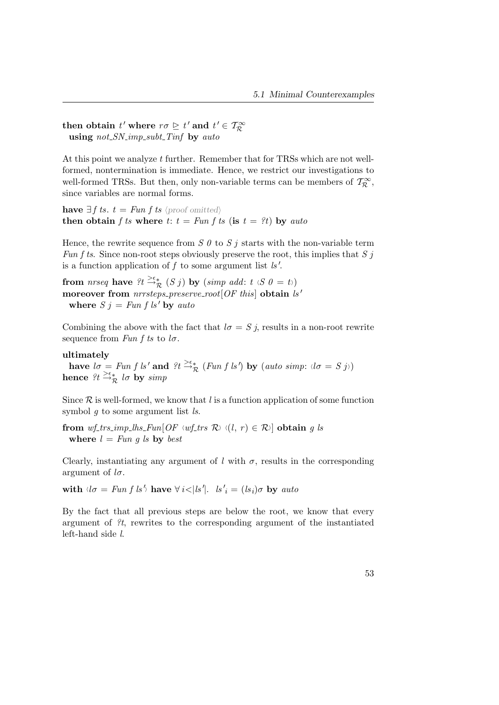then obtain  $t'$  where  $r\sigma \geq t'$  and  $t' \in \mathcal{T}^{\infty}_{\mathcal{R}}$ using  $not\_SN\_imp\_subt\_Tinf$  by auto

At this point we analyze t further. Remember that for TRSs which are not wellformed, nontermination is immediate. Hence, we restrict our investigations to well-formed TRSs. But then, only non-variable terms can be members of  $\mathcal{T}_{\mathcal{R}}^{\infty}$ , since variables are normal forms.

have  $\exists f$  ts.  $t = Fun f$  ts  $\langle proof$  omitted) then obtain f ts where t:  $t = Fun f t s$  (is  $t = ?t$ ) by auto

Hence, the rewrite sequence from  $S \theta$  to  $S j$  starts with the non-variable term Fun f ts. Since non-root steps obviously preserve the root, this implies that S j is a function application of  $f$  to some argument list  $ls'$ .

from nrseq have  $?t \stackrel{\geq \epsilon_*}{\rightarrow} (S j)$  by  $(simp \text{ } add: t \text{ } s\text{ } 0 = t)$ moreover from  $nrrsteps\_preserve\_root[OF this]$  obtain  $ns'$ where  $S j = Fun f ls'$  by auto

Combining the above with the fact that  $l\sigma = S j$ , results in a non-root rewrite sequence from Fun f ts to  $l\sigma$ .

## ultimately

have  $l\sigma = Fun f ls'$  and  $?t \stackrel{\gt_{\epsilon}}{\rightarrow} R$  (Fun f ls') by (auto simp:  $(l\sigma = S j)$ ) hence  $?t \stackrel{\geq \epsilon_{*}}{\rightarrow \infty} l\sigma$  by  $simp$ 

Since  $R$  is well-formed, we know that l is a function application of some function symbol  $q$  to some argument list  $ls$ .

from wf trs imp lhs Fun[OF <sup>h</sup>wf trs Ri h(l, r ) ∈ Ri] obtain g ls where  $l = Fun q$  is by best

Clearly, instantiating any argument of  $l$  with  $\sigma$ , results in the corresponding argument of  $l\sigma$ .

with  $d\sigma = Fun f \, ls' \rangle$  have  $\forall i < |ls'|$ .  $ls'_{i} = (ls_{i})\sigma$  by auto

By the fact that all previous steps are below the root, we know that every argument of ?t, rewrites to the corresponding argument of the instantiated left-hand side l.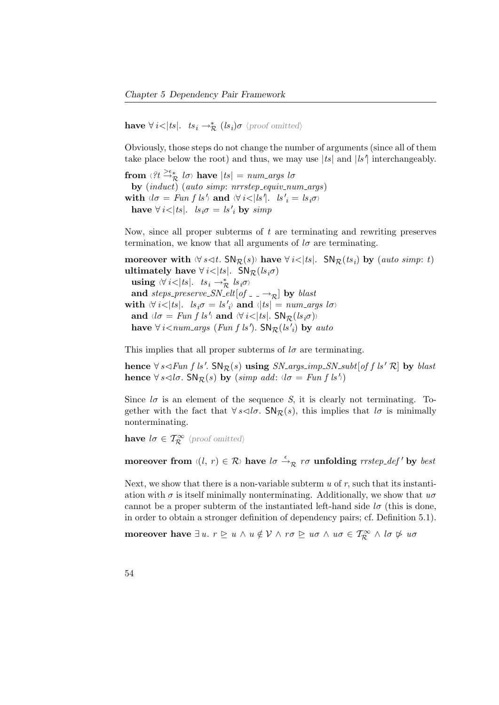have  $\forall i < |ts|$ .  $ts_i \rightarrow_{\mathcal{R}}^* (ls_i)\sigma$  (proof omitted)

Obviously, those steps do not change the number of arguments (since all of them take place below the root) and thus, we may use  $|ts|$  and  $|ls'|$  interchangeably.

from  $\langle ?t \stackrel{\geq \epsilon_*}{\rightarrow} l\sigma \rangle$  have  $|ts| = num_{\mathcal{A}}$  args  $l\sigma$ by  $(\textit{induct})$   $(\textit{auto simp:} nrrstep\_equiv\_num\_args)$ with  $\langle \log m | u \rangle = \log m \int k \, d\omega$  and  $\langle \forall i \rangle = | s | \delta |$ .  $\log l \rangle = | s_i \sigma \rangle$ have  $\forall i < |ts|$ .  $ls_i\sigma = ls'_i$  by  $simp$ 

Now, since all proper subterms of t are terminating and rewriting preserves termination, we know that all arguments of  $l\sigma$  are terminating.

moreover with  $\forall s \leq t$ . SN $\mathcal{R}(s)$  have  $\forall i < |ts|$ . SN $\mathcal{R}(ts_i)$  by (auto simp: t) ultimately have  $\forall i < |ts|$ . SN $_{\mathcal{R}}(ls_i\sigma)$ using  $\forall i < |ts|$ .  $ts_i \rightarrow_{\mathcal{R}}^*$   $ls_i\sigma$ and steps\_preserve\_SN\_elt[of  $\Box$   $\rightarrow$ <sub>R</sub>] by blast with  $\forall i < |ts|$ .  $ls_i\sigma = ls'_{i}$  and  $\langle |ts| = num_{\text{args}}$  lots and  $\langle \log h \rangle$  and  $\langle \log h \rangle$  and  $\langle \log h \rangle$  and  $\langle \log h \rangle$ have  $\forall i$ <num\_args (Fun f ls').  $\text{SN}_{\mathcal{R}}(ls'_{i})$  by auto

This implies that all proper subterms of  $l\sigma$  are terminating.

hence  $\forall s \triangleleft Fun f ls'. \mathsf{SN}_{\mathcal{R}}(s)$  using  $SN_{\neg}args_{\neg}mp_{\neg}SN_{\neg}subt[off ls' \mathcal{R}]$  by blast hence  $\forall s \triangleleft l \sigma$ . SN $\mathcal{R}(s)$  by  $(simp \text{ } add: \langle l \sigma = Fun \text{ } f \text{ } ls' \rangle)$ 

Since  $l\sigma$  is an element of the sequence S, it is clearly not terminating. Together with the fact that  $\forall s \triangleleft l\sigma$ . SN<sub>R</sub>(s), this implies that  $l\sigma$  is minimally nonterminating.

**have**  $l\sigma \in \mathcal{T}_{\mathcal{R}}^{\infty}$   $\langle \text{proof omitted} \rangle$ 

moreover from  $\langle (l, r) \in \mathcal{R} \rangle$  have  $l\sigma \stackrel{\epsilon}{\rightarrow}_{\mathcal{R}} r\sigma$  unfolding  $rrstep\_def'$  by best

Next, we show that there is a non-variable subterm  $u$  of  $r$ , such that its instantiation with  $\sigma$  is itself minimally nonterminating. Additionally, we show that  $u\sigma$ cannot be a proper subterm of the instantiated left-hand side  $l\sigma$  (this is done, in order to obtain a stronger definition of dependency pairs; cf. Definition [5.1\)](#page-40-1).

moreover have  $\exists u. r \trianglerighteq u \land u \notin V \land r\sigma \trianglerighteq u\sigma \land u\sigma \in T^{\infty}_{\mathcal{R}} \land l\sigma \not\rhd u\sigma$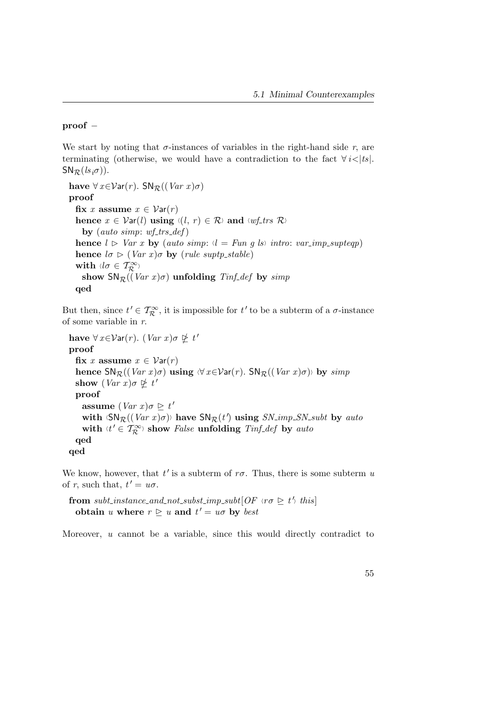## proof −

We start by noting that  $\sigma$ -instances of variables in the right-hand side r, are terminating (otherwise, we would have a contradiction to the fact  $\forall i < |ts|$ .  $SN_{\mathcal{R}}(ls_{i}\sigma)).$ 

```
have \forall x \in \mathcal{V}ar(r). SN<sub>R</sub>((Var x) \sigma)proof
   fix x assume x \in \mathcal{V}ar(r)hence x \in \mathcal{V}ar(l) using \langle (l, r) \in \mathcal{R} \rangle and \langle wf_{\mathcal{I}}trs \mathcal{R} \rangleby (auto simp: wf_trs_def)
   hence l \triangleright \text{Var } x by (auto simp: l = \text{Fun } g \text{ } ls) intro: var_imp_supteqp)
   hence l\sigma \triangleright (Var\ x)\sigma by (rule suptp_stable)
   with \langle l\sigma \in \mathcal{T}^{\infty}_{\mathcal{R}} \rangleshow \mathsf{SN}_\mathcal{R}((\text{Var } x) \sigma) unfolding \text{Tr} f_{\mathcal{A}} \text{def} by \text{Simp}qed
```
But then, since  $t' \in \mathcal{T}_{\mathcal{R}}^{\infty}$ , it is impossible for  $t'$  to be a subterm of a  $\sigma$ -instance of some variable in r.

have  $\forall x \in \mathcal{V}$ ar $(r)$ .  $(Var x) \sigma \nsubseteq t'$ proof fix x assume  $x \in \mathcal{V}ar(r)$ hence  $\text{SN}_{\mathcal{R}}((Var x) \sigma)$  using  $\forall x \in \mathcal{V}ar(r)$ .  $\text{SN}_{\mathcal{R}}((Var x) \sigma)$  by simp show  $(Var x) \sigma \not\succeq t'$ proof assume  $(Var x) \sigma \geq t'$ with  $\langle SN_{\mathcal{R}}((Var x) \sigma) \rangle$  have  $SN_{\mathcal{R}}(t')$  using  $SN\_imp\_SN\_subt$  by auto with  $\langle t' \in \mathcal{T}^{\infty}_{\mathcal{R}} \rangle$  show *False* unfolding *Tinf<sub>-</sub>def* by *auto* qed qed

We know, however, that  $t'$  is a subterm of  $r\sigma$ . Thus, there is some subterm u of r, such that,  $t' = u\sigma$ .

from subt\_instance\_and\_not\_subst\_imp\_subt $[OF\;$ <sub> $\forall \sigma \geq t'$ </sub> this obtain u where  $r \geq u$  and  $t' = u\sigma$  by best

Moreover, u cannot be a variable, since this would directly contradict to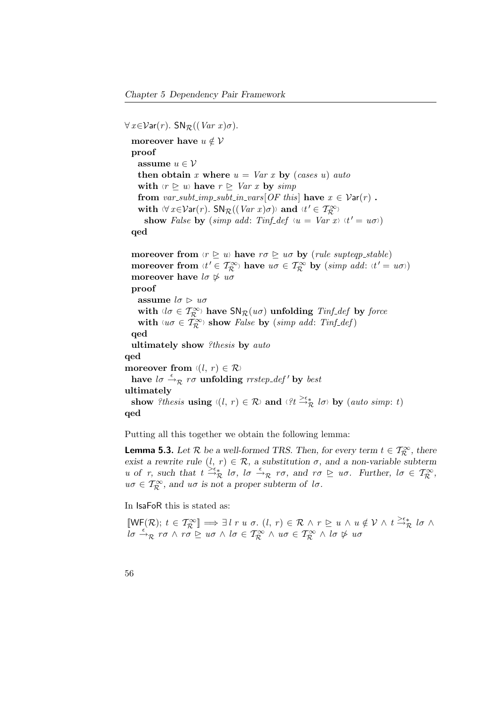$\forall x \in \mathcal{V}$ ar $(r)$ . SN<sub>R</sub> $((Var x) \sigma)$ . moreover have  $u \notin V$ proof assume  $u \in \mathcal{V}$ then obtain x where  $u = Var x$  by (cases u) auto with  $\langle r \trianglerighteq u \rangle$  have  $r \trianglerighteq Var x$  by simp from var\_subt\_imp\_subt\_in\_vars[OF this] have  $x \in \mathcal{V}ar(r)$ . with  $\forall x \in Var(r)$ . SN $_{\mathcal{R}}((Var x) \sigma)$  and  $\forall t' \in \mathcal{T}_{\mathcal{R}}^{\infty}$ show False by (simp add: Tinf-def  $\langle u = Var x \rangle \langle t' = u\sigma \rangle$ ) qed moreover from  $\langle r \triangleright u \rangle$  have  $r\sigma \triangleright u\sigma$  by (rule supteqp\_stable) moreover from  $\langle t' \in T_R^{\infty} \rangle$  have  $u\sigma \in T_R^{\infty}$  by  $(simp \text{ } add: \langle t' = u\sigma \rangle)$ moreover have  $l\sigma \not\triangleright u\sigma$ proof assume  $l\sigma \triangleright u\sigma$ with  $d\sigma \in T_{\mathcal{R}}^{\infty}$  have  $\mathsf{SN}_{\mathcal{R}}(u\sigma)$  unfolding  $\mathit{Tinf\_def}$  by force with  $\forall u \sigma \in \mathcal{T}_{\mathcal{R}}^{\infty}$  show *False* by (simp add: Tinf<sub>-</sub>def) qed ultimately show ?thesis by auto qed moreover from  $\langle (l, r) \in \mathcal{R} \rangle$ have  $l\sigma \stackrel{\epsilon}{\rightarrow}_{\mathcal{R}} r\sigma$  unfolding  $\mathit{rrstep\_\mathit{def}}'$  by best ultimately show ?thesis using  $\langle (l, r) \in \mathcal{R} \rangle$  and  $\langle ?t \stackrel{\geq \epsilon}{\rightarrow} _{\mathcal{R}} l\sigma \rangle$  by (auto simp: t) qed

Putting all this together we obtain the following lemma:

**Lemma 5.3.** Let  $\mathcal{R}$  be a well-formed TRS. Then, for every term  $t \in \mathcal{T}_{\mathcal{R}}^{\infty}$ , there exist a rewrite rule  $(l, r) \in \mathcal{R}$ , a substitution  $\sigma$ , and a non-variable subterm u of r, such that  $t \stackrel{\searrow_{\epsilon_*}}{\to_{\mathcal{R}}} l\sigma$ ,  $l\sigma \stackrel{\epsilon}{\to}_{\mathcal{R}} r\sigma$ , and  $r\sigma \geq u\sigma$ . Further,  $l\sigma \in \mathcal{T}_{\mathcal{R}}^{\infty}$ ,  $u\sigma \in \mathcal{T}_{\mathcal{R}}^{\infty}$ , and  $u\sigma$  is not a proper subterm of  $l\sigma$ .

In IsaFoR this is stated as:

 $\llbracket \mathsf{WF}(\mathcal{R}); t \in \mathcal{T}^{\infty}_{\mathcal{R}} \rrbracket \Longrightarrow \exists \, l \; r \; u \; \sigma. \ (l, r) \in \mathcal{R} \ \land \ r \geq u \, \land \ u \notin \mathcal{V} \ \land \ t \stackrel{\gt_{\epsilon}}{\rightarrow}_{\mathcal{R}} l \sigma \ \land$  $\int_a^b \vec{r} \cdot d\vec{r} \cdot d\vec{r}$   $\wedge$   $\vec{r} \cdot d\vec{r}$   $\wedge$   $\vec{r} \cdot d\vec{r}$   $\wedge$   $\vec{r} \cdot d\vec{r}$   $\wedge$   $\vec{r} \cdot d\vec{r}$   $\wedge$   $\vec{r} \cdot d\vec{r}$   $\wedge$   $\vec{r} \cdot d\vec{r}$   $\wedge$   $\vec{r} \cdot d\vec{r}$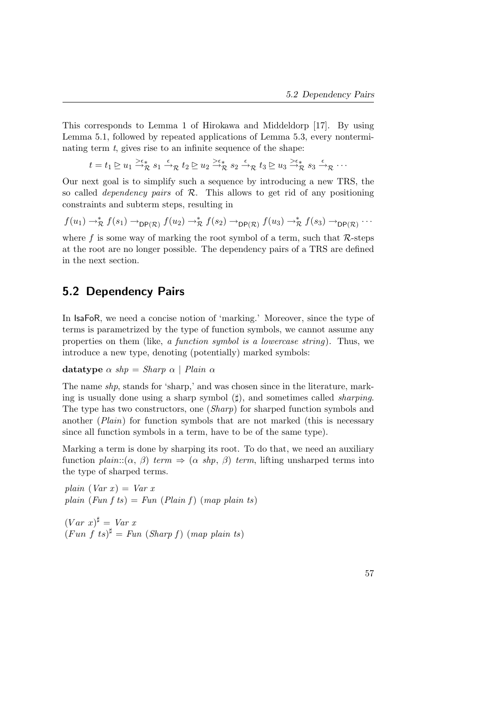This corresponds to Lemma 1 of Hirokawa and Middeldorp [\[17\]](#page-158-0). By using Lemma [5.1,](#page-43-0) followed by repeated applications of Lemma [5.3,](#page-71-0) every nonterminating term  $t$ , gives rise to an infinite sequence of the shape:

 $t = t_1 \trianglerighteq u_1 \stackrel{\gtimes \epsilon_*}{\rightarrow} g_1 \stackrel{\epsilon}{\rightarrow} g_2 \trianglerighteq u_2 \stackrel{\gtimes \epsilon_*}{\rightarrow} g_3 \stackrel{\epsilon}{\rightarrow} g_3 \stackrel{\gtimes \epsilon_*}{\rightarrow} g_3 \stackrel{\epsilon}{\rightarrow} g_3 \stackrel{\epsilon}{\rightarrow} g_3 \cdots$ 

Our next goal is to simplify such a sequence by introducing a new TRS, the so called *dependency pairs* of  $R$ . This allows to get rid of any positioning constraints and subterm steps, resulting in

 $f(u_1) \rightarrow_R^* f(s_1) \rightarrow_{\mathsf{DP}(\mathcal{R})} f(u_2) \rightarrow_R^* f(s_2) \rightarrow_{\mathsf{DP}(\mathcal{R})} f(u_3) \rightarrow_R^* f(s_3) \rightarrow_{\mathsf{DP}(\mathcal{R})} \cdots$ 

where f is some way of marking the root symbol of a term, such that  $\mathcal{R}$ -steps at the root are no longer possible. The dependency pairs of a TRS are defined in the next section.

## 5.2 Dependency Pairs

In IsaFoR, we need a concise notion of 'marking.' Moreover, since the type of terms is parametrized by the type of function symbols, we cannot assume any properties on them (like, a function symbol is a lowercase string). Thus, we introduce a new type, denoting (potentially) marked symbols:

datatype  $\alpha$  shp = Sharp  $\alpha$  | Plain  $\alpha$ 

The name shp, stands for 'sharp,' and was chosen since in the literature, marking is usually done using a sharp symbol  $(\sharp)$ , and sometimes called *sharping*. The type has two constructors, one (Sharp) for sharped function symbols and another (Plain) for function symbols that are not marked (this is necessary since all function symbols in a term, have to be of the same type).

Marking a term is done by sharping its root. To do that, we need an auxiliary function plain:: $(\alpha, \beta)$  term  $\Rightarrow$   $(\alpha \, shp, \beta)$  term, lifting unsharped terms into the type of sharped terms.

plain  $(Var x) = Var x$ plain (Fun f ts) = Fun (Plain f) (map plain ts)

 $(Var x)^{\sharp} = Var x$  $(Fun \, f \, ts)^{\sharp} = Fun \, (Sharp \, f) \, (map \, plain \, ts)$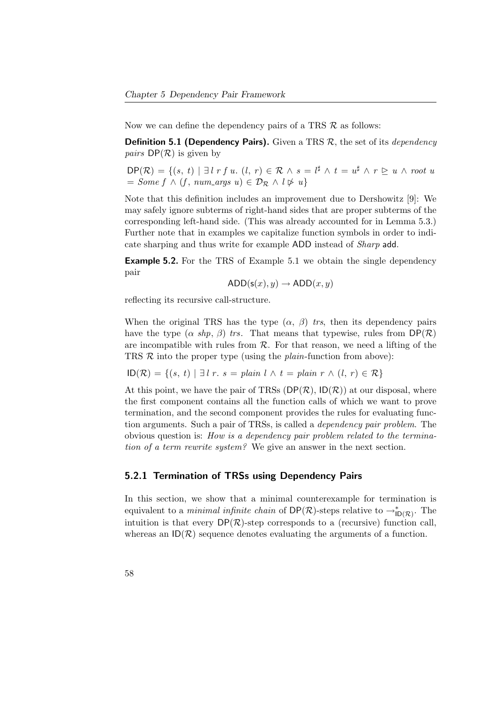Now we can define the dependency pairs of a TRS  $\mathcal R$  as follows:

**Definition 5.1 (Dependency Pairs).** Given a TRS  $\mathcal{R}$ , the set of its *dependency pairs*  $DP(R)$  is given by

 $\mathsf{DP}(\mathcal{R}) = \{(s, t) \mid \exists l \; r \; f \; u. \; (l, r) \in \mathcal{R} \land s = l^{\sharp} \land t = u^{\sharp} \land r \geq u \land root \; u\}$  $= Some f \wedge (f, num\_args u) \in \mathcal{D}_{\mathcal{R}} \wedge l \not\triangleright u$ 

Note that this definition includes an improvement due to Dershowitz [\[9\]](#page-157-0): We may safely ignore subterms of right-hand sides that are proper subterms of the corresponding left-hand side. (This was already accounted for in Lemma [5.3.](#page-71-0)) Further note that in examples we capitalize function symbols in order to indicate sharping and thus write for example ADD instead of Sharp add.

Example 5.2. For the TRS of Example [5.1](#page-40-0) we obtain the single dependency pair

 $ADD(s(x), y) \rightarrow ADD(x, y)$ 

reflecting its recursive call-structure.

When the original TRS has the type  $(\alpha, \beta)$  trs, then its dependency pairs have the type  $(\alpha \ shp, \beta)$  trs. That means that typewise, rules from  $\mathsf{DP}(\mathcal{R})$ are incompatible with rules from  $\mathcal{R}$ . For that reason, we need a lifting of the TRS  $R$  into the proper type (using the *plain*-function from above):

$$
ID(\mathcal{R}) = \{(s, t) \mid \exists l \ r. \ s = plain \ l \land t = plain \ r \land (l, r) \in \mathcal{R}\}\
$$

At this point, we have the pair of TRSs  $(DP(\mathcal{R}), D(\mathcal{R}))$  at our disposal, where the first component contains all the function calls of which we want to prove termination, and the second component provides the rules for evaluating function arguments. Such a pair of TRSs, is called a dependency pair problem. The obvious question is: How is a dependency pair problem related to the termination of a term rewrite system? We give an answer in the next section.

#### 5.2.1 Termination of TRSs using Dependency Pairs

In this section, we show that a minimal counterexample for termination is equivalent to a *minimal infinite chain* of  $DP(\mathcal{R})$ -steps relative to  $\rightarrow_{ID(\mathcal{R})}^*$ . The intuition is that every  $DP(R)$ -step corresponds to a (recursive) function call, whereas an  $ID(\mathcal{R})$  sequence denotes evaluating the arguments of a function.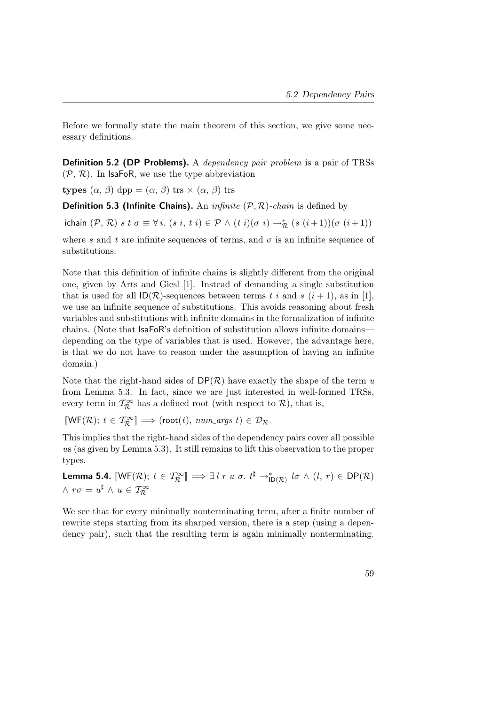Before we formally state the main theorem of this section, we give some necessary definitions.

Definition 5.2 (DP Problems). A dependency pair problem is a pair of TRSs  $(\mathcal{P}, \mathcal{R})$ . In IsaFoR, we use the type abbreviation

types  $(\alpha, \beta)$  dpp =  $(\alpha, \beta)$  trs  $\times$   $(\alpha, \beta)$  trs

**Definition 5.3 (Infinite Chains).** An *infinite*  $(P, R)$ -chain is defined by

ichain  $(\mathcal{P}, \mathcal{R})$  s t  $\sigma \equiv \forall i.$   $(s i, t i) \in \mathcal{P} \wedge (t i)(\sigma i) \rightarrow_{\mathcal{R}}^* (s (i+1))(\sigma (i+1))$ 

where s and t are infinite sequences of terms, and  $\sigma$  is an infinite sequence of substitutions.

Note that this definition of infinite chains is slightly different from the original one, given by Arts and Giesl [\[1\]](#page-156-0). Instead of demanding a single substitution that is used for all  $\mathsf{ID}(\mathcal{R})$ -sequences between terms t i and s  $(i+1)$ , as in [\[1\]](#page-156-0), we use an infinite sequence of substitutions. This avoids reasoning about fresh variables and substitutions with infinite domains in the formalization of infinite chains. (Note that IsaFoR's definition of substitution allows infinite domains depending on the type of variables that is used. However, the advantage here, is that we do not have to reason under the assumption of having an infinite domain.)

Note that the right-hand sides of  $DP(\mathcal{R})$  have exactly the shape of the term u from Lemma [5.3.](#page-71-0) In fact, since we are just interested in well-formed TRSs, every term in  $\mathcal{T}^{\infty}_{\mathcal{R}}$  has a defined root (with respect to  $\mathcal{R}$ ), that is,

 $\llbracket \mathsf{WF}(\mathcal{R}); t \in \mathcal{T}^\infty_\mathcal{R} \rrbracket \Longrightarrow (\mathsf{root}(t), \mathit{num\_\mathit{args}}\ t) \in \mathcal{D}_\mathcal{R}$ 

This implies that the right-hand sides of the dependency pairs cover all possible us (as given by Lemma [5.3\)](#page-71-0). It still remains to lift this observation to the proper types.

Lemma 5.4.  $[\![\mathsf{WF}(\mathcal{R});\;t\in\mathcal{T}^\infty_\mathcal{R}]\!]\Longrightarrow \exists\;l\;r\;u\;\sigma.\;t^\sharp\rightarrow^\ast_{|\mathsf{D}(\mathcal{R})}\;l\sigma\;\wedge\;(l,\;r)\in\mathsf{DP}(\mathcal{R})$  $\wedge$   $r\sigma = u^{\sharp} \wedge u \in T_{\mathcal{R}}^{\infty}$ 

We see that for every minimally nonterminating term, after a finite number of rewrite steps starting from its sharped version, there is a step (using a dependency pair), such that the resulting term is again minimally nonterminating.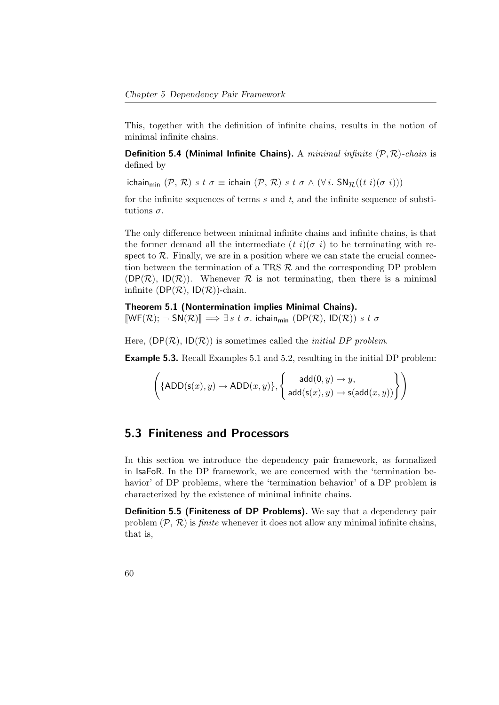This, together with the definition of infinite chains, results in the notion of minimal infinite chains.

**Definition 5.4 (Minimal Infinite Chains).** A minimal infinite  $(P, R)$ -chain is defined by

ichain<sub>min</sub>  $(\mathcal{P}, \mathcal{R})$  s t  $\sigma \equiv$  ichain  $(\mathcal{P}, \mathcal{R})$  s t  $\sigma \wedge (\forall i$ .  $SN_{\mathcal{R}}((t \ i)(\sigma \ i)))$ 

for the infinite sequences of terms  $s$  and  $t$ , and the infinite sequence of substitutions  $\sigma$ .

The only difference between minimal infinite chains and infinite chains, is that the former demand all the intermediate  $(t i)(\sigma i)$  to be terminating with respect to  $\mathcal{R}$ . Finally, we are in a position where we can state the crucial connection between the termination of a TRS  $\mathcal{R}$  and the corresponding DP problem  $(DP(\mathcal{R}), ID(\mathcal{R}))$ . Whenever  $\mathcal R$  is not terminating, then there is a minimal infinite ( $DP(\mathcal{R})$ ,  $ID(\mathcal{R})$ )-chain.

<span id="page-75-0"></span>Theorem 5.1 (Nontermination implies Minimal Chains).  $[WF(R); \neg SN(R)] \implies \exists s \ t \ \sigma.$  ichain<sub>min</sub>  $(DP(R), ID(R)) \ s \ t \ \sigma$ 

Here,  $(DP(\mathcal{R}), ID(\mathcal{R}))$  is sometimes called the *initial DP problem*.

<span id="page-75-1"></span>Example 5.3. Recall Examples [5.1](#page-40-0) and [5.2,](#page-55-0) resulting in the initial DP problem:

$$
\left(\{\mathsf{ADD}(\mathsf{s}(x), y) \rightarrow \mathsf{ADD}(x, y)\}, \left\{\begin{array}{c}\mathsf{add}(0, y) \rightarrow y, \\ \mathsf{add}(\mathsf{s}(x), y) \rightarrow \mathsf{s}(\mathsf{add}(x, y))\end{array}\right\}\right)
$$

## 5.3 Finiteness and Processors

In this section we introduce the dependency pair framework, as formalized in IsaFoR. In the DP framework, we are concerned with the 'termination behavior' of DP problems, where the 'termination behavior' of a DP problem is characterized by the existence of minimal infinite chains.

Definition 5.5 (Finiteness of DP Problems). We say that a dependency pair problem  $(\mathcal{P}, \mathcal{R})$  is *finite* whenever it does not allow any minimal infinite chains, that is,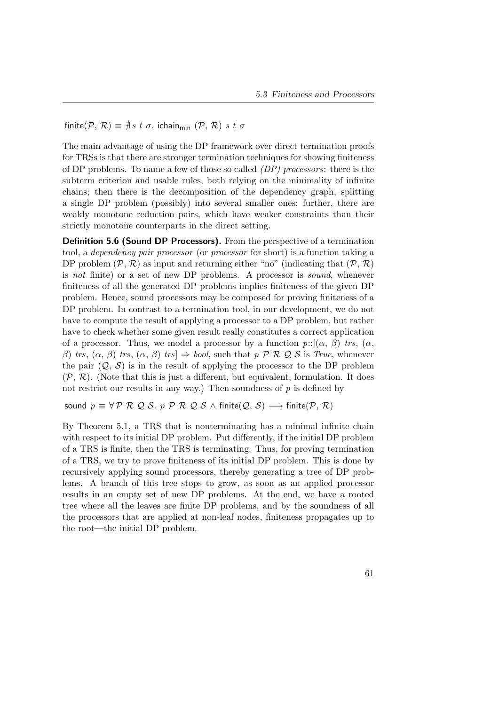finite( $P, R$ )  $\equiv \frac{1}{2} s t \sigma$ . ichain<sub>min</sub> ( $P, R$ ) s t  $\sigma$ 

The main advantage of using the DP framework over direct termination proofs for TRSs is that there are stronger termination techniques for showing finiteness of DP problems. To name a few of those so called  $(DP)$  processors: there is the subterm criterion and usable rules, both relying on the minimality of infinite chains; then there is the decomposition of the dependency graph, splitting a single DP problem (possibly) into several smaller ones; further, there are weakly monotone reduction pairs, which have weaker constraints than their strictly monotone counterparts in the direct setting.

**Definition 5.6 (Sound DP Processors).** From the perspective of a termination tool, a dependency pair processor (or processor for short) is a function taking a DP problem  $(\mathcal{P}, \mathcal{R})$  as input and returning either "no" (indicating that  $(\mathcal{P}, \mathcal{R})$ ) is not finite) or a set of new DP problems. A processor is sound, whenever finiteness of all the generated DP problems implies finiteness of the given DP problem. Hence, sound processors may be composed for proving finiteness of a DP problem. In contrast to a termination tool, in our development, we do not have to compute the result of applying a processor to a DP problem, but rather have to check whether some given result really constitutes a correct application of a processor. Thus, we model a processor by a function  $p::[(\alpha, \beta)$  trs,  $(\alpha, \beta)]$ β) trs,  $(α, β)$  trs,  $(α, β)$  trs  $\Rightarrow$  bool, such that p P R Q S is True, whenever the pair  $(Q, S)$  is in the result of applying the processor to the DP problem  $(\mathcal{P}, \mathcal{R})$ . (Note that this is just a different, but equivalent, formulation. It does not restrict our results in any way.) Then soundness of  $p$  is defined by

sound  $p \equiv \forall \mathcal{P} \mathcal{R} \mathcal{Q} \mathcal{S}$ . p  $\mathcal{P} \mathcal{R} \mathcal{Q} \mathcal{S} \wedge \text{finite}(\mathcal{Q}, \mathcal{S}) \longrightarrow \text{finite}(\mathcal{P}, \mathcal{R})$ 

By Theorem [5.1,](#page-75-0) a TRS that is nonterminating has a minimal infinite chain with respect to its initial DP problem. Put differently, if the initial DP problem of a TRS is finite, then the TRS is terminating. Thus, for proving termination of a TRS, we try to prove finiteness of its initial DP problem. This is done by recursively applying sound processors, thereby generating a tree of DP problems. A branch of this tree stops to grow, as soon as an applied processor results in an empty set of new DP problems. At the end, we have a rooted tree where all the leaves are finite DP problems, and by the soundness of all the processors that are applied at non-leaf nodes, finiteness propagates up to the root—the initial DP problem.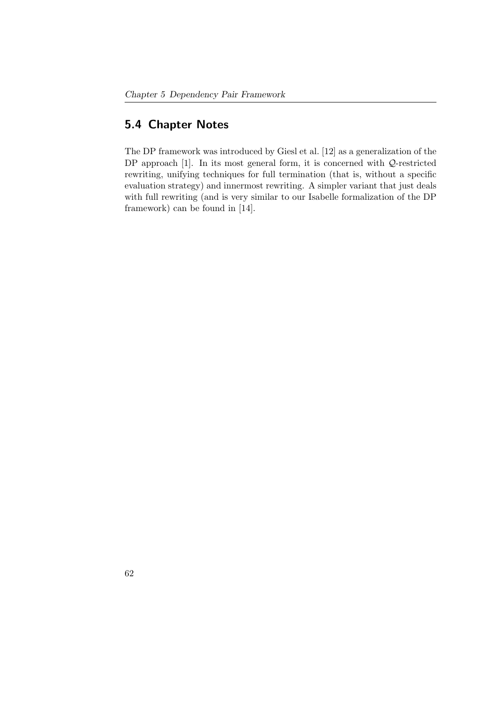## 5.4 Chapter Notes

The DP framework was introduced by Giesl et al. [\[12\]](#page-157-1) as a generalization of the DP approach [\[1\]](#page-156-0). In its most general form, it is concerned with  $Q$ -restricted rewriting, unifying techniques for full termination (that is, without a specific evaluation strategy) and innermost rewriting. A simpler variant that just deals with full rewriting (and is very similar to our Isabelle formalization of the DP framework) can be found in [\[14\]](#page-157-2).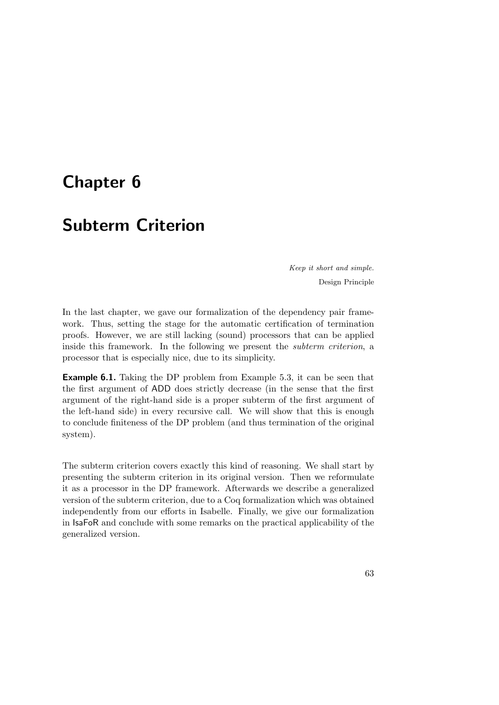# <span id="page-78-0"></span>Chapter 6

# Subterm Criterion

Keep it short and simple. Design Principle

In the last chapter, we gave our formalization of the dependency pair framework. Thus, setting the stage for the automatic certification of termination proofs. However, we are still lacking (sound) processors that can be applied inside this framework. In the following we present the subterm criterion, a processor that is especially nice, due to its simplicity.

Example 6.1. Taking the DP problem from Example [5.3,](#page-75-1) it can be seen that the first argument of ADD does strictly decrease (in the sense that the first argument of the right-hand side is a proper subterm of the first argument of the left-hand side) in every recursive call. We will show that this is enough to conclude finiteness of the DP problem (and thus termination of the original system).

The subterm criterion covers exactly this kind of reasoning. We shall start by presenting the subterm criterion in its original version. Then we reformulate it as a processor in the DP framework. Afterwards we describe a generalized version of the subterm criterion, due to a Coq formalization which was obtained independently from our efforts in Isabelle. Finally, we give our formalization in IsaFoR and conclude with some remarks on the practical applicability of the generalized version.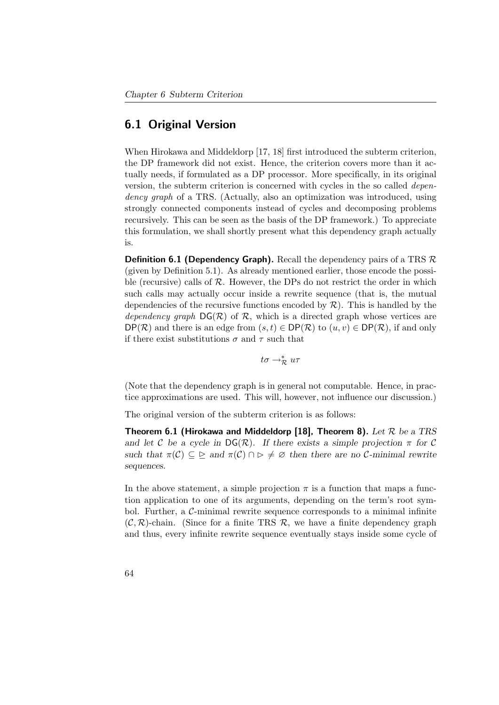## 6.1 Original Version

When Hirokawa and Middeldorp [\[17,](#page-158-0) [18\]](#page-158-1) first introduced the subterm criterion, the DP framework did not exist. Hence, the criterion covers more than it actually needs, if formulated as a DP processor. More specifically, in its original version, the subterm criterion is concerned with cycles in the so called dependency graph of a TRS. (Actually, also an optimization was introduced, using strongly connected components instead of cycles and decomposing problems recursively. This can be seen as the basis of the DP framework.) To appreciate this formulation, we shall shortly present what this dependency graph actually is.

**Definition 6.1 (Dependency Graph).** Recall the dependency pairs of a TRS  $\mathcal{R}$ (given by Definition [5.1\)](#page-40-1). As already mentioned earlier, those encode the possible (recursive) calls of  $R$ . However, the DPs do not restrict the order in which such calls may actually occur inside a rewrite sequence (that is, the mutual dependencies of the recursive functions encoded by  $\mathcal{R}$ ). This is handled by the dependency graph  $DG(\mathcal{R})$  of  $\mathcal{R}$ , which is a directed graph whose vertices are  $DP(\mathcal{R})$  and there is an edge from  $(s, t) \in DP(\mathcal{R})$  to  $(u, v) \in DP(\mathcal{R})$ , if and only if there exist substitutions  $\sigma$  and  $\tau$  such that

 $t\sigma \rightarrow_{\mathcal{R}}^* u\tau$ 

(Note that the dependency graph is in general not computable. Hence, in practice approximations are used. This will, however, not influence our discussion.)

The original version of the subterm criterion is as follows:

Theorem 6.1 (Hirokawa and Middeldorp [\[18\]](#page-158-1), Theorem 8). Let  $\mathcal R$  be a TRS and let C be a cycle in  $DG(\mathcal{R})$ . If there exists a simple projection  $\pi$  for C such that  $\pi(\mathcal{C}) \subseteq \Sigma$  and  $\pi(\mathcal{C}) \cap \Sigma \neq \emptyset$  then there are no C-minimal rewrite sequences.

In the above statement, a simple projection  $\pi$  is a function that maps a function application to one of its arguments, depending on the term's root symbol. Further, a  $\mathcal{C}\text{-minimal}$  rewrite sequence corresponds to a minimal infinite  $(C, \mathcal{R})$ -chain. (Since for a finite TRS  $\mathcal{R}$ , we have a finite dependency graph and thus, every infinite rewrite sequence eventually stays inside some cycle of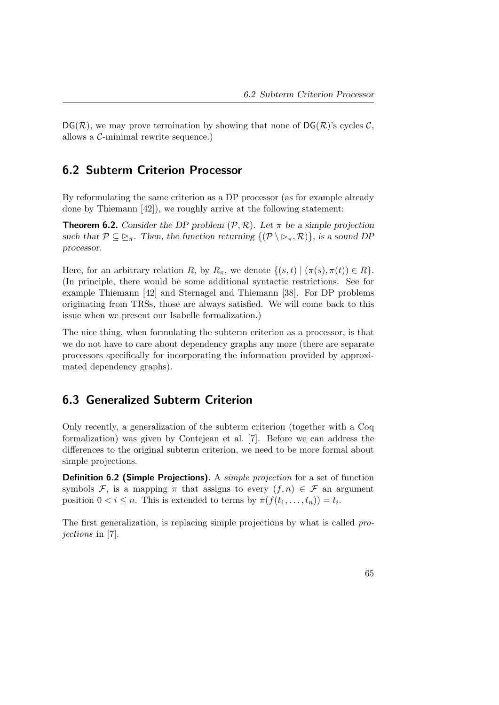$DG(\mathcal{R})$ , we may prove termination by showing that none of  $DG(\mathcal{R})$ 's cycles  $\mathcal{C}$ , allows a C-minimal rewrite sequence.)

## 6.2 Subterm Criterion Processor

By reformulating the same criterion as a DP processor (as for example already done by Thiemann [\[42\]](#page-161-0)), we roughly arrive at the following statement:

<span id="page-80-0"></span>**Theorem 6.2.** Consider the DP problem  $(\mathcal{P}, \mathcal{R})$ . Let  $\pi$  be a simple projection such that  $\mathcal{P} \subseteq \Sigma_{\pi}$ . Then, the function returning  $\{(\mathcal{P} \setminus \Sigma_{\pi}, \mathcal{R})\}\)$ , is a sound DP processor.

Here, for an arbitrary relation R, by  $R_\pi$ , we denote  $\{(s,t) | (\pi(s), \pi(t)) \in R\}.$ (In principle, there would be some additional syntactic restrictions. See for example Thiemann [\[42\]](#page-161-0) and Sternagel and Thiemann [\[38\]](#page-160-0). For DP problems originating from TRSs, those are always satisfied. We will come back to this issue when we present our Isabelle formalization.)

The nice thing, when formulating the subterm criterion as a processor, is that we do not have to care about dependency graphs any more (there are separate processors specifically for incorporating the information provided by approximated dependency graphs).

## 6.3 Generalized Subterm Criterion

Only recently, a generalization of the subterm criterion (together with a Coq formalization) was given by Contejean et al. [\[7\]](#page-156-1). Before we can address the differences to the original subterm criterion, we need to be more formal about simple projections.

**Definition 6.2 (Simple Projections).** A *simple projection* for a set of function symbols F, is a mapping  $\pi$  that assigns to every  $(f, n) \in \mathcal{F}$  an argument position  $0 < i \leq n$ . This is extended to terms by  $\pi(f(t_1, \ldots, t_n)) = t_i$ .

The first generalization, is replacing simple projections by what is called projections in [\[7\]](#page-156-1).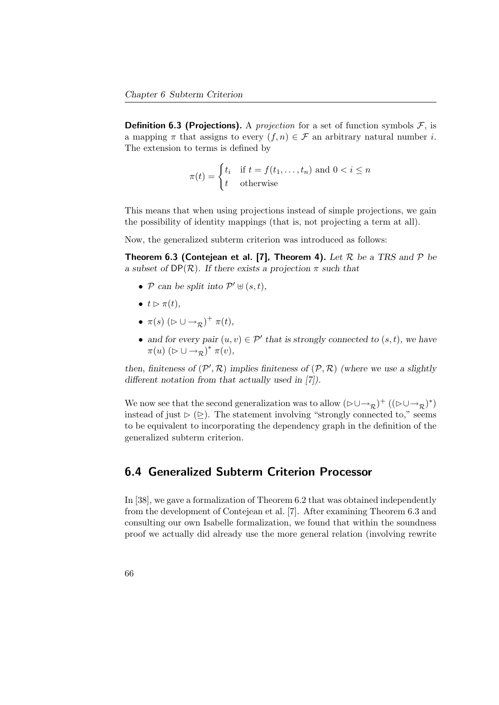**Definition 6.3 (Projections).** A *projection* for a set of function symbols  $\mathcal{F}$ , is a mapping  $\pi$  that assigns to every  $(f, n) \in \mathcal{F}$  an arbitrary natural number *i*. The extension to terms is defined by

$$
\pi(t) = \begin{cases} t_i & \text{if } t = f(t_1, \dots, t_n) \text{ and } 0 < i \le n \\ t & \text{otherwise} \end{cases}
$$

This means that when using projections instead of simple projections, we gain the possibility of identity mappings (that is, not projecting a term at all).

<span id="page-81-0"></span>Now, the generalized subterm criterion was introduced as follows:

**Theorem 6.3 (Contejean et al. [\[7\]](#page-156-1), Theorem 4).** Let  $\mathcal{R}$  be a TRS and  $\mathcal{P}$  be a subset of  $DP(\mathcal{R})$ . If there exists a projection  $\pi$  such that

- P can be split into  $\mathcal{P}' \uplus (s, t)$ ,
- $t \triangleright \pi(t)$ ,
- $\pi(s)$   $(\triangleright \cup \rightarrow_{\mathcal{R}})^{+}$   $\pi(t)$ ,
- and for every pair  $(u, v) \in \mathcal{P}'$  that is strongly connected to  $(s, t)$ , we have  $\pi(u)$   $(\triangleright \cup \rightarrow_{\mathcal{R}}^{\mathcal{R}})$ <sup>\*</sup>  $\pi(v)$ ,

then, finiteness of  $(\mathcal{P}', \mathcal{R})$  implies finiteness of  $(\mathcal{P}, \mathcal{R})$  (where we use a slightly different notation from that actually used in [\[7\]](#page-156-1)).

We now see that the second generalization was to allow  $(\triangleright\cup\rightarrow_R)^+$   $((\triangleright\cup\rightarrow_R)^*)$ instead of just  $\triangleright$  ( $\triangleright$ ). The statement involving "strongly connected to," seems to be equivalent to incorporating the dependency graph in the definition of the generalized subterm criterion.

## 6.4 Generalized Subterm Criterion Processor

In [\[38\]](#page-160-0), we gave a formalization of Theorem [6.2](#page-80-0) that was obtained independently from the development of Contejean et al. [\[7\]](#page-156-1). After examining Theorem [6.3](#page-81-0) and consulting our own Isabelle formalization, we found that within the soundness proof we actually did already use the more general relation (involving rewrite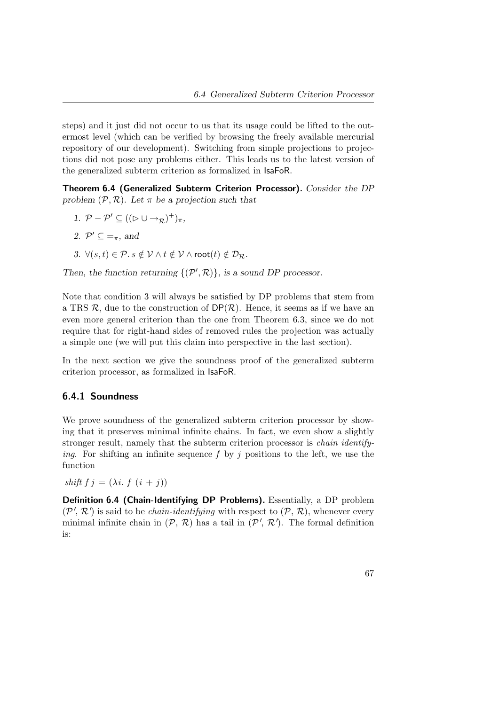steps) and it just did not occur to us that its usage could be lifted to the outermost level (which can be verified by browsing the freely available mercurial repository of our development). Switching from simple projections to projections did not pose any problems either. This leads us to the latest version of the generalized subterm criterion as formalized in IsaFoR.

<span id="page-82-1"></span>Theorem 6.4 (Generalized Subterm Criterion Processor). Consider the DP problem  $(\mathcal{P}, \mathcal{R})$ . Let  $\pi$  be a projection such that

- 1.  $\mathcal{P} \mathcal{P}' \subseteq ((\triangleright \cup \rightarrow_{\mathcal{R}})^+)_{\pi},$
- 2.  $\mathcal{P}' \subseteq \mathcal{F}$ , and
- <span id="page-82-0"></span>3.  $\forall (s,t) \in \mathcal{P}. s \notin \mathcal{V} \land t \notin \mathcal{V} \land \mathsf{root}(t) \notin \mathcal{D}_{\mathcal{R}}.$

Then, the function returning  $\{(\mathcal{P}',\mathcal{R})\}\)$ , is a sound DP processor.

Note that condition [3](#page-82-0) will always be satisfied by DP problems that stem from a TRS  $\mathcal{R}$ , due to the construction of  $DP(\mathcal{R})$ . Hence, it seems as if we have an even more general criterion than the one from Theorem [6.3,](#page-81-0) since we do not require that for right-hand sides of removed rules the projection was actually a simple one (we will put this claim into perspective in the last section).

In the next section we give the soundness proof of the generalized subterm criterion processor, as formalized in IsaFoR.

### 6.4.1 Soundness

We prove soundness of the generalized subterm criterion processor by showing that it preserves minimal infinite chains. In fact, we even show a slightly stronger result, namely that the subterm criterion processor is chain identifying. For shifting an infinite sequence f by j positions to the left, we use the function

shift f j =  $(\lambda i. f (i + j))$ 

Definition 6.4 (Chain-Identifying DP Problems). Essentially, a DP problem  $(\mathcal{P}', \mathcal{R}')$  is said to be *chain-identifying* with respect to  $(\mathcal{P}, \mathcal{R})$ , whenever every minimal infinite chain in  $(\mathcal{P}, \mathcal{R})$  has a tail in  $(\mathcal{P}', \mathcal{R}')$ . The formal definition is: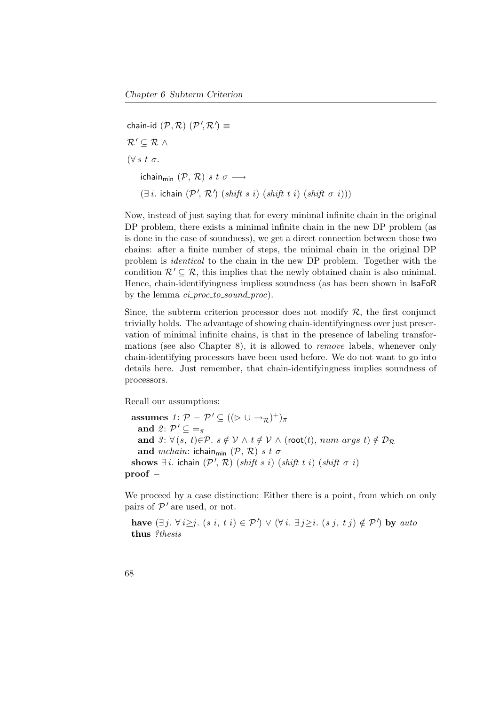chain-id  $(\mathcal{P}, \mathcal{R})$   $(\mathcal{P}', \mathcal{R}') \equiv$  $\mathcal{R}' \subseteq \mathcal{R} \wedge$  $(\forall s \ t \ \sigma.$ ichain<sub>min</sub>  $(\mathcal{P}, \mathcal{R})$  s t  $\sigma \longrightarrow$  $(\exists i.$  ichain  $(\mathcal{P}', \mathcal{R}')$  (shift s i) (shift t i) (shift  $\sigma$  i)))

Now, instead of just saying that for every minimal infinite chain in the original DP problem, there exists a minimal infinite chain in the new DP problem (as is done in the case of soundness), we get a direct connection between those two chains: after a finite number of steps, the minimal chain in the original DP problem is identical to the chain in the new DP problem. Together with the condition  $\mathcal{R}' \subseteq \mathcal{R}$ , this implies that the newly obtained chain is also minimal. Hence, chain-identifyingness impliess soundness (as has been shown in IsaFoR by the lemma  $ci\_proc\_to\_sound\_proc$ .

Since, the subterm criterion processor does not modify  $\mathcal{R}$ , the first conjunct trivially holds. The advantage of showing chain-identifyingness over just preservation of minimal infinite chains, is that in the presence of labeling transformations (see also Chapter [8\)](#page-112-0), it is allowed to remove labels, whenever only chain-identifying processors have been used before. We do not want to go into details here. Just remember, that chain-identifyingness implies soundness of processors.

Recall our assumptions:

assumes  $1: \mathcal{P} - \mathcal{P}' \subseteq ((\triangleright \cup \rightarrow_{\mathcal{R}})^+)_{\pi}$ and  $2: \mathcal{P}' \subseteq \mathcal{F}$ and  $3: \forall (s, t) \in \mathcal{P}$ .  $s \notin V \land t \notin V \land (root(t), num\_args t) \notin \mathcal{D}_{\mathcal{R}}$ and mchain: ichain<sub>min</sub>  $(\mathcal{P}, \mathcal{R})$  s t  $\sigma$ shows  $\exists i$ . ichain  $(\mathcal{P}', \mathcal{R})$  (shift s i) (shift t i) (shift  $\sigma$  i) proof −

We proceed by a case distinction: Either there is a point, from which on only pairs of  $P'$  are used, or not.

have  $(\exists j. \forall i \geq j. (s i, t i) \in P') \vee (\forall i. \exists j \geq i. (s j, t j) \notin P')$  by auto thus ?thesis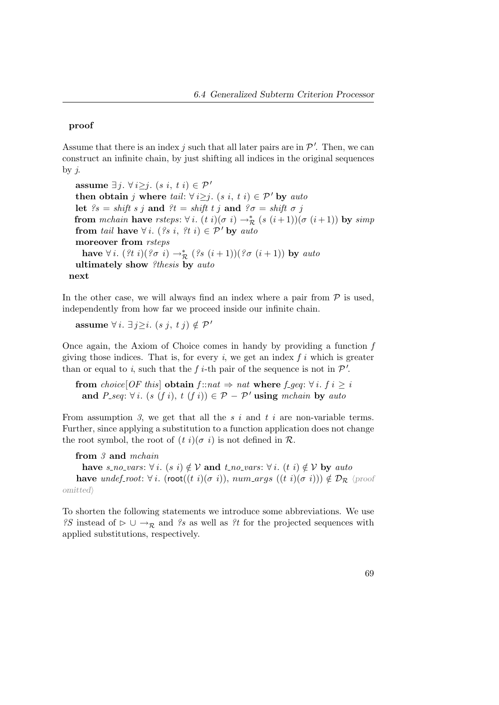#### proof

Assume that there is an index j such that all later pairs are in  $\mathcal{P}'$ . Then, we can construct an infinite chain, by just shifting all indices in the original sequences by  $j$ .

assume ∃ *j*.  $\forall i \geq j$ .  $(s i, t i) \in \mathcal{P}'$ then obtain j where tail:  $\forall i \geq j$ . (s i, t i)  $\in \mathcal{P}'$  by auto let  $\ell s = shift \ s \ j \ and \ \ell t = shift \ t \ j \ and \ \ell \sigma = shift \ \sigma \ j$ from mchain have rsteps:  $\forall i. (t \ i)(\sigma \ i) \rightarrow_{\mathcal{R}}^* (s \ (i+1))(\sigma \ (i+1))$  by simp from tail have  $\forall i.$  (?s i, ?t i)  $\in \mathcal{P}'$  by auto moreover from rsteps have  $\forall i.$   $($ ?t i $)($ ? $\sigma i) \rightarrow_{\mathcal{R}}^*$   $($ ?s  $(i+1))$  $($ ? $\sigma (i+1))$  by auto ultimately show ?thesis by auto next

In the other case, we will always find an index where a pair from  $P$  is used, independently from how far we proceed inside our infinite chain.

**assume**  $\forall i$ . ∃*j*≥*i*. (*sj*, *tj*) ∉ *P*<sup>*'*</sup>

Once again, the Axiom of Choice comes in handy by providing a function  $f$ giving those indices. That is, for every  $i$ , we get an index  $f i$  which is greater than or equal to i, such that the f i-th pair of the sequence is not in  $\mathcal{P}'$ .

from choice[OF this] obtain  $f : nat \Rightarrow nat$  where  $f \neq q$ :  $\forall i. f i > i$ and P\_seq:  $\forall i$ . (s (f i), t (f i))  $\in \mathcal{P} - \mathcal{P}'$  using mchain by auto

From assumption 3, we get that all the  $s$  i and  $t$  i are non-variable terms. Further, since applying a substitution to a function application does not change the root symbol, the root of  $(t i)(\sigma i)$  is not defined in  $\mathcal{R}$ .

from 3 and mchain have s\_no\_vars:  $\forall i$ . (s i)  $\notin \mathcal{V}$  and t\_no\_vars:  $\forall i$ . (t i)  $\notin \mathcal{V}$  by auto have undef-root:  $\forall i$ . (root((t i)( $\sigma$  i)), num args ((t i)( $\sigma$  i)))  $\notin \mathcal{D}_{\mathcal{R}}$  (proof  $omitted\rangle$ 

To shorten the following statements we introduce some abbreviations. We use ?S instead of  $\triangleright \cup \rightarrow_{\mathcal{R}}$  and ?s as well as ?t for the projected sequences with applied substitutions, respectively.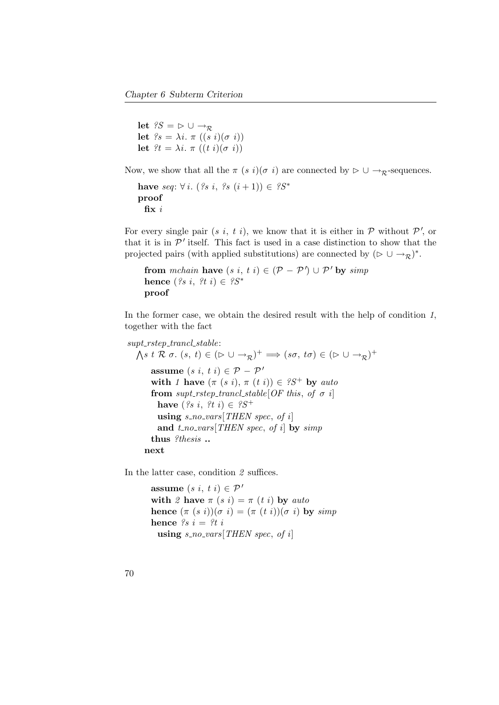```
let ?S = \triangleright \cup \rightarrow_{\mathcal{R}}let \ell s = \lambda i. \pi ((s i)(\sigma i))let \hat{z}t = \lambda i \cdot \pi ((t i)(\sigma i))
```
Now, we show that all the  $\pi$  (s i)( $\sigma$  i) are connected by  $\triangleright \cup \rightarrow_{\mathcal{D}}$ -sequences.

```
have seq: \forall i. (?s i, ?s (i + 1)) \in ?S<sup>*</sup>
proof
  fix i
```
For every single pair  $(s, i, t, i)$ , we know that it is either in  $P$  without  $P'$ , or that it is in  $\mathcal{P}'$  itself. This fact is used in a case distinction to show that the projected pairs (with applied substitutions) are connected by  $(\triangleright \cup \rightarrow_{\mathcal{R}})^*$ .

```
from mchain have (s \, i, t \, i) \in (\mathcal{P} - \mathcal{P}') \cup \mathcal{P}' by simphence (\ell s \, i, \, \ell t \, i) \in \ell S^*proof
```
In the former case, we obtain the desired result with the help of condition 1, together with the fact

```
supt\_rstep\_trancl\_stable:
    \bigwedge s \; t \; \mathcal{R} \; \sigma. \; (s, \; t) \in (\triangleright \cup \rightarrow_{\mathcal{R}})^{+} \Longrightarrow (s\sigma, \; t\sigma) \in (\triangleright \cup \rightarrow_{\mathcal{R}})^{+}assume (s \, i, t \, i) \in \mathcal{P} - \mathcal{P}'with 1 have (\pi (s i), \pi (t i)) \in S^+ by auto
           from supt_rstep_trancl_stable[OF this, of \sigma i]
              have (\mathscr{S} \mathscr{S} \mathscr{S} \mathscr{S} \mathscr{S}^+ \mathscr{S} \mathscr{S}^+) \in \mathscr{S} \mathscr{S}^+using s-no-vars[THEN spec, of i]
              and t_{no\_vars}[THEN\ spec, of\ i] by simpthus ?thesis ..
        next
```
In the latter case, condition 2 suffices.

assume  $(s i, t i) \in \mathcal{P}'$ with 2 have  $\pi$  (s i) =  $\pi$  (t i) by auto hence  $(\pi (s i))(\sigma i) = (\pi (t i))(\sigma i)$  by simp hence  $?s i = ?t i$ using  $s_{no\_vars}[THEN\ spec, of\ i]$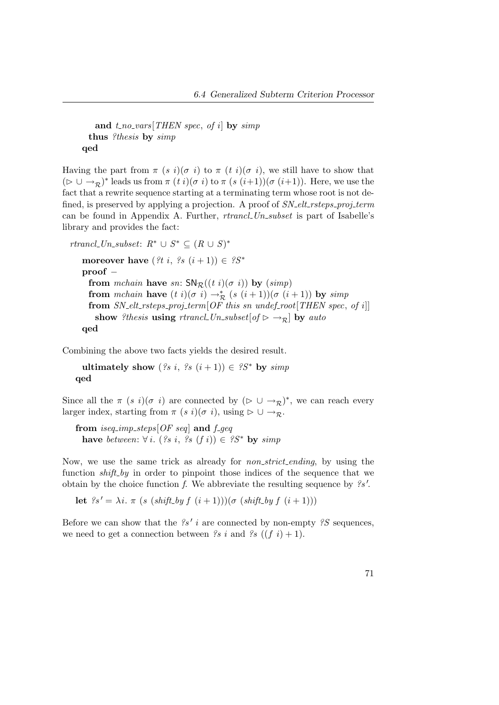```
and t_{no\_vars}[THEN\ spec, of\ i] by simpthus ?thesis by simp
qed
```
Having the part from  $\pi$  (s i)( $\sigma$  i) to  $\pi$  (t i)( $\sigma$  i), we still have to show that  $(\triangleright \cup \rightarrow_{\mathcal{R}})^*$  leads us from  $\pi$   $(t \, i)(\sigma \, i)$  to  $\pi$   $(s \, (i+1))(\sigma \, (i+1))$ . Here, we use the fact that a rewrite sequence starting at a terminating term whose root is not defined, is preserved by applying a projection. A proof of  $SN_{\text{-}elt\_rsteps\_proj\_term}$ can be found in Appendix [A.](#page-136-0) Further, rtrancl Un subset is part of Isabelle's library and provides the fact:

rtrancl\_Un\_subset:  $R^* \cup S^* \subseteq (R \cup S)^*$ 

moreover have  $(?t i, ?s (i+1)) \in ?S^*$ proof − from mchain have sn:  $SN_{\mathcal{R}}((t\ i)(\sigma\ i))$  by  $(simp)$ from mchain have  $(t i)(\sigma i) \rightarrow_{\mathcal{R}}^* (s (i+1))(\sigma (i+1))$  by simp from  $SN_{\text{-}elt\_rsteps\_proj\_{\text{-}term}[OF\, this\,sn\,undef\_root[THEN\,spec,\,of\,i]]$ show ?thesis using rtrancl Un\_subset  $[of \rhd \rightharpoonup_R]$  by auto qed

Combining the above two facts yields the desired result.

ultimately show  $(\ell s \, i, \, \ell s \, (i+1)) \in \ell S^*$  by simp qed

Since all the  $\pi$  (s i)( $\sigma$  i) are connected by ( $\triangleright \cup \rightarrow_{\mathcal{R}}$ )<sup>\*</sup>, we can reach every larger index, starting from  $\pi$  (s i)( $\sigma$  i), using  $\triangleright \cup \rightarrow_{\mathcal{R}}$ .

from iseq\_imp\_steps[OF seq] and  $f$ -geq have between:  $\forall i.$  (?s i, ?s (f i))  $\in$  ?S\* by simp

Now, we use the same trick as already for *non-strict-ending*, by using the function *shift-by* in order to pinpoint those indices of the sequence that we obtain by the choice function f. We abbreviate the resulting sequence by  $\mathscr{S}\mathscr{S}'$ .

let  $\ell s' = \lambda i$ .  $\pi$  (s (shift by f (i + 1)))( $\sigma$  (shift by f (i + 1)))

Before we can show that the  $\mathscr{S}'$  i are connected by non-empty  $\mathscr{S}'$  sequences, we need to get a connection between  $\mathscr{S} s i$  and  $\mathscr{S} s ((f i) + 1)$ .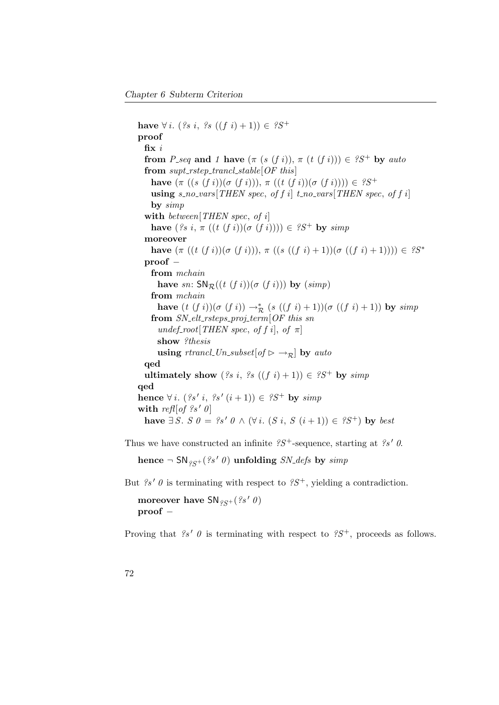have  $\forall i.$  (?s i, ?s  $((f\ i)+1)) \in$  ?S<sup>+</sup> proof fix i from P seq and 1 have  $(\pi (s (f i)), \pi (t (f i))) \in S^{+}$  by auto from  $\text{supt\_rstep\_trancl\_stable}$ [OF this] have  $(\pi ((s (f i))(\sigma (f i))), \pi ((t (f i))(\sigma (f i)))) \in \mathscr{D}^+$ using s\_no\_vars[THEN spec, of f i] t\_no\_vars[THEN spec, of f i] by  $simp$ with between [THEN spec, of i] have  $({}^{\circ}s\,i,\,\pi\,((t\;(f\;i))(\sigma\;(f\;i))))\in {}^{\circ}S^{+}$  by simp moreover have  $(\pi ((t (f i))(\sigma (f i))), \pi ((s ((f i) + 1))(\sigma ((f i) + 1)))) \in ?S^*$ proof − from mchain have sn:  $SN_{\mathcal{R}}((t (f i))(\sigma (f i)))$  by  $(simp)$ from mchain have  $(t (f i))(\sigma (f i)) \to_R^* (s ((f i) + 1))(\sigma ((f i) + 1))$  by  $simp$ from  $SN_{\text{-}elt\_rsteps\_proj_{\text{-}}term[OF\ this\ sn$ undef\_root[THEN spec, of f i], of  $\pi$ ] show ?thesis using rtrancl Un subset  $of \rhd \rightharpoonup_{\mathcal{P}}$  by auto qed ultimately show  $({}^{2}s i, {}^{2}s ((f i)+1)) \in {}^{2}S^{+}$  by simp qed hence  $\forall i. (2s' i, 2s' (i+1)) \in 2S^+$  by  $simp$ with refl[of ?s' 0] have  $\exists S. S \theta = \{s' \theta \wedge (\forall i. (S i, S (i+1)) \in \{S^+\}\)math> by best$ 

Thus we have constructed an infinite  $\mathscr{L}S^+$ -sequence, starting at  $\mathscr{L}S'$  0.

hence  $\neg SN_{eq}$  (?s' 0) unfolding SN\_defs by simp

But  $\mathscr{S}'\theta$  is terminating with respect to  $\mathscr{S}S^+$ , yielding a contradiction.

moreover have  $SN_{gc+}(?s' 0)$ proof −

Proving that  $\mathscr{S}'$  0 is terminating with respect to  $\mathscr{S}S^+$ , proceeds as follows.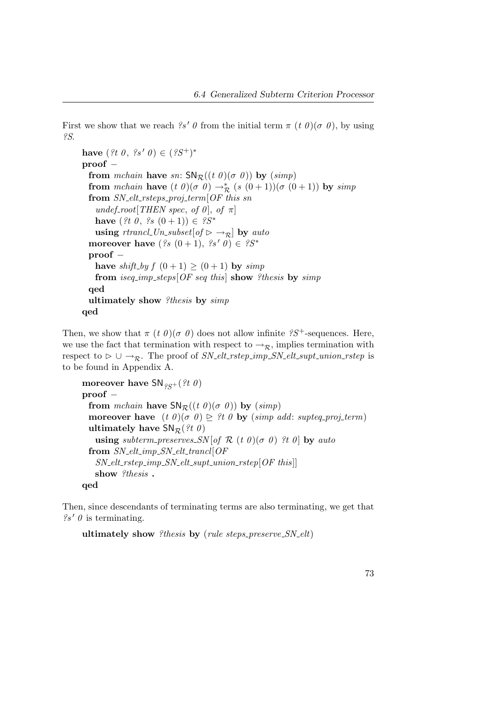First we show that we reach  $\mathscr{S}'\theta$  from the initial term  $\pi$  (t  $\theta$ )( $\sigma$   $\theta$ ), by using ?S.

```
have ({}^{2}t \theta, {}^{2}s' \theta) \in ({}^{2}S^{+})^*proof −
 from mchain have sn: SN_{\mathcal{R}}((t\theta)(\sigma\theta)) by (simp)from mchain have (t \theta)(\sigma \theta) \rightarrow_R^* (s(0+1))(\sigma(0+1)) by simp
 from SN_{\text{elt\_rsteps\_proj\_term}}[OF] this sn
    undef-root[THEN spec, of \theta], of \pi]
    have ({}^{2}t \theta, {}^{2}s (0+1)) \in {}^{2}S^*using rtrancl Un_subset[of \rhd \rightarrow_R] by auto
 moreover have ({}^{?}s(0+1), {}^{?}s'0) \in {}^{?}S^*proof −
   have shift-by f(0+1) \ge (0+1) by simp
    from iseq_imp_steps[OF seq this] show ?thesis by simp
 qed
 ultimately show ?thesis by simp
qed
```
Then, we show that  $\pi(t \theta)(\sigma \theta)$  does not allow infinite  $\mathscr{S}S^+$ -sequences. Here, we use the fact that termination with respect to  $\rightarrow_{\mathcal{R}}$ , implies termination with respect to  $\triangleright \cup \rightarrow_{\mathcal{R}}$ . The proof of SN\_elt\_rstep\_imp\_SN\_elt\_supt\_union\_rstep is to be found in Appendix [A.](#page-136-0)

```
moreover have SN_{\varrho_S}(?t \theta)proof −
 from mchain have SN_{\mathcal{R}}((t\theta)(\sigma\theta)) by (simp)moreover have (t \theta)(\sigma \theta) \geq ?t \theta by (simp add: supteq-proj-term)
 ultimately have \text{SN}_{\mathcal{R}}(\mathcal{H} \theta)using subterm preserves SN[ of R(t 0)(\sigma 0) ?t 0 by auto
 from SN\_elt\_imp\_SN\_elt\_trancl[OF]SN_{\text{u}} elt_rstep_imp_SN_elt_supt_union_rstep[OF this]]
   show ?thesis.
qed
```
Then, since descendants of terminating terms are also terminating, we get that  $\mathscr{S}'\theta$  is terminating.

ultimately show ?thesis by (rule steps preserve  $SN$ -elt)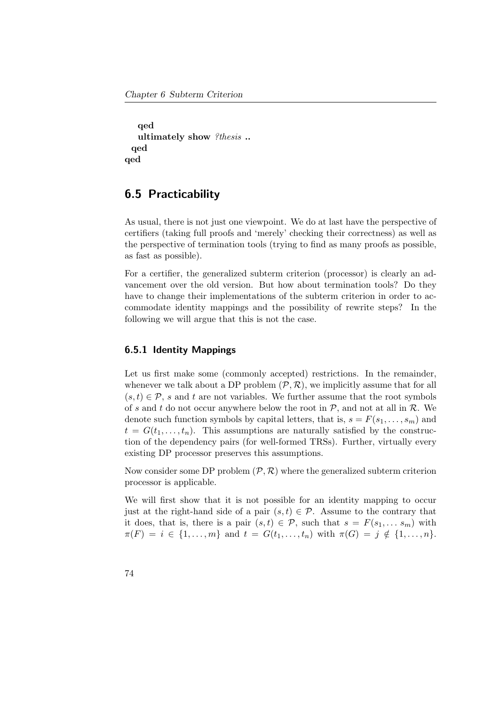```
qed
   ultimately show ?thesis ..
 qed
qed
```
## 6.5 Practicability

As usual, there is not just one viewpoint. We do at last have the perspective of certifiers (taking full proofs and 'merely' checking their correctness) as well as the perspective of termination tools (trying to find as many proofs as possible, as fast as possible).

For a certifier, the generalized subterm criterion (processor) is clearly an advancement over the old version. But how about termination tools? Do they have to change their implementations of the subterm criterion in order to accommodate identity mappings and the possibility of rewrite steps? In the following we will argue that this is not the case.

#### 6.5.1 Identity Mappings

Let us first make some (commonly accepted) restrictions. In the remainder, whenever we talk about a DP problem  $(\mathcal{P}, \mathcal{R})$ , we implicitly assume that for all  $(s, t) \in \mathcal{P}$ , s and t are not variables. We further assume that the root symbols of s and t do not occur anywhere below the root in  $P$ , and not at all in  $R$ . We denote such function symbols by capital letters, that is,  $s = F(s_1, \ldots, s_m)$  and  $t = G(t_1, \ldots, t_n)$ . This assumptions are naturally satisfied by the construction of the dependency pairs (for well-formed TRSs). Further, virtually every existing DP processor preserves this assumptions.

Now consider some DP problem  $(\mathcal{P}, \mathcal{R})$  where the generalized subterm criterion processor is applicable.

We will first show that it is not possible for an identity mapping to occur just at the right-hand side of a pair  $(s, t) \in \mathcal{P}$ . Assume to the contrary that it does, that is, there is a pair  $(s, t) \in \mathcal{P}$ , such that  $s = F(s_1, \ldots s_m)$  with  $\pi(F) = i \in \{1, \ldots, m\}$  and  $t = G(t_1, \ldots, t_n)$  with  $\pi(G) = j \notin \{1, \ldots, n\}.$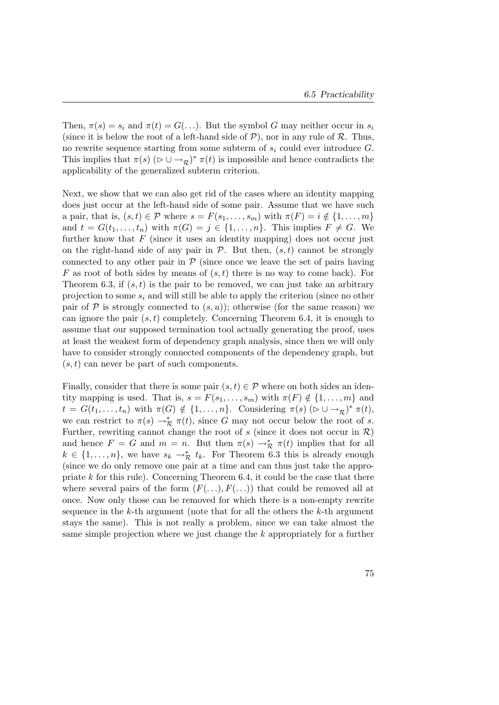Then,  $\pi(s) = s_i$  and  $\pi(t) = G(\ldots)$ . But the symbol G may neither occur in  $s_i$ (since it is below the root of a left-hand side of  $P$ ), nor in any rule of  $R$ . Thus, no rewrite sequence starting from some subterm of  $s_i$  could ever introduce  $G$ . This implies that  $\pi(s)$   $(\triangleright \cup \rightarrow_{\mathcal{R}})^*$   $\pi(t)$  is impossible and hence contradicts the applicability of the generalized subterm criterion.

Next, we show that we can also get rid of the cases where an identity mapping does just occur at the left-hand side of some pair. Assume that we have such a pair, that is,  $(s, t) \in \mathcal{P}$  where  $s = F(s_1, \ldots, s_m)$  with  $\pi(F) = i \notin \{1, \ldots, m\}$ and  $t = G(t_1, \ldots, t_n)$  with  $\pi(G) = j \in \{1, \ldots, n\}$ . This implies  $F \neq G$ . We further know that  $F$  (since it uses an identity mapping) does not occur just on the right-hand side of any pair in  $P$ . But then,  $(s, t)$  cannot be strongly connected to any other pair in  $\mathcal P$  (since once we leave the set of pairs having F as root of both sides by means of  $(s, t)$  there is no way to come back). For Theorem [6.3,](#page-81-0) if  $(s, t)$  is the pair to be removed, we can just take an arbitrary projection to some  $s_i$  and will still be able to apply the criterion (since no other pair of P is strongly connected to  $(s, u)$ ; otherwise (for the same reason) we can ignore the pair  $(s, t)$  completely. Concerning Theorem [6.4,](#page-82-1) it is enough to assume that our supposed termination tool actually generating the proof, uses at least the weakest form of dependency graph analysis, since then we will only have to consider strongly connected components of the dependency graph, but  $(s, t)$  can never be part of such components.

Finally, consider that there is some pair  $(s, t) \in \mathcal{P}$  where on both sides an identity mapping is used. That is,  $s = F(s_1, \ldots, s_m)$  with  $\pi(F) \notin \{1, \ldots, m\}$  and  $t = G(t_1, \ldots, t_n)$  with  $\pi(G) \notin \{1, \ldots, n\}$ . Considering  $\pi(s)$   $(\triangleright \cup \rightarrow_{\mathcal{R}})^* \pi(t)$ , we can restrict to  $\pi(s) \to_{\mathcal{R}}^* \pi(t)$ , since G may not occur below the root of s. Further, rewriting cannot change the root of s (since it does not occur in  $\mathcal{R}$ ) and hence  $F = G$  and  $m = n$ . But then  $\pi(s) \to^*_{\mathcal{R}} \pi(t)$  implies that for all  $k \in \{1, \ldots, n\}$ , we have  $s_k \to_{\mathcal{R}}^* t_k$ . For Theorem [6.3](#page-81-0) this is already enough (since we do only remove one pair at a time and can thus just take the appropriate  $k$  for this rule). Concerning Theorem [6.4,](#page-82-1) it could be the case that there where several pairs of the form  $(F(\ldots), F(\ldots))$  that could be removed all at once. Now only those can be removed for which there is a non-empty rewrite sequence in the  $k$ -th argument (note that for all the others the  $k$ -th argument stays the same). This is not really a problem, since we can take almost the same simple projection where we just change the k appropriately for a further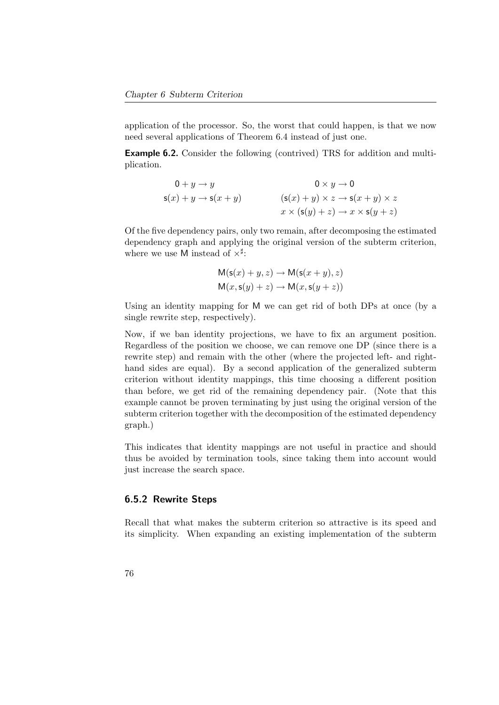application of the processor. So, the worst that could happen, is that we now need several applications of Theorem [6.4](#page-82-1) instead of just one.

**Example 6.2.** Consider the following (contrived) TRS for addition and multiplication.

$$
0 + y \to y
$$
  
\n
$$
s(x) + y \to s(x + y)
$$
  
\n
$$
(s(x) + y) \times z \to s(x + y) \times z
$$
  
\n
$$
x \times (s(y) + z) \to x \times s(y + z)
$$

Of the five dependency pairs, only two remain, after decomposing the estimated dependency graph and applying the original version of the subterm criterion, where we use M instead of  $\times^{\sharp}$ :

$$
M(s(x) + y, z) \rightarrow M(s(x + y), z)
$$
  

$$
M(x, s(y) + z) \rightarrow M(x, s(y + z))
$$

Using an identity mapping for M we can get rid of both DPs at once (by a single rewrite step, respectively).

Now, if we ban identity projections, we have to fix an argument position. Regardless of the position we choose, we can remove one DP (since there is a rewrite step) and remain with the other (where the projected left- and righthand sides are equal). By a second application of the generalized subterm criterion without identity mappings, this time choosing a different position than before, we get rid of the remaining dependency pair. (Note that this example cannot be proven terminating by just using the original version of the subterm criterion together with the decomposition of the estimated dependency graph.)

This indicates that identity mappings are not useful in practice and should thus be avoided by termination tools, since taking them into account would just increase the search space.

#### 6.5.2 Rewrite Steps

Recall that what makes the subterm criterion so attractive is its speed and its simplicity. When expanding an existing implementation of the subterm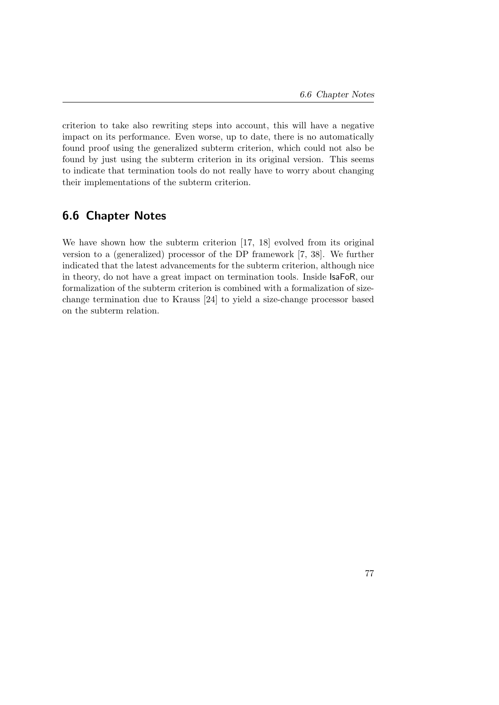criterion to take also rewriting steps into account, this will have a negative impact on its performance. Even worse, up to date, there is no automatically found proof using the generalized subterm criterion, which could not also be found by just using the subterm criterion in its original version. This seems to indicate that termination tools do not really have to worry about changing their implementations of the subterm criterion.

## 6.6 Chapter Notes

We have shown how the subterm criterion [\[17,](#page-158-0) [18\]](#page-158-1) evolved from its original version to a (generalized) processor of the DP framework [\[7,](#page-156-1) [38\]](#page-160-0). We further indicated that the latest advancements for the subterm criterion, although nice in theory, do not have a great impact on termination tools. Inside IsaFoR, our formalization of the subterm criterion is combined with a formalization of sizechange termination due to Krauss [\[24\]](#page-159-0) to yield a size-change processor based on the subterm relation.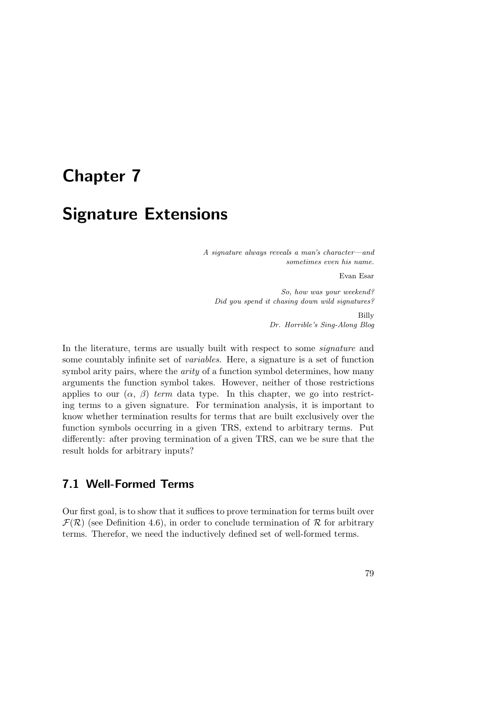# Chapter 7

# Signature Extensions

A signature always reveals a man's character—and sometimes even his name.

Evan Esar

So, how was your weekend? Did you spend it chasing down wild signatures?

> Billy Dr. Horrible's Sing-Along Blog

In the literature, terms are usually built with respect to some *signature* and some countably infinite set of variables. Here, a signature is a set of function symbol arity pairs, where the *arity* of a function symbol determines, how many arguments the function symbol takes. However, neither of those restrictions applies to our  $(\alpha, \beta)$  term data type. In this chapter, we go into restricting terms to a given signature. For termination analysis, it is important to know whether termination results for terms that are built exclusively over the function symbols occurring in a given TRS, extend to arbitrary terms. Put differently: after proving termination of a given TRS, can we be sure that the result holds for arbitrary inputs?

## 7.1 Well-Formed Terms

Our first goal, is to show that it suffices to prove termination for terms built over  $\mathcal{F}(\mathcal{R})$  (see Definition [4.6\)](#page-54-0), in order to conclude termination of  $\mathcal{R}$  for arbitrary terms. Therefor, we need the inductively defined set of well-formed terms.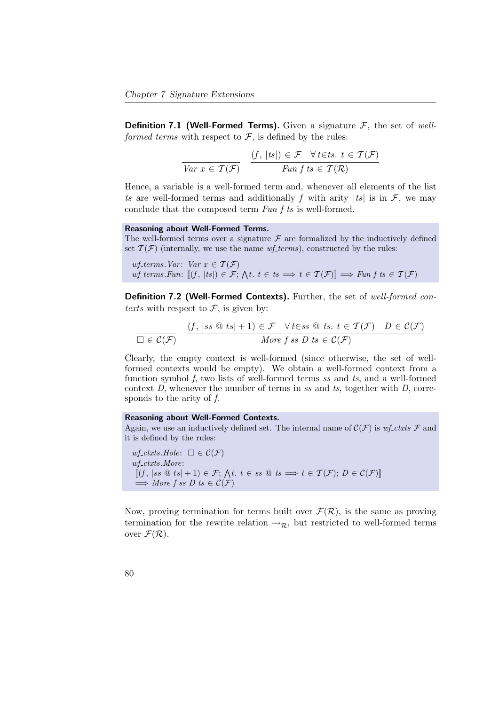**Definition 7.1 (Well-Formed Terms).** Given a signature  $\mathcal{F}$ , the set of wellformed terms with respect to  $\mathcal{F}$ , is defined by the rules:

$$
\frac{(f, |ts|) \in \mathcal{F} \quad \forall \, t \in ts. \ t \in \mathcal{T}(\mathcal{F})}{\text{Fun } f \, t s \in \mathcal{T}(\mathcal{R})}
$$

Hence, a variable is a well-formed term and, whenever all elements of the list ts are well-formed terms and additionally f with arity  $|ts|$  is in F, we may conclude that the composed term Fun f ts is well-formed.

#### Reasoning about Well-Formed Terms.

The well-formed terms over a signature  $\mathcal F$  are formalized by the inductively defined set  $\mathcal{T}(\mathcal{F})$  (internally, we use the name *wf-terms*), constructed by the rules:

wf\_terms. Var: Var  $x \in \mathcal{T}(\mathcal{F})$  $wf\_terms.Fun: [(f, |ts|) \in \mathcal{F}; \Delta t. t \in ts \implies t \in \mathcal{T}(\mathcal{F})] \implies Fun f ts \in \mathcal{T}(\mathcal{F})$ 

Definition 7.2 (Well-Formed Contexts). Further, the set of well-formed contexts with respect to  $\mathcal{F}$ , is given by:

$$
\frac{(f, |ss @ts|+1) \in \mathcal{F} \quad \forall \, t \in ss @ts. \ t \in \mathcal{T}(\mathcal{F}) \quad D \in \mathcal{C}(\mathcal{F})}{More \, f \, ss \, D \, ts \in \mathcal{C}(\mathcal{F})}
$$

Clearly, the empty context is well-formed (since otherwise, the set of wellformed contexts would be empty). We obtain a well-formed context from a function symbol f, two lists of well-formed terms ss and ts, and a well-formed context  $D$ , whenever the number of terms in ss and ts, together with  $D$ , corresponds to the arity of f.

#### Reasoning about Well-Formed Contexts.

Again, we use an inductively defined set. The internal name of  $\mathcal{C}(\mathcal{F})$  is wf-ctxts  $\mathcal F$  and it is defined by the rules:

wf\_ctxts.Hole:  $\square \in \mathcal{C}(\mathcal{F})$  $wf_ctxts.More:$  $\llbracket (f, |ss \otimes ts| + 1) \in \mathcal{F}; \Lambda t. t \in ss \otimes ts \implies t \in \mathcal{T}(\mathcal{F}); D \in \mathcal{C}(\mathcal{F}) \rrbracket$  $\implies$  More f ss D ts  $\in \mathcal{C}(\mathcal{F})$ 

Now, proving termination for terms built over  $\mathcal{F}(\mathcal{R})$ , is the same as proving termination for the rewrite relation  $\rightarrow_{\mathcal{R}}$ , but restricted to well-formed terms over  $\mathcal{F}(\mathcal{R})$ .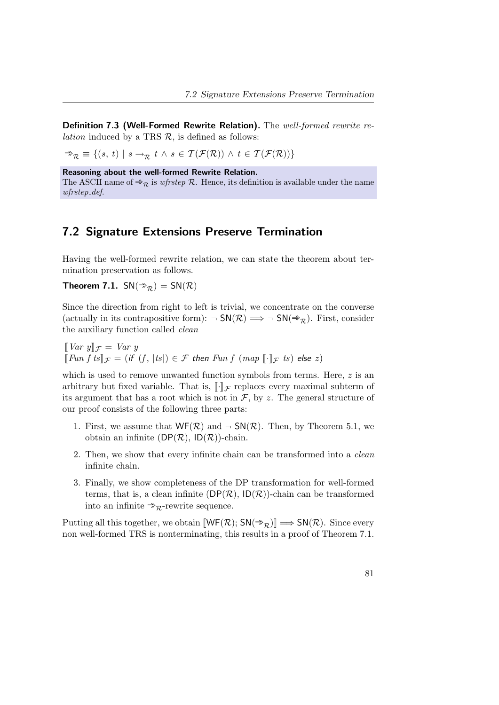Definition 7.3 (Well-Formed Rewrite Relation). The well-formed rewrite re*lation* induced by a TRS  $\mathcal{R}$ , is defined as follows:

 $\Rightarrow_{\mathcal{R}} \equiv \{ (s, t) \mid s \rightarrow_{\mathcal{R}} t \land s \in \mathcal{T}(\mathcal{F}(\mathcal{R})) \land t \in \mathcal{T}(\mathcal{F}(\mathcal{R})) \}$ 

Reasoning about the well-formed Rewrite Relation.

The ASCII name of  $\Rightarrow_{\mathcal{R}}$  is wfrstep R. Hence, its definition is available under the name wfrstep def.

### 7.2 Signature Extensions Preserve Termination

Having the well-formed rewrite relation, we can state the theorem about termination preservation as follows.

<span id="page-96-0"></span>**Theorem 7.1.**  $SN(\Rightarrow_R) = SN(R)$ 

Since the direction from right to left is trivial, we concentrate on the converse (actually in its contrapositive form):  $\neg SN(\mathcal{R}) \Longrightarrow \neg SN(\Rightarrow_{\mathcal{R}})$ . First, consider the auxiliary function called clean

 $\llbracket Var \ y \rrbracket_{\mathcal{F}} = Var \ y$  $\llbracket Fun f t s \rrbracket_{\mathcal{F}} = (if (f, |ts|) \in \mathcal{F}$  then  $Fun f (map \llbracket \cdot \rrbracket_{\mathcal{F}} ts)$  else  $z)$ 

which is used to remove unwanted function symbols from terms. Here, z is an arbitrary but fixed variable. That is,  $\llbracket \cdot \rrbracket_{\mathcal{F}}$  replaces every maximal subterm of its argument that has a root which is not in  $\mathcal{F}$ , by z. The general structure of our proof consists of the following three parts:

- 1. First, we assume that  $WF(\mathcal{R})$  and  $\neg SN(\mathcal{R})$ . Then, by Theorem [5.1,](#page-75-0) we obtain an infinite  $(DP(\mathcal{R}), ID(\mathcal{R}))$ -chain.
- 2. Then, we show that every infinite chain can be transformed into a clean infinite chain.
- 3. Finally, we show completeness of the DP transformation for well-formed terms, that is, a clean infinite  $(DP(\mathcal{R}), ID(\mathcal{R}))$ -chain can be transformed into an infinite  $\Rightarrow_{\mathcal{R}}$ -rewrite sequence.

Putting all this together, we obtain  $[\![\mathsf{WF}(\mathcal{R}); \mathsf{SN}(\Rrightarrow{\mathcal{R}})] \Longrightarrow \mathsf{SN}(\mathcal{R})$ . Since every non well-formed TRS is nonterminating, this results in a proof of Theorem [7.1.](#page-96-0)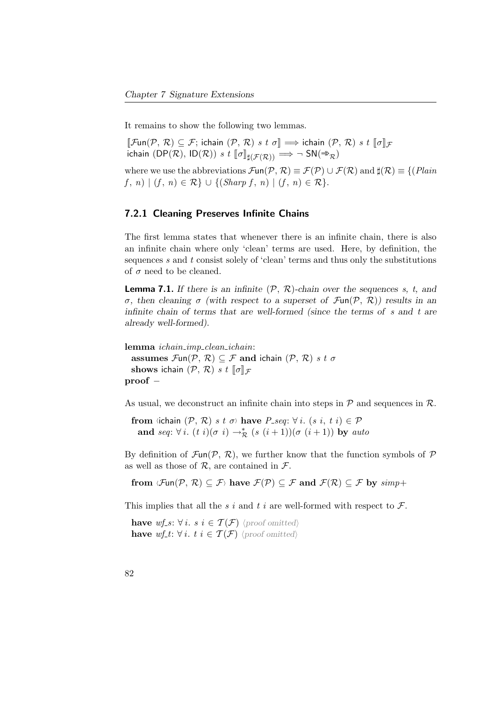It remains to show the following two lemmas.

 $[\![\mathcal{F}\text{un}(\mathcal{P}, \mathcal{R})\subseteq \mathcal{F}]$ ; ichain  $(\mathcal{P}, \mathcal{R})$  s t  $\sigma] \Longrightarrow$  ichain  $(\mathcal{P}, \mathcal{R})$  s t  $[\![\sigma]\!]_{\mathcal{F}}$ ichain (DP(R), ID(R)) s t  $\llbracket \sigma \rrbracket_{\sharp(\mathcal{F}(R))} \implies \neg \text{ SN}(\Rightarrow_R)$ 

where we use the abbreviations  $\mathcal{F}\mathsf{un}(\mathcal{P}, \mathcal{R}) \equiv \mathcal{F}(\mathcal{P}) \cup \mathcal{F}(\mathcal{R})$  and  $\sharp(\mathcal{R}) \equiv \{(\text{plain})\}$  $f, n) | (f, n) \in \mathcal{R} \} \cup \{ (Sharp f, n) | (f, n) \in \mathcal{R} \}.$ 

#### 7.2.1 Cleaning Preserves Infinite Chains

The first lemma states that whenever there is an infinite chain, there is also an infinite chain where only 'clean' terms are used. Here, by definition, the sequences  $s$  and  $t$  consist solely of 'clean' terms and thus only the substitutions of  $\sigma$  need to be cleaned.

**Lemma 7.1.** If there is an infinite  $(\mathcal{P}, \mathcal{R})$ -chain over the sequences s, t, and σ, then cleaning σ (with respect to a superset of Fun(P, R)) results in an infinite chain of terms that are well-formed (since the terms of s and t are already well-formed).

lemma ichain\_imp\_clean\_ichain: assumes  $\mathcal{F}\text{un}(\mathcal{P}, \mathcal{R}) \subseteq \mathcal{F}$  and ichain  $(\mathcal{P}, \mathcal{R})$  s t  $\sigma$ shows ichain  $(\mathcal{P}, \mathcal{R})$  s t  $\llbracket \sigma \rrbracket_{\mathcal{F}}$ proof −

As usual, we deconstruct an infinite chain into steps in  $P$  and sequences in  $R$ .

from  $\langle$ ichain  $(\mathcal{P}, \mathcal{R})$  s t  $\sigma$  have  $P$  seq:  $\forall i$ .  $(s \ i, t \ i) \in \mathcal{P}$ and seq:  $\forall i. (t \ i)(\sigma \ i) \rightarrow_{\mathcal{R}}^* (s \ (i+1))(\sigma \ (i+1))$  by auto

By definition of  $\mathcal{F}\text{un}(\mathcal{P}, \mathcal{R})$ , we further know that the function symbols of  $\mathcal P$ as well as those of  $\mathcal{R}$ , are contained in  $\mathcal{F}$ .

from  $\mathcal{Fun}(\mathcal{P}, \mathcal{R}) \subseteq \mathcal{F}$  have  $\mathcal{F}(\mathcal{P}) \subseteq \mathcal{F}$  and  $\mathcal{F}(\mathcal{R}) \subseteq \mathcal{F}$  by  $simp$ 

This implies that all the s i and t i are well-formed with respect to  $\mathcal{F}$ .

have wf\_s:  $\forall i. s i \in \mathcal{T}(\mathcal{F})$  (proof omitted) have wf\_t:  $\forall i. t \in \mathcal{T}(\mathcal{F})$  (proof omitted)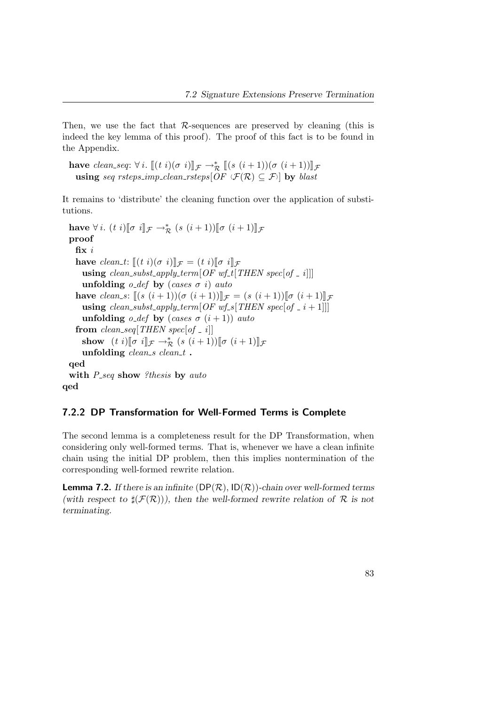Then, we use the fact that R-sequences are preserved by cleaning (this is indeed the key lemma of this proof). The proof of this fact is to be found in the Appendix.

have clean\_seq:  $\forall i$ .  $[(t\ i)(\sigma\ i)]_{\mathcal{F}} \rightarrow_{\mathcal{R}}^* [(s\ (i+1))(\sigma\ (i+1))]_{\mathcal{F}}$ <br>using seq rsteps\_imp\_clean\_rsteps[OF  $\langle \mathcal{F}(\mathcal{R}) \subseteq \mathcal{F} \rangle]$  by blast

It remains to 'distribute' the cleaning function over the application of substitutions.

have  $\forall i.$   $(t i)[\sigma i]\!]_{\mathcal{F}} \rightarrow_{\mathcal{R}}^*$   $(s (i+1))[\sigma (i+1)]_{\mathcal{F}}$ proof fix i have clean t:  $\llbracket (t \ i) (\sigma \ i) \rrbracket_{\mathcal{F}} = (t \ i) \llbracket \sigma \ i \rrbracket_{\mathcal{F}}$ using clean\_subst\_apply\_term[OF wf\_t[THEN spec[of \_ i]]] unfolding  $o\_def$  by (cases  $\sigma$  i) auto have clean s:  $[(s (i+1))(\sigma (i+1))]_{\mathcal{F}} = (s (i+1))[\sigma (i+1)]_{\mathcal{F}}$ using clean\_subst\_apply\_term[OF wf\_s[THEN spec[of  $\leq i + 1$ ]]] unfolding o\_def by (cases  $\sigma$  (i+1)) auto from clean\_seq[THEN spec[of \_ i]] show  $(t i)[\sigma i]_{\mathcal{F}} \to_{\mathcal{R}}^* (s (i+1))[\sigma (i+1)]_{\mathcal{F}}$ <br>unfolding clean e clean t unfolding  $clean_s$  clean\_t. qed with  $P_{-seq}$  show ?thesis by auto qed

### 7.2.2 DP Transformation for Well-Formed Terms is Complete

The second lemma is a completeness result for the DP Transformation, when considering only well-formed terms. That is, whenever we have a clean infinite chain using the initial DP problem, then this implies nontermination of the corresponding well-formed rewrite relation.

**Lemma 7.2.** If there is an infinite  $(DP(\mathcal{R}), ID(\mathcal{R}))$ -chain over well-formed terms (with respect to  $\sharp(\mathcal{F}(\mathcal{R})))$ , then the well-formed rewrite relation of R is not terminating.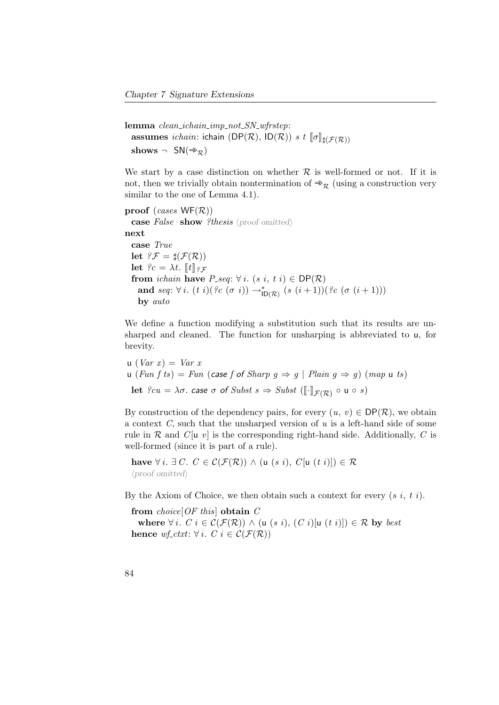lemma clean\_ichain\_imp\_not\_SN\_wfrstep: assumes ichain: ichain (DP( $\mathcal{R}$ ), ID( $\mathcal{R}$ )) s t  $[\![\sigma]\!]_{\sharp(\mathcal{F}(\mathcal{R}))}$ shows  $\neg$  SN( $\Rightarrow_{\mathcal{R}}$ )

We start by a case distinction on whether  $R$  is well-formed or not. If it is not, then we trivially obtain nontermination of  $\Rightarrow_R$  (using a construction very similar to the one of Lemma [4.1\)](#page-43-0).

```
proof (cases WF(R))
  case False show ?thesis \langle proof omitted\ranglenext
  case True
  let ?F = \sharp(\mathcal{F}(\mathcal{R}))let ?c = \lambda t. [[t]]g\mathcal{F}from ichain have P\_seq: \forall i. (s \ i, t \ i) \in \text{DP}(\mathcal{R})and seq: \forall i. (t \ i)(\,?c \ (\sigma \ i)) \rightarrow_{\text{ID}(\mathcal{R})}^* (s \ (i+1))(\,?c \ (\sigma \ (i+1)))by auto
```
We define a function modifying a substitution such that its results are unsharped and cleaned. The function for unsharping is abbreviated to u, for brevity.

```
u (Var x) = Var xu (Fun f ts) = Fun (case f of Sharp g \Rightarrow g | Plain g \Rightarrow g) (map u ts)
  let \ell cu = \lambda \sigma. case \sigma of Subst \ s \Rightarrow Subst \ ([\lceil \cdot \rceil_{\mathcal{F}(\mathcal{R})} \circ u \circ s)
```
By construction of the dependency pairs, for every  $(u, v) \in \text{DP}(\mathcal{R})$ , we obtain a context  $C$ , such that the unsharped version of  $u$  is a left-hand side of some rule in  $\mathcal R$  and  $C[\mathfrak u \ v]$  is the corresponding right-hand side. Additionally, C is well-formed (since it is part of a rule).

have  $\forall i. \exists C. C \in \mathcal{C}(\mathcal{F}(\mathcal{R})) \wedge (u (s i), C[u (t i)]) \in \mathcal{R}$  $\langle proof$  omitted)

By the Axiom of Choice, we then obtain such a context for every  $(s, i, t, i)$ .

from  $choice[OF this]$  obtain  $C$ where  $\forall i$ .  $C$  i  $\in \mathcal{C}(\mathcal{F}(\mathcal{R}))$   $\wedge$  (u (s i),  $(C$  i)[u (t i)]])  $\in \mathcal{R}$  by best hence wf\_ctxt:  $\forall i$ . C  $i \in \mathcal{C}(\mathcal{F}(\mathcal{R}))$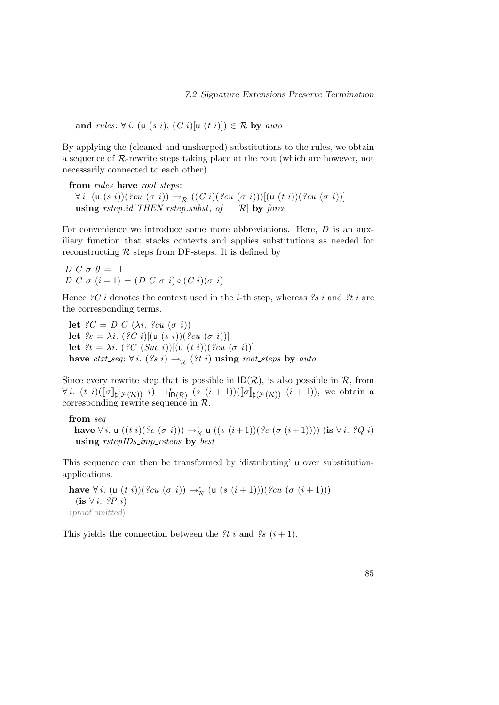and rules:  $\forall i$ . (u (s i), (C i)[u (t i)])  $\in \mathcal{R}$  by auto

By applying the (cleaned and unsharped) substitutions to the rules, we obtain a sequence of R-rewrite steps taking place at the root (which are however, not necessarily connected to each other).

from *rules* have *root\_steps*:  $\forall i.$  (u  $(s\ i)$ )(?cu  $(\sigma\ i)$ )  $\rightarrow_{\mathcal{R}}$   $((C\ i)$ (?cu  $(\sigma\ i)$ ))[(u  $(t\ i)$ )(?cu  $(\sigma\ i)$ )] using rstep.id [THEN rstep.subst, of  $\Box$  R] by force

For convenience we introduce some more abbreviations. Here,  $D$  is an auxiliary function that stacks contexts and applies substitutions as needed for reconstructing  $R$  steps from DP-steps. It is defined by

D C  $\sigma$  0 =  $\Box$ D C  $\sigma$   $(i+1) = (D C \sigma i) \circ (C i) (\sigma i)$ 

Hence  $\mathscr{C}C$  *i* denotes the context used in the *i*-th step, whereas  $\mathscr{C}s$  *i* and  $\mathscr{C}t$  *i* are the corresponding terms.

let  ${}^{\circ}C = D C (\lambda i. \ {}^{\circ}cu (\sigma i))$ let  $\mathscr{C}_s = \lambda i$ .  $(\mathscr{C}_s C_i)[(\mathsf{u} (s_i))(\mathscr{C}_s \mathsf{u} (\sigma_i))]$ let  $\mathcal{E}t = \lambda i.$  ( $\mathcal{E}C(Suc i)$ )[(u  $(t i)$ )( $\mathcal{E}cu(\sigma i)$ )] have ctxt\_seq:  $\forall i.$  (?s i)  $\rightarrow_{\mathcal{R}}$  (?t i) using root\_steps by auto

Since every rewrite step that is possible in  $ID(\mathcal{R})$ , is also possible in  $\mathcal{R}$ , from  $\forall i.$  (t i)( $[\![\sigma]\!]_{\sharp(\mathcal{F}(\mathcal{R}))}$  i)  $\rightarrow_{\mathbb{D}(\mathcal{R})}^{*}$   $(s (i + 1))([\![\sigma]\!]_{\sharp(\mathcal{F}(\mathcal{R}))}$   $(i + 1)$ ), we obtain a corresponding rewrite sequence in  $\mathcal{R}$ .

from seq have  $\forall i.$  u  $((t\; i)(\, ? c\; (\sigma\; i))) \rightarrow^*_{\mathcal{R}}$  u  $((s\; (i+1)) (\, ? c\; (\sigma\; (i+1))))$  (is  $\forall\; i.$   $\; ? Q\; i)$ using rstepIDs\_imp\_rsteps by best

This sequence can then be transformed by 'distributing' u over substitutionapplications.

have ∀ *i*. (u (*t i*))(?*cu* (σ *i*)) →<sup>\*</sup><sub>*R*</sub> (u (s (*i* + 1)))(?*cu* (σ (*i* + 1)))  $($ is  $\forall i. \ P P i)$  $\langle proof$  omitted)

This yields the connection between the  $\ell t$  i and  $\ell s$   $(i + 1)$ .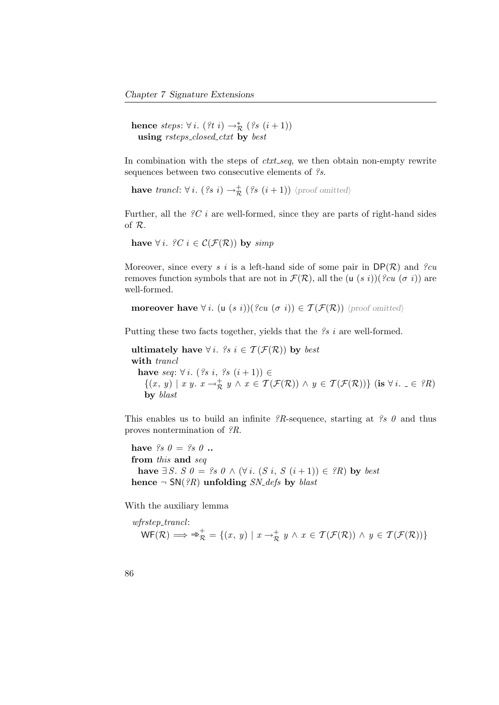hence  $steps: \forall i. (?t i) \rightarrow_{\mathcal{R}}^* (?s (i+1))$ using rsteps\_closed\_ctxt by best

In combination with the steps of *ctxt\_seq*, we then obtain non-empty rewrite sequences between two consecutive elements of  $\mathscr{S}s$ .

have trancl:  $\forall i.$   $($ ?s  $i) \rightarrow_{\mathcal{R}}^+$   $($ ?s  $(i+1))$   $\langle$ proof omitted $\rangle$ 

Further, all the  $\mathscr{C}$  i are well-formed, since they are parts of right-hand sides of R.

have  $\forall i$ . ?C  $i \in \mathcal{C}(\mathcal{F}(\mathcal{R}))$  by simp

Moreover, since every s i is a left-hand side of some pair in  $DP(\mathcal{R})$  and ?cu removes function symbols that are not in  $\mathcal{F}(\mathcal{R})$ , all the (u (s i))(?cu (σ i)) are well-formed.

```
moreover have \forall i. (u (s\ i))(\{cu\ (\sigma\ i)) \in \mathcal{T}(\mathcal{F}(\mathcal{R})) \proof omitted)
```
Putting these two facts together, yields that the  $\mathscr{S} s$  i are well-formed.

ultimately have  $\forall i$ . ?s  $i \in \mathcal{T}(\mathcal{F}(\mathcal{R}))$  by best with *trancl* have seq:  $\forall i. (?s i, ?s (i+1)) \in$  $\{(x, y) \mid x \ y. \ x \rightarrow_{\mathcal{R}}^+ y \land x \in \mathcal{T}(\mathcal{F}(\mathcal{R})) \land y \in \mathcal{T}(\mathcal{F}(\mathcal{R}))\}$  (is  $\forall i. \ \_ \in \ {}^{2}\mathcal{R}$ ) by blast

This enables us to build an infinite  $?R$ -sequence, starting at  $?s \theta$  and thus proves nontermination of ?R.

have  $\mathscr{S} s \mathscr{O} = \mathscr{S} s \mathscr{O}$  .. from this and seq have  $\exists S. S \theta = ?s \theta \wedge (\forall i. (S i, S (i+1)) \in ?R)$  by best hence  $\neg SN(\partial R)$  unfolding SN\_defs by blast

With the auxiliary lemma

$$
\text{wfrstep-trancl:} \\ \text{WF}(\mathcal{R}) \implies \Rightarrow_{\mathcal{R}}^+ = \{(x, y) \mid x \to_{\mathcal{R}}^+ y \land x \in \mathcal{T}(\mathcal{F}(\mathcal{R})) \land y \in \mathcal{T}(\mathcal{F}(\mathcal{R}))\}
$$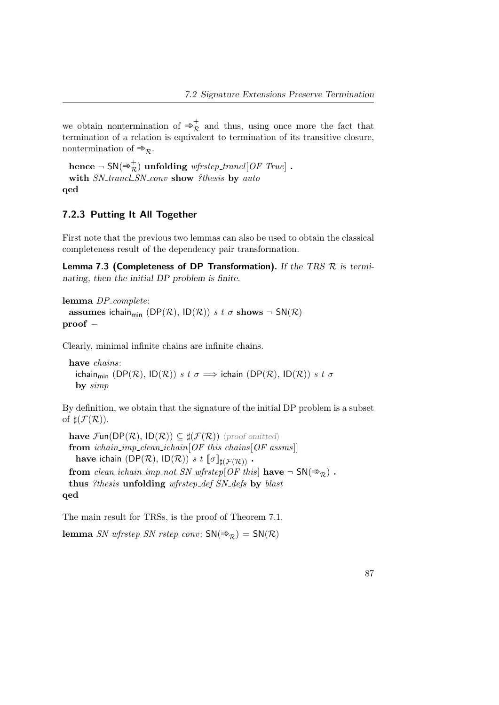we obtain nontermination of  $\Rightarrow_{\mathcal{R}}^{+}$  and thus, using once more the fact that termination of a relation is equivalent to termination of its transitive closure, nontermination of  $\Rightarrow_{\mathcal{R}}$ .

```
\textbf{hence } \neg~\mathsf{SN}(\Rrightarrow^+_{{\mathcal{R}}}) ~\textbf{unfolding} ~\textit{wfrztep\_trancl[OF True]}~.with SN_trancl_SN_conv show ?thesis by auto
qed
```
### 7.2.3 Putting It All Together

First note that the previous two lemmas can also be used to obtain the classical completeness result of the dependency pair transformation.

Lemma 7.3 (Completeness of DP Transformation). If the TRS  $R$  is terminating, then the initial DP problem is finite.

```
lemma DP<sub>-complete</sub>:
```
assumes ichain<sub>min</sub> (DP(R), ID(R)) s t  $\sigma$  shows  $\neg SN(R)$ proof −

Clearly, minimal infinite chains are infinite chains.

have chains: ichain<sub>min</sub> (DP(R), ID(R)) s t  $\sigma \implies$  ichain (DP(R), ID(R)) s t  $\sigma$ by simp

By definition, we obtain that the signature of the initial DP problem is a subset of  $\sharp(\mathcal{F}(\mathcal{R}))$ .

have  $\mathcal{F}\text{un}(DP(\mathcal{R}), ID(\mathcal{R})) \subseteq \sharp(\mathcal{F}(\mathcal{R}))$  (proof omitted) from  $ichain\_imp\_clean\_ichain[OF this chains[OF assms]]$ have ichain  $(DP(\mathcal{R}), ID(\mathcal{R}))$  s  $t \llbracket \sigma \rrbracket_{\sharp(\mathcal{F}(\mathcal{R}))}$ . from clean ichain imp not SN wfrstep[OF this] have  $\neg SN(\Rightarrow_R)$ . thus ?thesis unfolding wfrstep\_def SN\_defs by blast qed

The main result for TRSs, is the proof of Theorem [7.1.](#page-96-0)

lemma  $SN_w\text{frstep}\_SN\_rstep\_conv: SN(\Rightarrow_R) = SN(R)$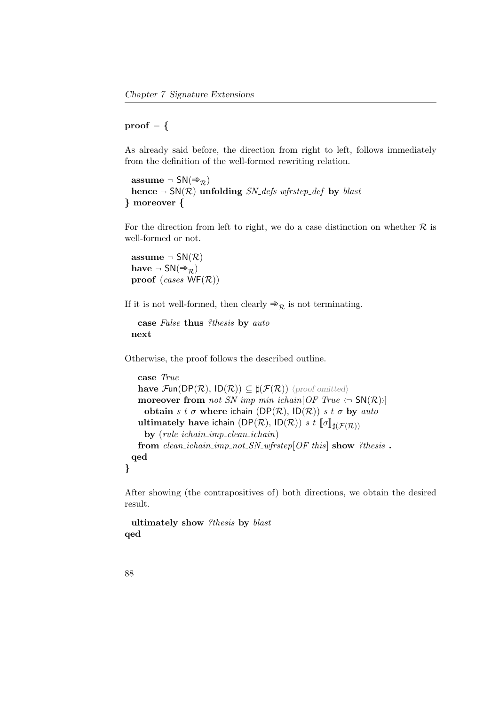$proof - \{$ 

As already said before, the direction from right to left, follows immediately from the definition of the well-formed rewriting relation.

```
assume \neg SN(\Rightarrow_{\mathcal{D}})
  hence \neg SN(\mathcal{R}) unfolding SN_defs wfrstep_def by blast
} moreover {
```
For the direction from left to right, we do a case distinction on whether  $R$  is well-formed or not.

assume  $\neg SM(R)$ have  $\neg SM(\Rightarrow_{\mathcal{R}})$ proof (cases  $WF(R)$ )

If it is not well-formed, then clearly  $\Rightarrow_{\mathcal{R}}$  is not terminating.

```
case False thus ?thesis by auto
next
```
Otherwise, the proof follows the described outline.

```
case True
  have \mathcal{F}\text{un}(DP(\mathcal{R}), ID(\mathcal{R})) \subseteq \sharp(\mathcal{F}(\mathcal{R})) (proof omitted)
  moreover from not\_SN\_imp\_min\_ichain[OF\ True \leftarrow SN(\mathcal{R})obtain s t \sigma where ichain (DP(R), ID(R)) s t \sigma by auto
  ultimately have ichain (DP(\mathcal{R}), ID(\mathcal{R})) s t [\![\sigma]\!]_{\sharp(\mathcal{F}(\mathcal{R}))}by (ruleichain\_imp\_clean\_ichain)from clean ichain imp not SN wfrstep[OF this] show ?thesis.
qed
```
}

After showing (the contrapositives of) both directions, we obtain the desired result.

ultimately show ?thesis by blast qed

88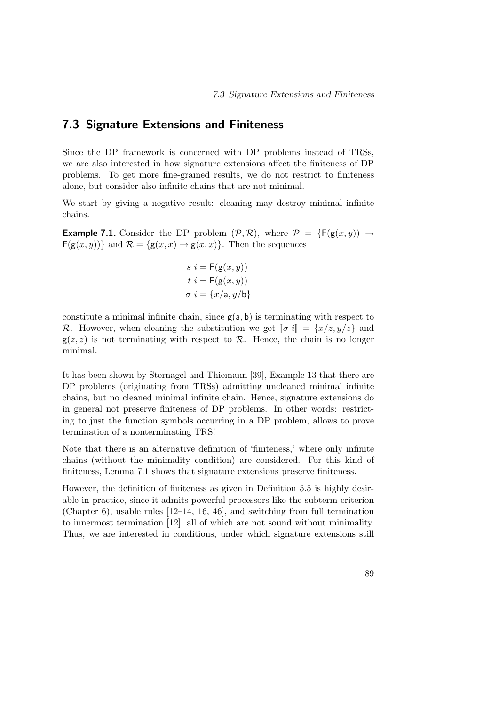## 7.3 Signature Extensions and Finiteness

Since the DP framework is concerned with DP problems instead of TRSs, we are also interested in how signature extensions affect the finiteness of DP problems. To get more fine-grained results, we do not restrict to finiteness alone, but consider also infinite chains that are not minimal.

We start by giving a negative result: cleaning may destroy minimal infinite chains.

**Example 7.1.** Consider the DP problem  $(\mathcal{P}, \mathcal{R})$ , where  $\mathcal{P} = \{F(g(x, y)) \rightarrow$  $F(g(x, y))$  and  $\mathcal{R} = \{g(x, x) \rightarrow g(x, x)\}\$ . Then the sequences

$$
s \ i = \mathsf{F}(\mathsf{g}(x, y))
$$

$$
t \ i = \mathsf{F}(\mathsf{g}(x, y))
$$

$$
\sigma \ i = \{x/\mathsf{a}, y/\mathsf{b}\}
$$

constitute a minimal infinite chain, since  $g(a, b)$  is terminating with respect to R. However, when cleaning the substitution we get  $\llbracket \sigma i \rrbracket = \{x/z, y/z\}$  and  $g(z, z)$  is not terminating with respect to  $\mathcal{R}$ . Hence, the chain is no longer minimal.

It has been shown by Sternagel and Thiemann [\[39\]](#page-160-1), Example 13 that there are DP problems (originating from TRSs) admitting uncleaned minimal infinite chains, but no cleaned minimal infinite chain. Hence, signature extensions do in general not preserve finiteness of DP problems. In other words: restricting to just the function symbols occurring in a DP problem, allows to prove termination of a nonterminating TRS!

Note that there is an alternative definition of 'finiteness,' where only infinite chains (without the minimality condition) are considered. For this kind of finiteness, Lemma [7.1](#page-43-0) shows that signature extensions preserve finiteness.

However, the definition of finiteness as given in Definition [5.5](#page-54-1) is highly desirable in practice, since it admits powerful processors like the subterm criterion (Chapter [6\)](#page-78-0), usable rules [\[12](#page-157-1)[–14,](#page-157-2) [16,](#page-158-2) [46\]](#page-161-1), and switching from full termination to innermost termination [\[12\]](#page-157-1); all of which are not sound without minimality. Thus, we are interested in conditions, under which signature extensions still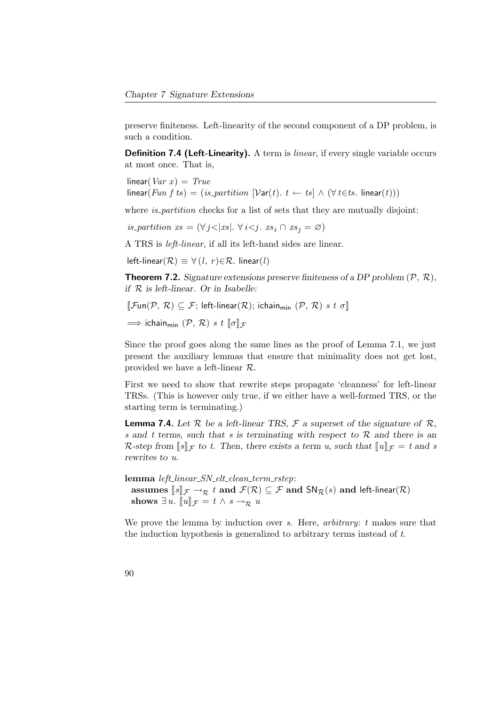preserve finiteness. Left-linearity of the second component of a DP problem, is such a condition.

**Definition 7.4 (Left-Linearity).** A term is *linear*, if every single variable occurs at most once. That is,

 $linear(Var x) = True$ linear(Fun f ts) = (is\_partition  $[\text{Var}(t), t \leftarrow ts] \wedge (\forall t \in ts$ . linear(t)))

where *is partition* checks for a list of sets that they are mutually disjoint:

is partition  $xs = (\forall j < |xs|, \forall i < j.$   $xs_i \cap xs_j = \varnothing)$ 

A TRS is left-linear, if all its left-hand sides are linear.

left-linear( $\mathcal{R}$ )  $\equiv \forall$  (*l*, *r*) $\in \mathcal{R}$ . linear(*l*)

**Theorem 7.2.** Signature extensions preserve finiteness of a DP problem  $(\mathcal{P}, \mathcal{R})$ , if  $R$  is left-linear. Or in Isabelle:

 $\llbracket \mathcal{F}\text{un}(\mathcal{P},\,\mathcal{R})\subseteq\mathcal{F};$  left-linear $(\mathcal{R});$  ichain<sub>min</sub>  $(\mathcal{P},\,\mathcal{R})$  s t  $\sigma\rrbracket$ 

 $\implies$  ichain<sub>min</sub>  $(\mathcal{P}, \mathcal{R})$  s t  $\llbracket \sigma \rrbracket_{\mathcal{F}}$ 

Since the proof goes along the same lines as the proof of Lemma [7.1,](#page-43-0) we just present the auxiliary lemmas that ensure that minimality does not get lost, provided we have a left-linear R.

First we need to show that rewrite steps propagate 'cleanness' for left-linear TRSs. (This is however only true, if we either have a well-formed TRS, or the starting term is terminating.)

**Lemma 7.4.** Let  $\mathcal{R}$  be a left-linear TRS,  $\mathcal{F}$  a superset of the signature of  $\mathcal{R}$ , s and t terms, such that s is terminating with respect to  $R$  and there is an R-step from  $\llbracket s \rrbracket_{\mathcal{F}}$  to t. Then, there exists a term u, such that  $\llbracket u \rrbracket_{\mathcal{F}} = t$  and s rewrites to u.

lemma left\_linear\_SN\_elt\_clean\_term\_rstep: assumes  $[s]_{\mathcal{F}} \to_{\mathcal{R}} t$  and  $\mathcal{F}(\mathcal{R}) \subseteq \mathcal{F}$  and  $SN_{\mathcal{R}}(s)$  and left-linear $(\mathcal{R})$ shows  $\exists u$ .  $\llbracket u \rrbracket_{\mathcal{F}} = t \wedge s \rightarrow_{\mathcal{R}} u$ 

We prove the lemma by induction over  $s$ . Here, *arbitrary*:  $t$  makes sure that the induction hypothesis is generalized to arbitrary terms instead of t.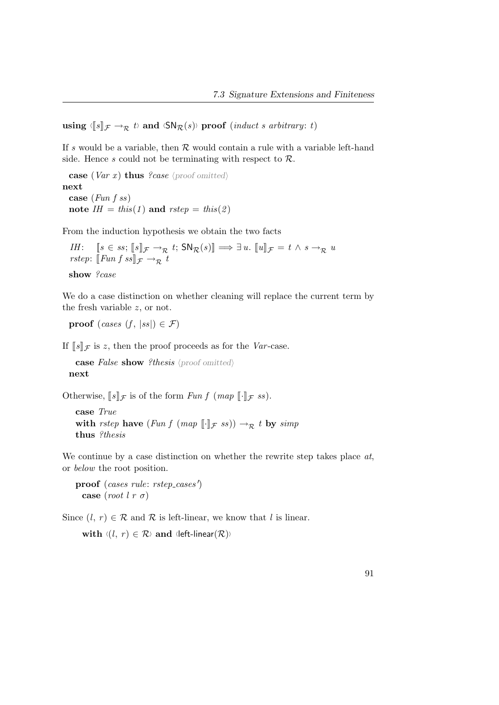using  $\langle [s]_{\mathcal{F}} \rightarrow_{\mathcal{R}} t$  and  $\langle \mathsf{SN}_{\mathcal{R}}(s) \rangle$  proof (*induct s arbitrary: t*)

If s would be a variable, then  $R$  would contain a rule with a variable left-hand side. Hence s could not be terminating with respect to  $\mathcal{R}$ .

case (Var x) thus ?case (proof omitted) next case (Fun f ss) note  $IH = this(1)$  and  $rstep = this(2)$ 

From the induction hypothesis we obtain the two facts

IH:  $[s \in ss; [s]_{\mathcal{F}} \to_{\mathcal{R}} t; \mathsf{SN}_{\mathcal{R}}(s)] \implies \exists u. [u]_{\mathcal{F}} = t \wedge s \to_{\mathcal{R}} u$ rstep:  $\llbracket \text{Fun } f \text{ ss} \rrbracket_{\mathcal{F}} \rightarrow_{\mathcal{R}} t$ show ?case

We do a case distinction on whether cleaning will replace the current term by the fresh variable z, or not.

proof (cases  $(f, |ss|) \in \mathcal{F}$ )

If  $\llbracket s \rrbracket_{\mathcal{F}}$  is z, then the proof proceeds as for the Var-case.

case False show ?thesis  $\langle$  proof omitted $\rangle$ next

Otherwise,  $[s]_{\mathcal{F}}$  is of the form Fun f (map  $[\cdot]_{\mathcal{F}}$  ss).

```
case True
with rstep have (Fun f (map [\cdot]_{\mathcal{F}} ss)) \rightarrow_{\mathcal{R}} t by simp
thus ?thesis
```
We continue by a case distinction on whether the rewrite step takes place  $at$ , or below the root position.

proof (cases rule: rstep\_cases') case (root  $l r \sigma$ )

Since  $(l, r) \in \mathcal{R}$  and  $\mathcal{R}$  is left-linear, we know that l is linear.

with  $\langle (l, r) \in \mathcal{R} \rangle$  and  $\langle \text{left-linear}(\mathcal{R}) \rangle$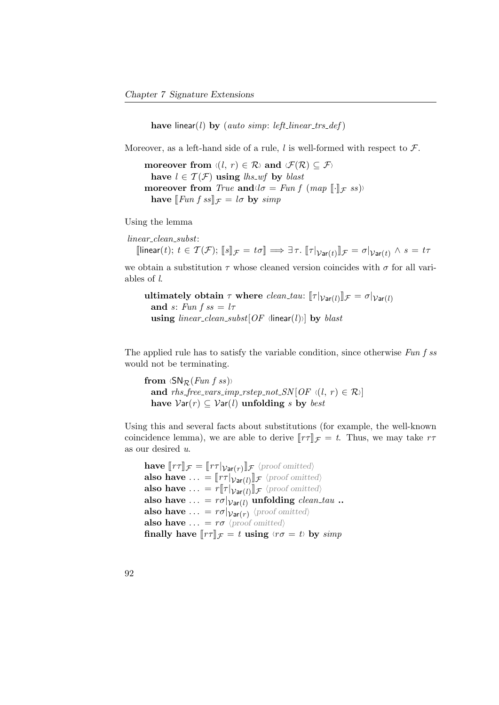have linear(l) by (auto simp: left\_linear\_trs\_def)

Moreover, as a left-hand side of a rule,  $l$  is well-formed with respect to  $\mathcal{F}$ .

moreover from  $\langle (l, r) \in \mathcal{R} \rangle$  and  $\langle \mathcal{F}(\mathcal{R}) \subseteq \mathcal{F} \rangle$ have  $l \in \mathcal{T}(\mathcal{F})$  using  $\mathit{lhs\_wf}$  by  $\mathit{blast}$ moreover from True and  $\langle \sigma = Fun f \ (map \ [\![ \cdot ]\!]_F \ ss) \rangle$ have  $\llbracket \text{Fun } f \text{ ss} \rrbracket_{\mathcal{F}} = l \sigma$  by simp

Using the lemma

linear clean subst:

 $[\text{linear}(t); t \in \mathcal{T}(\mathcal{F}); \, [\![s]\!]_{\mathcal{F}} = t\sigma] \Longrightarrow \exists \, \tau. \, [\![\tau|\mathcal{V}_{\textsf{ar}(t)}]\!]_{\mathcal{F}} = \sigma|\mathcal{V}_{\textsf{ar}(t)} \wedge s = t\tau$ 

we obtain a substitution  $\tau$  whose cleaned version coincides with  $\sigma$  for all variables of l.

```
ultimately obtain \tau where clean_tau: [\![\tau|\mathcal{V}_{\text{ar}(l)}]\!]\mathcal{F} = \sigma|\mathcal{V}_{\text{ar}(l)}and s: Fun f ss = l\tauusing linear_clean_subst[OF \langlelinear(l))] by blast
```
The applied rule has to satisfy the variable condition, since otherwise Fun f ss would not be terminating.

from  $\langle \textsf{SN}_\mathcal{R}(Fun \; f \; ss) \rangle$ and rhs\_free\_vars\_imp\_rstep\_not\_SN  $[OF \ (l, r) \in \mathcal{R}]$ have  $Var(r) \subseteq Var(l)$  unfolding s by best

Using this and several facts about substitutions (for example, the well-known coincidence lemma), we are able to derive  $[r\tau]\mathcal{F} = t$ . Thus, we may take  $r\tau$ as our desired u.

```
have [\![rf]\!]_{\mathcal{F}} = [\![rf]\!]_{\mathcal{V}\text{ar}(r)} \rrbracket_{\mathcal{F}} (proof omitted)
also have \ldots = [\![r\tau]\!]_{\text{Var}(l)} \cdot \mathbb{I}_{\mathcal{F}} (proof omitted)
also have \ldots = r[\![\tau]\!]_{\mathcal{V}\text{ar}(l)}[\!] \mathcal{F} (proof omitted)
also have \ldots = r \sigma|_{Var(I)} unfolding clean_tau ..
also have \ldots = r\sigma|_{Var(r)} \proof omitted\
also have \ldots = r\sigma (proof omitted)
finally have \llbracket r\tau \rrbracket_{\mathcal{F}} = t using \langle r\sigma = t \rangle by \text{simp}
```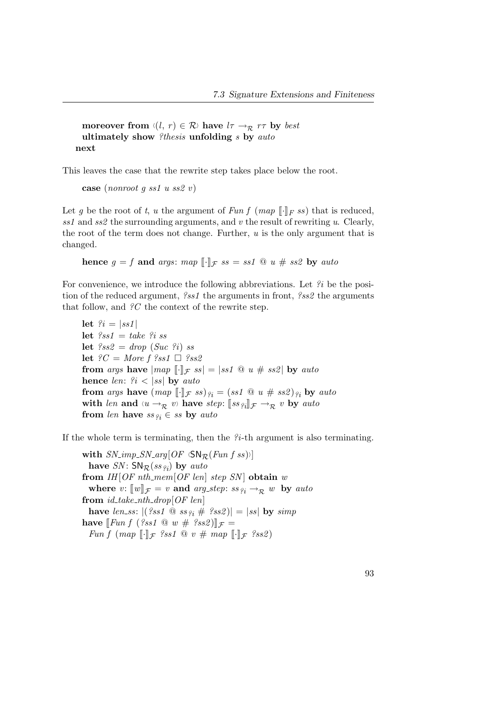moreover from  $\langle (l, r) \in \mathcal{R} \rangle$  have  $l\tau \rightarrow_{\mathcal{R}} r\tau$  by best ultimately show  $\ell$ thesis unfolding s by auto next

This leaves the case that the rewrite step takes place below the root.

```
case (nonroot q ss1 u ss2 v)
```
Let g be the root of t, u the argument of Fun f (map  $\llbracket \cdot \rrbracket_F$  ss) that is reduced, ss1 and ss2 the surrounding arguments, and v the result of rewriting u. Clearly, the root of the term does not change. Further,  $u$  is the only argument that is changed.

hence  $g = f$  and args: map  $\lbrack \cdot \rbrack$   $\qquad \qquad$   $s = ss1 \otimes u \neq ss2$  by auto

For convenience, we introduce the following abbreviations. Let  $\hat{\mathcal{U}}$  be the position of the reduced argument, ?ss1 the arguments in front, ?ss2 the arguments that follow, and  $\mathscr{C}$  the context of the rewrite step.

let  $\hat{\mathcal{E}}_i = |ss1|$ let  $?ss1 = take$   $?iss$ let  $\ell s s2 = drop(Suc \ell i)$  ss let  $?C = More f ?ss1 \square ?ss2$ from args have  $\vert map \vert \vert_F \vert_{\mathcal{F}} \vert \vert_{\mathcal{F}} = \vert sst \vert \vert_w \vert \vert_{\mathcal{F}} \vert \vert sst \vert$  by auto hence len:  $\hat{z}_i < |ss|$  by auto from args have  $(map \,\lbrack \lbrack \cdot \rbrack \rbrack_{\mathcal{F}} \, \text{ss})\, \mathfrak{e}_i = (\text{ss1} \,\lbrack \mathfrak{Q} \, \, u \, \# \, \, \text{ss2})\, \mathfrak{e}_i$  by auto with len and  $\langle u \rangle \rightarrow_{\mathcal{R}} v$  have step:  $\llbracket ss_{\ell i} \rrbracket_{\mathcal{F}} \rightarrow_{\mathcal{R}} v$  by auto from len have  $ss_{i} \in ss$  by auto

If the whole term is terminating, then the ?i-th argument is also terminating.

with  $SN\_\text{imp}\_\text{SN}\_\text{arg}[OF \langle \text{SN}_\mathcal{R}(Fun \; f \; ss) \rangle]$ have  $SN$ :  $SN_{\mathcal{R}}(ss_{\hat{q}})$  by auto from  $IH[OFnth\_mem[OF len] step SN]$  obtain w where v:  $[\![w]\!]_{\mathcal{F}} = v$  and arg\_step: ss  $q_i \rightarrow_R w$  by auto from  $id\_take\_nth\_drop[OF\ len]$ have len ss:  $|($  ?ss1  $\textcircled{a}$  ss<sub>2i</sub>  $\#$  ?ss2) $| = |$ ss $|$  by simp have  $\llbracket \text{Fun } f \text{ } (\text{?ss1} \text{ @ } w \text{ } \# \text{ } \text{?ss2}) \rrbracket_{\mathcal{F}} =$ Fun f (map  $\llbracket \cdot \rrbracket_{\mathcal{F}}$  ?ss1  $\oslash v \# map \llbracket \cdot \rrbracket_{\mathcal{F}}$  ?ss2)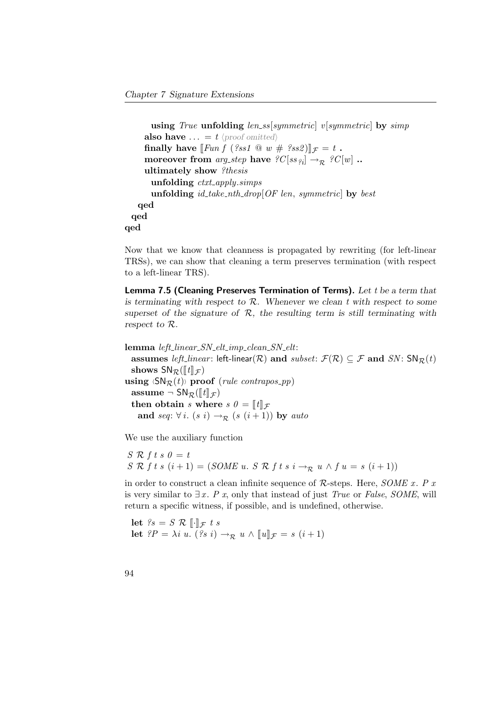```
using True unfolding len\_ss[symmetric] v[symmetric] by simp
      also have \ldots = t (proof omitted)
      finally have \llbracket \text{Fun } f \text{ } (\text{?ss1} \text{ @ } w \text{ } \# \text{ } \text{?ss2}) \rrbracket_{\mathcal{F}} = t.
      moreover from arg_step have \mathscr{C}[ss_{2i}] \to_{\mathcal{R}} \mathscr{C}[w].
      ultimately show ?thesis
        unfolding ctxt_apply.simps
        unfolding id\_take\_nth\_drop[OF] len, symmetric by best
    qed
  qed
qed
```
Now that we know that cleanness is propagated by rewriting (for left-linear TRSs), we can show that cleaning a term preserves termination (with respect to a left-linear TRS).

Lemma 7.5 (Cleaning Preserves Termination of Terms). Let t be a term that is terminating with respect to  $R$ . Whenever we clean t with respect to some superset of the signature of  $R$ , the resulting term is still terminating with respect to R.

lemma left linear SN elt imp clean SN elt: assumes left\_linear: left-linear( $\mathcal{R}$ ) and subset:  $\mathcal{F}(\mathcal{R}) \subseteq \mathcal{F}$  and  $SN$ :  $SN_{\mathcal{R}}(t)$ shows  $SN_{\mathcal{R}}(\llbracket t \rrbracket_{\mathcal{F}})$ using  $\langle SN_R(t) \rangle$  proof (rule contrapos pp) assume  $\neg$  SN<sub>R</sub>( $\llbracket t \rrbracket_{\mathcal{F}}$ ) then obtain s where  $s \theta = [t]$   $\mathcal{F}$ and seq:  $\forall i. (s \ i) \rightarrow_{\mathcal{R}} (s \ (i+1))$  by auto

We use the auxiliary function

 $S \mathcal{R}$  f t s  $\theta = t$ S R f t s  $(i + 1) = (SOME u. S R f t s i \rightarrow_R u \land f u = s (i + 1))$ 

in order to construct a clean infinite sequence of  $\mathcal{R}\text{-steps. Here, }SOME \ x. P x$ is very similar to  $\exists x$ . P x, only that instead of just True or False, SOME, will return a specific witness, if possible, and is undefined, otherwise.

let  $?s = S \mathcal{R} \mathcal{F} \cdot \mathcal{F} \cdot t \cdot s$ let  $?P = \lambda i u. (?s i) \rightarrow_{\mathcal{R}} u \wedge [ [u] ]_{\mathcal{F}} = s (i+1)$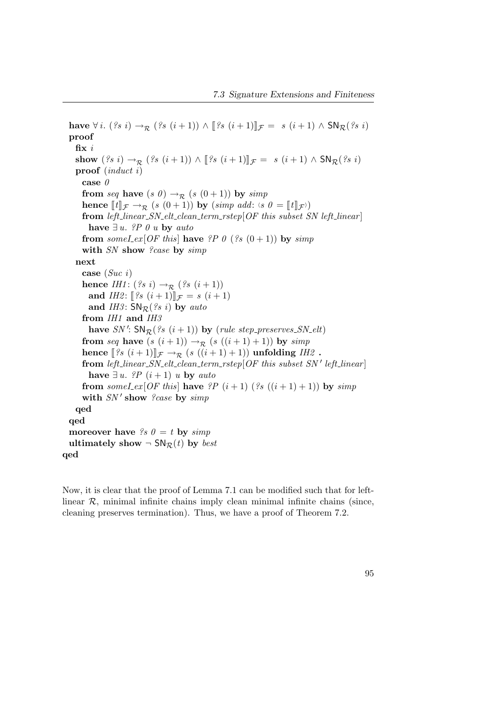have  $\forall i.$   $(?s i) \rightarrow_R (?s (i+1)) \wedge [?s (i+1)]_{\mathcal{F}} = s (i+1) \wedge \mathsf{SN}_{\mathcal{R}}(?s i)$ proof fix  $i$ show  $({}^{\,2}S\;i) \rightarrow_{\mathcal{R}} ({}^{\,2}S\; (i+1)) \wedge [^{\,2}S\; (i+1)]_{\mathcal{F}} = s\; (i+1) \wedge S\mathsf{N}_{\mathcal{R}}({}^{\,2}S\; i)$ proof (induct i) case  $\theta$ from seq have  $(s\ \theta) \rightarrow_{\mathcal{R}} (s\ (0+1))$  by simp hence  $[[t]]_{\mathcal{F}} \to_{\mathcal{R}} (s(0+1))$  by  $(simp \text{ add: } (s0 = [[t]]_{\mathcal{F}}))$ <br>from left linear  $SN$  olt clean term rates  $OE$  this subset  $S$ from left\_linear\_SN\_elt\_clean\_term\_rstep[OF this subset SN left\_linear] have  $\exists u$ . *?P* 0 u by auto from someLex[OF this] have ?P 0 (?s  $(0+1)$ ) by simp with SN show ?case by simp next case (Suc i) hence IH1:  $({}^{2}s i) \rightarrow_{\mathcal{R}} ({}^{2s} (i+1))$ and *IH2*:  $[?s (i+1)]_{\mathcal{F}} = s (i+1)$ and IH3:  $SN_{\mathcal{R}}$  (?s i) by auto from IH1 and IH3 have  $SN'$ :  $SN_{\mathcal{R}}$  $(s \ (i+1))$  by (rule step preserves  $SN_{\mathcal{L}}$ elt) from seq have  $(s (i+1)) \rightarrow_R (s ((i+1) + 1))$  by simp hence  $[\exists s \ (i+1)]_{\mathcal{F}} \rightarrow_{\mathcal{R}} (s \ ((i+1) + 1))$  unfolding IH2. from left\_linear\_SN\_elt\_clean\_term\_rstep $[OF$  this subset SN' left\_linear have  $\exists u$ . *?P*  $(i+1)$  u by auto from someLex[OF this] have ?P  $(i+1)$  (?s  $((i+1)+1)$ ) by simp with  $SN'$  show ?case by  $simp$ qed qed moreover have  $\mathscr{S} s \mathscr{O} = t$  by  $\mathscr{S} s \mathscr{O} t$ ultimately show  $\neg SN_{\mathcal{R}}(t)$  by *best* qed

Now, it is clear that the proof of Lemma [7.1](#page-43-0) can be modified such that for leftlinear  $R$ , minimal infinite chains imply clean minimal infinite chains (since, cleaning preserves termination). Thus, we have a proof of Theorem [7.2.](#page-105-0)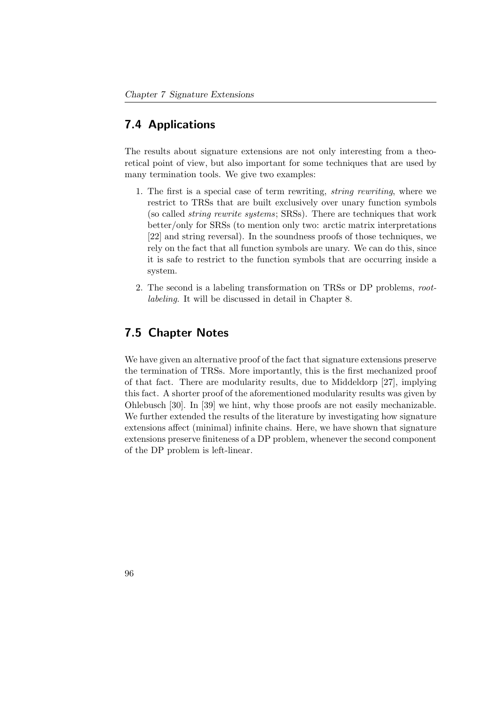## 7.4 Applications

The results about signature extensions are not only interesting from a theoretical point of view, but also important for some techniques that are used by many termination tools. We give two examples:

- 1. The first is a special case of term rewriting, string rewriting, where we restrict to TRSs that are built exclusively over unary function symbols (so called string rewrite systems; SRSs). There are techniques that work better/only for SRSs (to mention only two: arctic matrix interpretations [\[22\]](#page-158-0) and string reversal). In the soundness proofs of those techniques, we rely on the fact that all function symbols are unary. We can do this, since it is safe to restrict to the function symbols that are occurring inside a system.
- 2. The second is a labeling transformation on TRSs or DP problems, rootlabeling. It will be discussed in detail in Chapter [8.](#page-112-0)

## 7.5 Chapter Notes

We have given an alternative proof of the fact that signature extensions preserve the termination of TRSs. More importantly, this is the first mechanized proof of that fact. There are modularity results, due to Middeldorp [\[27\]](#page-159-0), implying this fact. A shorter proof of the aforementioned modularity results was given by Ohlebusch [\[30\]](#page-159-1). In [\[39\]](#page-160-0) we hint, why those proofs are not easily mechanizable. We further extended the results of the literature by investigating how signature extensions affect (minimal) infinite chains. Here, we have shown that signature extensions preserve finiteness of a DP problem, whenever the second component of the DP problem is left-linear.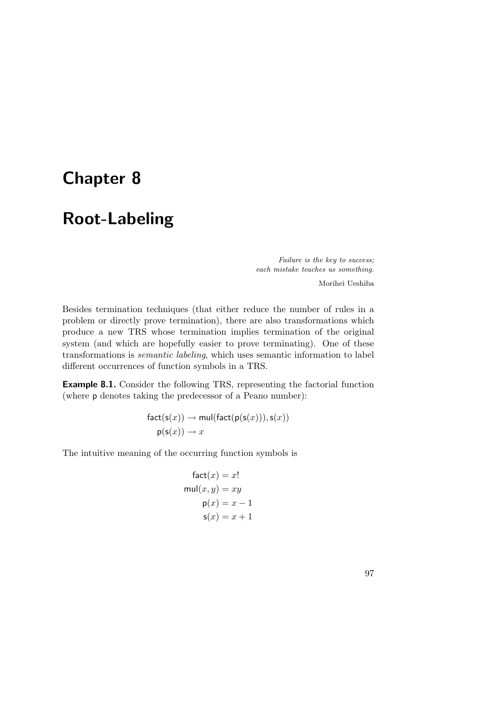# <span id="page-112-0"></span>Chapter 8

# Root-Labeling

Failure is the key to success; each mistake teaches us something.

Morihei Ueshiba

Besides termination techniques (that either reduce the number of rules in a problem or directly prove termination), there are also transformations which produce a new TRS whose termination implies termination of the original system (and which are hopefully easier to prove terminating). One of these transformations is semantic labeling, which uses semantic information to label different occurrences of function symbols in a TRS.

Example 8.1. Consider the following TRS, representing the factorial function (where p denotes taking the predecessor of a Peano number):

> $fact(s(x)) \rightarrow mul(fact(p(s(x))), s(x))$  $p(s(x)) \rightarrow x$

The intuitive meaning of the occurring function symbols is

$$
fact(x) = x!
$$
  
\n
$$
mul(x, y) = xy
$$
  
\n
$$
p(x) = x - 1
$$
  
\n
$$
s(x) = x + 1
$$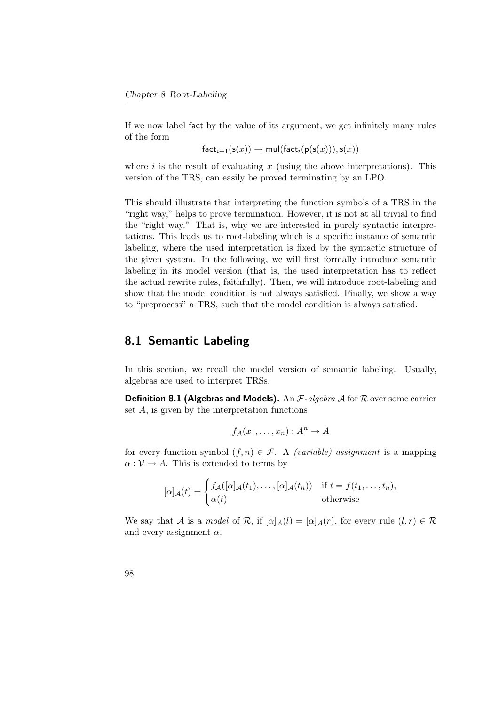If we now label fact by the value of its argument, we get infinitely many rules of the form

 $fact_{i+1}(s(x)) \rightarrow mul(fact_{i}(p(s(x))), s(x))$ 

where i is the result of evaluating x (using the above interpretations). This version of the TRS, can easily be proved terminating by an LPO.

This should illustrate that interpreting the function symbols of a TRS in the "right way," helps to prove termination. However, it is not at all trivial to find the "right way." That is, why we are interested in purely syntactic interpretations. This leads us to root-labeling which is a specific instance of semantic labeling, where the used interpretation is fixed by the syntactic structure of the given system. In the following, we will first formally introduce semantic labeling in its model version (that is, the used interpretation has to reflect the actual rewrite rules, faithfully). Then, we will introduce root-labeling and show that the model condition is not always satisfied. Finally, we show a way to "preprocess" a TRS, such that the model condition is always satisfied.

#### 8.1 Semantic Labeling

In this section, we recall the model version of semantic labeling. Usually, algebras are used to interpret TRSs.

**Definition 8.1 (Algebras and Models).** An  $\mathcal{F}\text{-}algebra \mathcal{A}$  for  $\mathcal{R}$  over some carrier set A, is given by the interpretation functions

$$
f_{\mathcal{A}}(x_1,\ldots,x_n):A^n\to A
$$

for every function symbol  $(f, n) \in \mathcal{F}$ . A *(variable)* assignment is a mapping  $\alpha : \mathcal{V} \to A$ . This is extended to terms by

$$
[\alpha]_{\mathcal{A}}(t) = \begin{cases} f_{\mathcal{A}}([\alpha]_{\mathcal{A}}(t_1), \dots, [\alpha]_{\mathcal{A}}(t_n)) & \text{if } t = f(t_1, \dots, t_n), \\ \alpha(t) & \text{otherwise} \end{cases}
$$

We say that A is a model of R, if  $[\alpha]_A(l) = [\alpha]_A(r)$ , for every rule  $(l, r) \in \mathcal{R}$ and every assignment  $\alpha$ .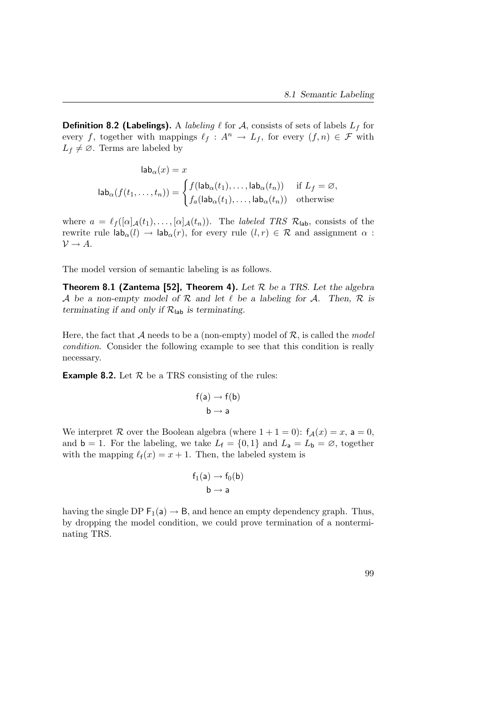**Definition 8.2 (Labelings).** A labeling  $\ell$  for  $A$ , consists of sets of labels  $L_f$  for every f, together with mappings  $\ell_f : A^n \to L_f$ , for every  $(f, n) \in \mathcal{F}$  with  $L_f \neq \emptyset$ . Terms are labeled by

$$
\mathsf{lab}_{\alpha}(x) = x
$$
\n
$$
\mathsf{lab}_{\alpha}(f(t_1, \dots, t_n)) = \begin{cases} f(\mathsf{lab}_{\alpha}(t_1), \dots, \mathsf{lab}_{\alpha}(t_n)) & \text{if } L_f = \varnothing, \\ f_a(\mathsf{lab}_{\alpha}(t_1), \dots, \mathsf{lab}_{\alpha}(t_n)) & \text{otherwise} \end{cases}
$$

where  $a = \ell_f ([\alpha]_{\mathcal{A}}(t_1), \ldots, [\alpha]_{\mathcal{A}}(t_n)).$  The labeled TRS  $\mathcal{R}_{\mathsf{lab}}$ , consists of the rewrite rule  $\mathsf{lab}_{\alpha}(l) \to \mathsf{lab}_{\alpha}(r)$ , for every rule  $(l, r) \in \mathcal{R}$  and assignment  $\alpha$ :  $\mathcal{V} \rightarrow A$ .

<span id="page-114-0"></span>The model version of semantic labeling is as follows.

**Theorem 8.1 (Zantema [\[52\]](#page-162-0), Theorem 4).** Let  $\mathcal{R}$  be a TRS. Let the algebra A be a non-empty model of  $\mathcal R$  and let  $\ell$  be a labeling for A. Then,  $\mathcal R$  is terminating if and only if  $\mathcal{R}_{\text{lab}}$  is terminating.

Here, the fact that A needs to be a (non-empty) model of  $\mathcal{R}$ , is called the model condition. Consider the following example to see that this condition is really necessary.

**Example 8.2.** Let  $\mathcal{R}$  be a TRS consisting of the rules:

$$
f(a) \to f(b)
$$
  

$$
b \to a
$$

We interpret R over the Boolean algebra (where  $1 + 1 = 0$ ):  $f_{\mathcal{A}}(x) = x$ ,  $a = 0$ , and  $\mathbf{b} = 1$ . For the labeling, we take  $L_f = \{0, 1\}$  and  $L_a = L_b = \emptyset$ , together with the mapping  $\ell_f(x) = x + 1$ . Then, the labeled system is

$$
f_1(a) \to f_0(b)
$$
  

$$
b \to a
$$

having the single DP  $F_1(a) \rightarrow B$ , and hence an empty dependency graph. Thus, by dropping the model condition, we could prove termination of a nonterminating TRS.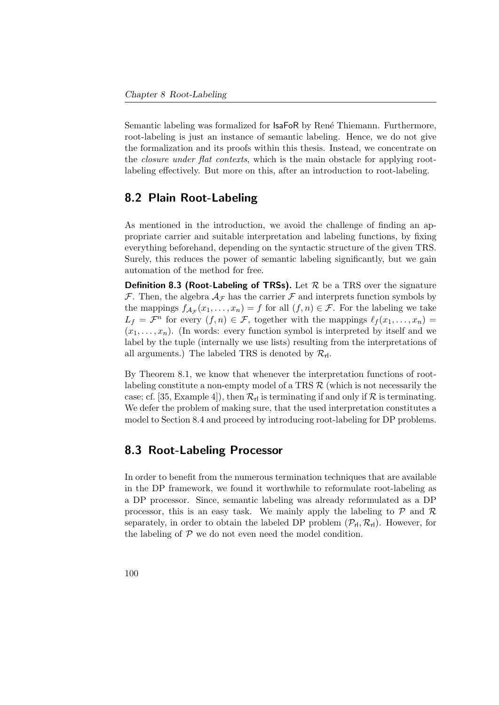Semantic labeling was formalized for **IsaFoR** by René Thiemann. Furthermore, root-labeling is just an instance of semantic labeling. Hence, we do not give the formalization and its proofs within this thesis. Instead, we concentrate on the *closure under flat contexts*, which is the main obstacle for applying rootlabeling effectively. But more on this, after an introduction to root-labeling.

## 8.2 Plain Root-Labeling

As mentioned in the introduction, we avoid the challenge of finding an appropriate carrier and suitable interpretation and labeling functions, by fixing everything beforehand, depending on the syntactic structure of the given TRS. Surely, this reduces the power of semantic labeling significantly, but we gain automation of the method for free.

**Definition 8.3 (Root-Labeling of TRSs).** Let  $\mathcal{R}$  be a TRS over the signature  $\mathcal F$ . Then, the algebra  $\mathcal A_{\mathcal F}$  has the carrier  $\mathcal F$  and interprets function symbols by the mappings  $f_{\mathcal{A}_{\mathcal{F}}}(x_1,\ldots,x_n)=f$  for all  $(f,n)\in\mathcal{F}$ . For the labeling we take  $L_f = \mathcal{F}^n$  for every  $(f, n) \in \mathcal{F}$ , together with the mappings  $\ell_f(x_1, \ldots, x_n) =$  $(x_1, \ldots, x_n)$ . (In words: every function symbol is interpreted by itself and we label by the tuple (internally we use lists) resulting from the interpretations of all arguments.) The labeled TRS is denoted by  $\mathcal{R}_{rl}$ .

By Theorem [8.1,](#page-114-0) we know that whenever the interpretation functions of rootlabeling constitute a non-empty model of a TRS  $R$  (which is not necessarily the case; cf. [\[35,](#page-160-1) Example 4]), then  $\mathcal{R}_{\rm rl}$  is terminating if and only if  $\mathcal R$  is terminating. We defer the problem of making sure, that the used interpretation constitutes a model to Section [8.4](#page-116-0) and proceed by introducing root-labeling for DP problems.

## 8.3 Root-Labeling Processor

In order to benefit from the numerous termination techniques that are available in the DP framework, we found it worthwhile to reformulate root-labeling as a DP processor. Since, semantic labeling was already reformulated as a DP processor, this is an easy task. We mainly apply the labeling to  $P$  and  $R$ separately, in order to obtain the labeled DP problem  $(\mathcal{P}_{r1}, \mathcal{R}_{r1})$ . However, for the labeling of  ${\mathcal P}$  we do not even need the model condition.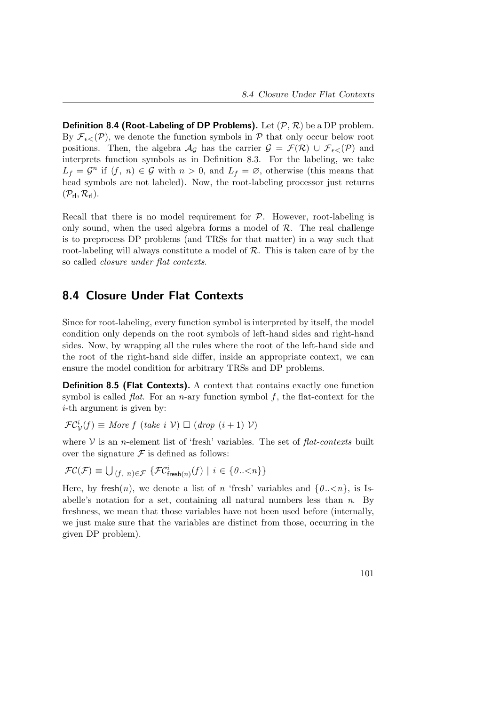**Definition 8.4 (Root-Labeling of DP Problems).** Let  $(\mathcal{P}, \mathcal{R})$  be a DP problem. By  $\mathcal{F}_{\epsilon\leq}(\mathcal{P})$ , we denote the function symbols in  $\mathcal P$  that only occur below root positions. Then, the algebra  $\mathcal{A}_{\mathcal{G}}$  has the carrier  $\mathcal{G} = \mathcal{F}(\mathcal{R}) \cup \mathcal{F}_{\epsilon}(\mathcal{P})$  and interprets function symbols as in Definition [8.3.](#page-43-1) For the labeling, we take  $L_f = \mathcal{G}^n$  if  $(f, n) \in \mathcal{G}$  with  $n > 0$ , and  $L_f = \emptyset$ , otherwise (this means that head symbols are not labeled). Now, the root-labeling processor just returns  $(\mathcal{P}_{\text{rl}}, \mathcal{R}_{\text{rl}}).$ 

Recall that there is no model requirement for  $P$ . However, root-labeling is only sound, when the used algebra forms a model of  $R$ . The real challenge is to preprocess DP problems (and TRSs for that matter) in a way such that root-labeling will always constitute a model of  $R$ . This is taken care of by the so called closure under flat contexts.

## <span id="page-116-0"></span>8.4 Closure Under Flat Contexts

Since for root-labeling, every function symbol is interpreted by itself, the model condition only depends on the root symbols of left-hand sides and right-hand sides. Now, by wrapping all the rules where the root of the left-hand side and the root of the right-hand side differ, inside an appropriate context, we can ensure the model condition for arbitrary TRSs and DP problems.

Definition 8.5 (Flat Contexts). A context that contains exactly one function symbol is called *flat*. For an *n*-ary function symbol  $f$ , the flat-context for the i-th argument is given by:

$$
\mathcal{FC}_{\mathcal{V}}^{i}(f) \equiv \text{More } f \text{ (take } i \text{ }\mathcal{V}) \square \text{ (drop } (i+1) \text{ }\mathcal{V})
$$

where  $V$  is an *n*-element list of 'fresh' variables. The set of  $flat-contrast$  built over the signature  $\mathcal F$  is defined as follows:

$$
\mathcal{FC}(\mathcal{F}) \equiv \bigcup_{(f, n) \in \mathcal{F}} \{ \mathcal{FC}^i_{\mathsf{freeh}(n)}(f) \mid i \in \{0..\leq n\} \}
$$

Here, by fresh $(n)$ , we denote a list of n 'fresh' variables and  $\{0..\leq n\}$ , is Isabelle's notation for a set, containing all natural numbers less than  $n$ . By freshness, we mean that those variables have not been used before (internally, we just make sure that the variables are distinct from those, occurring in the given DP problem).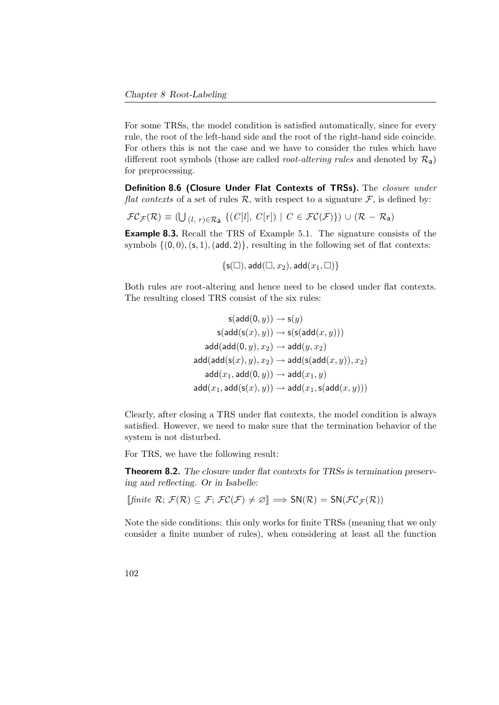For some TRSs, the model condition is satisfied automatically, since for every rule, the root of the left-hand side and the root of the right-hand side coincide. For others this is not the case and we have to consider the rules which have different root symbols (those are called *root-altering rules* and denoted by  $\mathcal{R}_{a}$ ) for preprocessing.

Definition 8.6 (Closure Under Flat Contexts of TRSs). The closure under flat contexts of a set of rules R, with respect to a signature  $\mathcal{F}$ , is defined by:

$$
\mathcal{FC}_{\mathcal{F}}(\mathcal{R}) \equiv (\bigcup_{(l, r) \in \mathcal{R}_{\mathbf{a}}} \{ (C[l], C[r]) \mid C \in \mathcal{FC}(\mathcal{F}) \}) \cup (\mathcal{R} - \mathcal{R}_{\mathbf{a}})
$$

Example 8.3. Recall the TRS of Example [5.1.](#page-40-0) The signature consists of the symbols  $\{(0, 0), (s, 1), (add, 2)\}\)$ , resulting in the following set of flat contexts:

$$
\{\mathsf s(\square), \mathsf add(\square,x_2), \mathsf add(x_1,\square)\}
$$

Both rules are root-altering and hence need to be closed under flat contexts. The resulting closed TRS consist of the six rules:

$$
\mathsf{s}(\mathsf{add}(\mathbf{0},y)) \to \mathsf{s}(y) \\ \mathsf{s}(\mathsf{add}(\mathsf{s}(x),y)) \to \mathsf{s}(\mathsf{s}(\mathsf{add}(x,y))) \\ \mathsf{add}(\mathsf{add}(\mathbf{0},y),x_2) \to \mathsf{add}(y,x_2) \\ \mathsf{add}(\mathsf{add}(\mathsf{s}(x),y),x_2) \to \mathsf{add}(\mathsf{s}(\mathsf{add}(x,y)),x_2) \\ \mathsf{add}(x_1,\mathsf{add}(\mathbf{0},y)) \to \mathsf{add}(x_1,y) \\ \mathsf{add}(x_1,\mathsf{add}(\mathsf{s}(x),y)) \to \mathsf{add}(x_1,\mathsf{s}(\mathsf{add}(x,y)))
$$

Clearly, after closing a TRS under flat contexts, the model condition is always satisfied. However, we need to make sure that the termination behavior of the system is not disturbed.

For TRS, we have the following result:

Theorem 8.2. The closure under flat contexts for TRSs is termination preserving and reflecting. Or in Isabelle:

$$
\llbracket \mathit{finite}\ \mathcal{R};\ \mathcal{F}(\mathcal{R})\subseteq\mathcal{F};\ \mathcal{FC}(\mathcal{F})\neq\varnothing\rrbracket\Longrightarrow\mathsf{SN}(\mathcal{R})=\mathsf{SN}(\mathcal{FC}_{\mathcal{F}}(\mathcal{R}))
$$

Note the side conditions: this only works for finite TRSs (meaning that we only consider a finite number of rules), when considering at least all the function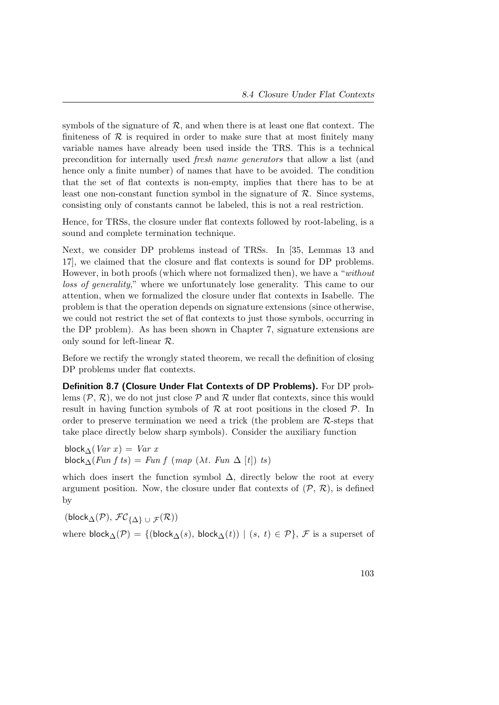symbols of the signature of  $R$ , and when there is at least one flat context. The finiteness of  $R$  is required in order to make sure that at most finitely many variable names have already been used inside the TRS. This is a technical precondition for internally used fresh name generators that allow a list (and hence only a finite number) of names that have to be avoided. The condition that the set of flat contexts is non-empty, implies that there has to be at least one non-constant function symbol in the signature of  $R$ . Since systems, consisting only of constants cannot be labeled, this is not a real restriction.

Hence, for TRSs, the closure under flat contexts followed by root-labeling, is a sound and complete termination technique.

Next, we consider DP problems instead of TRSs. In [\[35,](#page-160-1) Lemmas 13 and 17], we claimed that the closure and flat contexts is sound for DP problems. However, in both proofs (which where not formalized then), we have a "without loss of generality," where we unfortunately lose generality. This came to our attention, when we formalized the closure under flat contexts in Isabelle. The problem is that the operation depends on signature extensions (since otherwise, we could not restrict the set of flat contexts to just those symbols, occurring in the DP problem). As has been shown in Chapter [7,](#page-94-0) signature extensions are only sound for left-linear R.

Before we rectify the wrongly stated theorem, we recall the definition of closing DP problems under flat contexts.

Definition 8.7 (Closure Under Flat Contexts of DP Problems). For DP problems  $(\mathcal{P}, \mathcal{R})$ , we do not just close  $\mathcal{P}$  and  $\mathcal{R}$  under flat contexts, since this would result in having function symbols of  $\mathcal R$  at root positions in the closed  $\mathcal P$ . In order to preserve termination we need a trick (the problem are  $\mathcal{R}\text{-steps}$  that take place directly below sharp symbols). Consider the auxiliary function

block $\Delta(Var\ x) = Var\ x$ block $\Lambda(Fun f ts) = Fun f (map (\lambda t. Fun \Delta [t]) ts)$ 

which does insert the function symbol  $\Delta$ , directly below the root at every argument position. Now, the closure under flat contexts of  $(\mathcal{P}, \mathcal{R})$ , is defined by

 $(\mathsf{block}_{\Delta}(\mathcal{P}), \, \mathcal{FC}_{\{\Delta\}\,\cup\,\mathcal{F}}(\mathcal{R}))$ where block $\Delta(\mathcal{P}) = \{(\text{block}_{\Delta}(s), \text{block}_{\Delta}(t)) | (s, t) \in \mathcal{P}\}, \mathcal{F}$  is a superset of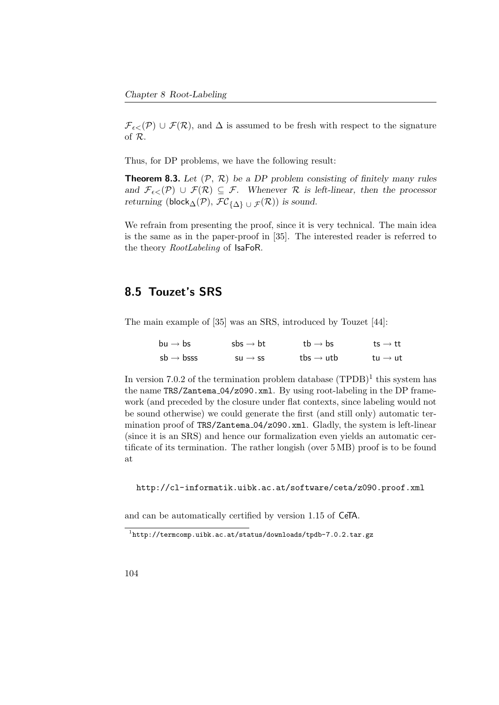$\mathcal{F}_{\epsilon\leq}(\mathcal{P}) \cup \mathcal{F}(\mathcal{R})$ , and  $\Delta$  is assumed to be fresh with respect to the signature of R.

Thus, for DP problems, we have the following result:

**Theorem 8.3.** Let  $(\mathcal{P}, \mathcal{R})$  be a DP problem consisting of finitely many rules and  $\mathcal{F}_{\epsilon\lt}(\mathcal{P}) \cup \mathcal{F}(\mathcal{R}) \subseteq \mathcal{F}$ . Whenever  $\mathcal R$  is left-linear, then the processor returning (block $_{\Delta}(\mathcal{P}), \mathcal{FC}_{\{\Delta\}} \cup \mathcal{F}(\mathcal{R})$ ) is sound.

We refrain from presenting the proof, since it is very technical. The main idea is the same as in the paper-proof in [\[35\]](#page-160-1). The interested reader is referred to the theory *RootLabeling* of IsaFoR.

## 8.5 Touzet's SRS

The main example of [\[35\]](#page-160-1) was an SRS, introduced by Touzet [\[44\]](#page-161-0):

| $bu \rightarrow bs$    | $sbs \rightarrow bt$ | tb $\rightarrow$ bs   | ts $\rightarrow$ tt |  |
|------------------------|----------------------|-----------------------|---------------------|--|
| $sb \rightarrow b$ sss | $su \rightarrow ss$  | tbs $\rightarrow$ utb | tu $\rightarrow$ ut |  |

In version 7.0.2 of the termination problem database  $(TPDB)^1$  $(TPDB)^1$  this system has the name TRS/Zantema\_04/z090.xml. By using root-labeling in the DP framework (and preceded by the closure under flat contexts, since labeling would not be sound otherwise) we could generate the first (and still only) automatic termination proof of TRS/Zantema 04/z090.xml. Gladly, the system is left-linear (since it is an SRS) and hence our formalization even yields an automatic certificate of its termination. The rather longish (over 5 MB) proof is to be found at

<http://cl-informatik.uibk.ac.at/software/ceta/z090.proof.xml>

and can be automatically certified by version 1.15 of CeTA.

<span id="page-119-0"></span> $1$ <http://termcomp.uibk.ac.at/status/downloads/tpdb-7.0.2.tar.gz>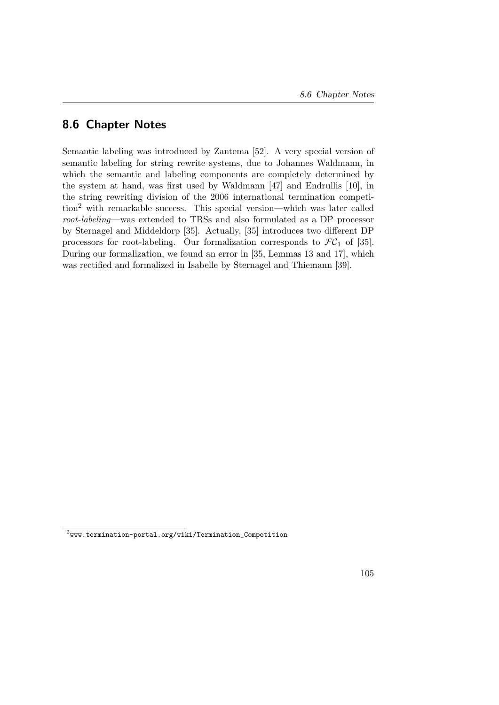## 8.6 Chapter Notes

Semantic labeling was introduced by Zantema [\[52\]](#page-162-0). A very special version of semantic labeling for string rewrite systems, due to Johannes Waldmann, in which the semantic and labeling components are completely determined by the system at hand, was first used by Waldmann [\[47\]](#page-162-1) and Endrullis [\[10\]](#page-157-0), in the string rewriting division of the 2006 international termination competition[2](#page-120-0) with remarkable success. This special version—which was later called root-labeling—was extended to TRSs and also formulated as a DP processor by Sternagel and Middeldorp [\[35\]](#page-160-1). Actually, [\[35\]](#page-160-1) introduces two different DP processors for root-labeling. Our formalization corresponds to  $\mathcal{FC}_1$  of [\[35\]](#page-160-1). During our formalization, we found an error in [\[35,](#page-160-1) Lemmas 13 and 17], which was rectified and formalized in Isabelle by Sternagel and Thiemann [\[39\]](#page-160-0).

<span id="page-120-0"></span> $^2$ [www.termination-portal.org/wiki/Termination\\_Competition](www.termination-portal.org/wiki/Termination_Competition)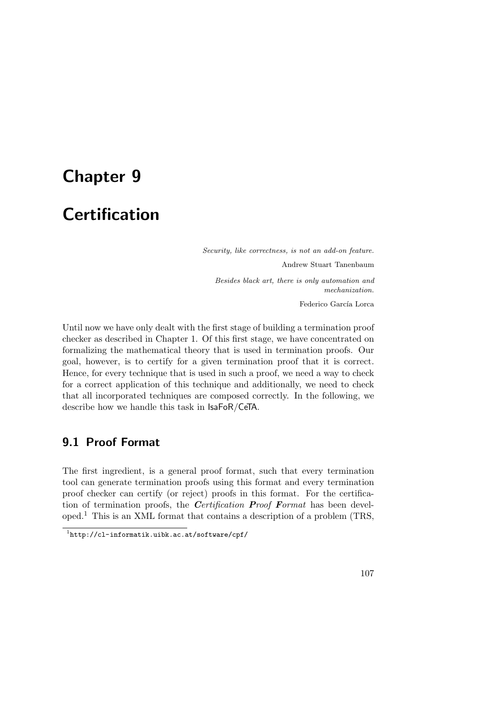# <span id="page-122-1"></span>Chapter 9

# **Certification**

Security, like correctness, is not an add-on feature. Andrew Stuart Tanenbaum Besides black art, there is only automation and mechanization. Federico García Lorca

Until now we have only dealt with the first stage of building a termination proof checker as described in Chapter [1.](#page-16-0) Of this first stage, we have concentrated on formalizing the mathematical theory that is used in termination proofs. Our goal, however, is to certify for a given termination proof that it is correct. Hence, for every technique that is used in such a proof, we need a way to check for a correct application of this technique and additionally, we need to check that all incorporated techniques are composed correctly. In the following, we describe how we handle this task in IsaFoR/CeTA.

## 9.1 Proof Format

The first ingredient, is a general proof format, such that every termination tool can generate termination proofs using this format and every termination proof checker can certify (or reject) proofs in this format. For the certification of termination proofs, the *Certification Proof Format* has been developed.[1](#page-122-0) This is an XML format that contains a description of a problem (TRS,

<span id="page-122-0"></span><sup>1</sup> <http://cl-informatik.uibk.ac.at/software/cpf/>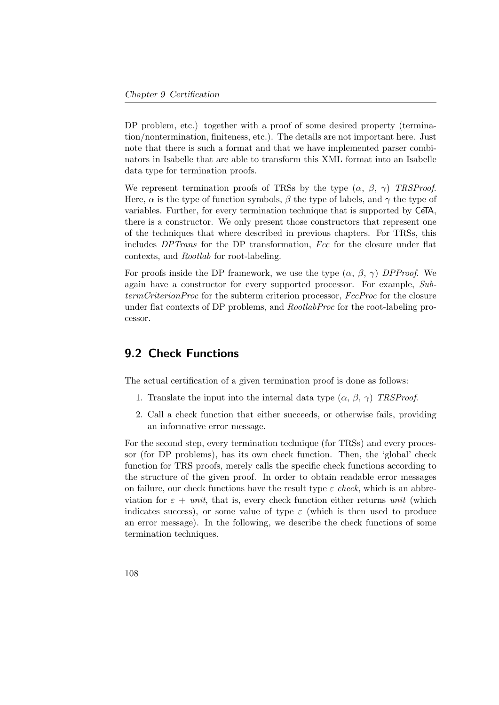DP problem, etc.) together with a proof of some desired property (termination/nontermination, finiteness, etc.). The details are not important here. Just note that there is such a format and that we have implemented parser combinators in Isabelle that are able to transform this XML format into an Isabelle data type for termination proofs.

We represent termination proofs of TRSs by the type  $(\alpha, \beta, \gamma)$  TRSProof. Here,  $\alpha$  is the type of function symbols,  $\beta$  the type of labels, and  $\gamma$  the type of variables. Further, for every termination technique that is supported by CeTA, there is a constructor. We only present those constructors that represent one of the techniques that where described in previous chapters. For TRSs, this includes DPTrans for the DP transformation, Fcc for the closure under flat contexts, and Rootlab for root-labeling.

For proofs inside the DP framework, we use the type  $(\alpha, \beta, \gamma)$  DPProof. We again have a constructor for every supported processor. For example, SubtermCriterionProc for the subterm criterion processor, FccProc for the closure under flat contexts of DP problems, and *RootlabProc* for the root-labeling processor.

## 9.2 Check Functions

The actual certification of a given termination proof is done as follows:

- 1. Translate the input into the internal data type  $(\alpha, \beta, \gamma)$  TRSProof.
- 2. Call a check function that either succeeds, or otherwise fails, providing an informative error message.

For the second step, every termination technique (for TRSs) and every processor (for DP problems), has its own check function. Then, the 'global' check function for TRS proofs, merely calls the specific check functions according to the structure of the given proof. In order to obtain readable error messages on failure, our check functions have the result type  $\varepsilon$  check, which is an abbreviation for  $\varepsilon$  + unit, that is, every check function either returns unit (which indicates success), or some value of type  $\varepsilon$  (which is then used to produce an error message). In the following, we describe the check functions of some termination techniques.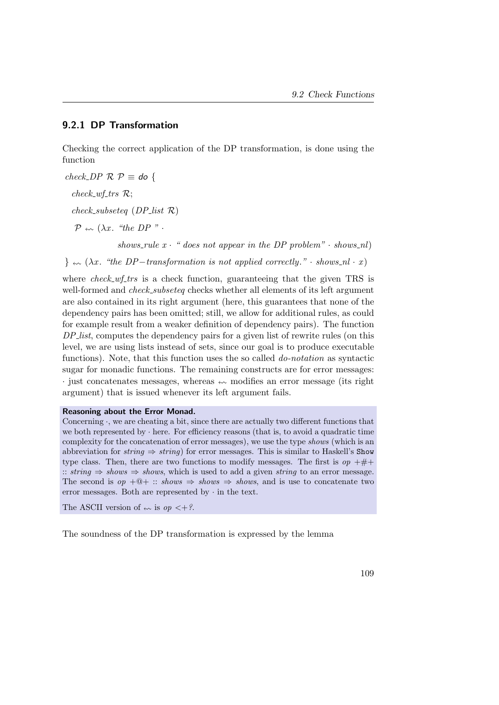#### 9.2.1 DP Transformation

Checking the correct application of the DP transformation, is done using the function

 $check\_DP \mathcal{R} \mathcal{P} \equiv$  do {  $check_wff\_trsR;$ check\_subseteq  $(DP_{\text{list}} \mathcal{R})$  $\mathcal{P} \leftarrow (\lambda x, \text{``the DP''}.$ shows rule  $x \cdot$  " does not appear in the DP problem"  $\cdot$  shows nl)

 $\} \leftrightarrow (\lambda x$ . "the DP-transformation is not applied correctly." · shows\_nl · x)

where check  $wf_{\text{-}}$ trs is a check function, guaranteeing that the given TRS is well-formed and *check\_subseteq* checks whether all elements of its left argument are also contained in its right argument (here, this guarantees that none of the dependency pairs has been omitted; still, we allow for additional rules, as could for example result from a weaker definition of dependency pairs). The function DP list, computes the dependency pairs for a given list of rewrite rules (on this level, we are using lists instead of sets, since our goal is to produce executable functions). Note, that this function uses the so called *do-notation* as syntactic sugar for monadic functions. The remaining constructs are for error messages:  $\cdot$  just concatenates messages, whereas  $\sim$  modifies an error message (its right argument) that is issued whenever its left argument fails.

#### Reasoning about the Error Monad.

Concerning  $\cdot$ , we are cheating a bit, since there are actually two different functions that we both represented by · here. For efficiency reasons (that is, to avoid a quadratic time complexity for the concatenation of error messages), we use the type shows (which is an abbreviation for string  $\Rightarrow$  string) for error messages. This is similar to Haskell's Show type class. Then, there are two functions to modify messages. The first is  $op + \# +$ :: string  $\Rightarrow$  shows  $\Rightarrow$  shows, which is used to add a given string to an error message. The second is  $op +@+ :: shows \Rightarrow shows \Rightarrow shows$ , and is use to concatenate two error messages. Both are represented by  $\cdot$  in the text.

The ASCII version of  $\leftarrow \infty$  is  $op \leftarrow ?$ .

The soundness of the DP transformation is expressed by the lemma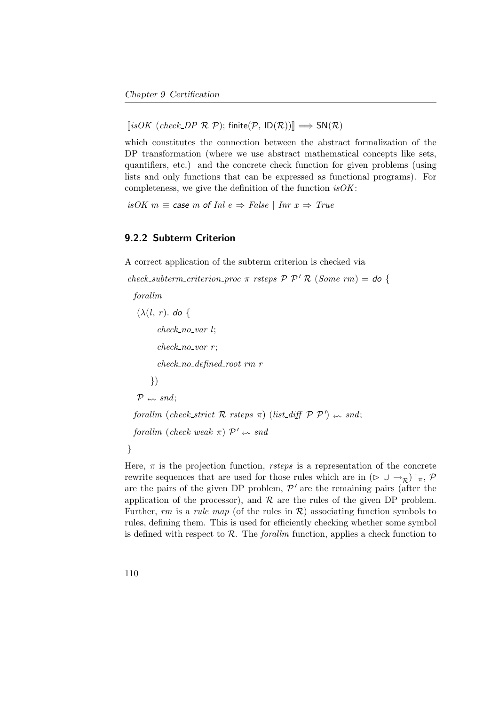$[isOK (check\_DP \mathcal{R} \mathcal{P}); finite(\mathcal{P}, ID(\mathcal{R}))] \Longrightarrow SN(\mathcal{R})$ 

which constitutes the connection between the abstract formalization of the DP transformation (where we use abstract mathematical concepts like sets, quantifiers, etc.) and the concrete check function for given problems (using lists and only functions that can be expressed as functional programs). For completeness, we give the definition of the function  $isOK$ :

isOK  $m \equiv$  case m of Inl  $e \Rightarrow$  False | Inr  $x \Rightarrow$  True

#### 9.2.2 Subterm Criterion

A correct application of the subterm criterion is checked via

check\_subterm\_criterion\_proc  $\pi$  rsteps  $\mathcal{P}$   $\mathcal{P}'$  R (Some rm) = do {

forallm

```
(\lambda(l, r), d\sigma)check\_no\_var l;
            check\_no\_var r;
            check no defined root rm r
         })
   \mathcal{P} \leftarrow smd;
   forallm (check_strict \mathcal R rsteps \pi) (list_diff \mathcal P \mathcal P') \rightsquigarrow snd;
   forallm (check_weak \pi) \mathcal{P}' \nleftrightarrow snd
}
```
Here,  $\pi$  is the projection function, *rsteps* is a representation of the concrete rewrite sequences that are used for those rules which are in  $(\triangleright \cup \rightarrow_R)^+_{\pi}$ ,  $\mathcal{P}$ are the pairs of the given DP problem,  $\mathcal{P}'$  are the remaining pairs (after the application of the processor), and  $\mathcal R$  are the rules of the given DP problem. Further, rm is a rule map (of the rules in  $\mathcal{R}$ ) associating function symbols to rules, defining them. This is used for efficiently checking whether some symbol is defined with respect to  $\mathcal{R}$ . The *forallm* function, applies a check function to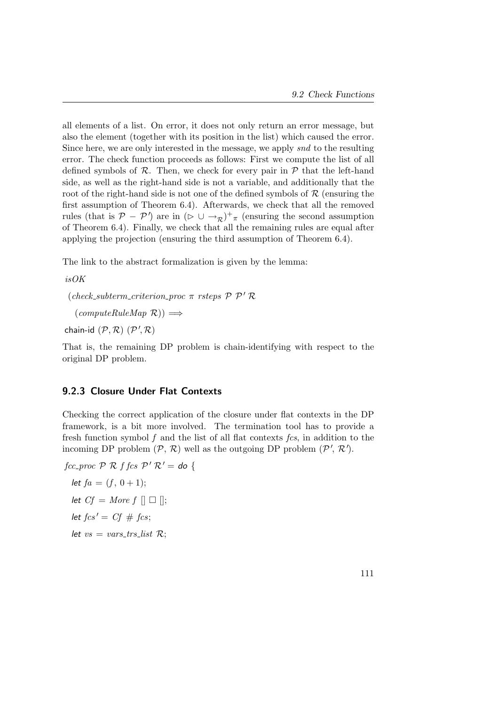all elements of a list. On error, it does not only return an error message, but also the element (together with its position in the list) which caused the error. Since here, we are only interested in the message, we apply snd to the resulting error. The check function proceeds as follows: First we compute the list of all defined symbols of  $\mathcal{R}$ . Then, we check for every pair in  $\mathcal{P}$  that the left-hand side, as well as the right-hand side is not a variable, and additionally that the root of the right-hand side is not one of the defined symbols of  $R$  (ensuring the first assumption of Theorem [6.4\)](#page-82-0). Afterwards, we check that all the removed rules (that is  $P - P'$ ) are in  $(\triangleright \cup \rightarrow_R)^+$ <sub>π</sub> (ensuring the second assumption of Theorem [6.4\)](#page-82-0). Finally, we check that all the remaining rules are equal after applying the projection (ensuring the third assumption of Theorem [6.4\)](#page-82-0).

The link to the abstract formalization is given by the lemma:

isOK

(check\_subterm\_criterion\_proc  $\pi$  rsteps  $\mathcal{P}$   $\mathcal{P}'$  R

 $(\textit{computeRuleMap} \ \mathcal{R})) \Longrightarrow$ 

chain-id  $(\mathcal{P}, \mathcal{R})$   $(\mathcal{P}', \mathcal{R})$ 

That is, the remaining DP problem is chain-identifying with respect to the original DP problem.

#### 9.2.3 Closure Under Flat Contexts

Checking the correct application of the closure under flat contexts in the DP framework, is a bit more involved. The termination tool has to provide a fresh function symbol  $f$  and the list of all flat contexts  $fcs$ , in addition to the incoming DP problem  $(\mathcal{P}, \mathcal{R})$  well as the outgoing DP problem  $(\mathcal{P}', \mathcal{R}')$ .

fcc\_proc  $P \mathcal{R}$  f fcs  $P' \mathcal{R}' =$  do { let  $fa = (f, 0 + 1);$ let  $Cf = More f \Box \Box$ let  $fcs' = Cf \# fcs;$ let  $vs = vars\_trs\_list \mathcal{R}$ :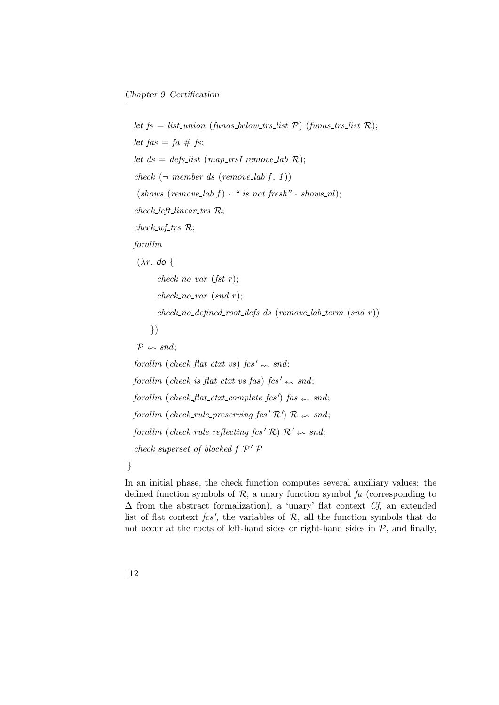```
let fs = list\_union (funas_below_trs_list P) (funas_trs_list R);
let fas = fa \# fs;
let ds = defs_list (map_trsI remove_lab R);
check (\neg member ds (remove_lab f, 1))
(shows (remove\_lab f) \cdot "is not fresh" \cdot shows\_nl);check_{left\_limit} \mathcal{R};check_wff\_trsR;forallm
(\lambda r. do {
       check\_no\_var (fst r);
       check\_no\_var (snd r);
       check\_no\_defined\_root\_defs ds (remove_lab_term (snd r))
    })
\mathcal{P} \leftarrow snd;
forallm (check flat ctxt vs) fcs' \leftrightarrow snd;
forallm (check is flat ctxt vs fas) fcs' \sim snd;
forallm (check_flat_ctxt_complete fcs') fas \leftarrow snd;
forallm (check_rule_preserving fcs' \mathcal{R}') \mathcal{R} \nleftrightarrow snd;
forallm (check_rule_reflecting fcs' R) R' \nightharpoonup snd;
check\_superset\_of\_blocked \ f \ \mathcal{P}' \ \mathcal{P}
```
}

In an initial phase, the check function computes several auxiliary values: the defined function symbols of  $\mathcal{R}$ , a unary function symbol fa (corresponding to  $\Delta$  from the abstract formalization), a 'unary' flat context  $Cf$ , an extended list of flat context  $fcs'$ , the variables of  $R$ , all the function symbols that do not occur at the roots of left-hand sides or right-hand sides in  $P$ , and finally,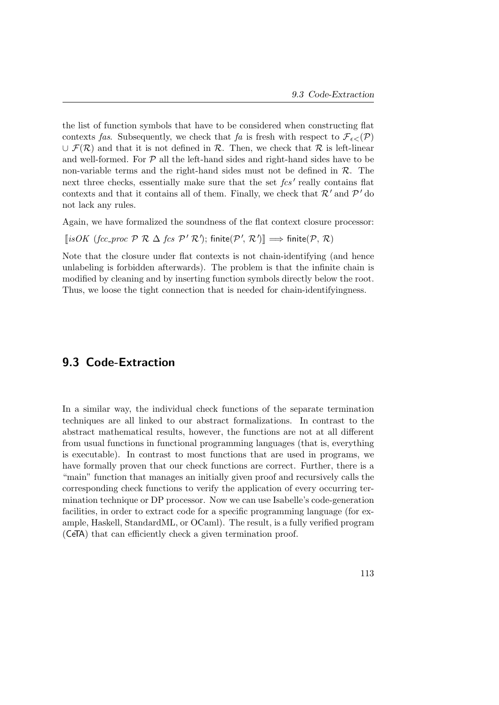the list of function symbols that have to be considered when constructing flat contexts fas. Subsequently, we check that fa is fresh with respect to  $\mathcal{F}_{\epsilon\leq}(\mathcal{P})$  $\cup \mathcal{F}(\mathcal{R})$  and that it is not defined in  $\mathcal{R}$ . Then, we check that  $\mathcal{R}$  is left-linear and well-formed. For  $P$  all the left-hand sides and right-hand sides have to be non-variable terms and the right-hand sides must not be defined in  $\mathcal{R}$ . The next three checks, essentially make sure that the set  $fcs'$  really contains flat contexts and that it contains all of them. Finally, we check that  $\mathcal{R}'$  and  $\mathcal{P}'$  do not lack any rules.

Again, we have formalized the soundness of the flat context closure processor:

[isOK (fcc\_proc P R  $\Delta$  fcs P'R'); finite(P', R')]  $\implies$  finite(P, R)

Note that the closure under flat contexts is not chain-identifying (and hence unlabeling is forbidden afterwards). The problem is that the infinite chain is modified by cleaning and by inserting function symbols directly below the root. Thus, we loose the tight connection that is needed for chain-identifyingness.

## 9.3 Code-Extraction

In a similar way, the individual check functions of the separate termination techniques are all linked to our abstract formalizations. In contrast to the abstract mathematical results, however, the functions are not at all different from usual functions in functional programming languages (that is, everything is executable). In contrast to most functions that are used in programs, we have formally proven that our check functions are correct. Further, there is a "main" function that manages an initially given proof and recursively calls the corresponding check functions to verify the application of every occurring termination technique or DP processor. Now we can use Isabelle's code-generation facilities, in order to extract code for a specific programming language (for example, Haskell, StandardML, or OCaml). The result, is a fully verified program (CeTA) that can efficiently check a given termination proof.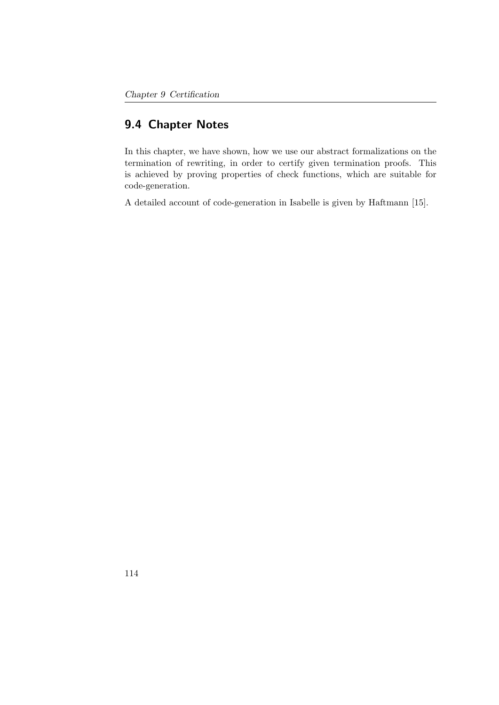## 9.4 Chapter Notes

In this chapter, we have shown, how we use our abstract formalizations on the termination of rewriting, in order to certify given termination proofs. This is achieved by proving properties of check functions, which are suitable for code-generation.

A detailed account of code-generation in Isabelle is given by Haftmann [\[15\]](#page-158-1).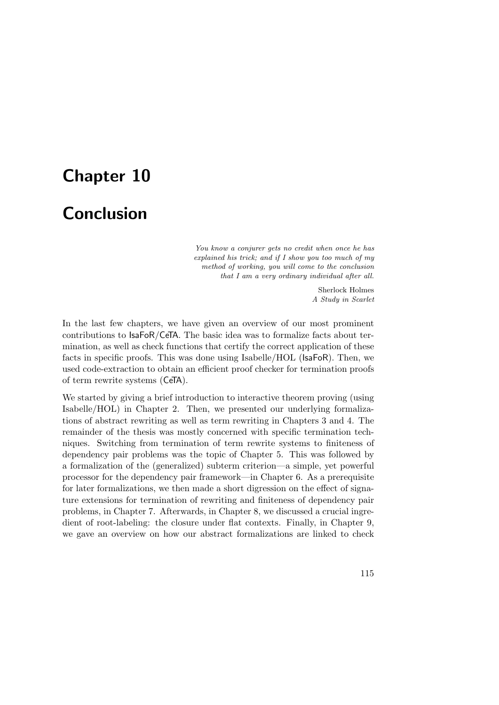# Chapter 10

## **Conclusion**

You know a conjurer gets no credit when once he has explained his trick; and if I show you too much of my method of working, you will come to the conclusion that I am a very ordinary individual after all.

> Sherlock Holmes A Study in Scarlet

In the last few chapters, we have given an overview of our most prominent contributions to IsaFoR/CeTA. The basic idea was to formalize facts about termination, as well as check functions that certify the correct application of these facts in specific proofs. This was done using Isabelle/HOL (IsaFoR). Then, we used code-extraction to obtain an efficient proof checker for termination proofs of term rewrite systems (CeTA).

We started by giving a brief introduction to interactive theorem proving (using Isabelle/HOL) in Chapter [2.](#page-24-0) Then, we presented our underlying formalizations of abstract rewriting as well as term rewriting in Chapters [3](#page-40-1) and [4.](#page-50-0) The remainder of the thesis was mostly concerned with specific termination techniques. Switching from termination of term rewrite systems to finiteness of dependency pair problems was the topic of Chapter [5.](#page-64-0) This was followed by a formalization of the (generalized) subterm criterion—a simple, yet powerful processor for the dependency pair framework—in Chapter [6.](#page-78-0) As a prerequisite for later formalizations, we then made a short digression on the effect of signature extensions for termination of rewriting and finiteness of dependency pair problems, in Chapter [7.](#page-94-0) Afterwards, in Chapter [8,](#page-112-0) we discussed a crucial ingredient of root-labeling: the closure under flat contexts. Finally, in Chapter [9,](#page-122-1) we gave an overview on how our abstract formalizations are linked to check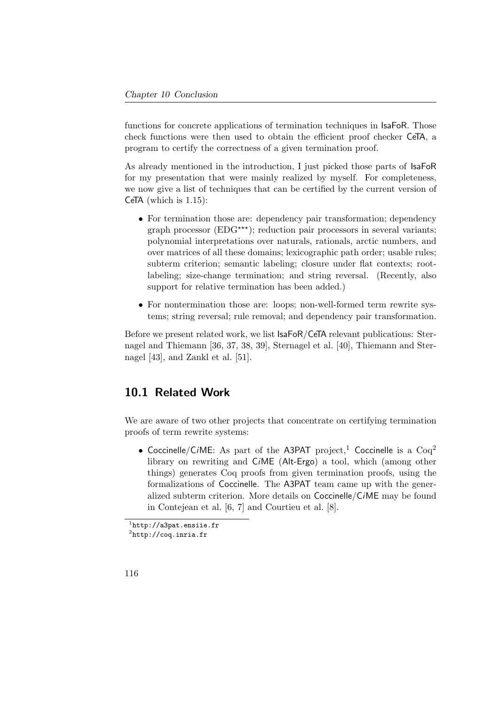functions for concrete applications of termination techniques in IsaFoR. Those check functions were then used to obtain the efficient proof checker CeTA, a program to certify the correctness of a given termination proof.

As already mentioned in the introduction, I just picked those parts of IsaFoR for my presentation that were mainly realized by myself. For completeness, we now give a list of techniques that can be certified by the current version of CeTA (which is 1.15):

- For termination those are: dependency pair transformation; dependency graph processor ( $EDG^{\star\star\star}$ ); reduction pair processors in several variants; polynomial interpretations over naturals, rationals, arctic numbers, and over matrices of all these domains; lexicographic path order; usable rules; subterm criterion; semantic labeling; closure under flat contexts; rootlabeling; size-change termination; and string reversal. (Recently, also support for relative termination has been added.)
- For nontermination those are: loops; non-well-formed term rewrite systems; string reversal; rule removal; and dependency pair transformation.

Before we present related work, we list IsaFoR/CeTA relevant publications: Sternagel and Thiemann [\[36,](#page-160-2) [37,](#page-160-3) [38,](#page-160-4) [39\]](#page-160-0), Sternagel et al. [\[40\]](#page-161-1), Thiemann and Sternagel [\[43\]](#page-161-2), and Zankl et al. [\[51\]](#page-162-2).

## 10.1 Related Work

We are aware of two other projects that concentrate on certifying termination proofs of term rewrite systems:

• Coccinelle/CiME: As part of the A3PAT project,<sup>[1](#page-131-0)</sup> Coccinelle is a  $Coq<sup>2</sup>$  $Coq<sup>2</sup>$  $Coq<sup>2</sup>$ library on rewriting and CiME (Alt-Ergo) a tool, which (among other things) generates Coq proofs from given termination proofs, using the formalizations of Coccinelle. The A3PAT team came up with the generalized subterm criterion. More details on Coccinelle/CiME may be found in Contejean et al. [\[6,](#page-156-0) [7\]](#page-156-1) and Courtieu et al. [\[8\]](#page-157-1).

<span id="page-131-0"></span><sup>1</sup> <http://a3pat.ensiie.fr>

<span id="page-131-1"></span> $^2$ <http://coq.inria.fr>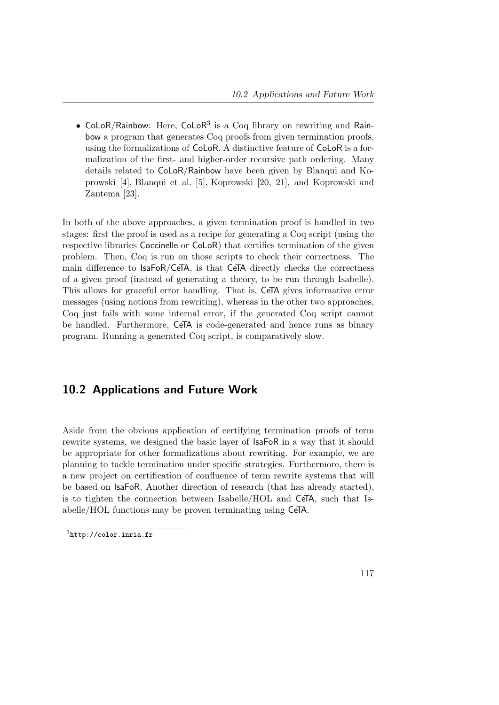• CoLoR/Rainbow: Here, CoLoR<sup>[3](#page-132-0)</sup> is a Coq library on rewriting and Rainbow a program that generates Coq proofs from given termination proofs, using the formalizations of CoLoR. A distinctive feature of CoLoR is a formalization of the first- and higher-order recursive path ordering. Many details related to CoLoR/Rainbow have been given by Blanqui and Koprowski [\[4\]](#page-156-2), Blanqui et al. [\[5\]](#page-156-3), Koprowski [\[20,](#page-158-2) [21\]](#page-158-3), and Koprowski and Zantema [\[23\]](#page-158-4).

In both of the above approaches, a given termination proof is handled in two stages: first the proof is used as a recipe for generating a Coq script (using the respective libraries Coccinelle or CoLoR) that certifies termination of the given problem. Then, Coq is run on those scripts to check their correctness. The main difference to IsaFoR/CeTA, is that CeTA directly checks the correctness of a given proof (instead of generating a theory, to be run through Isabelle). This allows for graceful error handling. That is, CeTA gives informative error messages (using notions from rewriting), whereas in the other two approaches, Coq just fails with some internal error, if the generated Coq script cannot be handled. Furthermore, CeTA is code-generated and hence runs as binary program. Running a generated Coq script, is comparatively slow.

## 10.2 Applications and Future Work

Aside from the obvious application of certifying termination proofs of term rewrite systems, we designed the basic layer of IsaFoR in a way that it should be appropriate for other formalizations about rewriting. For example, we are planning to tackle termination under specific strategies. Furthermore, there is a new project on certification of confluence of term rewrite systems that will be based on IsaFoR. Another direction of research (that has already started), is to tighten the connection between Isabelle/HOL and CeTA, such that Isabelle/HOL functions may be proven terminating using CeTA.

<span id="page-132-0"></span> ${}^{3}$ <http://color.inria.fr>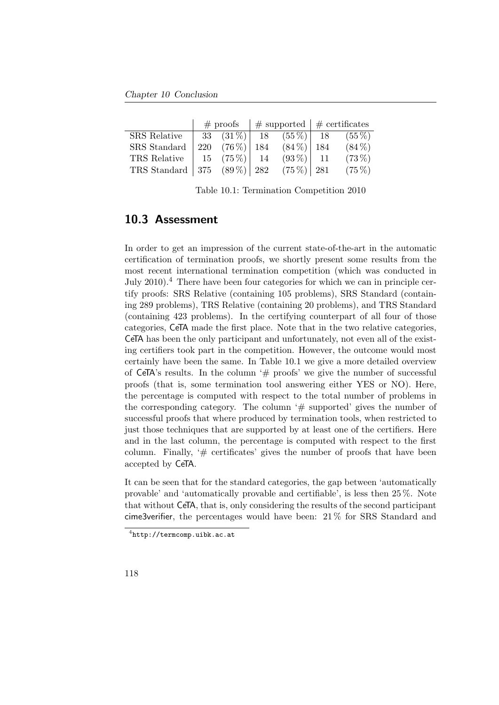Chapter 10 Conclusion

|                                                           | $#$ proofs |  |  |                                | $\#$ supported $\#$ certificates |                                            |
|-----------------------------------------------------------|------------|--|--|--------------------------------|----------------------------------|--------------------------------------------|
| SRS Relative                                              |            |  |  |                                |                                  | 33 $(31\%)$ 18 $(55\%)$ 18 $(55\%)$        |
| SRS Standard                                              |            |  |  |                                |                                  | 220 $(76\%)$   184 $(84\%)$   184 $(84\%)$ |
| TRS Relative                                              |            |  |  | 15 $(75\%)$   14 $(93\%)$   11 |                                  | $(73\%)$                                   |
| TRS Standard   375 $(89\%)$   282 $(75\%)$   281 $(75\%)$ |            |  |  |                                |                                  |                                            |

<span id="page-133-1"></span>Table 10.1: Termination Competition 2010

## 10.3 Assessment

In order to get an impression of the current state-of-the-art in the automatic certification of termination proofs, we shortly present some results from the most recent international termination competition (which was conducted in July 2010).[4](#page-133-0) There have been four categories for which we can in principle certify proofs: SRS Relative (containing 105 problems), SRS Standard (containing 289 problems), TRS Relative (containing 20 problems), and TRS Standard (containing 423 problems). In the certifying counterpart of all four of those categories, CeTA made the first place. Note that in the two relative categories, CeTA has been the only participant and unfortunately, not even all of the existing certifiers took part in the competition. However, the outcome would most certainly have been the same. In Table [10.1](#page-133-1) we give a more detailed overview of CeTA's results. In the column ' $\#$  proofs' we give the number of successful proofs (that is, some termination tool answering either YES or NO). Here, the percentage is computed with respect to the total number of problems in the corresponding category. The column  $#$  supported' gives the number of successful proofs that where produced by termination tools, when restricted to just those techniques that are supported by at least one of the certifiers. Here and in the last column, the percentage is computed with respect to the first column. Finally,  $#$  certificates' gives the number of proofs that have been accepted by CeTA.

It can be seen that for the standard categories, the gap between 'automatically provable' and 'automatically provable and certifiable', is less then 25 %. Note that without CeTA, that is, only considering the results of the second participant cime3verifier, the percentages would have been: 21 % for SRS Standard and

<span id="page-133-0"></span><sup>4</sup> <http://termcomp.uibk.ac.at>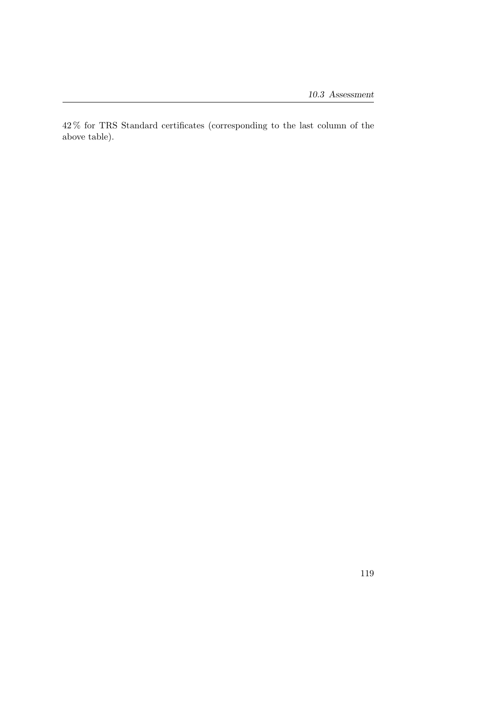$42\,\%$  for TRS Standard certificates (corresponding to the last column of the above table).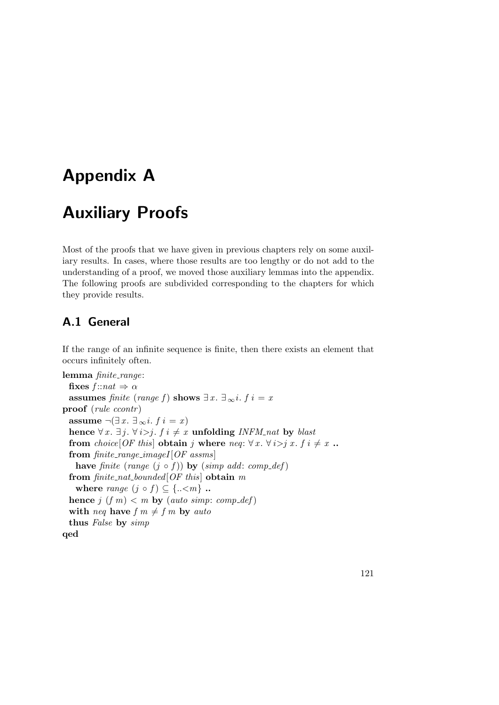## Appendix A

# Auxiliary Proofs

Most of the proofs that we have given in previous chapters rely on some auxiliary results. In cases, where those results are too lengthy or do not add to the understanding of a proof, we moved those auxiliary lemmas into the appendix. The following proofs are subdivided corresponding to the chapters for which they provide results.

## A.1 General

If the range of an infinite sequence is finite, then there exists an element that occurs infinitely often.

lemma finite\_range: fixes  $f$ ::nat  $\Rightarrow \alpha$ assumes finite (range f) shows  $\exists x. \exists_{\infty} i. f i = x$ proof (*rule ccontr*) assume  $\neg(\exists x. \exists_\infty i. f \in \mathcal{X})$ hence  $\forall x. \exists j. \forall i > j. f \in \mathcal{X}$  unfolding INFM nat by blast from choice[OF this] obtain j where neq:  $\forall x. \forall i > j x. f i \neq x$ ... from  $finite\_range\_imageI[OF \;assms]$ have finite (range  $(j \circ f)$ ) by (simp add: comp\_def) from  $finite\_nat\_bounded[OF\ this]$  obtain m where range  $(j \circ f) \subseteq \{..\leq m\}$ . hence  $j \ (f \ m) < m$  by (auto simp: comp\_def) with neq have  $f m \neq f m$  by auto thus False by simp qed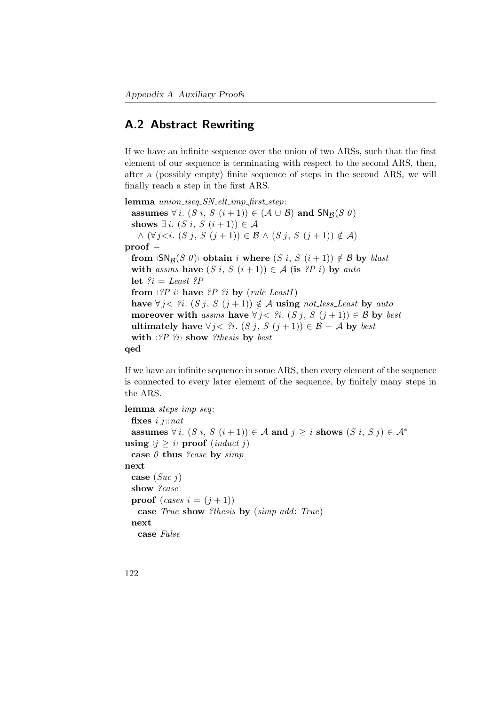## A.2 Abstract Rewriting

If we have an infinite sequence over the union of two ARSs, such that the first element of our sequence is terminating with respect to the second ARS, then, after a (possibly empty) finite sequence of steps in the second ARS, we will finally reach a step in the first ARS.

lemma *union\_iseq\_SN\_elt\_imp\_first\_step*: assumes  $\forall i. (S \ i, S \ (i+1)) \in (\mathcal{A} \cup \mathcal{B})$  and  $\text{SN}_{\mathcal{B}}(S \ \theta)$ shows  $\exists i. (S \, i, S \, (i+1)) \in \mathcal{A}$  $\wedge (\forall j \leq i. (S j, S (j+1)) \in \mathcal{B} \wedge (S j, S (j+1)) \notin \mathcal{A})$ proof – from  $\langle SN_{\mathcal{B}}(S \theta) \rangle$  obtain i where  $(S \, i, S \, (i+1)) \notin \mathcal{B}$  by blast with assms have  $(S i, S (i+1)) \in A$  (is ?P i) by auto let  $\hat{\mathcal{E}}_i = Least \hat{\mathcal{E}}_i$ from  $\langle P \rangle$  is have  $\langle P \rangle$  is by (rule LeastI) have  $\forall j < ?i$ .  $(S j, S (j + 1)) \notin A$  using not less Least by auto moreover with assms have  $\forall j < ?i$ . (S j, S  $(j + 1)$ )  $\in \mathcal{B}$  by best ultimately have  $\forall j < ?i$ .  $(S j, S (j + 1)) \in \mathcal{B} - \mathcal{A}$  by best with  $\langle \hat{P} \hat{P} \hat{P} \rangle$  show ?thesis by best qed

If we have an infinite sequence in some ARS, then every element of the sequence is connected to every later element of the sequence, by finitely many steps in the ARS.

```
lemma steps_imp_seq:
 fixes i j::nat
 assumes \forall i. (S i, S (i+1)) \in A and j \ge i shows (S i, S j) \in A^*using \langle j \rangle is proof (induct j)
 case \theta thus ?case by simp
next
 case (Suc j)show ?case
 proof (cases i = (i + 1))
   case True show ?thesis by (simp add: True)
 next
   case False
```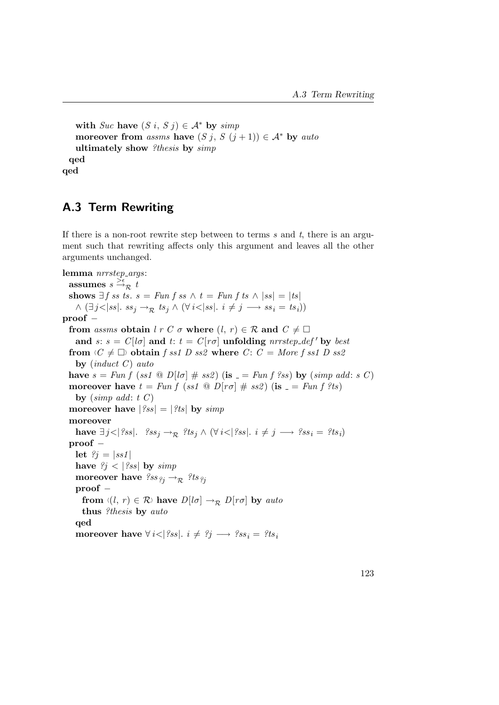with Suc have  $(S i, S j) \in \mathcal{A}^*$  by simp moreover from assms have  $(S_j, S_j + 1) \in \mathcal{A}^*$  by auto ultimately show ?thesis by simp qed qed

## A.3 Term Rewriting

If there is a non-root rewrite step between to terms s and t, there is an argument such that rewriting affects only this argument and leaves all the other arguments unchanged.

```
lemma nrrstep_args:
   assumes s \stackrel{\text{def}}{\rightarrow} \mathcal{R} t
  shows \exists f \text{ss } ts. s = Fun f \text{ss } \wedge t = Fun f \text{ts } \wedge \vert ss \vert = \vert ts \vert\wedge (\exists j<|ss|.\; ss_j \rightarrow_{\mathcal{R}} ts_j \wedge (\forall i<|ss|.\; i \neq j \longrightarrow ss_i = ts_i))proof −
  from assms obtain l r C \sigma where (l, r) \in \mathcal{R} and C \neq \Boxand s: s = C[1\sigma] and t: t = C[r\sigma] unfolding nrrstep_def' by best
  from \langle C \neq \Box \rangle obtain f ss1 D ss2 where C: C = More f ss1 D ss2
     by (induct\ C) auto
  have s = Fun f (ss1 \t{0} D[lo] \# ss2) (is = Fun f (ss) by (simp add: s C)moreover have t = Fun f (ss1 \t\odot D[r\sigma] \# ss2) (is = Fun f ?ts)
     by (simp \ add: t \ C)moreover have |\%ss| = |\%ts| by simpmoreover
     have \exists j<|?ss|. {}^{\circ}ss_j \rightarrow_{\mathcal{R}} ?ts_j \wedge (\forall i<|?ss|. i \neq j \longrightarrow {}^{\circ}?ss_i = ?ts_i)
  proof −
     let \hat{\mathcal{E}}_j = |ss1|have \hat{\ell}_j < |\hat{\ell}_{ss}| by \textit{simp}moreover have \mathscr{S}ss_{\mathscr{C}i} \to_{\mathcal{R}} \mathscr{C}ts_{\mathscr{C}i}proof −
       from \langle (l, r) \in \mathcal{R} \rangle have D[l\sigma] \rightarrow_{\mathcal{R}} D[r\sigma] by auto
       thus ?thesis by auto
     qed
     moreover have \forall i < |\ell s s|. i \neq \ell j \longrightarrow \ell s s_i = \ell t s_i
```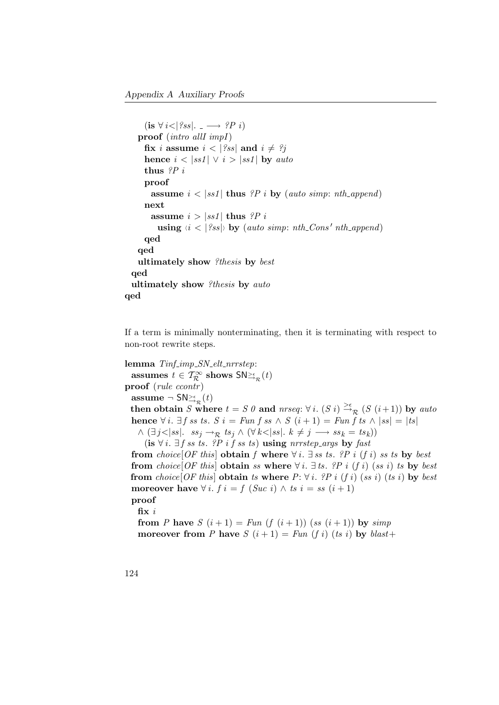```
(is \forall i < |?ss|. \longrightarrow ?P i)proof (intro allI impI)
     fix i assume i < |?ss| and i \neq ?jhence i < |ss1| \vee i > |ss1| by auto
     thus P_iproof
       assume i < |ss1| thus ?P i by (auto simp: nth_append)
     next
      assume i > |ss1| thus ?P i
        using \langle i \rangle \langle |?ss| \rangle by (auto simp: nth Cons' nth append)
     qed
   qed
   ultimately show ?thesis by best
 qed
 ultimately show ?thesis by auto
qed
```
If a term is minimally nonterminating, then it is terminating with respect to non-root rewrite steps.

lemma  $T\inf_{\mathcal{I}} \lim_{p \to \infty} SN_{\mathcal{I}}$ elt\_nrrstep: assumes  $t \in \mathcal{T}^{\infty}_{\mathcal{R}}$  shows  $\mathsf{SN}_{\mathbb{D}_{\mathcal{R}}}^{\mathbb{R}}(t)$ proof (rule ccontr) assume  $\neg$  SN $\geq^{\epsilon}_{\mathcal{R}}(t)$ then obtain S where  $t = S \theta$  and  $nrseq: \forall i.$   $(S \ i) \stackrel{\geq \epsilon}{\rightarrow} R$   $(S (i+1))$  by auto hence  $\forall i$ .  $\exists f$  ss ts.  $S$   $i = Fun f$  ss  $\wedge S$   $(i + 1) = Fun f$  ts  $\wedge |ss| = |ts|$  $\wedge (\exists j<|ss|. \quad ss_j \rightarrow_{\mathcal{R}} ts_j \wedge (\forall k<|ss|. \quad k \neq j \longrightarrow ss_k = ts_k))$ (is  $\forall i$ .  $\exists f$  *ss* ts. ?P i f *ss* ts) using nrrstep\_args by fast from choice[OF this] obtain f where  $\forall i$ .  $\exists$  ss ts. ?P i (f i) ss ts by best from choice[OF this] obtain ss where  $\forall i$ .  $\exists$  ts. ?P i (f i) (ss i) ts by best from choice[OF this] obtain ts where  $P: \forall i$ . ?P i (f i) (ss i) (ts i) by best moreover have  $\forall i. f i = f$  (Suc i)  $\land$  ts  $i = ss$  (i+1) proof fix i from P have  $S(i+1) = Fun (f (i+1)) (ss (i+1))$  by simp moreover from P have  $S(i+1) = Fun (f i) (ts i)$  by  $blast+$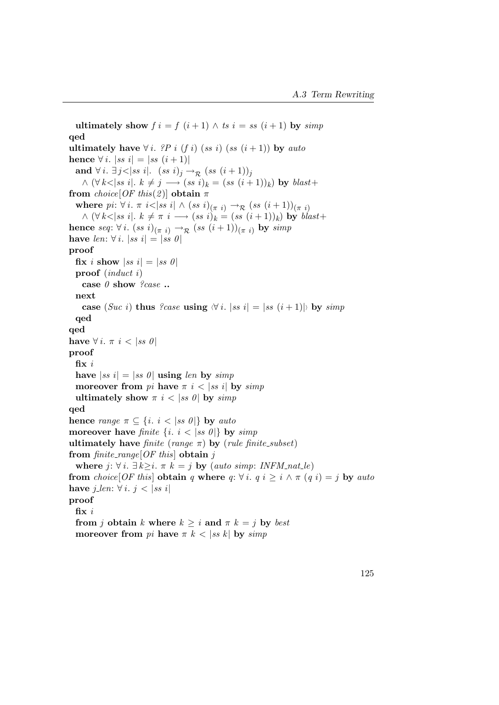ultimately show  $f i = f (i + 1) \wedge ts i = ss (i + 1)$  by simp qed ultimately have  $\forall i$ . ?P i (f i) (ss i) (ss (i+1)) by auto hence ∀ *i*. |ss  $i| = |ss (i + 1)|$ and  $\forall i. \; \exists j < |ss \; i|. \; (ss \; i)_j \rightarrow_{\mathcal{R}} (ss \; (i+1))_j$  $\wedge (\forall k < |ss i|, k \neq j \longrightarrow (ss i)_k = (ss (i+1))_k)$  by  $blast+$ from  $choice[OF this(2)]$  obtain  $\pi$ where  $pi: \forall i. \pi i < |ss i| \wedge (ss i)_{(\pi i)} \rightarrow_{\mathcal{R}} (ss (i+1))_{(\pi i)}$  $\wedge (\forall k < |ss i|, k \neq \pi i \longrightarrow (ss i)_k = (ss (i+1))_k)$  by  $blast+$ hence seq:  $\forall i.$   $(ss\ i)_{(\pi\ i)} \rightarrow_{\mathcal{R}} (ss\ (i+1))_{(\pi\ i)}$  by simp have len:  $\forall i. |ss i| = |ss 0|$ proof fix i show  $|ss i| = |ss 0|$ proof (induct i) case  $\theta$  show ?case .. next case (Suc i) thus ?case using  $\forall i$ .  $|ss i| = |ss (i + 1)|$  by simp qed qed have  $\forall i. \pi i < |ss \theta|$ proof fix  $i$ have  $|ss i| = |ss 0|$  using len by simp moreover from pi have  $\pi i < |ss i|$  by simp ultimately show  $\pi$  i < |ss 0| by simp qed hence range  $\pi \subseteq \{i. \ i < |ss 0|\}$  by auto moreover have finite  $\{i, i < |ss\theta|\}$  by simp ultimately have finite (range  $\pi$ ) by (rule finite\_subset) from finite\_range[OF this] obtain j where  $j: \forall i. \exists k \geq i. \pi k = j$  by (auto simp: INFM\_nat\_le) from choice[OF this] obtain q where  $q: \forall i$ .  $q \ i \geq i \land \pi$  (q i) = j by auto have  $j_{\text{}}len: \forall i. j < |ss i|$ proof fix i from j obtain k where  $k > i$  and  $\pi k = j$  by best moreover from pi have  $\pi k < |ss k|$  by simp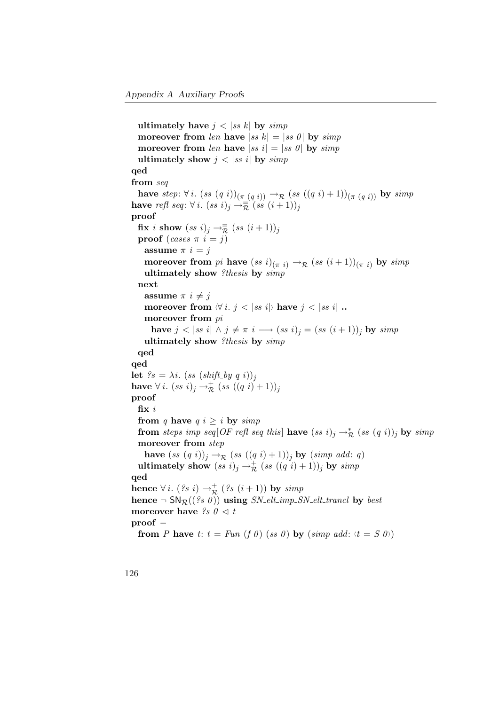ultimately have  $j < |ss|k|$  by simp moreover from len have  $|ss|k| = |ss|0|$  by  $simp$ moreover from len have  $|ss i| = |ss 0|$  by  $simp$ ultimately show  $j < |ss|$  by simp qed from seq have step:  $\forall i.$   $(ss (q i))_{(\pi (q i))} \rightarrow_{\mathcal{R}} (ss ((q i) + 1))_{(\pi (q i))}$  by simp have  $\textit{refl\_seq}: \forall i. \; (ss\; i)_j \rightarrow \stackrel{\cong}{\overline{\mathcal{R}}}(ss\; (i+1))_j$ proof  $\mathbf{fix}\,$  i  $\mathbf{show}\,$   $(ss\,\,i)_j \rightarrow\mathbb{R}\,$   $(ss\,\,(i+1))_j$ proof (cases  $\pi i = i$ ) assume  $\pi i = j$ moreover from pi have  $(ss\ i)_{(\pi\ i)} \rightarrow_{\mathcal{R}} (ss\ (i+1))_{(\pi\ i)}$  by simp ultimately show ?thesis by  $simp$ next assume  $\pi i \neq j$ moreover from  $\forall i. j < |ss i|$  have  $j < |ss i|$ . moreover from pi have  $j < |ss i| \wedge j \neq \pi i \longrightarrow (ss i)_j = (ss (i+1))_j$  by  $simp$ ultimately show ?thesis by simp qed qed let  $?s = \lambda i$ .  $(ss (shift_by q i))_j$ have  $\forall i.~ (ss~i)_j \rightarrow_{\mathcal{R}}^+ (ss~((q~i)+1))_j$ proof fix  $i$ from q have  $q$  i  $\geq i$  by simp from steps\_imp\_seq[OF refl\_seq this] have  $(ss\ i)_j \rightarrow_{\mathcal{R}}^* (ss\ (q\ i))_j$  by simp moreover from step have  $(ss (q i))_j \rightarrow_{\mathcal{R}} (ss ((q i)+1))_j$  by  $(simp add: q)$ ultimately show  $(ss\,\,i)_j\rightarrow_{\mathcal{R}}^+(ss\,\,((q\,\,i)+1))_j$  by  $simp$ qed hence  $\forall i.$   $($ ?s  $i) \rightarrow_{\mathcal{R}}^+($   $($ ?s  $(i+1))$  by  $simp$ hence  $\neg SN_{\mathcal{R}}((\mathcal{C}\mathcal{S}\mathcal{O}))$  using  $SN_{\mathcal{L}}ell_{\mathcal{L}}\mathcal{S}N_{\mathcal{L}}ell_{\mathcal{L}}\mathcal{S}$  by best moreover have  $\Im s \theta \leq t$ proof − from P have t:  $t = Fun (f \theta) (ss \theta)$  by  $(simp \ add: \forall t = S \theta)$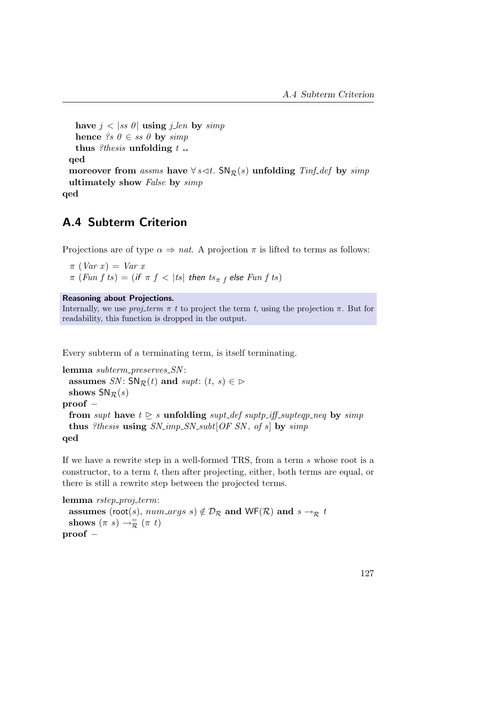```
have j < |ss \theta| using j_len by simp
   hence ?s \theta \in ss \theta by simp
   thus ?thesis unfolding t.
 qed
 moreover from assms have \forall s \triangleleft t. SN<sub>R</sub>(s) unfolding Tinf def by simp
 ultimately show False by simp
qed
```
## A.4 Subterm Criterion

Projections are of type  $\alpha \Rightarrow nat$ . A projection  $\pi$  is lifted to terms as follows:

 $\pi$  (Var x) = Var x  $\pi$   $(Fun\ f\ ts) = ($  if  $\ \pi\ f\ < \ |ts|$  then  $\ ts_{\pi\ f}$  else  $\ Fun\ f\ ts)$ 

Reasoning about Projections.

Internally, we use *proj-term*  $\pi$  t to project the term t, using the projection  $\pi$ . But for readability, this function is dropped in the output.

Every subterm of a terminating term, is itself terminating.

```
lemma subterm_preserves_SN:
 assumes SN: SN_1(t) and supt: (t, s) \in \mathbb{D}shows SN_{\mathcal{R}}(s)proof −
 from supt have t \geq s unfolding supt_def suptp_iff_supteqp_neq by simp
 thus ?thesis using SN\_{imp}SN\_subt[OF~SN, of~s] by simpqed
```
If we have a rewrite step in a well-formed TRS, from a term s whose root is a constructor, to a term  $t$ , then after projecting, either, both terms are equal, or there is still a rewrite step between the projected terms.

```
lemma rstep_proj_term:
  assumes (root(s), num\_args s) \notin \mathcal{D}_R and WF(R) and s \rightarrow_R tshows (\pi s) \rightarrow_{\mathcal{R}}^{\equiv} (\pi t)proof −
```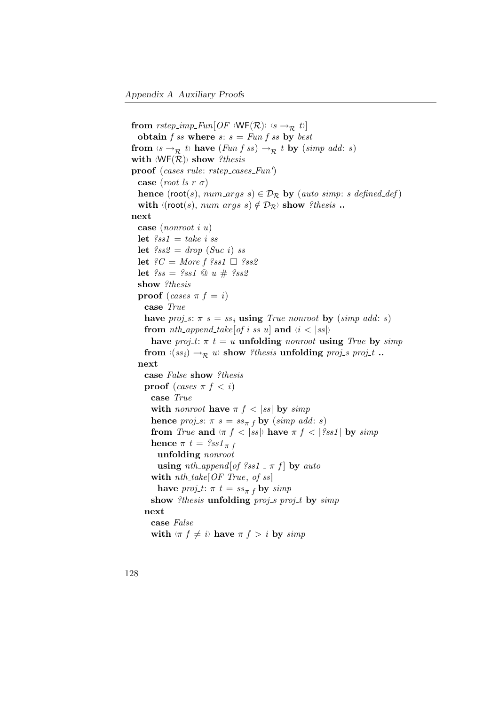```
from rstep_imp_Fun[OF \langle WF(R) \rangle \langle s \rightarrow_R t \rangle]
  obtain f ss where s: s = Fun f ss by best
from \langle s \rightarrow_{\mathcal{R}} t \rangle have (Fun f ss) \rightarrow_{\mathcal{R}} t by (simp \text{ add: } s)with \langle WF(R) \rangle show ?thesis
\mathbf{proof} (cases rule: rstep_cases_Fun')
  case (root ls r \sigma)
  hence (root(s), num\_args \ s) \in \mathcal{D}_{\mathcal{R}} by (auto simp: s defined def)
  with \langle (root(s), num_{args} s) \notin \mathcal{D}_{\mathcal{R}} \rangle show ?thesis ...
next
  case (nonroot i u)
  let \ell s s1 = take\ i\ sslet \ell s s2 = drop(Suc i) ss
  let ?C = More f ?ss1 \square ?ss2let ?ss = ?ss1 \ @ \ u \# \ ?ss2show ?thesis
  proof (cases \pi f = i)
    case True
    have proj s: \pi s = ss_i using True nonroot by (simp add: s)
    from nth append take [of i ss u] and \langle i \rangle ss |x|i = \left(\sigma_{\sigma_{\sigma_{\sigma_{\sigma_{\sigma_{\sigma_{\sigma_{\sigma_{\sigma_{\sigma_{\sigma_{\sigma_{\sigma_{\sigma_{\sigma_{\sigma_{\sigma_{\sigma_{\sigma_{
       have proj-t: \pi t = u unfolding nonroot using True by simp
     from \langle (ss_i) \rightarrow_{\mathcal{R}} u \rangle show ?thesis unfolding proj_s proj_t ..
  next
    case False show ?thesis
    proof (cases \pi f < i)
       case True
       with nonroot have \pi f \, \langle \, |ss| \, \text{by} \, \, \text{simp} \,hence proj_s: \pi s = ss_{\pi f} by (simp add: s)
       from True and \langle \pi f \rangle is |s \rangle have \pi f \rangle and |s \rangle is simp
       hence \pi t = \frac{2}{3} s s t_{\pi} funfolding nonroot
         using nth\_\mathit{append}[\textit{of }?ss1\_\pi\ f] by auto
       with nth\_take[OF\ True, of\ ss]have proj_t: \pi t = ss_{\pi} f by simp
       show ?thesis unfolding proj_s proj_t by simp
    next
       case False
       with \langle \pi f \neq i \rangle have \pi f > i by simp
```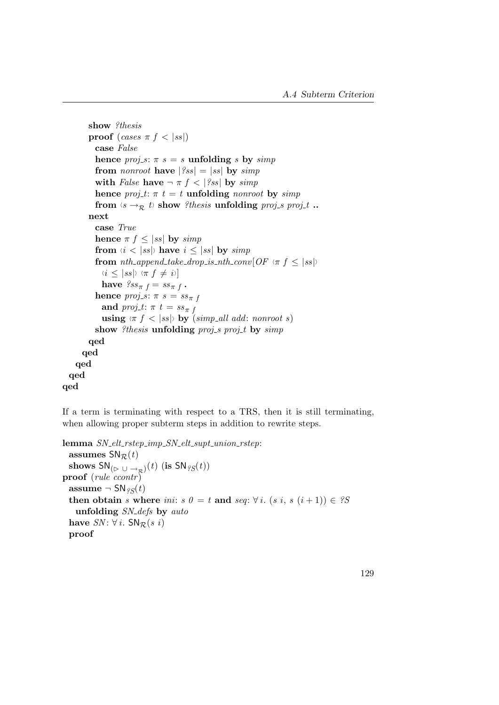```
show ?thesis
        proof (cases \pi f \langle |ss|)
           case False
           hence proj\_s: \pi s = s unfolding s by simp
           from nonroot have |?ss| = |ss| by simp
           with False have \neg \pi f \leq |\% s| by simp
           hence proj_t: \pi t = t unfolding nonroot by simp
           from \langle s \rightarrow_R t \rangle show ?thesis unfolding proj s proj t ..
        next
           case True
           hence \pi f \leq |ss| by simpfrom \langle i \rangle sset s have i \leq |ss| by simp
           from nth_append_take_drop_is_nth_conv[OF \langle \pi f \leq |ss|\rangle]
             \langle i \leq |ss| \rangle \langle \pi f \neq i \ranglehave \text{ }\textit{?ss}_{\pi}\textit{ }_{f}= \textit{ss}_{\pi}\textit{ }_{f} .
           hence proj_s: \pi s = ss_{\pi} fand proj<sub>-t</sub>: \pi t = ss_{\pi t}using \langle \pi f \rangle is \langle s | s \rangle by \langle s | s \rangle and add: nonroot s)
           show ?thesis unfolding proj_s proj_t by simp
        qed
      qed
    qed
  qed
qed
```
If a term is terminating with respect to a TRS, then it is still terminating, when allowing proper subterm steps in addition to rewrite steps.

```
lemma SN\_elt\_rstep\_imp\_SN\_elt\_supt\_union\_rstep:
 assumes SN_{\mathcal{R}}(t)shows SN_{(\rhd \;\cup \; \rightarrow_{\cal R})}(t) (is SN_{\it 2S}(t))proof (rule ccontr)
 assume \neg SN_{2S}(t)then obtain s where ini: s 0 = t and seq: \forall i. (s i, s (i + 1)) \in ?S
    unfolding SN_defs by auto
 have SN: \forall i. SN_R(s_i)proof
```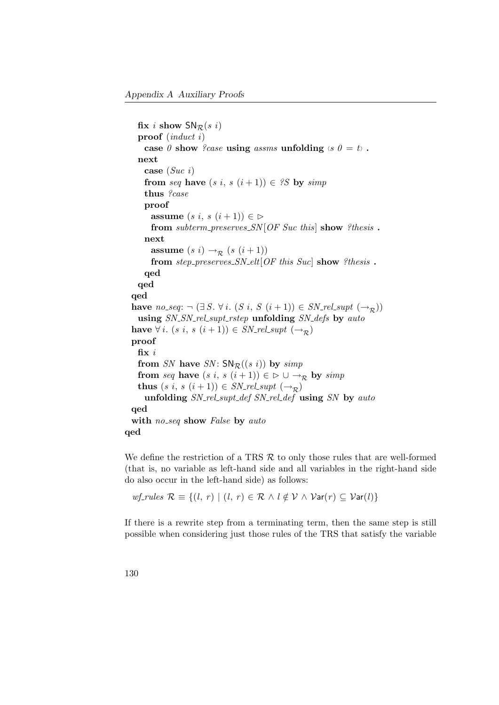fix i show  $SN_{\mathcal{R}}(s_i)$ proof (induct i) case 0 show ?case using assms unfolding  $\langle s \rangle$  = t i . next case  $(Suc i)$ from seq have  $(s \, i, s \, (i+1)) \in \mathcal{S}$  by simp thus ?case proof assume  $(s \ i, s \ (i+1)) \in \mathcal{D}$ from subterm preserves  $SN[OF\;Suc\; this]$  show ?thesis. next assume  $(s i) \rightarrow_{\mathcal{R}} (s (i+1))$ from  $step\_preserves\_SN\_elt[OF this Suc]$  show ?thesis. qed qed qed have  $no\_seq: \neg (\exists S. \forall i. (S i, S (i+1)) \in SN\_rel\_supt (\rightarrow_{\mathcal{D}}))$ using SN\_SN\_rel\_supt\_rstep unfolding SN\_defs by auto have  $\forall i. (s \ i, s \ (i+1)) \in SN_{\mathit{rel} \ \mathit{supt} \ (\rightarrow_R)}$ proof fix  $\it i$ from SN have SN:  $SNR((s\ i))$  by simp from seq have  $(s i, s (i + 1)) \in \mathcal{D} \cup \rightarrow_{\mathcal{R}}$  by simp thus  $(s \, i, s \, (i+1)) \in SN_{\mathit{rel} \, sub}$   $(\rightarrow_{\mathcal{R}})$ unfolding SN\_rel\_supt\_def SN\_rel\_def using SN by auto qed with no\_seq show False by auto qed

We define the restriction of a TRS  $R$  to only those rules that are well-formed (that is, no variable as left-hand side and all variables in the right-hand side do also occur in the left-hand side) as follows:

 $wf_{\text{r}^{1}}$   $wf_{\text{r}^{1}}$   $\forall k \in \{l, r\} \mid (l, r) \in \mathcal{R} \land l \notin \mathcal{V} \land \mathcal{V}$  ar $(r) \subseteq \mathcal{V}$  ar $(l)$ }

If there is a rewrite step from a terminating term, then the same step is still possible when considering just those rules of the TRS that satisfy the variable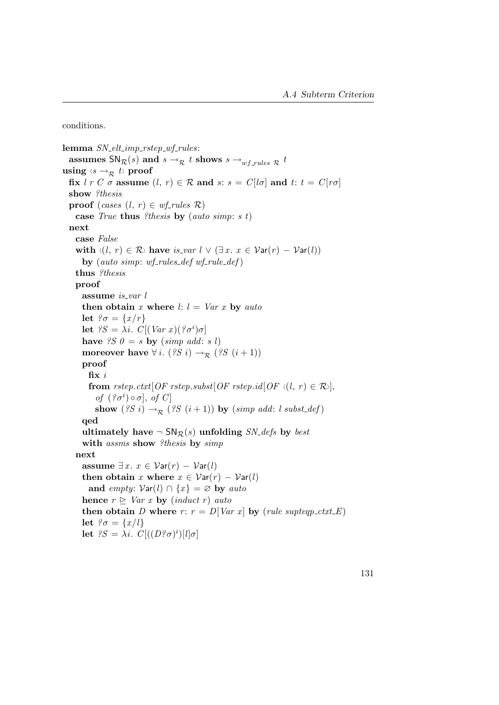<span id="page-146-0"></span>conditions.

lemma  $SN\_elt\_imp\_rstep\_wf\_rules$ : assumes  $\mathsf{SN}_{\mathcal{R}}(s)$  and  $s \to_{\mathcal{R}} t$  shows  $s \to_{wf\_rules} \mathcal{R}$   $t$ using  $\langle s \rightarrow_{\mathcal{R}} t \rangle$  proof fix  $\ell r C \sigma$  assume  $(\ell, r) \in \mathcal{R}$  and  $s: s = C[\ell \sigma]$  and  $t: t = C[r\sigma]$ show ?thesis proof (cases  $(l, r) \in \text{wf}$ -rules  $\mathcal{R}$ ) case True thus ?thesis by (auto simp: s t) next case False with  $\langle (l, r) \in \mathcal{R} \rangle$  have is var  $l \vee (\exists x. x \in \mathcal{V}ar(r) - \mathcal{V}ar(l))$ by (auto simp: wf-rules\_def wf-rule\_def) thus ?thesis proof assume is var  $l$ then obtain x where  $l: l = Var x$  by auto let  $\mathcal{C}\sigma = \{x/r\}$ let  ${}^{2}S = \lambda i$ .  $C[(Var x)(? \sigma^{i})\sigma]$ have  $\mathscr{S} \mathscr{S} \mathscr{O} = s$  by  $(\mathit{simp} \mathit{add}: s \mathscr{V})$ moreover have  $\forall i. (2S \ i) \rightarrow_{\mathcal{R}} (2S \ (i+1))$ proof fix i from rstep.ctxt[OF rstep.subst[OF rstep.id[OF  $\langle (l, r) \in \mathcal{R} \rangle$ ], of  $({}^{\circ}C^i)\circ \sigma$ , of  $C$ show (?S i)  $\rightarrow_{\mathcal{R}}$  (?S (i+1)) by (simp add: l subst\_def) qed ultimately have  $\negthinspace \mathsf{SN}_{\mathcal{R}}(s)$  unfolding  $SN_{\mathcal{A}}$  by best with assms show ?thesis by simp next assume  $\exists x. x \in \mathcal{V}ar(r) - \mathcal{V}ar(l)$ then obtain x where  $x \in \mathcal{V}ar(r) - \mathcal{V}ar(l)$ and empty:  $Var(l) \cap \{x\} = \emptyset$  by auto hence  $r \triangleright \text{Var } x$  by (induct r) auto then obtain D where r:  $r = D[Var x]$  by (rule supteqp\_ctxt\_E) let  $\mathcal{E}\sigma = \{x/l\}$ let  ${}^{9}S = \lambda i$ .  $C[(D{}^{9} \sigma)^{i})[l] \sigma]$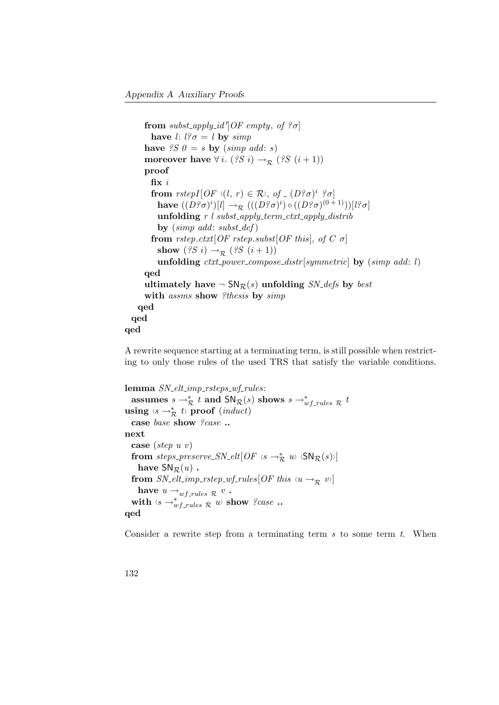```
from subst_apply_id'[OF empty, of \partial]
        have l: l^2 \sigma = l by simp
      have \mathscr{S} \mathscr{S} \mathscr{O} = s by (simp \text{ add: } s)moreover have \forall i. (?S i) \rightarrow_{\mathcal{R}} (?S (i+1))proof
        fix i
        from rstepI[OF \langle (l, r) \in \mathcal{R} \rangle, of \langle (D\hat{z}\sigma)^i \hat{z}\sigma]have ((D^o\sigma)^i)[l] \to_{\mathcal{R}} (( (D^o\sigma)^i) \circ ((D^o\sigma)^{(0\,1)})) [l^o\sigma]unfolding r l subst_apply_term_ctxt_apply_distrib
          by (simp \ add: \ subset\ def)from rstep.ctxt[OF rstep.subst[OF this], of C \sigma]
          show (2S i) \rightarrow_R (2S (i+1))unfolding ctxt\_power\_composite[symmetric] by (simp \ add: l)qed
      ultimately have \neg SN_{\mathcal{R}}(s) unfolding SN_defs by best
      with assms show ?thesis by simp
    qed
  qed
qed
```
A rewrite sequence starting at a terminating term, is still possible when restricting to only those rules of the used TRS that satisfy the variable conditions.

```
lemma SN\_elt\_imp\_rsteps\_wf\_rules:
   assumes s \to_{\mathcal{R}}^* t and SN_{\mathcal{R}}(s) shows s \to_{wf\_rules}^* \mathcal{R} t
using \langle s \rightarrow_{\mathcal{R}}^* t \rangle proof (\text{induct})case base show ?case ..
next
  case (step u v)
   from steps_preserve_SN_elt[OF \langle s \rightarrow_{\mathcal{R}}^* u \rangle \langle \mathsf{SN}_{\mathcal{R}}(s) \rangle]
     have SN_{\mathcal{R}}(u).
  from SN\_elt\_imp\_rstep\_wf\_rules[OF\ this\ \langle u \rightarrow_R v \rangle]have u \rightarrow_{w} f_{rules} \mathcal{R}^v.
   with \langle s \rightarrow w f_{-rules}^* R \mid u \rangle show ?case ..
qed
```
Consider a rewrite step from a terminating term  $s$  to some term  $t$ . When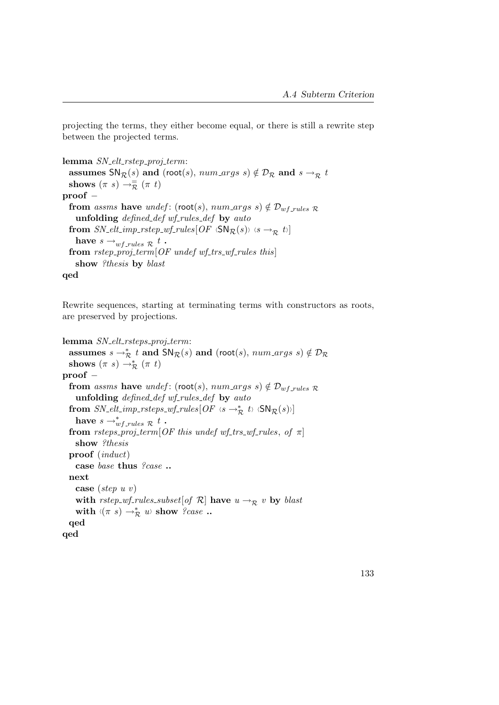projecting the terms, they either become equal, or there is still a rewrite step between the projected terms.

lemma  $SN_{\textit{-}elt\_rstep\_proj_{\textit{-}term}}$ : assumes  $SN_{\mathcal{R}}(s)$  and (root(s), num\_args s)  $\notin \mathcal{D}_{\mathcal{R}}$  and  $s \rightarrow_{\mathcal{R}} t$ shows  $(\pi s) \rightarrow_{\mathcal{R}}^{\equiv} (\pi t)$ proof − from assms have undef: (root(s),  $num\_args$  s)  $\notin \mathcal{D}_{wf\_rules}$   $\mathcal{R}$ unfolding defined def wf-rules def by auto from  $SN\_elt\_imp\_rstep\_wf\_rules[OF \langle SN_R(s) \rangle \langle s \rightarrow_R t \rangle]$ have  $s \rightarrow_{wf\_rules} \mathcal{R}$  t. from  $rstep\_proj\_term[OF\,under\,wf\_trs\_wf\_rules\,this]$ show ?thesis by blast qed

Rewrite sequences, starting at terminating terms with constructors as roots, are preserved by projections.

```
lemma SN_{\text{-}elt\_rsteps\_proj_{\text{-}}term}:
   assumes s \to_{\mathcal{R}}^* t and \mathsf{SN}_{\mathcal{R}}(s) and (root(s), num\_args\ s) \notin \mathcal{D}_{\mathcal{R}}shows (\pi s) \rightarrow_{\mathcal{R}}^* (\pi t)proof −
  from assms have undef: (root(s), num\_{args} s) \notin \mathcal{D}_{w\_{rule} 1} rules \mathcal{R}_{w\_{rule} 2}unfolding defined def wf-rules def by auto
   from SN_elt_imp_rsteps_wf_rules[OF \text{ or } \rightarrow_{\mathcal{R}}^* t \text{ or } \text{SN}_{\mathcal{R}}(s)]have s \rightarrow_{wf\_rules}^* \mathcal{R} t.
  from \emph{rsteps\_proj\_term}[\emph{OF this under wf\_trs\_wf\_rules}, \emph{of }\pi]show ?thesis
  proof (induct)
     case base thus ?case ..
  next
     case (step u v)
     with rstep_wf_rules_subset[of \mathcal{R}] have u \rightarrow_{\mathcal{R}} v by blast
     with \langle (\pi \ s) \rightarrow_{\mathcal{R}}^* u \rangle show ?case ..
  qed
qed
```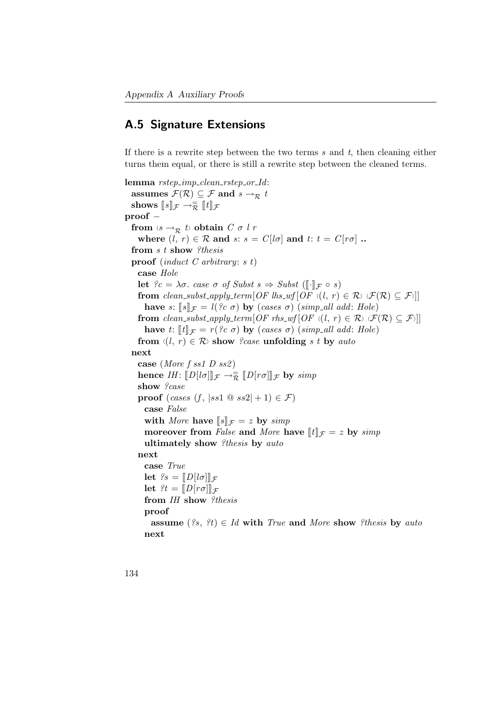#### A.5 Signature Extensions

If there is a rewrite step between the two terms  $s$  and  $t$ , then cleaning either turns them equal, or there is still a rewrite step between the cleaned terms.

```
lemma rstep imp clean rstep or Id:
  assumes \mathcal{F}(\mathcal{R}) \subseteq \mathcal{F} and s \to_{\mathcal{R}} tshows [s]_{\mathcal{F}} \to_{\mathcal{R}}^{\mathbb{Z}} [t]_{\mathcal{F}}proof −
  from \langle s \rightarrow_R t \rangle obtain C \sigma l r
     where (l, r) \in \mathcal{R} and s: s = C[l\sigma] and t: t = C[r\sigma].
  from s t show ?thesis
  proof (induct C arbitrary: s t)
    case Hole
    let \mathcal{C} = \lambda \sigma. case \sigma of Subst s \Rightarrow Subst (\llbracket \cdot \rrbracket_{\mathcal{F}} \circ s)from clean_subst_apply_term[OF\;lbs_wf[OF\; \langle l, r \rangle \in \mathcal{R}) \; \langle \mathcal{F}(\mathcal{R}) \subseteq \mathcal{F} \rangle]have s: [s]_{\mathcal{F}} = l( ?c \sigma) by (cases \sigma) (simp all add: Hole)
    from clean_subst_apply_term[OF rhs_wf[OF \langle (l, r) \in \mathcal{R} \rangle \langle \mathcal{F}(\mathcal{R}) \subseteq \mathcal{F} \rangle]]
       have t: \llbracket t \rrbracket_{\mathcal{F}} = r (?c \sigma) by (cases \sigma) (simp_all add: Hole)
     from \langle (l, r) \in \mathcal{R} \rangle show ?case unfolding s t by auto
  next
     case (More f ss1 D ss2)
     hence IH: [D[l\sigma]]_{\mathcal{F}} \to \overline{\mathcal{R}} [D[r\sigma]]_{\mathcal{F}} by simp
    show ?case
    proof (cases (f, |ss1 \otimes ss2| + 1) \in \mathcal{F})
       case False
       with More have [s]_{\mathcal{F}} = z by simp
       moreover from False and More have [![t]]_{\mathcal{F}} = z by simp
       ultimately show ?thesis by auto
    next
       case True
       let \mathscr{C}_s = \llbracket D \mid l \sigma \rrbracket_{\mathcal{F}}let \mathcal{E}t = \llbracket D[r\sigma] \rrbracket_{\mathcal{F}}from IH show ?thesis
       proof
          assume (2s, 2t) \in Id with True and More show ?thesis by auto
       next
```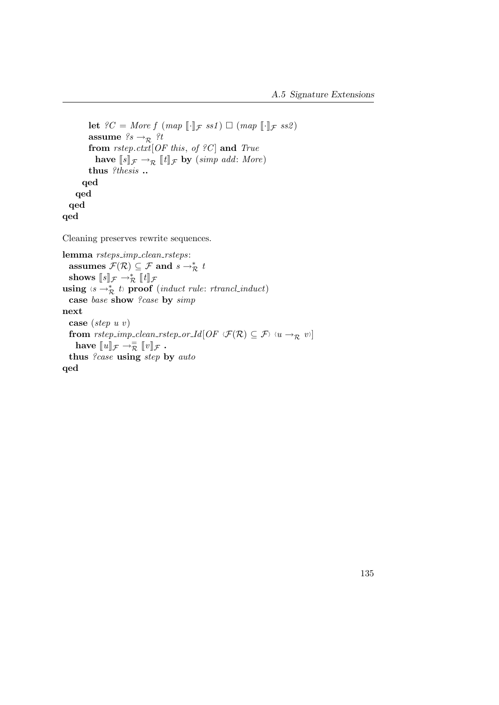```
let ?C = More f (map [\cdot]_{\mathcal{F}} ss1) \Box (map [\cdot]_{\mathcal{F}} ss2)assume ?s \rightarrow_{\mathcal{R}} ?tfrom rstep.ctxt[OF this, of ?C] and Truehave \llbracket s \rrbracket_{\mathcal{F}} \rightarrow_{\mathcal{R}} \llbracket t \rrbracket_{\mathcal{F}} by (simp add: More)
          thus ?thesis ..
        qed
     qed
  qed
qed
```
Cleaning preserves rewrite sequences.

```
lemma rsteps_imp_clean_rsteps:
    assumes \mathcal{F}(\mathcal{R}) \subseteq \mathcal{F} and s \to_{\mathcal{R}}^* tshows [s]_{\mathcal{F}} \rightarrow_{\mathcal{R}}^* [t]_{\mathcal{F}}<br>sing \langle e, e \rangle^* thences
using \langle s \rightarrow_{\mathcal{R}}^* t \rangle proof (induct rule: rtrancl_induct)
   case base show ?case by simp
next
   case (step u v)
   from rstep_imp_clean_rstep_or_Id[OF \mathcal{F}(\mathcal{R}) \subseteq \mathcal{F} \forall u \rightarrow_{\mathcal{R}} v i]
       have \llbracket u \rrbracket_{\mathcal{F}} \to_{\mathcal{R}}^{\equiv} \llbracket v \rrbracket_{\mathcal{F}}.
   thus ?case using step by auto
qed
```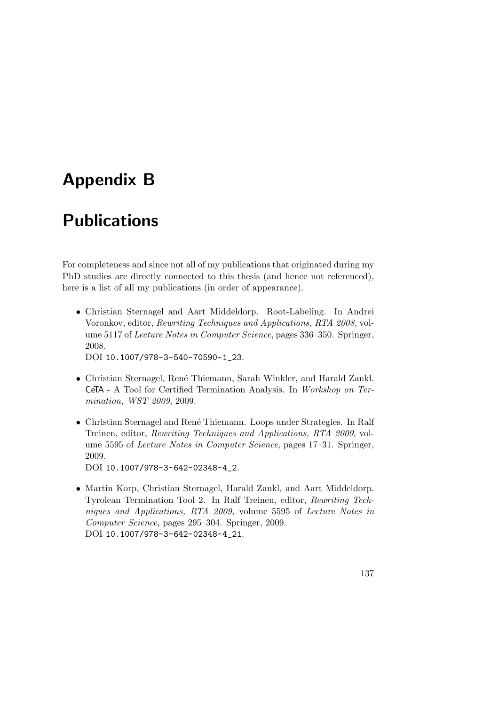# Appendix B

## Publications

For completeness and since not all of my publications that originated during my PhD studies are directly connected to this thesis (and hence not referenced), here is a list of all my publications (in order of appearance).

• Christian Sternagel and Aart Middeldorp. Root-Labeling. In Andrei Voronkov, editor, Rewriting Techniques and Applications, RTA 2008, volume 5117 of Lecture Notes in Computer Science, pages 336–350. Springer, 2008.

DOI [10.1007/978-3-540-70590-1\\_23](http://dx.doi.org/10.1007/978-3-540-70590-1_23).

- Christian Sternagel, Ren´e Thiemann, Sarah Winkler, and Harald Zankl. CeTA - A Tool for Certified Termination Analysis. In Workshop on Termination, WST 2009, 2009.
- Christian Sternagel and René Thiemann. Loops under Strategies. In Ralf Treinen, editor, Rewriting Techniques and Applications, RTA 2009, volume 5595 of Lecture Notes in Computer Science, pages 17–31. Springer, 2009.

DOI [10.1007/978-3-642-02348-4\\_2](http://dx.doi.org/10.1007/978-3-642-02348-4_2).

• Martin Korp, Christian Sternagel, Harald Zankl, and Aart Middeldorp. Tyrolean Termination Tool 2. In Ralf Treinen, editor, Rewriting Techniques and Applications, RTA 2009, volume 5595 of Lecture Notes in Computer Science, pages 295–304. Springer, 2009. DOI [10.1007/978-3-642-02348-4\\_21](http://dx.doi.org/10.1007/978-3-642-02348-4_21).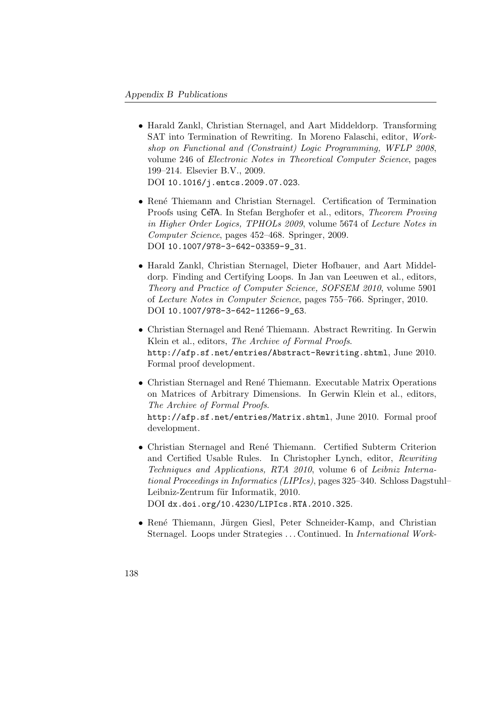- Harald Zankl, Christian Sternagel, and Aart Middeldorp. Transforming SAT into Termination of Rewriting. In Moreno Falaschi, editor, Workshop on Functional and (Constraint) Logic Programming, WFLP 2008, volume 246 of Electronic Notes in Theoretical Computer Science, pages 199–214. Elsevier B.V., 2009. DOI [10.1016/j.entcs.2009.07.023](http://dx.doi.org/10.1016/j.entcs.2009.07.023).
- René Thiemann and Christian Sternagel. Certification of Termination Proofs using CeTA. In Stefan Berghofer et al., editors, Theorem Proving in Higher Order Logics, TPHOLs 2009, volume 5674 of Lecture Notes in Computer Science, pages 452–468. Springer, 2009. DOI [10.1007/978-3-642-03359-9\\_31](http://dx.doi.org/10.1007/978-3-642-03359-9_31).
- Harald Zankl, Christian Sternagel, Dieter Hofbauer, and Aart Middeldorp. Finding and Certifying Loops. In Jan van Leeuwen et al., editors, Theory and Practice of Computer Science, SOFSEM 2010, volume 5901 of Lecture Notes in Computer Science, pages 755–766. Springer, 2010. DOI [10.1007/978-3-642-11266-9\\_63](http://dx.doi.org/10.1007/978-3-642-11266-9_63).
- Christian Sternagel and René Thiemann. Abstract Rewriting. In Gerwin Klein et al., editors, The Archive of Formal Proofs. <http://afp.sf.net/entries/Abstract-Rewriting.shtml>, June 2010. Formal proof development.
- Christian Sternagel and René Thiemann. Executable Matrix Operations on Matrices of Arbitrary Dimensions. In Gerwin Klein et al., editors, The Archive of Formal Proofs. <http://afp.sf.net/entries/Matrix.shtml>, June 2010. Formal proof development.
- Christian Sternagel and René Thiemann. Certified Subterm Criterion and Certified Usable Rules. In Christopher Lynch, editor, Rewriting Techniques and Applications, RTA 2010, volume 6 of Leibniz International Proceedings in Informatics (LIPIcs), pages 325–340. Schloss Dagstuhl– Leibniz-Zentrum für Informatik, 2010. DOI [dx.doi.org/10.4230/LIPIcs.RTA.2010.325](http://dx.doi.org/10.4230/LIPIcs.RTA.2010.325).
- René Thiemann, Jürgen Giesl, Peter Schneider-Kamp, and Christian Sternagel. Loops under Strategies . . . Continued. In International Work-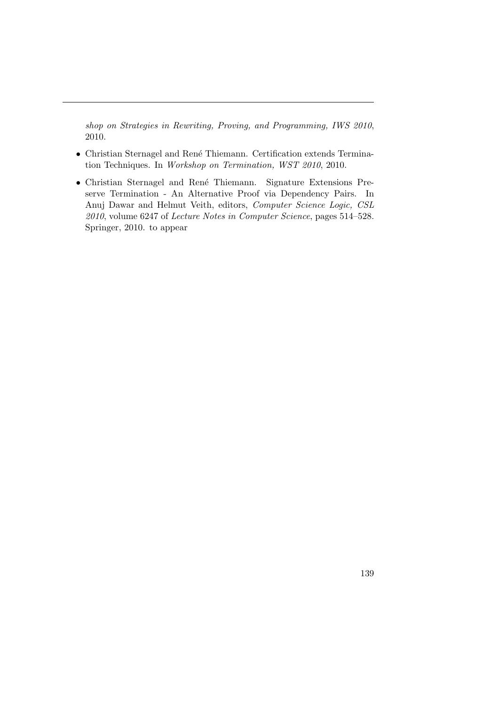shop on Strategies in Rewriting, Proving, and Programming, IWS 2010, 2010.

- Christian Sternagel and René Thiemann. Certification extends Termination Techniques. In Workshop on Termination, WST 2010, 2010.
- Christian Sternagel and René Thiemann. Signature Extensions Preserve Termination - An Alternative Proof via Dependency Pairs. In Anuj Dawar and Helmut Veith, editors, Computer Science Logic, CSL 2010, volume 6247 of Lecture Notes in Computer Science, pages 514–528. Springer, 2010. to appear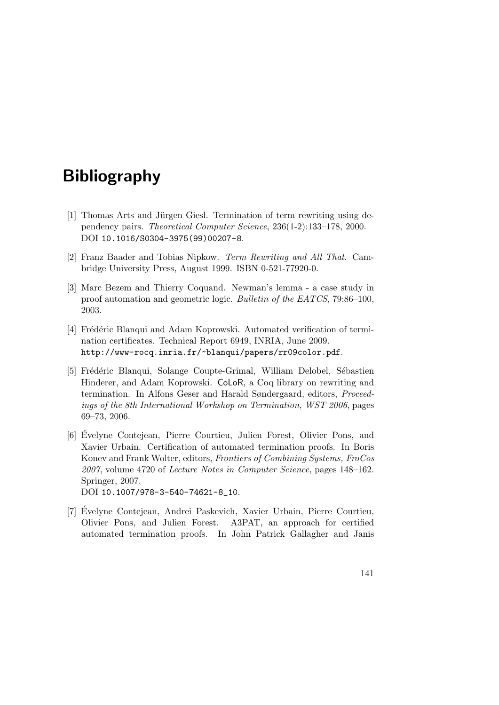## Bibliography

- [1] Thomas Arts and Jürgen Giesl. Termination of term rewriting using dependency pairs. Theoretical Computer Science, 236(1-2):133–178, 2000. DOI [10.1016/S0304-3975\(99\)00207-8](http://dx.doi.org/10.1016/S0304-3975(99)00207-8).
- [2] Franz Baader and Tobias Nipkow. Term Rewriting and All That. Cambridge University Press, August 1999. ISBN 0-521-77920-0.
- [3] Marc Bezem and Thierry Coquand. Newman's lemma a case study in proof automation and geometric logic. Bulletin of the EATCS, 79:86–100, 2003.
- [4] Frédéric Blanqui and Adam Koprowski. Automated verification of termination certificates. Technical Report 6949, INRIA, June 2009. <http://www-rocq.inria.fr/~blanqui/papers/rr09color.pdf>.
- [5] Frédéric Blanqui, Solange Coupte-Grimal, William Delobel, Sébastien Hinderer, and Adam Koprowski. CoLoR, a Coq library on rewriting and termination. In Alfons Geser and Harald Søndergaard, editors, Proceedings of the 8th International Workshop on Termination, WST 2006, pages 69–73, 2006.
- [6] Evelyne Contejean, Pierre Courtieu, Julien Forest, Olivier Pons, and ´ Xavier Urbain. Certification of automated termination proofs. In Boris Konev and Frank Wolter, editors, Frontiers of Combining Systems, FroCos 2007, volume 4720 of Lecture Notes in Computer Science, pages 148–162. Springer, 2007. DOI [10.1007/978-3-540-74621-8\\_10](http://dx.doi.org/10.1007/978-3-540-74621-8_10).
- [7] Evelyne Contejean, Andrei Paskevich, Xavier Urbain, Pierre Courtieu, ´ Olivier Pons, and Julien Forest. A3PAT, an approach for certified automated termination proofs. In John Patrick Gallagher and Janis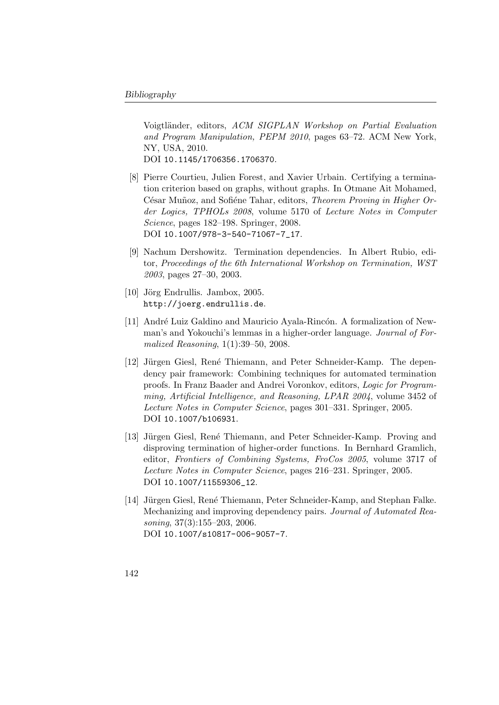Voigtländer, editors, ACM SIGPLAN Workshop on Partial Evaluation and Program Manipulation, PEPM 2010, pages 63–72. ACM New York, NY, USA, 2010. DOI [10.1145/1706356.1706370](http://dx.doi.org/10.1145/1706356.1706370).

- [8] Pierre Courtieu, Julien Forest, and Xavier Urbain. Certifying a termination criterion based on graphs, without graphs. In Otmane Ait Mohamed, César Muñoz, and Sofiéne Tahar, editors, Theorem Proving in Higher Order Logics, TPHOLs 2008, volume 5170 of Lecture Notes in Computer Science, pages 182–198. Springer, 2008. DOI [10.1007/978-3-540-71067-7\\_17](http://dx.doi.org/10.1007/978-3-540-71067-7_17).
- [9] Nachum Dershowitz. Termination dependencies. In Albert Rubio, editor, Proceedings of the 6th International Workshop on Termination, WST 2003, pages 27–30, 2003.
- [10] Jörg Endrullis. Jambox,  $2005$ . <http://joerg.endrullis.de>.
- [11] André Luiz Galdino and Mauricio Ayala-Rincón. A formalization of Newman's and Yokouchi's lemmas in a higher-order language. Journal of Formalized Reasoning, 1(1):39–50, 2008.
- [12] Jürgen Giesl, René Thiemann, and Peter Schneider-Kamp. The dependency pair framework: Combining techniques for automated termination proofs. In Franz Baader and Andrei Voronkov, editors, Logic for Programming, Artificial Intelligence, and Reasoning, LPAR 2004, volume 3452 of Lecture Notes in Computer Science, pages 301–331. Springer, 2005. DOI [10.1007/b106931](http://dx.doi.org/10.1007/b106931).
- [13] Jürgen Giesl, René Thiemann, and Peter Schneider-Kamp. Proving and disproving termination of higher-order functions. In Bernhard Gramlich, editor, Frontiers of Combining Systems, FroCos 2005, volume 3717 of Lecture Notes in Computer Science, pages 216–231. Springer, 2005. DOI [10.1007/11559306\\_12](http://dx.doi.org/10.1007/11559306_12).
- [14] Jürgen Giesl, René Thiemann, Peter Schneider-Kamp, and Stephan Falke. Mechanizing and improving dependency pairs. Journal of Automated Reasoning, 37(3):155–203, 2006. DOI [10.1007/s10817-006-9057-7](http://dx.doi.org/10.1007/s10817-006-9057-7).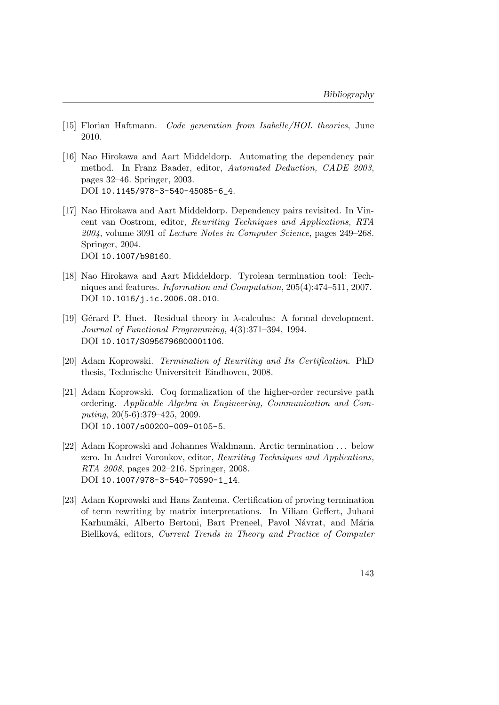- [15] Florian Haftmann. Code generation from Isabelle/HOL theories, June 2010.
- [16] Nao Hirokawa and Aart Middeldorp. Automating the dependency pair method. In Franz Baader, editor, Automated Deduction, CADE 2003, pages 32–46. Springer, 2003. DOI [10.1145/978-3-540-45085-6\\_4](http://dx.doi.org/10.1145/978-3-540-45085-6_4).
- [17] Nao Hirokawa and Aart Middeldorp. Dependency pairs revisited. In Vincent van Oostrom, editor, Rewriting Techniques and Applications, RTA 2004, volume 3091 of Lecture Notes in Computer Science, pages 249–268. Springer, 2004. DOI [10.1007/b98160](http://dx.doi.org/10.1007/b98160).
- [18] Nao Hirokawa and Aart Middeldorp. Tyrolean termination tool: Techniques and features. Information and Computation, 205(4):474–511, 2007. DOI [10.1016/j.ic.2006.08.010](http://dx.doi.org/10.1016/j.ic.2006.08.010).
- [19] Gérard P. Huet. Residual theory in  $\lambda$ -calculus: A formal development. Journal of Functional Programming, 4(3):371–394, 1994. DOI [10.1017/S0956796800001106](hhtp://dx.doi.org/10.1017/S0956796800001106).
- [20] Adam Koprowski. Termination of Rewriting and Its Certification. PhD thesis, Technische Universiteit Eindhoven, 2008.
- [21] Adam Koprowski. Coq formalization of the higher-order recursive path ordering. Applicable Algebra in Engineering, Communication and Computing, 20(5-6):379–425, 2009. DOI [10.1007/s00200-009-0105-5](http://dx.doi.org/10.1007/s00200-009-0105-5).
- [22] Adam Koprowski and Johannes Waldmann. Arctic termination . . . below zero. In Andrei Voronkov, editor, Rewriting Techniques and Applications, RTA 2008, pages 202–216. Springer, 2008. DOI [10.1007/978-3-540-70590-1\\_14](http://dx.doi.org/10.1007/978-3-540-70590-1_14).
- [23] Adam Koprowski and Hans Zantema. Certification of proving termination of term rewriting by matrix interpretations. In Viliam Geffert, Juhani Karhumäki, Alberto Bertoni, Bart Preneel, Pavol Návrat, and Mária Bieliková, editors, Current Trends in Theory and Practice of Computer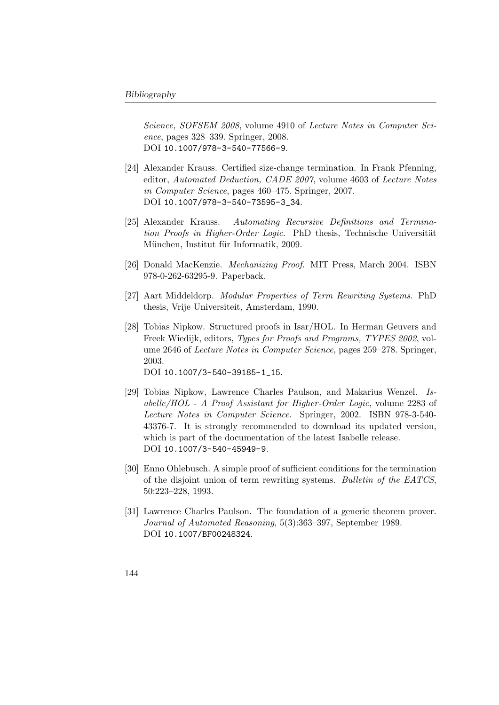Science, SOFSEM 2008, volume 4910 of Lecture Notes in Computer Science, pages 328–339. Springer, 2008. DOI [10.1007/978-3-540-77566-9](http://dx.doi.org/10.1007/978-3-540-77566-9).

- [24] Alexander Krauss. Certified size-change termination. In Frank Pfenning, editor, Automated Deduction, CADE 2007, volume 4603 of Lecture Notes in Computer Science, pages 460–475. Springer, 2007. DOI [10.1007/978-3-540-73595-3\\_34](http://dx.doi.org/10.1007/978-3-540-73595-3_34).
- [25] Alexander Krauss. Automating Recursive Definitions and Termination Proofs in Higher-Order Logic. PhD thesis, Technische Universität München, Institut für Informatik, 2009.
- [26] Donald MacKenzie. Mechanizing Proof. MIT Press, March 2004. ISBN 978-0-262-63295-9. Paperback.
- [27] Aart Middeldorp. Modular Properties of Term Rewriting Systems. PhD thesis, Vrije Universiteit, Amsterdam, 1990.
- [28] Tobias Nipkow. Structured proofs in Isar/HOL. In Herman Geuvers and Freek Wiedijk, editors, Types for Proofs and Programs, TYPES 2002, volume 2646 of Lecture Notes in Computer Science, pages 259–278. Springer, 2003. DOI [10.1007/3-540-39185-1\\_15](http://dx.doi.org/10.1007/3-540-39185-1_15).
- [29] Tobias Nipkow, Lawrence Charles Paulson, and Makarius Wenzel. Isabelle/HOL - A Proof Assistant for Higher-Order Logic, volume 2283 of Lecture Notes in Computer Science. Springer, 2002. ISBN 978-3-540- 43376-7. It is strongly recommended to download its updated version, which is part of the documentation of the latest Isabelle release. DOI [10.1007/3-540-45949-9](http://dx.doi.org/10.1007/3-540-45949-9).
- [30] Enno Ohlebusch. A simple proof of sufficient conditions for the termination of the disjoint union of term rewriting systems. Bulletin of the EATCS, 50:223–228, 1993.
- [31] Lawrence Charles Paulson. The foundation of a generic theorem prover. Journal of Automated Reasoning, 5(3):363–397, September 1989. DOI [10.1007/BF00248324](http://dx.doi.org/10.1007/BF00248324).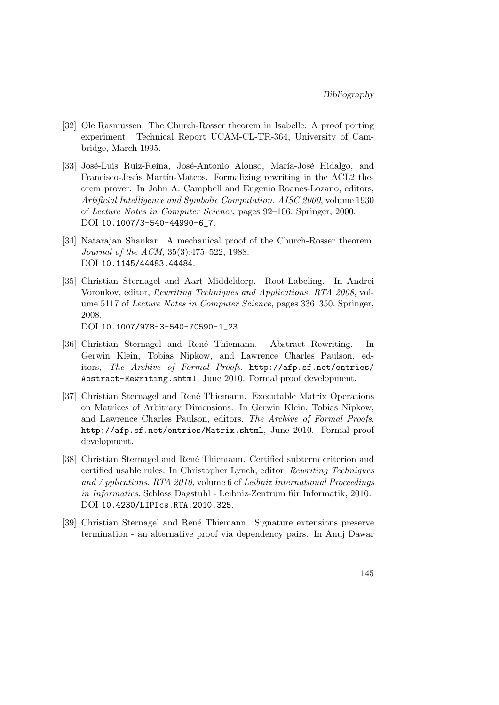- [32] Ole Rasmussen. The Church-Rosser theorem in Isabelle: A proof porting experiment. Technical Report UCAM-CL-TR-364, University of Cambridge, March 1995.
- [33] José-Luis Ruiz-Reina, José-Antonio Alonso, María-José Hidalgo, and Francisco-Jesús Martín-Mateos. Formalizing rewriting in the ACL2 theorem prover. In John A. Campbell and Eugenio Roanes-Lozano, editors, Artificial Intelligence and Symbolic Computation, AISC 2000, volume 1930 of Lecture Notes in Computer Science, pages 92–106. Springer, 2000. DOI [10.1007/3-540-44990-6\\_7](http://dx.doi.org/10.1007/3-540-44990-6_7).
- [34] Natarajan Shankar. A mechanical proof of the Church-Rosser theorem. Journal of the ACM, 35(3):475–522, 1988. DOI [10.1145/44483.44484](http://dx.doi.org/10.1145/44483.44484).
- [35] Christian Sternagel and Aart Middeldorp. Root-Labeling. In Andrei Voronkov, editor, Rewriting Techniques and Applications, RTA 2008, volume 5117 of Lecture Notes in Computer Science, pages 336–350. Springer, 2008.

DOI [10.1007/978-3-540-70590-1\\_23](http://dx.doi.org/10.1007/978-3-540-70590-1_23).

- [36] Christian Sternagel and René Thiemann. Abstract Rewriting. In Gerwin Klein, Tobias Nipkow, and Lawrence Charles Paulson, editors, The Archive of Formal Proofs. [http://afp.sf.net/entries/](http://afp.sf.net/entries/Abstract-Rewriting.shtml) [Abstract-Rewriting.shtml](http://afp.sf.net/entries/Abstract-Rewriting.shtml), June 2010. Formal proof development.
- [37] Christian Sternagel and Ren´e Thiemann. Executable Matrix Operations on Matrices of Arbitrary Dimensions. In Gerwin Klein, Tobias Nipkow, and Lawrence Charles Paulson, editors, The Archive of Formal Proofs. <http://afp.sf.net/entries/Matrix.shtml>, June 2010. Formal proof development.
- [38] Christian Sternagel and Ren´e Thiemann. Certified subterm criterion and certified usable rules. In Christopher Lynch, editor, Rewriting Techniques and Applications, RTA 2010, volume 6 of Leibniz International Proceedings in Informatics. Schloss Dagstuhl - Leibniz-Zentrum für Informatik, 2010. DOI [10.4230/LIPIcs.RTA.2010.325](http://dx.doi.org/10.4230/LIPIcs.RTA.2010.325).
- [39] Christian Sternagel and René Thiemann. Signature extensions preserve termination - an alternative proof via dependency pairs. In Anuj Dawar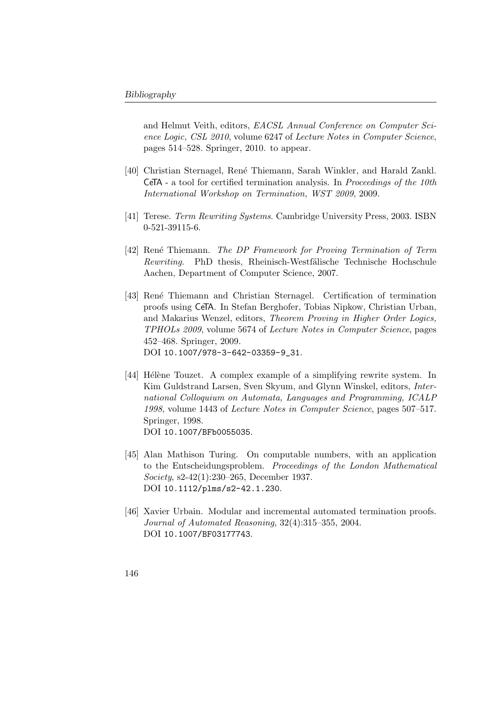and Helmut Veith, editors, EACSL Annual Conference on Computer Science Logic, CSL 2010, volume 6247 of Lecture Notes in Computer Science, pages 514–528. Springer, 2010. to appear.

- [40] Christian Sternagel, Ren´e Thiemann, Sarah Winkler, and Harald Zankl. **CeTA** - a tool for certified termination analysis. In *Proceedings of the 10th* International Workshop on Termination, WST 2009, 2009.
- [41] Terese. Term Rewriting Systems. Cambridge University Press, 2003. ISBN 0-521-39115-6.
- [42] René Thiemann. The DP Framework for Proving Termination of Term Rewriting. PhD thesis, Rheinisch-Westfälische Technische Hochschule Aachen, Department of Computer Science, 2007.
- [43] Ren´e Thiemann and Christian Sternagel. Certification of termination proofs using CeTA. In Stefan Berghofer, Tobias Nipkow, Christian Urban, and Makarius Wenzel, editors, Theorem Proving in Higher Order Logics, TPHOLs 2009, volume 5674 of Lecture Notes in Computer Science, pages 452–468. Springer, 2009. DOI [10.1007/978-3-642-03359-9\\_31](http://dx.doi.org/10.1007/978-3-642-03359-9_31).
- [44] Hélène Touzet. A complex example of a simplifying rewrite system. In Kim Guldstrand Larsen, Sven Skyum, and Glynn Winskel, editors, International Colloquium on Automata, Languages and Programming, ICALP 1998, volume 1443 of Lecture Notes in Computer Science, pages 507–517. Springer, 1998. DOI [10.1007/BFb0055035](http://dx.doi.org/10.1007/BFb0055035).
- [45] Alan Mathison Turing. On computable numbers, with an application to the Entscheidungsproblem. Proceedings of the London Mathematical Society, s2-42(1):230–265, December 1937. DOI [10.1112/plms/s2-42.1.230](http://dx.doi.org/10.1112/plms/s2-42.1.230).
- [46] Xavier Urbain. Modular and incremental automated termination proofs. Journal of Automated Reasoning, 32(4):315–355, 2004. DOI [10.1007/BF03177743](http://dx.doi.org/10.1007/BF03177743).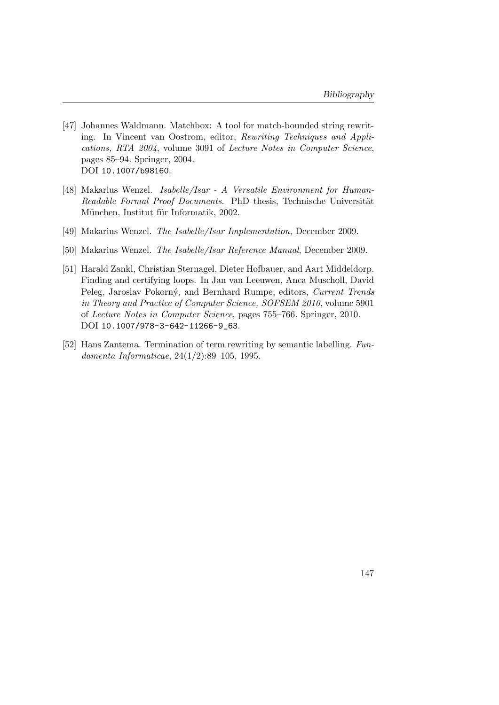- [47] Johannes Waldmann. Matchbox: A tool for match-bounded string rewriting. In Vincent van Oostrom, editor, Rewriting Techniques and Applications, RTA 2004, volume 3091 of Lecture Notes in Computer Science, pages 85–94. Springer, 2004. DOI [10.1007/b98160](http://dx.doi.org/10.1007/b98160).
- [48] Makarius Wenzel. Isabelle/Isar A Versatile Environment for Human-Readable Formal Proof Documents. PhD thesis, Technische Universität München, Institut für Informatik, 2002.
- [49] Makarius Wenzel. The Isabelle/Isar Implementation, December 2009.
- [50] Makarius Wenzel. The Isabelle/Isar Reference Manual, December 2009.
- [51] Harald Zankl, Christian Sternagel, Dieter Hofbauer, and Aart Middeldorp. Finding and certifying loops. In Jan van Leeuwen, Anca Muscholl, David Peleg, Jaroslav Pokorný, and Bernhard Rumpe, editors, Current Trends in Theory and Practice of Computer Science, SOFSEM 2010, volume 5901 of Lecture Notes in Computer Science, pages 755–766. Springer, 2010. DOI [10.1007/978-3-642-11266-9\\_63](http://dx.doi.org/10.1007/978-3-642-11266-9_63).
- [52] Hans Zantema. Termination of term rewriting by semantic labelling. Fundamenta Informaticae, 24(1/2):89–105, 1995.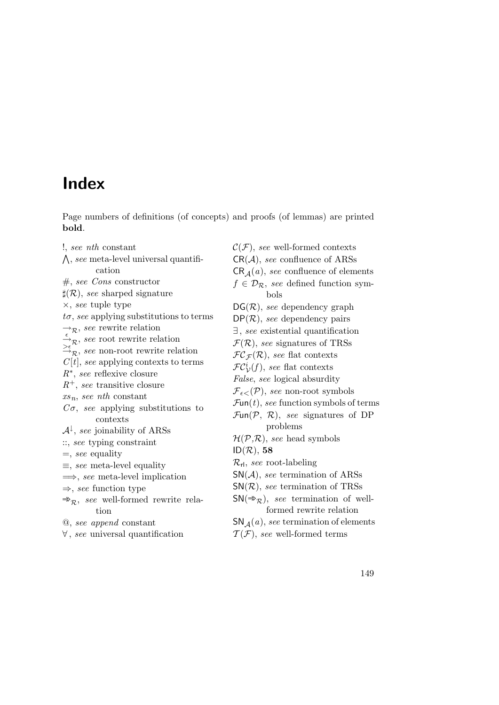#### Index

Page numbers of definitions (of concepts) and proofs (of lemmas) are printed bold.

!, see nth constant  $\Lambda$ , see meta-level universal quantification  $#$ , see Cons constructor  $\sharp(\mathcal{R})$ , see sharped signature ×, see tuple type  $t\sigma$ , see applying substitutions to terms  $\rightarrow_{\mathcal{R}}$ , see rewrite relation  $\rightarrow_{\mathcal{R}}$ , see root rewrite relation  $\Rightarrow_{\mathcal{R}}^{\mathcal{K}}$ , see non-root rewrite relation  $C[t]$ , see applying contexts to terms R∗ , see reflexive closure  $R^+$ , see transitive closure  $xs_n, see nth constant$  $C\sigma$ , see applying substitutions to contexts  $\mathcal{A}^{\downarrow}$ , see joinability of ARSs ::, see typing constraint  $=$ , see equality  $\equiv$ , see meta-level equality  $\implies$ , see meta-level implication  $\Rightarrow$ , see function type  $\Rightarrow$ <sub>R</sub>, see well-formed rewrite relation

@, see append constant

∀ , see universal quantification

 $\mathcal{C}(\mathcal{F})$ , see well-formed contexts  $CR(\mathcal{A})$ , see confluence of ARSs  $CR_{\Delta}(a)$ , see confluence of elements  $f \in \mathcal{D}_{\mathcal{R}}$ , see defined function symbols  $DG(\mathcal{R})$ , see dependency graph  $DP(\mathcal{R})$ , see dependency pairs ∃ , see existential quantification  $\mathcal{F}(\mathcal{R})$ , see signatures of TRSs  $FC_{\mathcal{F}}(\mathcal{R})$ , see flat contexts  $\mathcal{FC}_\mathcal{V}^i(f)$ , see flat contexts False, see logical absurdity  $\mathcal{F}_{\epsilon\lt}(\mathcal{P})$ , see non-root symbols  $\mathcal{F}$ un(t), see function symbols of terms  $\mathcal{F}\text{un}(\mathcal{P}, \mathcal{R})$ , see signatures of DP problems  $\mathcal{H}(\mathcal{P},\mathcal{R})$ , see head symbols  $ID(\mathcal{R}), 58$  $\mathcal{R}_{\text{rl}}$ , see root-labeling  $\mathsf{SN}(\mathcal{A})$ , see termination of ARSs  $SN(\mathcal{R})$ , see termination of TRSs  $SN(\Rightarrow_R)$ , see termination of wellformed rewrite relation SN<sub> $\Delta(a)$ </sub>, see termination of elements

 $\mathcal{T}(\mathcal{F})$ , see well-formed terms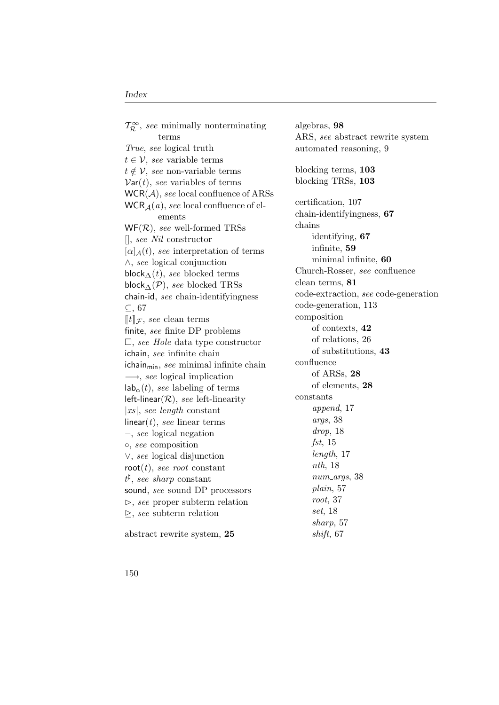$\mathcal{T}_{\mathcal{R}}^{\infty}$ , see minimally nonterminating terms True, see logical truth  $t \in \mathcal{V}$ , see variable terms  $t \notin V$ , see non-variable terms  $Var(t)$ , see variables of terms  $WCR(\mathcal{A})$ , see local confluence of ARSs  $WCR_{\mathcal{A}}(a)$ , see local confluence of elements  $WF(R)$ , see well-formed TRSs [], see Nil constructor  $[\alpha]_{\mathcal{A}}(t)$ , see interpretation of terms ∧, see logical conjunction block $\Lambda(t)$ , see blocked terms block $\Delta(\mathcal{P})$ , see blocked TRSs chain-id, see chain-identifyingness ⊆, [67](#page-82-0)  $\llbracket t \rrbracket_{\mathcal{F}}$ , see clean terms finite, see finite DP problems  $\square$ , see Hole data type constructor ichain, see infinite chain  $ichain<sub>min</sub>$ , see minimal infinite chain  $\longrightarrow$ , see logical implication  $\mathsf{lab}_{\alpha}(t)$ , see labeling of terms left-linear( $\mathcal{R}$ ), see left-linearity |xs|, see length constant linear( $t$ ), see linear terms  $\neg$ , see logical negation ◦, see composition ∨, see logical disjunction root $(t)$ , see root constant  $t^{\sharp}$ , see sharp constant sound, see sound DP processors  $\triangleright$ , see proper subterm relation  $\triangleright$ , see subterm relation

abstract rewrite system, 25

algebras, 98 ARS, see abstract rewrite system automated reasoning, [9](#page-24-0) blocking terms, 103 blocking TRSs, 103 certification, [107](#page-122-0) chain-identifyingness, 67 chains identifying, 67 infinite, 59 minimal infinite, 60 Church-Rosser, see confluence clean terms, 81 code-extraction, see code-generation code-generation, [113](#page-128-0) composition of contexts, 42 of relations, [26](#page-41-0) of substitutions, 43 confluence of ARSs, 28 of elements, 28 constants append, [17](#page-32-0) args, [38](#page-53-0) drop, [18](#page-33-0)  $fst, 15$  $fst, 15$ length, [17](#page-32-0) nth, [18](#page-33-0) num<sub>-args</sub>, [38](#page-53-0) plain, [57](#page-72-0) root, [37](#page-52-0) set, [18](#page-33-0) sharp, [57](#page-72-0) shift, [67](#page-82-0)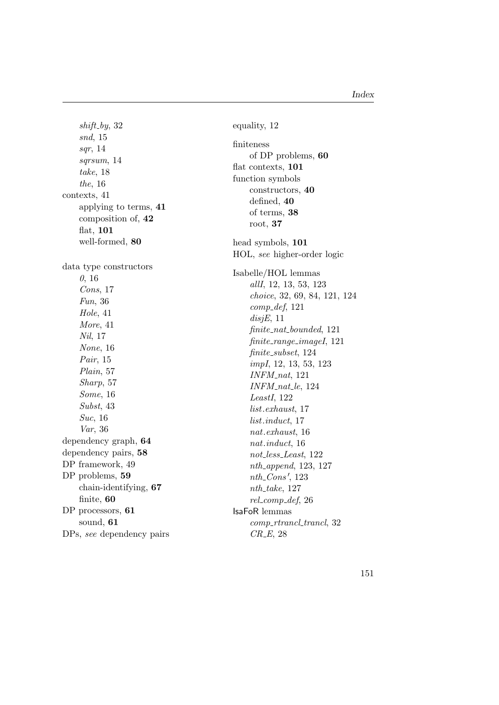$shift_by, 32$  $shift_by, 32$ snd, [15](#page-30-0) sqr, [14](#page-29-0) sqrsum, [14](#page-29-0) take, [18](#page-33-0) the, [16](#page-31-0) contexts, [41](#page-56-0) applying to terms, 41 composition of, 42 flat, 101 well-formed, 80 data type constructors 0, [16](#page-31-0) Cons, [17](#page-32-0) Fun, [36](#page-51-0) Hole, [41](#page-56-0) More, [41](#page-56-0) Nil, [17](#page-32-0) None, [16](#page-31-0) Pair, [15](#page-30-0) Plain, [57](#page-72-0) Sharp, [57](#page-72-0) Some, [16](#page-31-0) Subst, [43](#page-58-0) Suc, [16](#page-31-0) Var, [36](#page-51-0) dependency graph, 64 dependency pairs, 58 DP framework, [49](#page-64-0) DP problems, 59 chain-identifying, 67 finite, 60 DP processors, 61 sound, 61 DPs, see dependency pairs equality, [12](#page-27-0) finiteness of DP problems, 60 flat contexts, 101 function symbols constructors, 40 defined, 40 of terms, 38 root, 37 head symbols, 101 HOL, see higher-order logic Isabelle/HOL lemmas allI, [12,](#page-27-0) [13,](#page-28-0) [53,](#page-68-0) [123](#page-138-0) choice, [32,](#page-47-0) [69,](#page-84-0) [84,](#page-99-0) [121,](#page-136-0) [124](#page-139-0)  $comp\_def, 121$  $comp\_def, 121$  $disjE, 11$  $disjE, 11$ finite nat bounded, [121](#page-136-0) finite range imageI, [121](#page-136-0) finite\_subset, [124](#page-139-0) impI, [12,](#page-27-0) [13,](#page-28-0) [53,](#page-68-0) [123](#page-138-0)  $INFM$ <sub>-nat</sub>, [121](#page-136-0) INFM\_nat\_le, [124](#page-139-0) LeastI, [122](#page-137-0) list .exhaust, [17](#page-32-0) list .induct, [17](#page-32-0) nat .exhaust, [16](#page-31-0) nat .induct, [16](#page-31-0) not less Least, [122](#page-137-0) nth append, [123,](#page-138-0) [127](#page-142-0)  $nth\_Cons', 123$  $nth\_Cons', 123$  $nth\_take$ , [127](#page-142-0)  $rel_{comp\_def, 26}$  $rel_{comp\_def, 26}$  $rel_{comp\_def, 26}$ IsaFoR lemmas comp\_rtrancl\_trancl, [32](#page-47-0) CR E, [28](#page-43-0)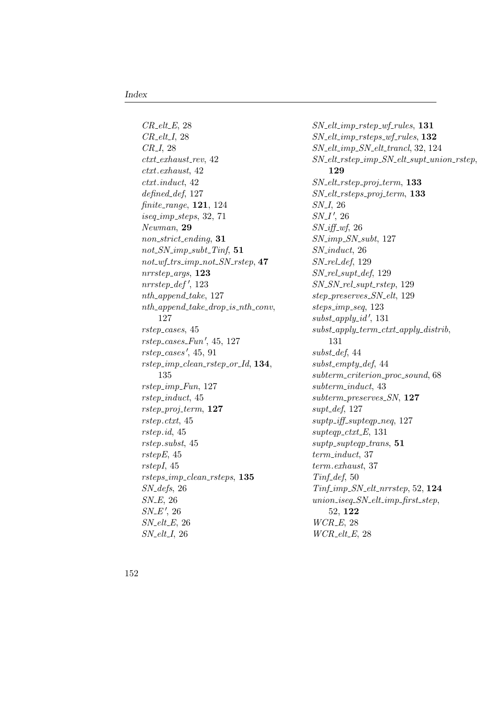$CR_{\text{-}elt\text{-}E, 28}$  $CR_{\text{-}elt\text{-}E, 28}$  $CR_{\text{-}elt\text{-}E, 28}$  $CR$ <sub>-elt-I, [28](#page-43-0)</sub> CR<sub>-I</sub>, [28](#page-43-0)  $ctxt\_exhaust\_rev, 42$  $ctxt\_exhaust\_rev, 42$ ctxt.exhaust, [42](#page-57-0) ctxt.induct, [42](#page-57-0) defined def, [127](#page-142-0) finite range, 121, [124](#page-139-0) iseq imp steps, [32,](#page-47-0) [71](#page-86-0) Newman, 29 non strict ending, 31  $not\_SN\_imp\_subt\_Tinf$ , 51  $not\_wf\_trs\_imp\_not\_SN\_rstep, 47$ nrrstep args, 123  $nrrstep\_def', 123$  $nrrstep\_def', 123$  $nth\_\napphend\_\ntake, 127$  $nth\_\napphend\_\ntake, 127$  $nth\_append\_take\_drop_is\_nth\_conv,$ [127](#page-142-0) rstep cases, [45](#page-60-0)  $rstep\_cases\_Fun', 45, 127$  $rstep\_cases\_Fun', 45, 127$  $rstep\_cases\_Fun', 45, 127$  $rstep\_cases$ ', [45,](#page-60-0) [91](#page-106-0)  $rstep\_imp\_clean\_rstep\_or\_Id, 134,$ [135](#page-150-0) rstep imp Fun, [127](#page-142-0) rstep induct, [45](#page-60-0)  $rstep\_proj\_term$ , 127 rstep.ctxt, [45](#page-60-0) rstep.id, [45](#page-60-0) rstep.subst, [45](#page-60-0) rstepE, [45](#page-60-0) rstepI, [45](#page-60-0) rsteps imp clean rsteps, 135 SN defs, [26](#page-41-0)  $SN\_E$ , [26](#page-41-0)  $SN\_E'$ , [26](#page-41-0)  $SN_{-}elt_{-}E$ , [26](#page-41-0)  $SN_{-}elt_{-}I$ , [26](#page-41-0)

 $SN_{\text{-}elt\_imp_{\text{-}rstep\_wf_{\text{-}rules}}$ , 131  $SN\_elt\_imp\_rsteps\_wf\_rules,$  132 SN elt imp SN elt trancl, [32,](#page-47-0) [124](#page-139-0) SN elt rstep imp SN elt supt union rstep, 129 SN elt rstep proj term, 133 SN elt rsteps proj term, 133 SN\_I, [26](#page-41-0)  $SN_I', 26$  $SN_I', 26$  $SN\_iff\_wf$ , [26](#page-41-0)  $SN$ <sub>-imp</sub> $SN$ <sub>-subt</sub>, [127](#page-142-0) SN induct, [26](#page-41-0)  $SN_{\mathit{rel\_def}}$ , [129](#page-144-0) SN rel supt def, [129](#page-144-0) SN\_SN\_rel\_supt\_rstep, [129](#page-144-0) step preserves SN elt, [129](#page-144-0) steps\_imp\_seq, [123](#page-138-0)  $subst\_apply\_id', 131$  $subst\_apply\_id', 131$  $subst\_apply\_term\_ctxt\_apply\_distrib,$ [131](#page-146-0)  $subst\_def, 44$  $subst\_def, 44$  $subst\_empty\_def, 44$  $subst\_empty\_def, 44$ subterm\_criterion\_proc\_sound, [68](#page-83-0) subterm induct, [43](#page-58-0) subterm\_preserves\_SN, 127  $surf\_def, 127$  $surf\_def, 127$  $suptp\_iff\_supteqp\_neq, \ 127$  $suptp\_iff\_supteqp\_neq, \ 127$  $supteqp\_ctxt\_E$ , [131](#page-146-0)  $suptp\_supteqp\_trans,$  51 term induct, [37](#page-52-0) term.exhaust, [37](#page-52-0)  $Tinf\_def, 50$  $Tinf\_def, 50$ Tinf imp SN elt nrrstep, [52,](#page-67-0) 124  $union\_iseg\_SN\_elt\_imp\_first\_step,$ [52,](#page-67-0) 122  $WCR\_E$ , [28](#page-43-0)  $WCR_{-}elt_{-}E$ , [28](#page-43-0)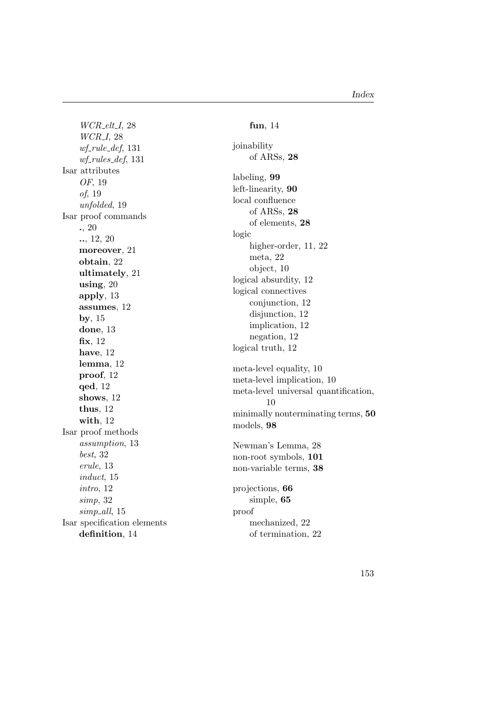$WCR_{\text{-}elt\_I, 28}$  $WCR_{\text{-}elt\_I, 28}$  $WCR_{\text{-}elt\_I, 28}$ WCR I, [28](#page-43-0)  $wf$ -rule-def, [131](#page-146-0)  $wf_rules_def, 131$  $wf_rules_def, 131$ Isar attributes OF, [19](#page-34-0) of, [19](#page-34-0) unfolded, [19](#page-34-0) Isar proof commands ., [20](#page-35-0) .., [12,](#page-27-0) [20](#page-35-0) moreover, [21](#page-36-0) obtain, [22](#page-37-0) ultimately, [21](#page-36-0) using, [20](#page-35-0) apply, [13](#page-28-0) assumes, [12](#page-27-0) by, [15](#page-30-0) done, [13](#page-28-0) fix, [12](#page-27-0) have, [12](#page-27-0) lemma, [12](#page-27-0) proof, [12](#page-27-0) qed, [12](#page-27-0) shows, [12](#page-27-0) thus, [12](#page-27-0) with, [12](#page-27-0) Isar proof methods assumption, [13](#page-28-0) best, [32](#page-47-0) erule, [13](#page-28-0) induct, [15](#page-30-0) intro, [12](#page-27-0) simp, [32](#page-47-0) simp\_all, [15](#page-30-0) Isar specification elements definition, [14](#page-29-0)

#### fun, [14](#page-29-0) joinability of ARSs, 28 labeling, 99 left-linearity, 90 local confluence of ARSs, 28 of elements, 28 logic higher-order, [11,](#page-26-0) [22](#page-37-0) meta, [22](#page-37-0) object, [10](#page-25-0) logical absurdity, [12](#page-27-0) logical connectives conjunction, [12](#page-27-0) disjunction, [12](#page-27-0) implication, [12](#page-27-0) negation, [12](#page-27-0) logical truth, [12](#page-27-0) meta-level equality, [10](#page-25-0) meta-level implication, [10](#page-25-0) meta-level universal quantification, [10](#page-25-0) minimally nonterminating terms, 50 models, 98 Newman's Lemma, [28](#page-43-0) non-root symbols, 101 non-variable terms, 38 projections, 66 simple, 65 proof mechanized, [22](#page-37-0) of termination, [22](#page-37-0)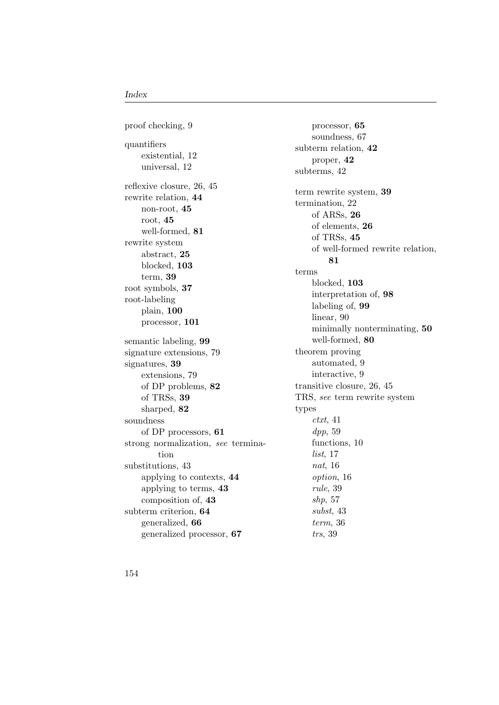proof checking, [9](#page-24-0) quantifiers existential, [12](#page-27-0) universal, [12](#page-27-0) reflexive closure, [26,](#page-41-0) [45](#page-60-0) rewrite relation, 44 non-root, 45 root, 45 well-formed, 81 rewrite system abstract, 25 blocked, 103 term, 39 root symbols, 37 root-labeling plain, 100 processor, 101 semantic labeling, 99 signature extensions, [79](#page-94-0) signatures, 39 extensions, [79](#page-94-0) of DP problems, 82 of TRSs, 39 sharped, 82 soundness of DP processors, 61 strong normalization, see termination substitutions, [43](#page-58-0) applying to contexts, 44 applying to terms, 43 composition of, 43 subterm criterion, 64 generalized, 66 generalized processor, 67

processor, 65 soundness, [67](#page-82-0) subterm relation, 42 proper, 42 subterms, [42](#page-57-0) term rewrite system, 39 termination, [22](#page-37-0) of ARSs, 26 of elements, 26 of TRSs, 45 of well-formed rewrite relation, 81 terms blocked, 103 interpretation of, 98 labeling of, 99 linear, [90](#page-105-0) minimally nonterminating, 50 well-formed, 80 theorem proving automated, [9](#page-24-0) interactive, [9](#page-24-0) transitive closure, [26,](#page-41-0) [45](#page-60-0) TRS, see term rewrite system types  $\textit{ctxt}, 41$  $\textit{ctxt}, 41$ dpp, [59](#page-74-0) functions, [10](#page-25-0) list, [17](#page-32-0) nat, [16](#page-31-0) option, [16](#page-31-0) rule, [39](#page-54-0) shp, [57](#page-72-0) subst, [43](#page-58-0) term, [36](#page-51-0) trs, [39](#page-54-0)